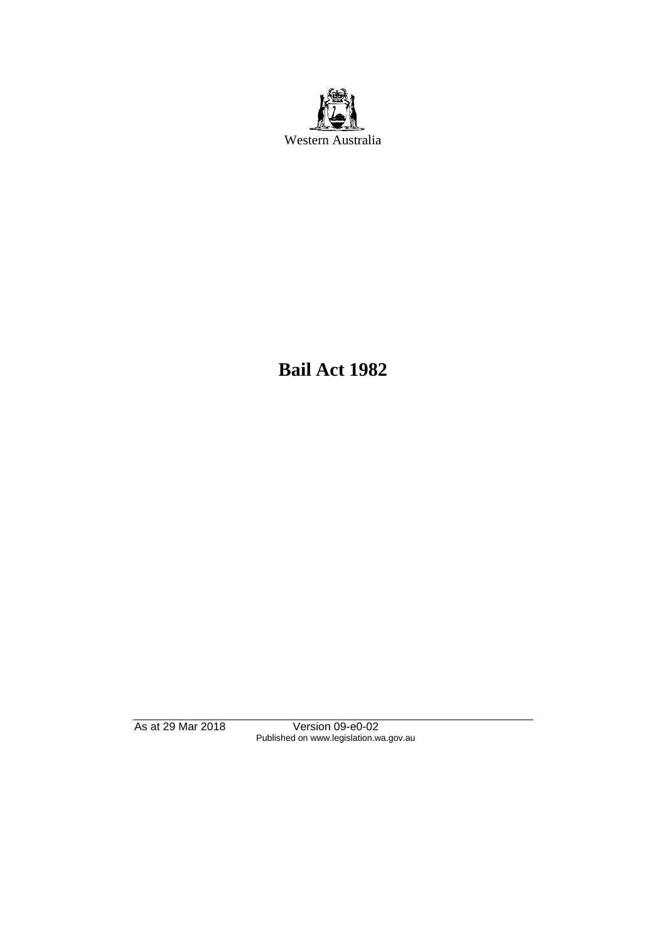

**Bail Act 1982**

As at 29 Mar 2018 Version 09-e0-02 Published on www.legislation.wa.gov.au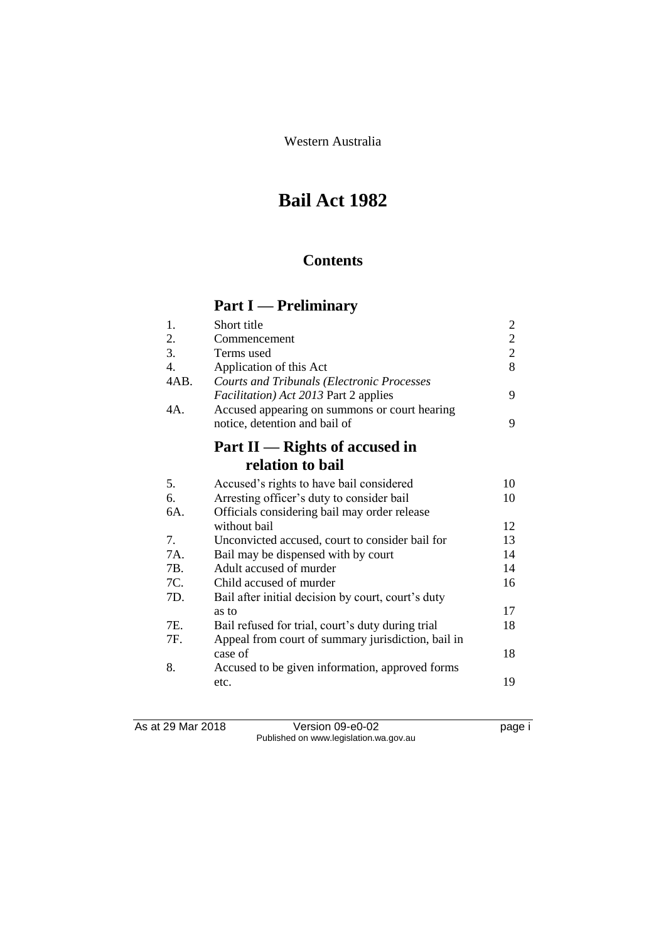Western Australia

# **Bail Act 1982**

# **Contents**

# **Part I — Preliminary**

| Short title                                                                                        | $\overline{c}$                                |
|----------------------------------------------------------------------------------------------------|-----------------------------------------------|
| Commencement                                                                                       | $\mathbf{2}$                                  |
| Terms used                                                                                         | $\overline{2}$                                |
| Application of this Act                                                                            | 8                                             |
| <b>Courts and Tribunals (Electronic Processes</b><br><i>Facilitation</i> ) Act 2013 Part 2 applies | 9                                             |
| notice, detention and bail of                                                                      | 9                                             |
| Part $II$ — Rights of accused in                                                                   |                                               |
| relation to bail                                                                                   |                                               |
| Accused's rights to have bail considered                                                           | 10                                            |
| Arresting officer's duty to consider bail                                                          | 10                                            |
| Officials considering bail may order release                                                       |                                               |
| without bail                                                                                       | 12                                            |
| Unconvicted accused, court to consider bail for                                                    | 13                                            |
| Bail may be dispensed with by court                                                                | 14                                            |
| Adult accused of murder                                                                            | 14                                            |
| Child accused of murder                                                                            | 16                                            |
| Bail after initial decision by court, court's duty                                                 |                                               |
| as to                                                                                              | 17                                            |
| Bail refused for trial, court's duty during trial                                                  | 18                                            |
| Appeal from court of summary jurisdiction, bail in                                                 |                                               |
| case of                                                                                            | 18                                            |
| Accused to be given information, approved forms<br>etc.                                            | 19                                            |
|                                                                                                    | Accused appearing on summons or court hearing |

As at 29 Mar 2018 Version 09-e0-02 page i Published on www.legislation.wa.gov.au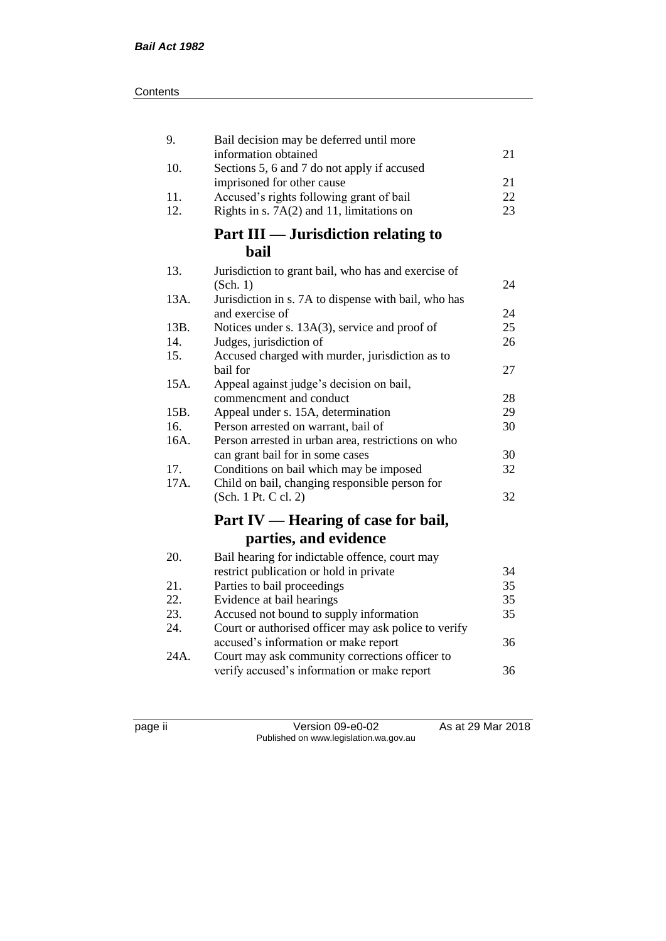| 9.   | Bail decision may be deferred until more             |    |
|------|------------------------------------------------------|----|
|      | information obtained                                 | 21 |
| 10.  | Sections 5, 6 and 7 do not apply if accused          |    |
|      | imprisoned for other cause                           | 21 |
| 11.  | Accused's rights following grant of bail             | 22 |
| 12.  | Rights in s. 7A(2) and 11, limitations on            | 23 |
|      | Part III — Jurisdiction relating to                  |    |
|      | <b>bail</b>                                          |    |
| 13.  | Jurisdiction to grant bail, who has and exercise of  |    |
|      | (Sch. 1)                                             | 24 |
| 13A. | Jurisdiction in s. 7A to dispense with bail, who has |    |
|      | and exercise of                                      | 24 |
| 13B. | Notices under s. 13A(3), service and proof of        | 25 |
| 14.  | Judges, jurisdiction of                              | 26 |
| 15.  | Accused charged with murder, jurisdiction as to      |    |
|      | bail for                                             | 27 |
| 15A. | Appeal against judge's decision on bail,             |    |
|      | commencment and conduct                              | 28 |
| 15B. | Appeal under s. 15A, determination                   | 29 |
| 16.  | Person arrested on warrant, bail of                  | 30 |
| 16A. | Person arrested in urban area, restrictions on who   |    |
|      | can grant bail for in some cases                     | 30 |
| 17.  | Conditions on bail which may be imposed              | 32 |
| 17A. | Child on bail, changing responsible person for       |    |
|      | (Sch. 1 Pt. C cl. 2)                                 | 32 |
|      | Part IV — Hearing of case for bail,                  |    |
|      | parties, and evidence                                |    |
| 20.  | Bail hearing for indictable offence, court may       |    |
|      | restrict publication or hold in private              | 34 |
| 21.  | Parties to bail proceedings                          | 35 |
| 22.  | Evidence at bail hearings                            | 35 |
| 23.  | Accused not bound to supply information              | 35 |
| 24.  | Court or authorised officer may ask police to verify |    |
|      | accused's information or make report                 | 36 |
| 24A. | Court may ask community corrections officer to       |    |
|      | verify accused's information or make report          | 36 |

page ii Version 09-e0-02 As at 29 Mar 2018 Published on www.legislation.wa.gov.au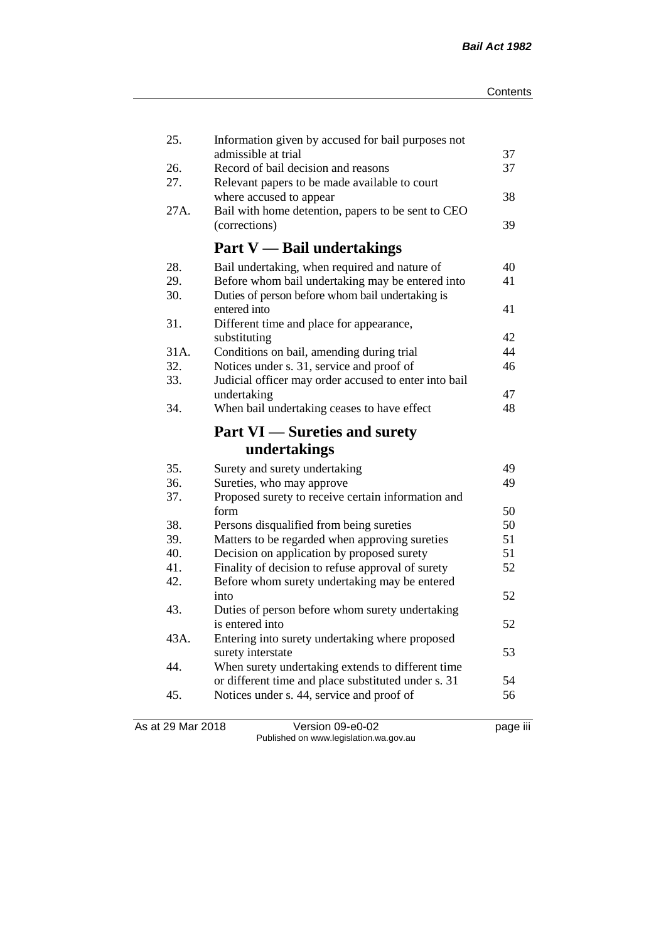| 25.        | Information given by accused for bail purposes not                       |    |
|------------|--------------------------------------------------------------------------|----|
|            | admissible at trial                                                      | 37 |
| 26.<br>27. | Record of bail decision and reasons                                      | 37 |
|            | Relevant papers to be made available to court<br>where accused to appear | 38 |
| 27A.       |                                                                          |    |
|            | Bail with home detention, papers to be sent to CEO                       | 39 |
|            | (corrections)                                                            |    |
|            | <b>Part V</b> — Bail undertakings                                        |    |
| 28.        | Bail undertaking, when required and nature of                            | 40 |
| 29.        | Before whom bail undertaking may be entered into                         | 41 |
| 30.        | Duties of person before whom bail undertaking is                         |    |
|            | entered into                                                             | 41 |
| 31.        | Different time and place for appearance,                                 |    |
|            | substituting                                                             | 42 |
| 31A.       | Conditions on bail, amending during trial                                | 44 |
| 32.        | Notices under s. 31, service and proof of                                | 46 |
| 33.        | Judicial officer may order accused to enter into bail                    |    |
|            | undertaking                                                              | 47 |
| 34.        | When bail undertaking ceases to have effect                              | 48 |
|            |                                                                          |    |
|            | <b>Part VI</b> — Sureties and surety                                     |    |
|            | undertakings                                                             |    |
| 35.        | Surety and surety undertaking                                            | 49 |
| 36.        | Sureties, who may approve                                                | 49 |
| 37.        | Proposed surety to receive certain information and                       |    |
|            | form                                                                     | 50 |
| 38.        | Persons disqualified from being sureties                                 | 50 |
| 39.        | Matters to be regarded when approving sureties                           | 51 |
| 40.        | Decision on application by proposed surety                               | 51 |
| 41.        | Finality of decision to refuse approval of surety                        | 52 |
| 42.        | Before whom surety undertaking may be entered                            |    |
|            | into                                                                     | 52 |
| 43.        | Duties of person before whom surety undertaking                          |    |
|            | is entered into                                                          | 52 |
| 43A.       | Entering into surety undertaking where proposed                          |    |
|            | surety interstate                                                        | 53 |
| 44.        | When surety undertaking extends to different time                        |    |
|            | or different time and place substituted under s. 31                      | 54 |
| 45.        | Notices under s. 44, service and proof of                                | 56 |

As at 29 Mar 2018 Version 09-e0-02 page iii Published on www.legislation.wa.gov.au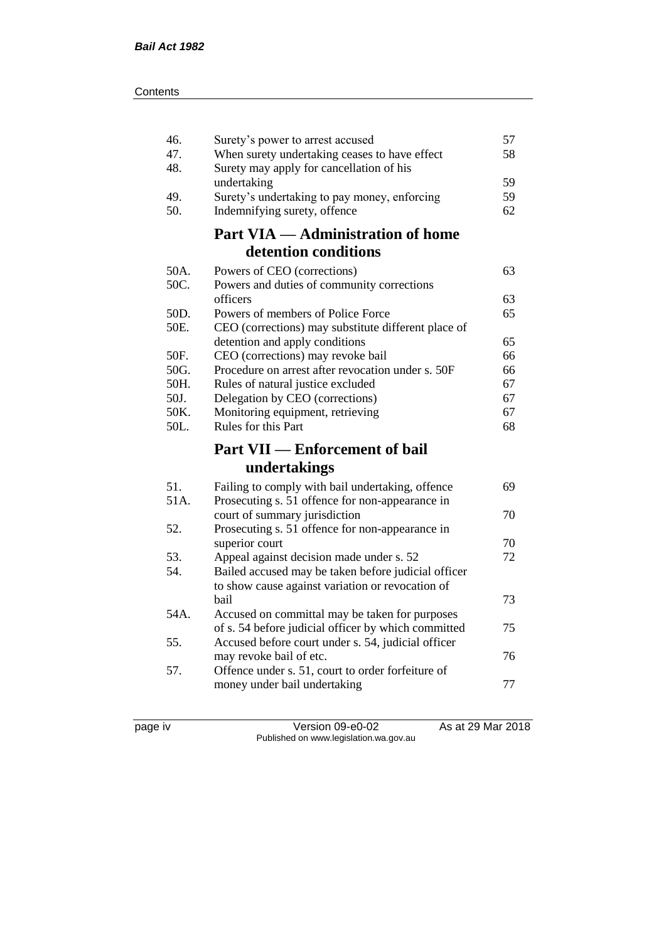| 46.  | Surety's power to arrest accused                                              | 57       |
|------|-------------------------------------------------------------------------------|----------|
| 47.  | When surety undertaking ceases to have effect                                 | 58       |
| 48.  | Surety may apply for cancellation of his                                      |          |
|      | undertaking                                                                   | 59       |
| 49.  | Surety's undertaking to pay money, enforcing                                  | 59       |
| 50.  | Indemnifying surety, offence                                                  | 62       |
|      | <b>Part VIA — Administration of home</b>                                      |          |
|      | detention conditions                                                          |          |
| 50A. | Powers of CEO (corrections)                                                   | 63       |
| 50C. | Powers and duties of community corrections                                    |          |
|      | officers                                                                      | 63       |
| 50D. | Powers of members of Police Force                                             | 65       |
| 50E. | CEO (corrections) may substitute different place of                           |          |
|      | detention and apply conditions                                                | 65       |
| 50F. | CEO (corrections) may revoke bail                                             | 66       |
| 50G. | Procedure on arrest after revocation under s. 50F                             | 66       |
| 50H. | Rules of natural justice excluded                                             | 67       |
| 50J. | Delegation by CEO (corrections)                                               | 67       |
| 50K. | Monitoring equipment, retrieving                                              | 67       |
|      |                                                                               |          |
| 50L. | Rules for this Part                                                           | 68       |
|      |                                                                               |          |
|      | <b>Part VII — Enforcement of bail</b>                                         |          |
|      | undertakings                                                                  |          |
| 51.  | Failing to comply with bail undertaking, offence                              | 69       |
| 51A. | Prosecuting s. 51 offence for non-appearance in                               |          |
|      | court of summary jurisdiction                                                 | 70       |
| 52.  | Prosecuting s. 51 offence for non-appearance in                               |          |
|      | superior court                                                                | 70<br>72 |
| 53.  | Appeal against decision made under s. 52                                      |          |
| 54.  | Bailed accused may be taken before judicial officer                           |          |
|      | to show cause against variation or revocation of<br>bail                      | 73       |
| 54A. |                                                                               |          |
|      | Accused on committal may be taken for purposes                                | 75       |
| 55.  | of s. 54 before judicial officer by which committed                           |          |
|      | Accused before court under s. 54, judicial officer<br>may revoke bail of etc. | 76       |
| 57.  | Offence under s. 51, court to order forfeiture of                             |          |
|      | money under bail undertaking                                                  | 77       |

page iv Version 09-e0-02 As at 29 Mar 2018 Published on www.legislation.wa.gov.au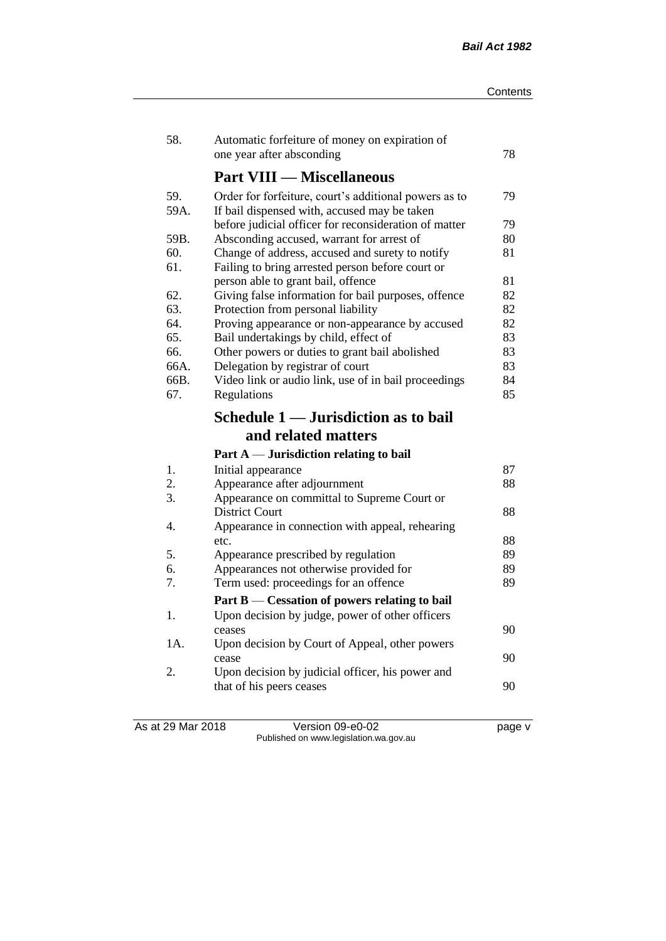| 58.         | Automatic forfeiture of money on expiration of<br>one year after absconding                           | 78       |
|-------------|-------------------------------------------------------------------------------------------------------|----------|
|             | <b>Part VIII — Miscellaneous</b>                                                                      |          |
| 59.<br>59A. | Order for forfeiture, court's additional powers as to<br>If bail dispensed with, accused may be taken | 79       |
|             | before judicial officer for reconsideration of matter                                                 | 79       |
| 59B.        | Absconding accused, warrant for arrest of                                                             | 80       |
| 60.<br>61.  | Change of address, accused and surety to notify<br>Failing to bring arrested person before court or   | 81       |
|             | person able to grant bail, offence                                                                    | 81<br>82 |
| 62.<br>63.  | Giving false information for bail purposes, offence<br>Protection from personal liability             | 82       |
| 64.         | Proving appearance or non-appearance by accused                                                       | 82       |
| 65.         | Bail undertakings by child, effect of                                                                 | 83       |
| 66.         | Other powers or duties to grant bail abolished                                                        | 83       |
| 66A.        | Delegation by registrar of court                                                                      | 83       |
| 66B.        | Video link or audio link, use of in bail proceedings                                                  | 84       |
| 67.         | Regulations                                                                                           | 85       |
|             | Schedule 1 — Jurisdiction as to bail                                                                  |          |
|             |                                                                                                       |          |
|             | and related matters                                                                                   |          |
|             | Part A — Jurisdiction relating to bail                                                                |          |
| 1.          | Initial appearance                                                                                    | 87       |
| 2.          | Appearance after adjournment                                                                          | 88       |
| 3.          | Appearance on committal to Supreme Court or                                                           |          |
|             | District Court                                                                                        | 88       |
| 4.          | Appearance in connection with appeal, rehearing                                                       |          |
|             | etc.                                                                                                  | 88       |
| 5.          | Appearance prescribed by regulation                                                                   | 89       |
| 6.          | Appearances not otherwise provided for                                                                | 89       |
| 7.          | Term used: proceedings for an offence                                                                 | 89       |
|             | Part B — Cessation of powers relating to bail                                                         |          |
| 1.          | Upon decision by judge, power of other officers                                                       |          |
|             | ceases                                                                                                | 90       |
| 1A.         | Upon decision by Court of Appeal, other powers<br>cease                                               | 90       |
| 2.          | Upon decision by judicial officer, his power and                                                      |          |
|             | that of his peers ceases                                                                              | 90       |

As at 29 Mar 2018 Version 09-e0-02 page v Published on www.legislation.wa.gov.au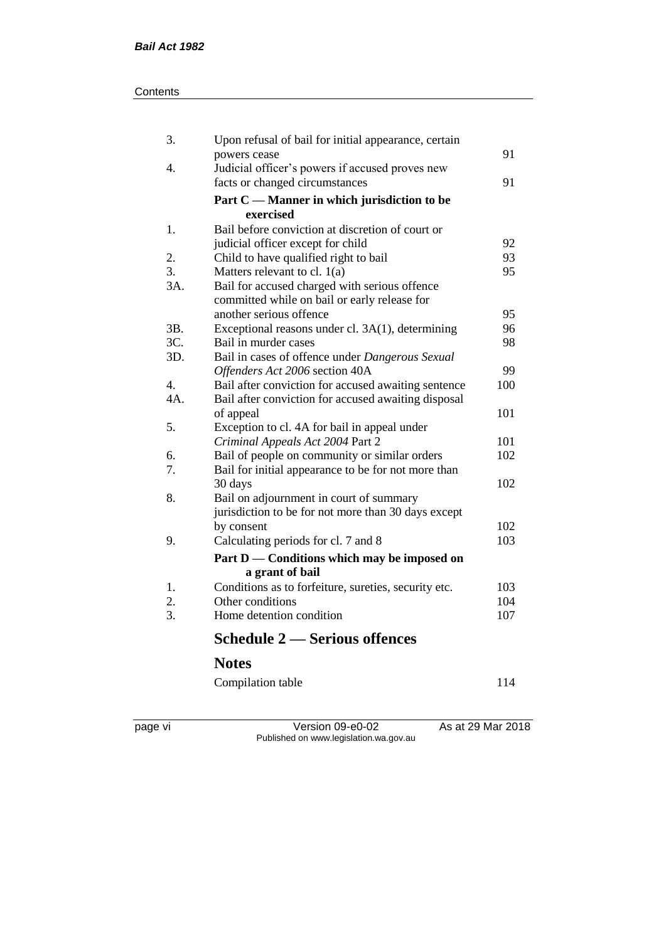#### **Contents**

| <b>Schedule 2 — Serious offences</b>                                                           |                                                                                                                                                                                                                                                                                                                                                                                                                                                                            |
|------------------------------------------------------------------------------------------------|----------------------------------------------------------------------------------------------------------------------------------------------------------------------------------------------------------------------------------------------------------------------------------------------------------------------------------------------------------------------------------------------------------------------------------------------------------------------------|
| Home detention condition                                                                       | 107                                                                                                                                                                                                                                                                                                                                                                                                                                                                        |
| Other conditions                                                                               | 104                                                                                                                                                                                                                                                                                                                                                                                                                                                                        |
| a grant of bail<br>Conditions as to forfeiture, sureties, security etc.                        | 103                                                                                                                                                                                                                                                                                                                                                                                                                                                                        |
| Part D — Conditions which may be imposed on                                                    |                                                                                                                                                                                                                                                                                                                                                                                                                                                                            |
| Calculating periods for cl. 7 and 8                                                            | 103                                                                                                                                                                                                                                                                                                                                                                                                                                                                        |
| by consent                                                                                     | 102                                                                                                                                                                                                                                                                                                                                                                                                                                                                        |
| Bail on adjournment in court of summary<br>jurisdiction to be for not more than 30 days except |                                                                                                                                                                                                                                                                                                                                                                                                                                                                            |
| Bail for initial appearance to be for not more than<br>30 days                                 | 102                                                                                                                                                                                                                                                                                                                                                                                                                                                                        |
| Bail of people on community or similar orders                                                  | 102                                                                                                                                                                                                                                                                                                                                                                                                                                                                        |
| Criminal Appeals Act 2004 Part 2                                                               | 101                                                                                                                                                                                                                                                                                                                                                                                                                                                                        |
| of appeal                                                                                      | 101                                                                                                                                                                                                                                                                                                                                                                                                                                                                        |
| Bail after conviction for accused awaiting disposal                                            |                                                                                                                                                                                                                                                                                                                                                                                                                                                                            |
|                                                                                                | 100                                                                                                                                                                                                                                                                                                                                                                                                                                                                        |
|                                                                                                | 99                                                                                                                                                                                                                                                                                                                                                                                                                                                                         |
|                                                                                                | 98                                                                                                                                                                                                                                                                                                                                                                                                                                                                         |
| Exceptional reasons under cl. 3A(1), determining                                               | 96                                                                                                                                                                                                                                                                                                                                                                                                                                                                         |
| committed while on bail or early release for                                                   | 95                                                                                                                                                                                                                                                                                                                                                                                                                                                                         |
|                                                                                                |                                                                                                                                                                                                                                                                                                                                                                                                                                                                            |
|                                                                                                | 93<br>95                                                                                                                                                                                                                                                                                                                                                                                                                                                                   |
| judicial officer except for child                                                              | 92                                                                                                                                                                                                                                                                                                                                                                                                                                                                         |
| exercised                                                                                      |                                                                                                                                                                                                                                                                                                                                                                                                                                                                            |
|                                                                                                |                                                                                                                                                                                                                                                                                                                                                                                                                                                                            |
| Judicial officer's powers if accused proves new<br>facts or changed circumstances              | 91                                                                                                                                                                                                                                                                                                                                                                                                                                                                         |
| powers cease                                                                                   | 91                                                                                                                                                                                                                                                                                                                                                                                                                                                                         |
|                                                                                                | Part C — Manner in which jurisdiction to be<br>Bail before conviction at discretion of court or<br>Child to have qualified right to bail<br>Matters relevant to cl. $1(a)$<br>Bail for accused charged with serious offence<br>another serious offence<br>Bail in murder cases<br>Bail in cases of offence under Dangerous Sexual<br>Offenders Act 2006 section 40A<br>Bail after conviction for accused awaiting sentence<br>Exception to cl. 4A for bail in appeal under |

Compilation table 114

page vi Version 09-e0-02 As at 29 Mar 2018 Published on www.legislation.wa.gov.au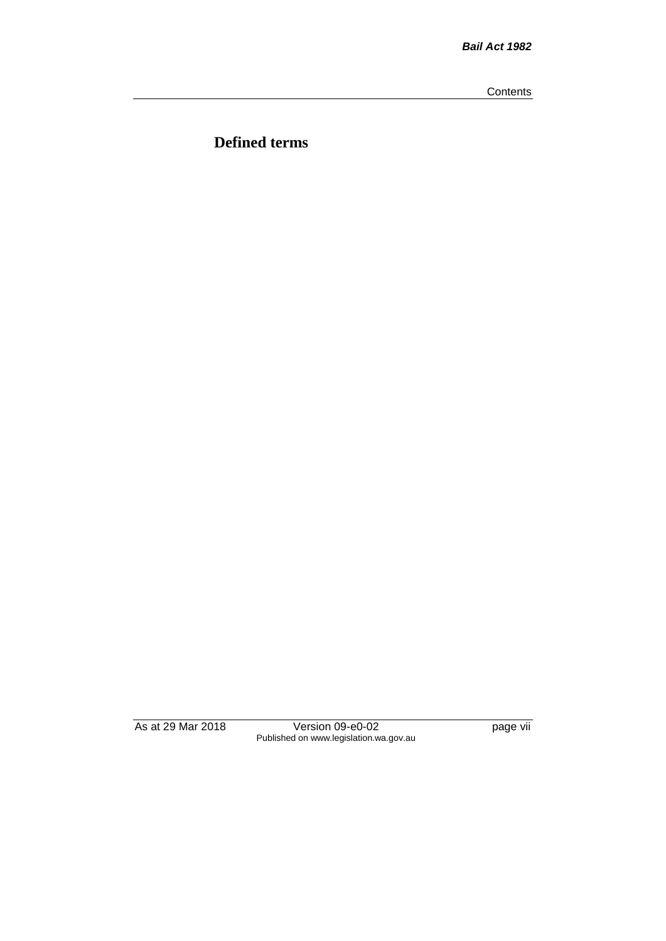**Contents** 

**Defined terms**

As at 29 Mar 2018 Version 09-e0-02 page vii Published on www.legislation.wa.gov.au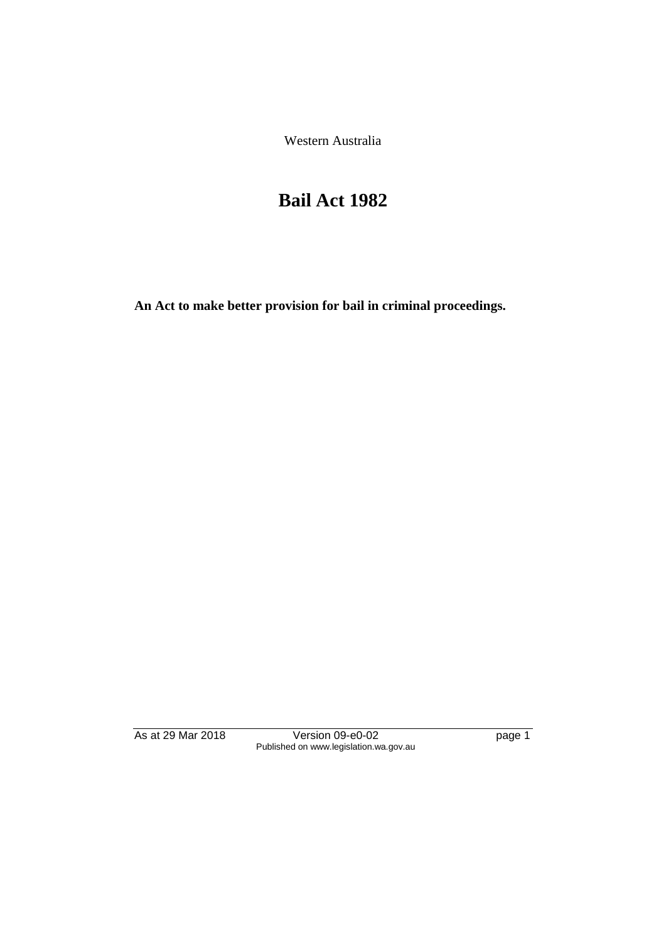Western Australia

# **Bail Act 1982**

**An Act to make better provision for bail in criminal proceedings.** 

As at 29 Mar 2018 Version 09-e0-02 page 1 Published on www.legislation.wa.gov.au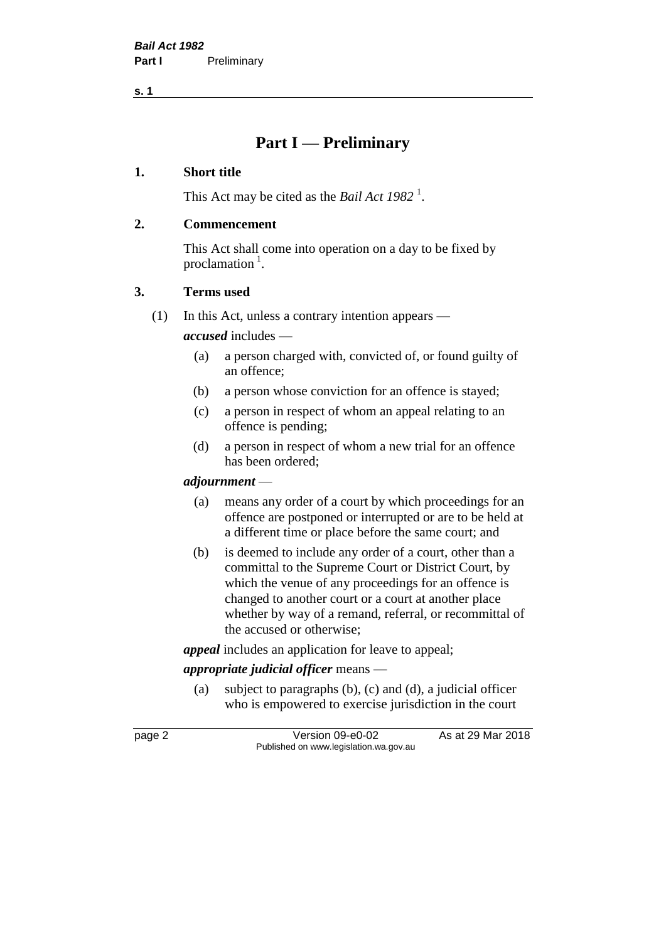**s. 1**

# **Part I — Preliminary**

#### **1. Short title**

This Act may be cited as the *Bail Act* 1982<sup>1</sup>.

#### **2. Commencement**

This Act shall come into operation on a day to be fixed by proclamation<sup>1</sup>.

#### **3. Terms used**

(1) In this Act, unless a contrary intention appears —

*accused* includes —

- (a) a person charged with, convicted of, or found guilty of an offence;
- (b) a person whose conviction for an offence is stayed;
- (c) a person in respect of whom an appeal relating to an offence is pending;
- (d) a person in respect of whom a new trial for an offence has been ordered;

#### *adjournment* —

- (a) means any order of a court by which proceedings for an offence are postponed or interrupted or are to be held at a different time or place before the same court; and
- (b) is deemed to include any order of a court, other than a committal to the Supreme Court or District Court, by which the venue of any proceedings for an offence is changed to another court or a court at another place whether by way of a remand, referral, or recommittal of the accused or otherwise;

*appeal* includes an application for leave to appeal;

# *appropriate judicial officer* means —

(a) subject to paragraphs (b), (c) and (d), a judicial officer who is empowered to exercise jurisdiction in the court

page 2 Version 09-e0-02 As at 29 Mar 2018 Published on www.legislation.wa.gov.au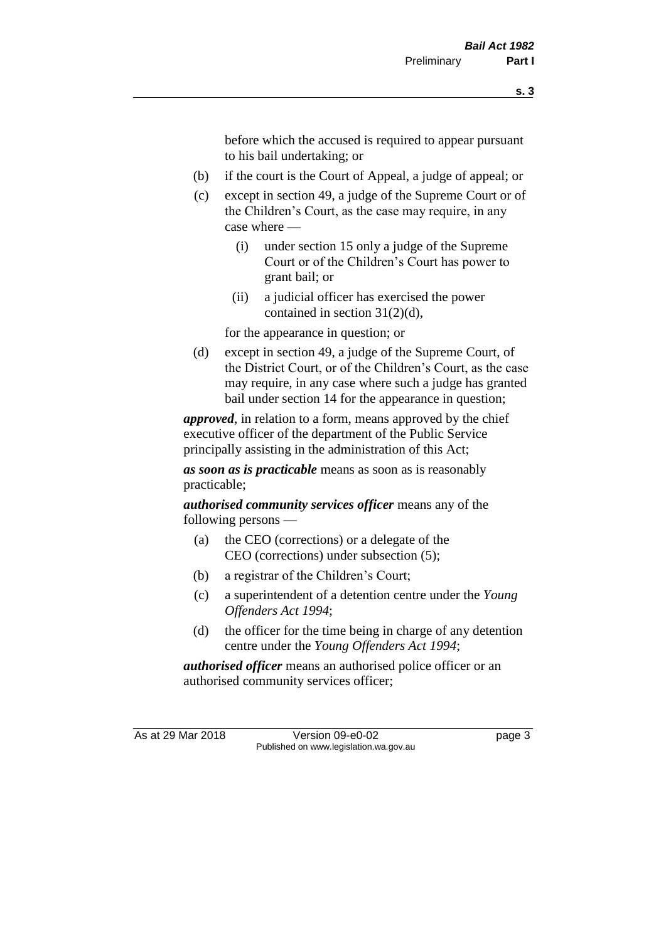before which the accused is required to appear pursuant to his bail undertaking; or

- (b) if the court is the Court of Appeal, a judge of appeal; or
- (c) except in section 49, a judge of the Supreme Court or of the Children's Court, as the case may require, in any case where —
	- (i) under section 15 only a judge of the Supreme Court or of the Children's Court has power to grant bail; or
	- (ii) a judicial officer has exercised the power contained in section 31(2)(d),

for the appearance in question; or

(d) except in section 49, a judge of the Supreme Court, of the District Court, or of the Children's Court, as the case may require, in any case where such a judge has granted bail under section 14 for the appearance in question;

*approved*, in relation to a form, means approved by the chief executive officer of the department of the Public Service principally assisting in the administration of this Act;

*as soon as is practicable* means as soon as is reasonably practicable;

*authorised community services officer* means any of the following persons —

- (a) the CEO (corrections) or a delegate of the CEO (corrections) under subsection (5);
- (b) a registrar of the Children's Court;
- (c) a superintendent of a detention centre under the *Young Offenders Act 1994*;
- (d) the officer for the time being in charge of any detention centre under the *Young Offenders Act 1994*;

*authorised officer* means an authorised police officer or an authorised community services officer;

As at 29 Mar 2018 Version 09-e0-02 Page 3 Published on www.legislation.wa.gov.au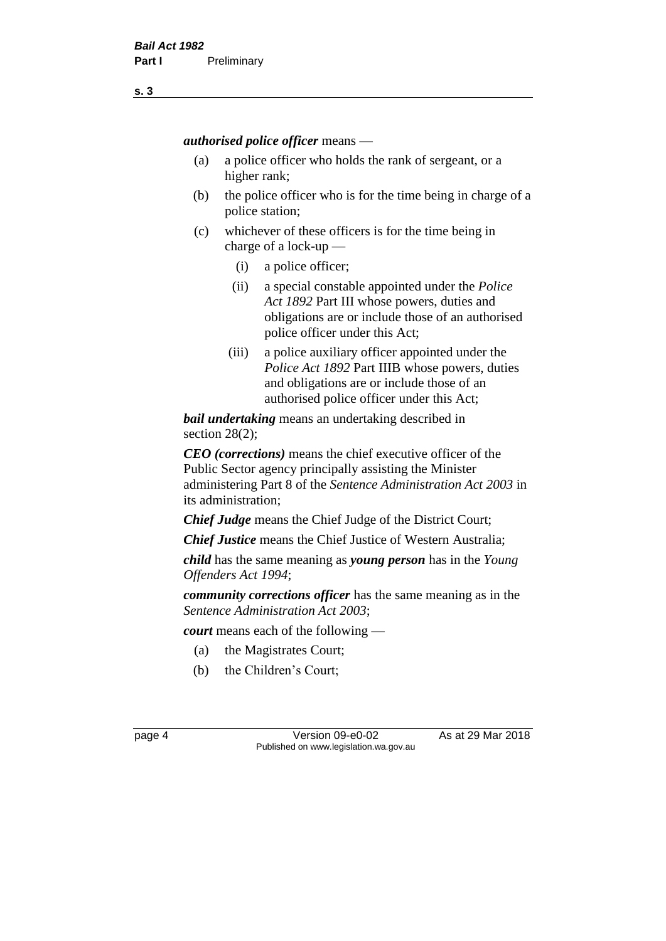*authorised police officer* means —

- (a) a police officer who holds the rank of sergeant, or a higher rank;
- (b) the police officer who is for the time being in charge of a police station;
- (c) whichever of these officers is for the time being in charge of a lock-up —
	- (i) a police officer;
	- (ii) a special constable appointed under the *Police Act 1892* Part III whose powers, duties and obligations are or include those of an authorised police officer under this Act;
	- (iii) a police auxiliary officer appointed under the *Police Act 1892* Part IIIB whose powers, duties and obligations are or include those of an authorised police officer under this Act;

*bail undertaking* means an undertaking described in section 28(2);

*CEO (corrections)* means the chief executive officer of the Public Sector agency principally assisting the Minister administering Part 8 of the *Sentence Administration Act 2003* in its administration;

*Chief Judge* means the Chief Judge of the District Court;

*Chief Justice* means the Chief Justice of Western Australia;

*child* has the same meaning as *young person* has in the *Young Offenders Act 1994*;

*community corrections officer* has the same meaning as in the *Sentence Administration Act 2003*;

*court* means each of the following —

- (a) the Magistrates Court;
- (b) the Children's Court;

page 4 Version 09-e0-02 As at 29 Mar 2018 Published on www.legislation.wa.gov.au

**s. 3**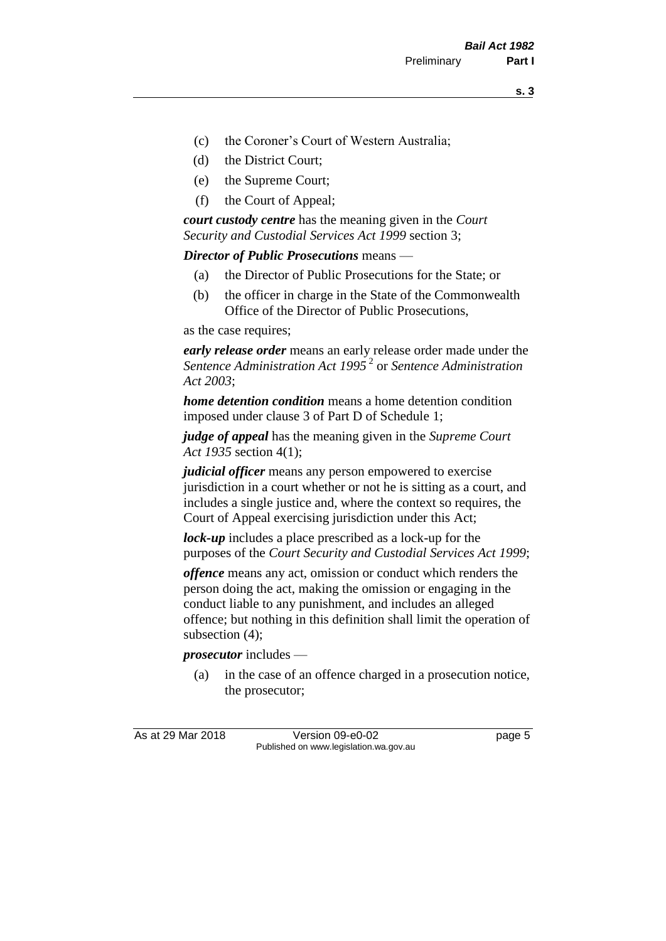- (c) the Coroner's Court of Western Australia;
- (d) the District Court;
- (e) the Supreme Court;
- (f) the Court of Appeal;

*court custody centre* has the meaning given in the *Court Security and Custodial Services Act 1999* section 3;

*Director of Public Prosecutions* means —

- (a) the Director of Public Prosecutions for the State; or
- (b) the officer in charge in the State of the Commonwealth Office of the Director of Public Prosecutions,

as the case requires;

*early release order* means an early release order made under the *Sentence Administration Act 1995* <sup>2</sup> or *Sentence Administration Act 2003*;

*home detention condition* means a home detention condition imposed under clause 3 of Part D of Schedule 1;

*judge of appeal* has the meaning given in the *Supreme Court Act 1935* section 4(1);

*judicial officer* means any person empowered to exercise jurisdiction in a court whether or not he is sitting as a court, and includes a single justice and, where the context so requires, the Court of Appeal exercising jurisdiction under this Act;

*lock-up* includes a place prescribed as a lock-up for the purposes of the *Court Security and Custodial Services Act 1999*;

*offence* means any act, omission or conduct which renders the person doing the act, making the omission or engaging in the conduct liable to any punishment, and includes an alleged offence; but nothing in this definition shall limit the operation of subsection (4);

*prosecutor* includes —

(a) in the case of an offence charged in a prosecution notice, the prosecutor;

As at 29 Mar 2018 Version 09-e0-02 Page 5 Published on www.legislation.wa.gov.au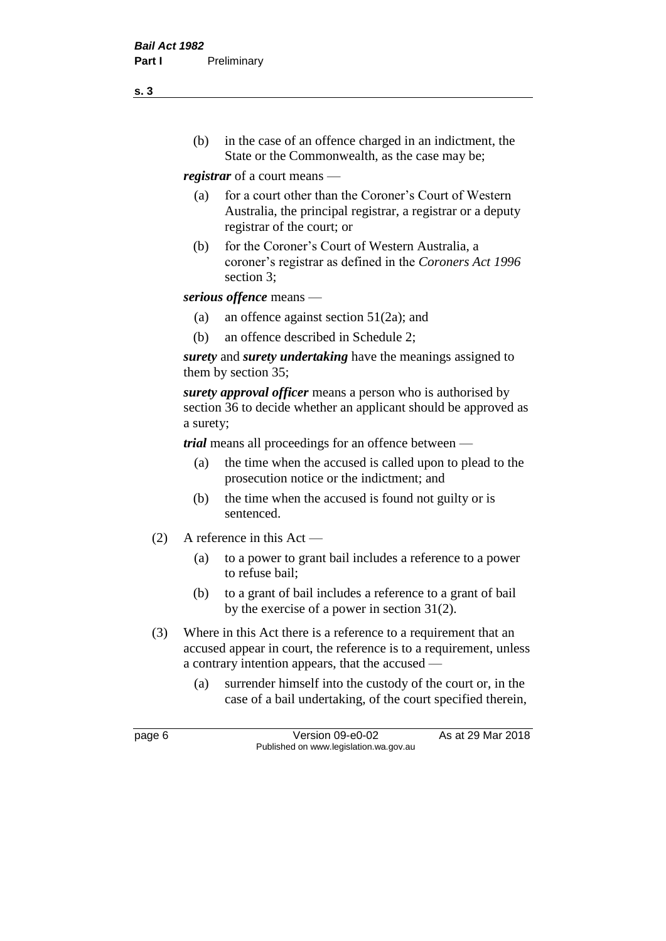(b) in the case of an offence charged in an indictment, the State or the Commonwealth, as the case may be;

*registrar* of a court means —

- (a) for a court other than the Coroner's Court of Western Australia, the principal registrar, a registrar or a deputy registrar of the court; or
- (b) for the Coroner's Court of Western Australia, a coroner's registrar as defined in the *Coroners Act 1996* section 3;

*serious offence* means —

- (a) an offence against section 51(2a); and
- (b) an offence described in Schedule 2;

*surety* and *surety undertaking* have the meanings assigned to them by section 35;

*surety approval officer* means a person who is authorised by section 36 to decide whether an applicant should be approved as a surety;

*trial* means all proceedings for an offence between —

- (a) the time when the accused is called upon to plead to the prosecution notice or the indictment; and
- (b) the time when the accused is found not guilty or is sentenced.
- (2) A reference in this Act
	- (a) to a power to grant bail includes a reference to a power to refuse bail;
	- (b) to a grant of bail includes a reference to a grant of bail by the exercise of a power in section 31(2).
- (3) Where in this Act there is a reference to a requirement that an accused appear in court, the reference is to a requirement, unless a contrary intention appears, that the accused —
	- (a) surrender himself into the custody of the court or, in the case of a bail undertaking, of the court specified therein,

page 6 Version 09-e0-02 As at 29 Mar 2018 Published on www.legislation.wa.gov.au

**s. 3**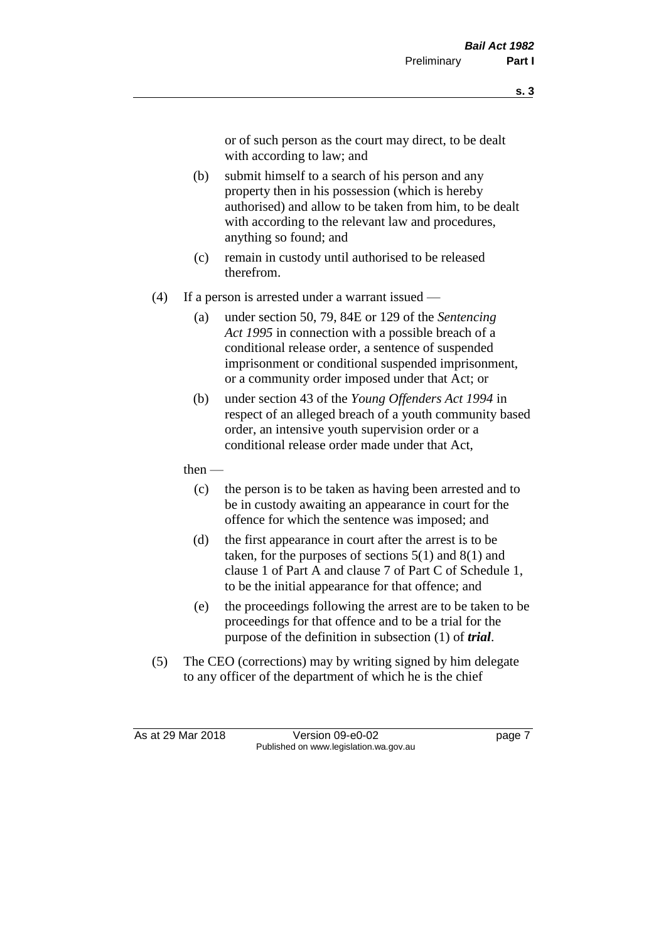or of such person as the court may direct, to be dealt with according to law; and

- (b) submit himself to a search of his person and any property then in his possession (which is hereby authorised) and allow to be taken from him, to be dealt with according to the relevant law and procedures, anything so found; and
- (c) remain in custody until authorised to be released therefrom.
- (4) If a person is arrested under a warrant issued
	- (a) under section 50, 79, 84E or 129 of the *Sentencing Act 1995* in connection with a possible breach of a conditional release order, a sentence of suspended imprisonment or conditional suspended imprisonment, or a community order imposed under that Act; or
	- (b) under section 43 of the *Young Offenders Act 1994* in respect of an alleged breach of a youth community based order, an intensive youth supervision order or a conditional release order made under that Act,
	- then
		- (c) the person is to be taken as having been arrested and to be in custody awaiting an appearance in court for the offence for which the sentence was imposed; and
		- (d) the first appearance in court after the arrest is to be taken, for the purposes of sections  $5(1)$  and  $8(1)$  and clause 1 of Part A and clause 7 of Part C of Schedule 1, to be the initial appearance for that offence; and
		- (e) the proceedings following the arrest are to be taken to be proceedings for that offence and to be a trial for the purpose of the definition in subsection (1) of *trial*.
- (5) The CEO (corrections) may by writing signed by him delegate to any officer of the department of which he is the chief

As at 29 Mar 2018 Version 09-e0-02 Page 7 Published on www.legislation.wa.gov.au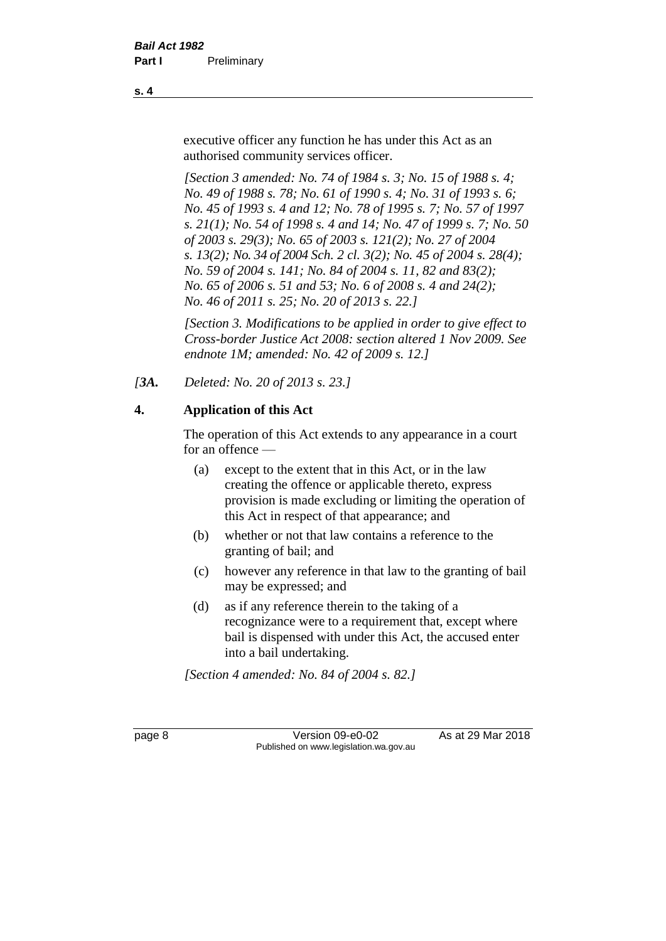executive officer any function he has under this Act as an authorised community services officer.

*[Section 3 amended: No. 74 of 1984 s. 3; No. 15 of 1988 s. 4; No. 49 of 1988 s. 78; No. 61 of 1990 s. 4; No. 31 of 1993 s. 6; No. 45 of 1993 s. 4 and 12; No. 78 of 1995 s. 7; No. 57 of 1997 s. 21(1); No. 54 of 1998 s. 4 and 14; No. 47 of 1999 s. 7; No. 50 of 2003 s. 29(3); No. 65 of 2003 s. 121(2); No. 27 of 2004 s. 13(2); No. 34 of 2004 Sch. 2 cl. 3(2); No. 45 of 2004 s. 28(4); No. 59 of 2004 s. 141; No. 84 of 2004 s. 11, 82 and 83(2); No. 65 of 2006 s. 51 and 53; No. 6 of 2008 s. 4 and 24(2); No. 46 of 2011 s. 25; No. 20 of 2013 s. 22.]* 

*[Section 3. Modifications to be applied in order to give effect to Cross-border Justice Act 2008: section altered 1 Nov 2009. See endnote 1M; amended: No. 42 of 2009 s. 12.]*

*[3A. Deleted: No. 20 of 2013 s. 23.]*

# **4. Application of this Act**

The operation of this Act extends to any appearance in a court for an offence —

- (a) except to the extent that in this Act, or in the law creating the offence or applicable thereto, express provision is made excluding or limiting the operation of this Act in respect of that appearance; and
- (b) whether or not that law contains a reference to the granting of bail; and
- (c) however any reference in that law to the granting of bail may be expressed; and
- (d) as if any reference therein to the taking of a recognizance were to a requirement that, except where bail is dispensed with under this Act, the accused enter into a bail undertaking.

*[Section 4 amended: No. 84 of 2004 s. 82.]*

page 8 Version 09-e0-02 As at 29 Mar 2018 Published on www.legislation.wa.gov.au

**s. 4**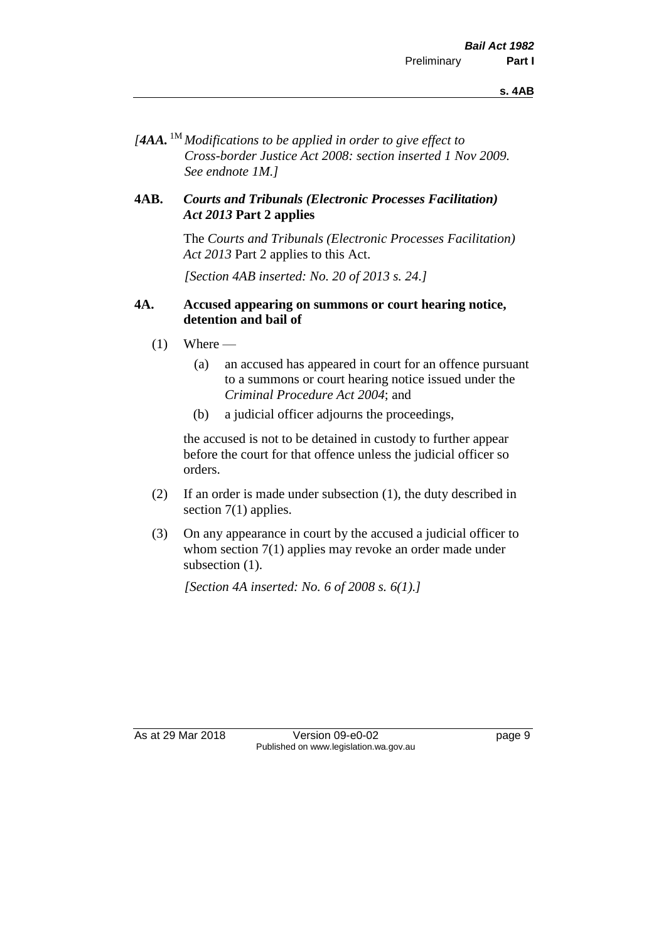*[4AA.* 1M *Modifications to be applied in order to give effect to Cross-border Justice Act 2008: section inserted 1 Nov 2009. See endnote 1M.]*

#### **4AB.** *Courts and Tribunals (Electronic Processes Facilitation) Act 2013* **Part 2 applies**

The *Courts and Tribunals (Electronic Processes Facilitation) Act 2013* Part 2 applies to this Act.

*[Section 4AB inserted: No. 20 of 2013 s. 24.]*

#### **4A. Accused appearing on summons or court hearing notice, detention and bail of**

- $(1)$  Where
	- (a) an accused has appeared in court for an offence pursuant to a summons or court hearing notice issued under the *Criminal Procedure Act 2004*; and
	- (b) a judicial officer adjourns the proceedings,

the accused is not to be detained in custody to further appear before the court for that offence unless the judicial officer so orders.

- (2) If an order is made under subsection (1), the duty described in section 7(1) applies.
- (3) On any appearance in court by the accused a judicial officer to whom section 7(1) applies may revoke an order made under subsection  $(1)$ .

*[Section 4A inserted: No. 6 of 2008 s. 6(1).]*

As at 29 Mar 2018 Version 09-e0-02 Page 9 Published on www.legislation.wa.gov.au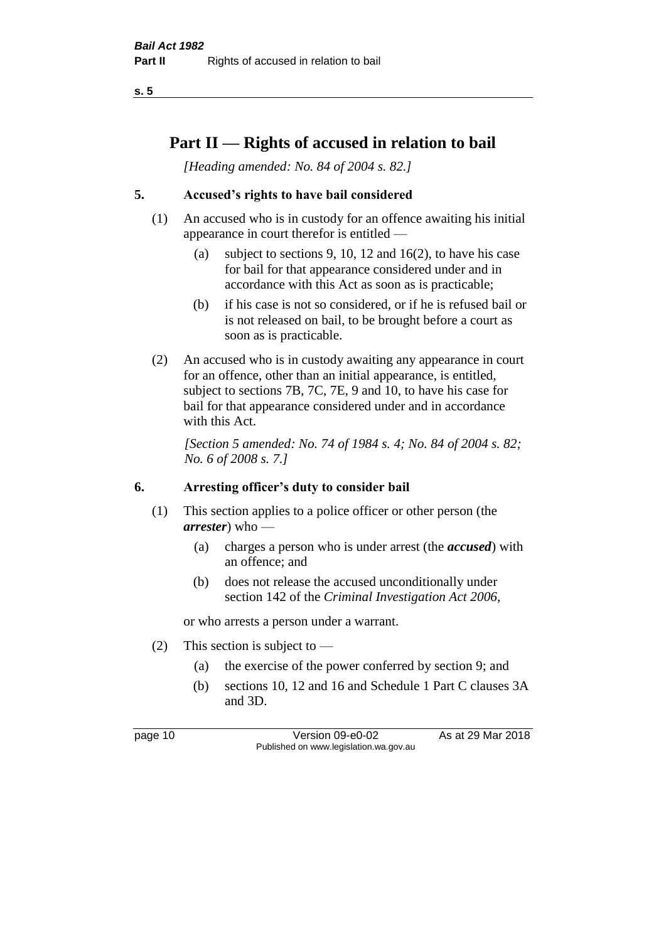**s. 5**

# **Part II — Rights of accused in relation to bail**

*[Heading amended: No. 84 of 2004 s. 82.]* 

# **5. Accused's rights to have bail considered**

- (1) An accused who is in custody for an offence awaiting his initial appearance in court therefor is entitled —
	- (a) subject to sections 9, 10, 12 and 16(2), to have his case for bail for that appearance considered under and in accordance with this Act as soon as is practicable;
	- (b) if his case is not so considered, or if he is refused bail or is not released on bail, to be brought before a court as soon as is practicable.
- (2) An accused who is in custody awaiting any appearance in court for an offence, other than an initial appearance, is entitled, subject to sections 7B, 7C, 7E, 9 and 10, to have his case for bail for that appearance considered under and in accordance with this Act.

*[Section 5 amended: No. 74 of 1984 s. 4; No. 84 of 2004 s. 82; No. 6 of 2008 s. 7.]* 

#### **6. Arresting officer's duty to consider bail**

- (1) This section applies to a police officer or other person (the *arrester*) who —
	- (a) charges a person who is under arrest (the *accused*) with an offence; and
	- (b) does not release the accused unconditionally under section 142 of the *Criminal Investigation Act 2006*,

or who arrests a person under a warrant.

- (2) This section is subject to  $-$ 
	- (a) the exercise of the power conferred by section 9; and
	- (b) sections 10, 12 and 16 and Schedule 1 Part C clauses 3A and 3D.

page 10 Version 09-e0-02 As at 29 Mar 2018 Published on www.legislation.wa.gov.au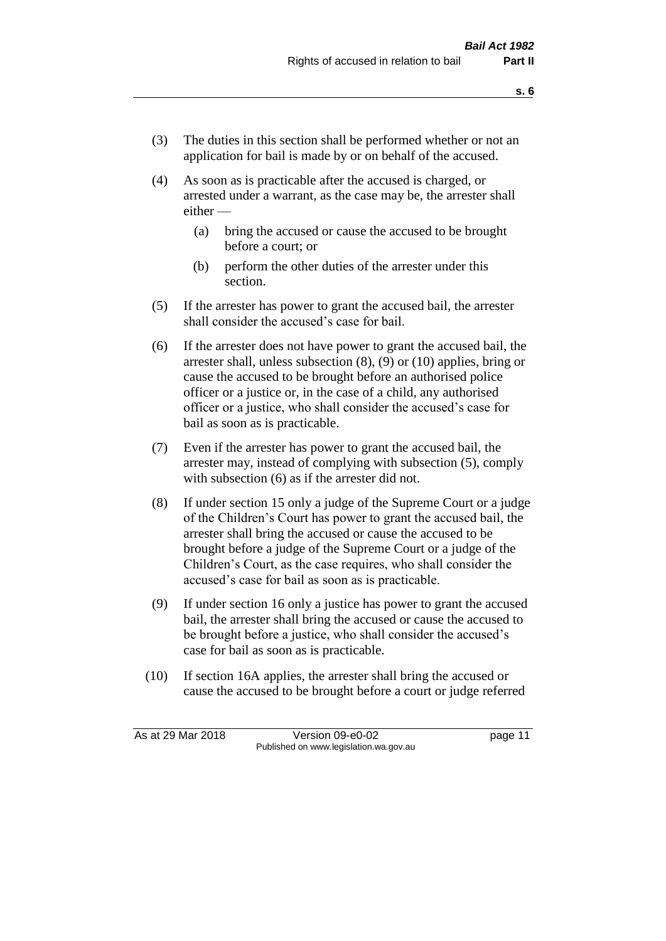- (3) The duties in this section shall be performed whether or not an application for bail is made by or on behalf of the accused.
- (4) As soon as is practicable after the accused is charged, or arrested under a warrant, as the case may be, the arrester shall either —
	- (a) bring the accused or cause the accused to be brought before a court; or
	- (b) perform the other duties of the arrester under this section.
- (5) If the arrester has power to grant the accused bail, the arrester shall consider the accused's case for bail.
- (6) If the arrester does not have power to grant the accused bail, the arrester shall, unless subsection (8), (9) or (10) applies, bring or cause the accused to be brought before an authorised police officer or a justice or, in the case of a child, any authorised officer or a justice, who shall consider the accused's case for bail as soon as is practicable.
- (7) Even if the arrester has power to grant the accused bail, the arrester may, instead of complying with subsection (5), comply with subsection  $(6)$  as if the arrester did not.
- (8) If under section 15 only a judge of the Supreme Court or a judge of the Children's Court has power to grant the accused bail, the arrester shall bring the accused or cause the accused to be brought before a judge of the Supreme Court or a judge of the Children's Court, as the case requires, who shall consider the accused's case for bail as soon as is practicable.
- (9) If under section 16 only a justice has power to grant the accused bail, the arrester shall bring the accused or cause the accused to be brought before a justice, who shall consider the accused's case for bail as soon as is practicable.
- (10) If section 16A applies, the arrester shall bring the accused or cause the accused to be brought before a court or judge referred

As at 29 Mar 2018 Version 09-e0-02 Page 11 Published on www.legislation.wa.gov.au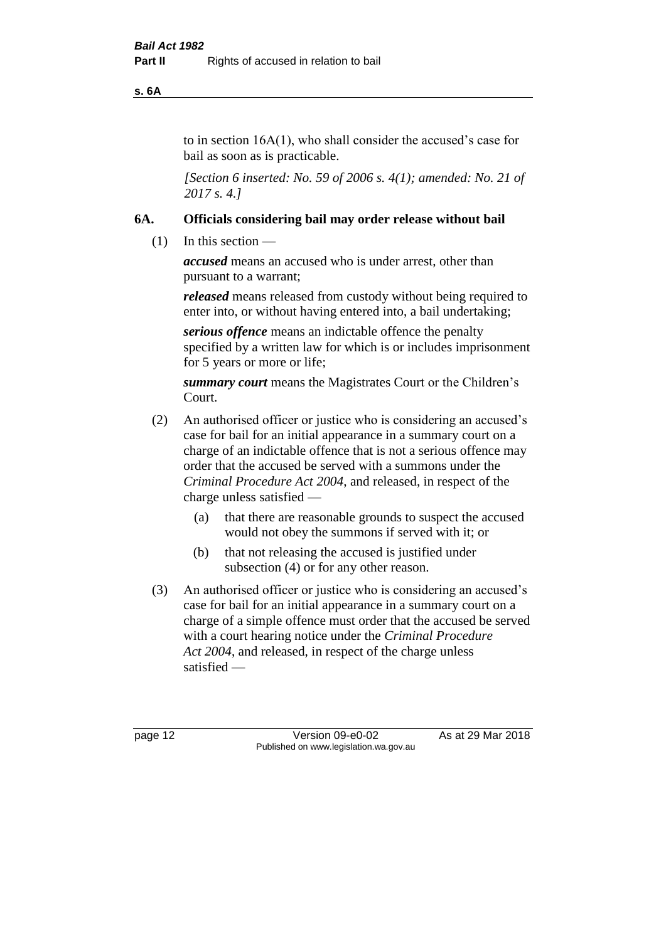**s. 6A**

to in section 16A(1), who shall consider the accused's case for bail as soon as is practicable.

*[Section 6 inserted: No. 59 of 2006 s. 4(1); amended: No. 21 of 2017 s. 4.]* 

# **6A. Officials considering bail may order release without bail**

(1) In this section —

*accused* means an accused who is under arrest, other than pursuant to a warrant;

*released* means released from custody without being required to enter into, or without having entered into, a bail undertaking;

*serious offence* means an indictable offence the penalty specified by a written law for which is or includes imprisonment for 5 years or more or life;

*summary court* means the Magistrates Court or the Children's Court.

- (2) An authorised officer or justice who is considering an accused's case for bail for an initial appearance in a summary court on a charge of an indictable offence that is not a serious offence may order that the accused be served with a summons under the *Criminal Procedure Act 2004*, and released, in respect of the charge unless satisfied —
	- (a) that there are reasonable grounds to suspect the accused would not obey the summons if served with it; or
	- (b) that not releasing the accused is justified under subsection (4) or for any other reason.
- (3) An authorised officer or justice who is considering an accused's case for bail for an initial appearance in a summary court on a charge of a simple offence must order that the accused be served with a court hearing notice under the *Criminal Procedure Act 2004*, and released, in respect of the charge unless satisfied —

page 12 Version 09-e0-02 As at 29 Mar 2018 Published on www.legislation.wa.gov.au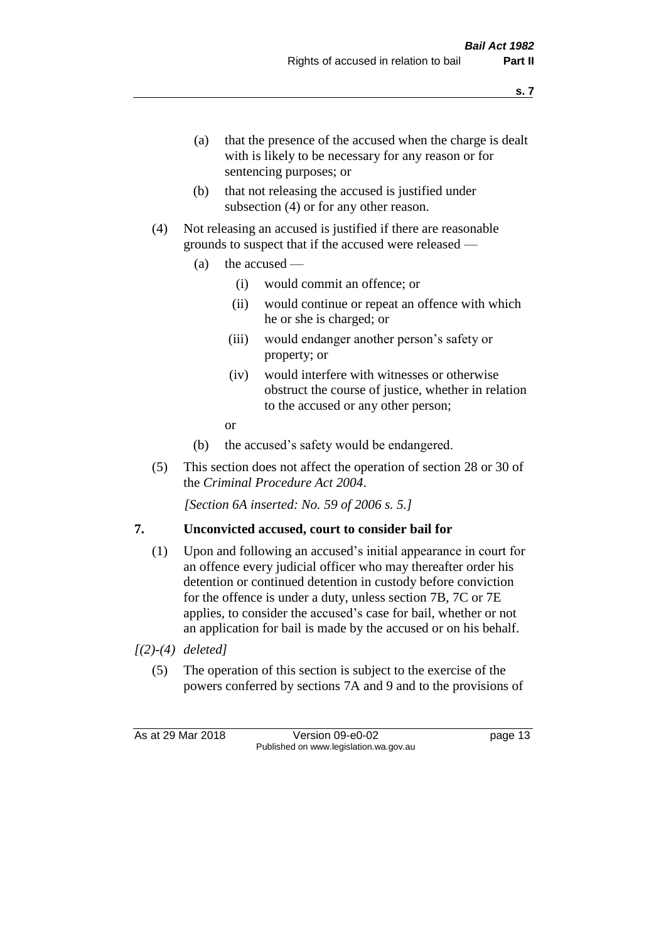- (a) that the presence of the accused when the charge is dealt with is likely to be necessary for any reason or for sentencing purposes; or
- (b) that not releasing the accused is justified under subsection (4) or for any other reason.
- (4) Not releasing an accused is justified if there are reasonable grounds to suspect that if the accused were released —
	- (a) the accused
		- (i) would commit an offence; or
		- (ii) would continue or repeat an offence with which he or she is charged; or
		- (iii) would endanger another person's safety or property; or
		- (iv) would interfere with witnesses or otherwise obstruct the course of justice, whether in relation to the accused or any other person;
		- or
	- (b) the accused's safety would be endangered.
- (5) This section does not affect the operation of section 28 or 30 of the *Criminal Procedure Act 2004*.

*[Section 6A inserted: No. 59 of 2006 s. 5.]* 

#### **7. Unconvicted accused, court to consider bail for**

- (1) Upon and following an accused's initial appearance in court for an offence every judicial officer who may thereafter order his detention or continued detention in custody before conviction for the offence is under a duty, unless section 7B, 7C or 7E applies, to consider the accused's case for bail, whether or not an application for bail is made by the accused or on his behalf.
- *[(2)-(4) deleted]*
	- (5) The operation of this section is subject to the exercise of the powers conferred by sections 7A and 9 and to the provisions of

As at 29 Mar 2018 Version 09-e0-02 Page 13 Published on www.legislation.wa.gov.au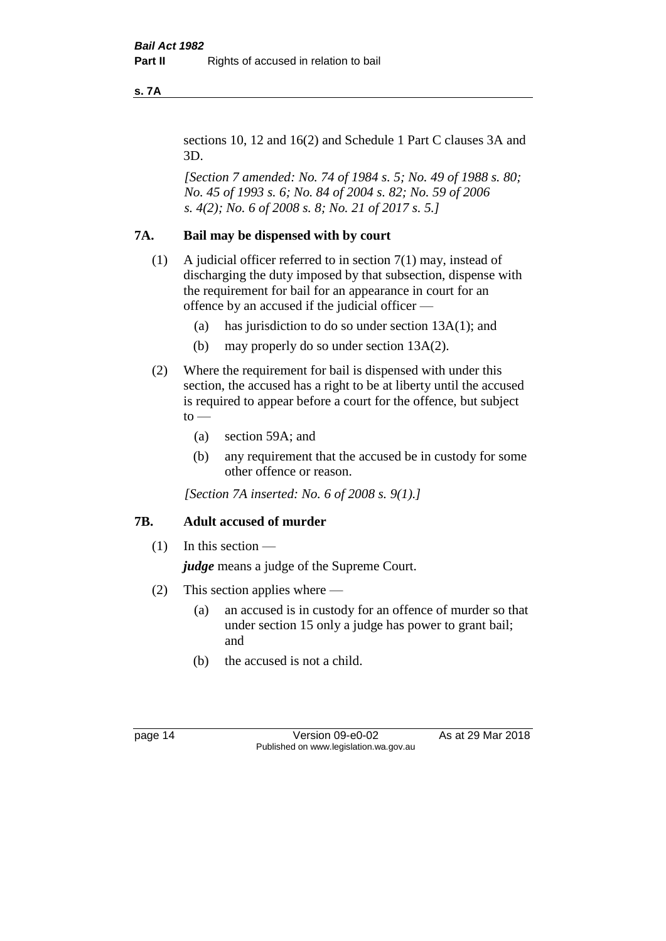**s. 7A**

sections 10, 12 and 16(2) and Schedule 1 Part C clauses 3A and 3D.

*[Section 7 amended: No. 74 of 1984 s. 5; No. 49 of 1988 s. 80; No. 45 of 1993 s. 6; No. 84 of 2004 s. 82; No. 59 of 2006 s. 4(2); No. 6 of 2008 s. 8; No. 21 of 2017 s. 5.]* 

### **7A. Bail may be dispensed with by court**

- (1) A judicial officer referred to in section 7(1) may, instead of discharging the duty imposed by that subsection, dispense with the requirement for bail for an appearance in court for an offence by an accused if the judicial officer —
	- (a) has jurisdiction to do so under section 13A(1); and
	- (b) may properly do so under section 13A(2).
- (2) Where the requirement for bail is dispensed with under this section, the accused has a right to be at liberty until the accused is required to appear before a court for the offence, but subject  $to -$ 
	- (a) section 59A; and
	- (b) any requirement that the accused be in custody for some other offence or reason.

*[Section 7A inserted: No. 6 of 2008 s. 9(1).]*

# **7B. Adult accused of murder**

 $(1)$  In this section —

*judge* means a judge of the Supreme Court.

- (2) This section applies where
	- (a) an accused is in custody for an offence of murder so that under section 15 only a judge has power to grant bail; and
	- (b) the accused is not a child.

page 14 Version 09-e0-02 As at 29 Mar 2018 Published on www.legislation.wa.gov.au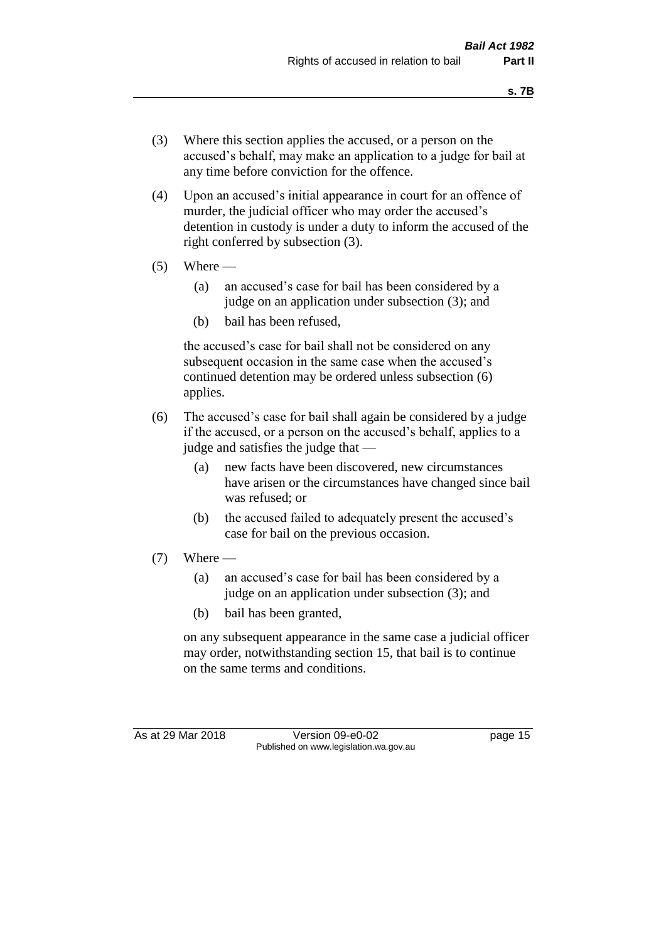- (3) Where this section applies the accused, or a person on the accused's behalf, may make an application to a judge for bail at any time before conviction for the offence.
- (4) Upon an accused's initial appearance in court for an offence of murder, the judicial officer who may order the accused's detention in custody is under a duty to inform the accused of the right conferred by subsection (3).
- $(5)$  Where
	- (a) an accused's case for bail has been considered by a judge on an application under subsection (3); and
	- (b) bail has been refused,

the accused's case for bail shall not be considered on any subsequent occasion in the same case when the accused's continued detention may be ordered unless subsection (6) applies.

- (6) The accused's case for bail shall again be considered by a judge if the accused, or a person on the accused's behalf, applies to a judge and satisfies the judge that —
	- (a) new facts have been discovered, new circumstances have arisen or the circumstances have changed since bail was refused; or
	- (b) the accused failed to adequately present the accused's case for bail on the previous occasion.
- $(7)$  Where
	- (a) an accused's case for bail has been considered by a judge on an application under subsection (3); and
	- (b) bail has been granted,

on any subsequent appearance in the same case a judicial officer may order, notwithstanding section 15, that bail is to continue on the same terms and conditions.

As at 29 Mar 2018 Version 09-e0-02 Page 15 Published on www.legislation.wa.gov.au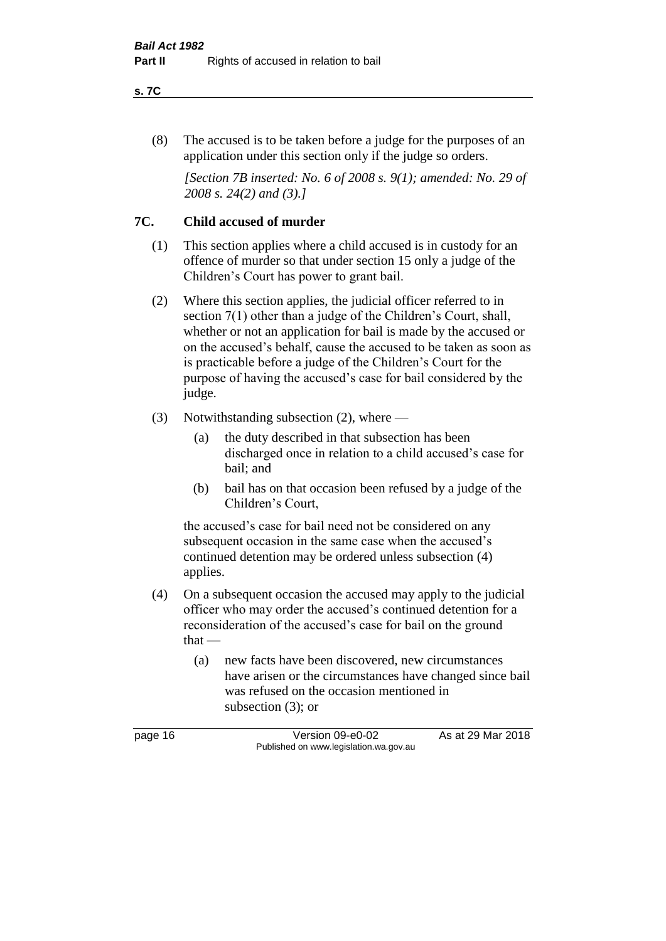#### **s. 7C**

(8) The accused is to be taken before a judge for the purposes of an application under this section only if the judge so orders.

*[Section 7B inserted: No. 6 of 2008 s. 9(1); amended: No. 29 of 2008 s. 24(2) and (3).]*

### **7C. Child accused of murder**

- (1) This section applies where a child accused is in custody for an offence of murder so that under section 15 only a judge of the Children's Court has power to grant bail.
- (2) Where this section applies, the judicial officer referred to in section 7(1) other than a judge of the Children's Court, shall, whether or not an application for bail is made by the accused or on the accused's behalf, cause the accused to be taken as soon as is practicable before a judge of the Children's Court for the purpose of having the accused's case for bail considered by the judge.
- (3) Notwithstanding subsection (2), where
	- (a) the duty described in that subsection has been discharged once in relation to a child accused's case for bail; and
	- (b) bail has on that occasion been refused by a judge of the Children's Court,

the accused's case for bail need not be considered on any subsequent occasion in the same case when the accused's continued detention may be ordered unless subsection (4) applies.

- (4) On a subsequent occasion the accused may apply to the judicial officer who may order the accused's continued detention for a reconsideration of the accused's case for bail on the ground that —
	- (a) new facts have been discovered, new circumstances have arisen or the circumstances have changed since bail was refused on the occasion mentioned in subsection (3); or

page 16 Version 09-e0-02 As at 29 Mar 2018 Published on www.legislation.wa.gov.au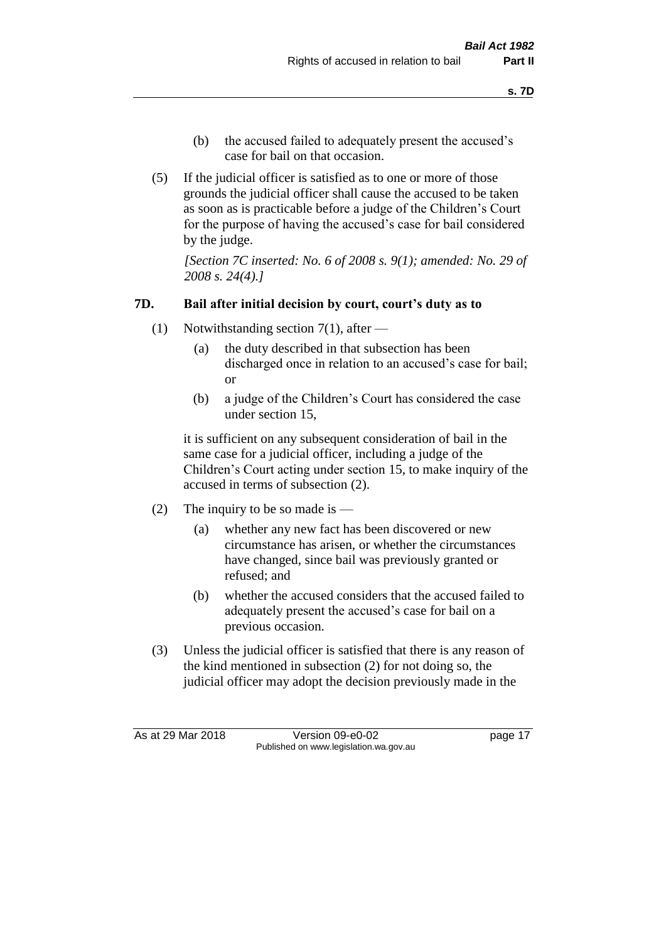- (b) the accused failed to adequately present the accused's case for bail on that occasion.
- (5) If the judicial officer is satisfied as to one or more of those grounds the judicial officer shall cause the accused to be taken as soon as is practicable before a judge of the Children's Court for the purpose of having the accused's case for bail considered by the judge.

*[Section 7C inserted: No. 6 of 2008 s. 9(1); amended: No. 29 of 2008 s. 24(4).]*

# **7D. Bail after initial decision by court, court's duty as to**

- (1) Notwithstanding section 7(1), after
	- (a) the duty described in that subsection has been discharged once in relation to an accused's case for bail; or
	- (b) a judge of the Children's Court has considered the case under section 15,

it is sufficient on any subsequent consideration of bail in the same case for a judicial officer, including a judge of the Children's Court acting under section 15, to make inquiry of the accused in terms of subsection (2).

- (2) The inquiry to be so made is
	- (a) whether any new fact has been discovered or new circumstance has arisen, or whether the circumstances have changed, since bail was previously granted or refused; and
	- (b) whether the accused considers that the accused failed to adequately present the accused's case for bail on a previous occasion.
- (3) Unless the judicial officer is satisfied that there is any reason of the kind mentioned in subsection (2) for not doing so, the judicial officer may adopt the decision previously made in the

As at 29 Mar 2018 Version 09-e0-02 Page 17 Published on www.legislation.wa.gov.au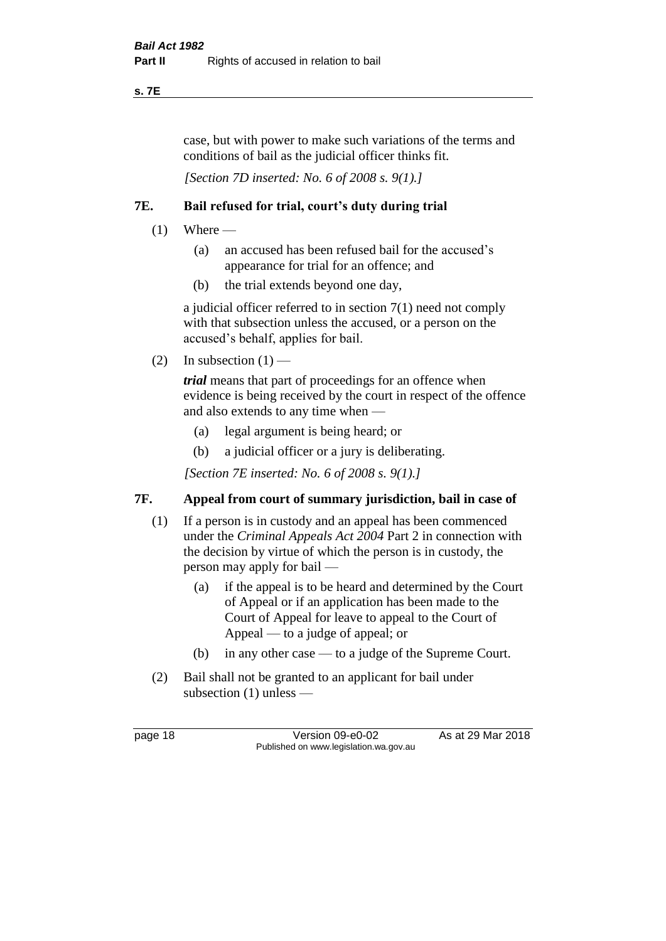#### **s. 7E**

case, but with power to make such variations of the terms and conditions of bail as the judicial officer thinks fit.

*[Section 7D inserted: No. 6 of 2008 s. 9(1).]*

# **7E. Bail refused for trial, court's duty during trial**

- $(1)$  Where
	- (a) an accused has been refused bail for the accused's appearance for trial for an offence; and
	- (b) the trial extends beyond one day,

a judicial officer referred to in section 7(1) need not comply with that subsection unless the accused, or a person on the accused's behalf, applies for bail.

(2) In subsection  $(1)$  —

*trial* means that part of proceedings for an offence when evidence is being received by the court in respect of the offence and also extends to any time when —

- (a) legal argument is being heard; or
- (b) a judicial officer or a jury is deliberating.

*[Section 7E inserted: No. 6 of 2008 s. 9(1).]*

# **7F. Appeal from court of summary jurisdiction, bail in case of**

- (1) If a person is in custody and an appeal has been commenced under the *Criminal Appeals Act 2004* Part 2 in connection with the decision by virtue of which the person is in custody, the person may apply for bail —
	- (a) if the appeal is to be heard and determined by the Court of Appeal or if an application has been made to the Court of Appeal for leave to appeal to the Court of Appeal — to a judge of appeal; or
	- (b) in any other case to a judge of the Supreme Court.
- (2) Bail shall not be granted to an applicant for bail under subsection (1) unless —

page 18 Version 09-e0-02 As at 29 Mar 2018 Published on www.legislation.wa.gov.au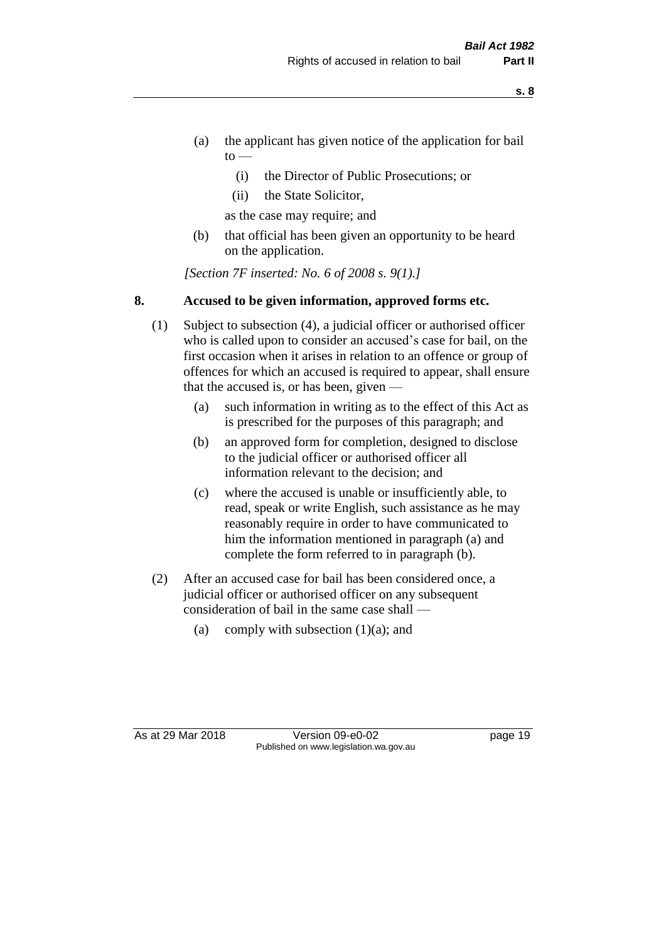- **s. 8**
- (a) the applicant has given notice of the application for bail  $\mathrm{to}$  —
	- (i) the Director of Public Prosecutions; or
	- (ii) the State Solicitor,

as the case may require; and

(b) that official has been given an opportunity to be heard on the application.

*[Section 7F inserted: No. 6 of 2008 s. 9(1).]*

# **8. Accused to be given information, approved forms etc.**

- (1) Subject to subsection (4), a judicial officer or authorised officer who is called upon to consider an accused's case for bail, on the first occasion when it arises in relation to an offence or group of offences for which an accused is required to appear, shall ensure that the accused is, or has been, given —
	- (a) such information in writing as to the effect of this Act as is prescribed for the purposes of this paragraph; and
	- (b) an approved form for completion, designed to disclose to the judicial officer or authorised officer all information relevant to the decision; and
	- (c) where the accused is unable or insufficiently able, to read, speak or write English, such assistance as he may reasonably require in order to have communicated to him the information mentioned in paragraph (a) and complete the form referred to in paragraph (b).
- (2) After an accused case for bail has been considered once, a judicial officer or authorised officer on any subsequent consideration of bail in the same case shall —
	- (a) comply with subsection  $(1)(a)$ ; and

As at 29 Mar 2018 Version 09-e0-02 Page 19 Published on www.legislation.wa.gov.au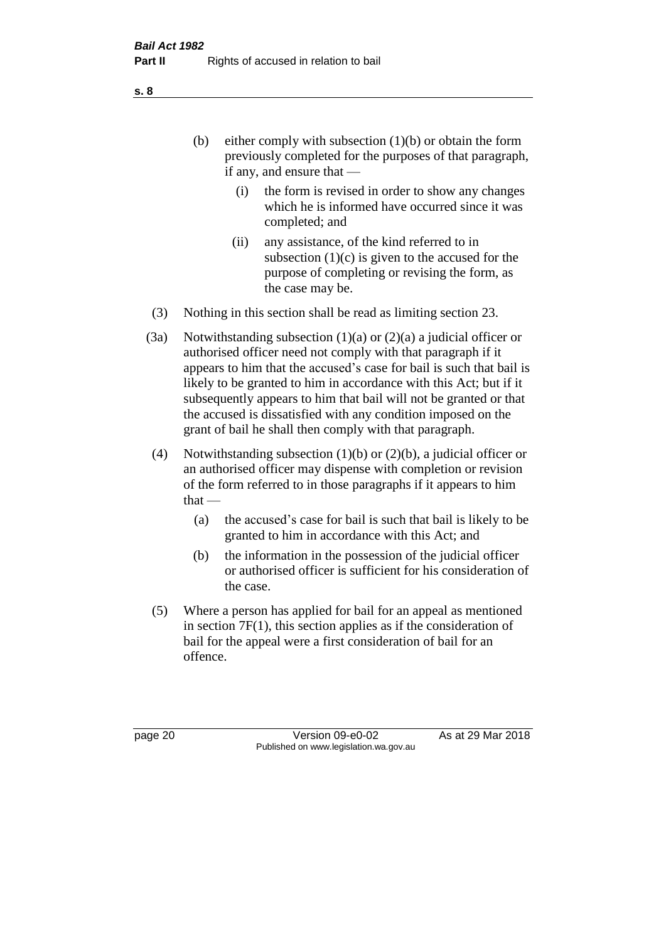(b) either comply with subsection  $(1)(b)$  or obtain the form previously completed for the purposes of that paragraph, if any, and ensure that —

- (i) the form is revised in order to show any changes which he is informed have occurred since it was completed; and
- (ii) any assistance, of the kind referred to in subsection  $(1)(c)$  is given to the accused for the purpose of completing or revising the form, as the case may be.
- (3) Nothing in this section shall be read as limiting section 23.
- (3a) Notwithstanding subsection  $(1)(a)$  or  $(2)(a)$  a judicial officer or authorised officer need not comply with that paragraph if it appears to him that the accused's case for bail is such that bail is likely to be granted to him in accordance with this Act; but if it subsequently appears to him that bail will not be granted or that the accused is dissatisfied with any condition imposed on the grant of bail he shall then comply with that paragraph.
- (4) Notwithstanding subsection (1)(b) or (2)(b), a judicial officer or an authorised officer may dispense with completion or revision of the form referred to in those paragraphs if it appears to him  $that -$ 
	- (a) the accused's case for bail is such that bail is likely to be granted to him in accordance with this Act; and
	- (b) the information in the possession of the judicial officer or authorised officer is sufficient for his consideration of the case.
- (5) Where a person has applied for bail for an appeal as mentioned in section 7F(1), this section applies as if the consideration of bail for the appeal were a first consideration of bail for an offence.

page 20 Version 09-e0-02 As at 29 Mar 2018 Published on www.legislation.wa.gov.au

**s. 8**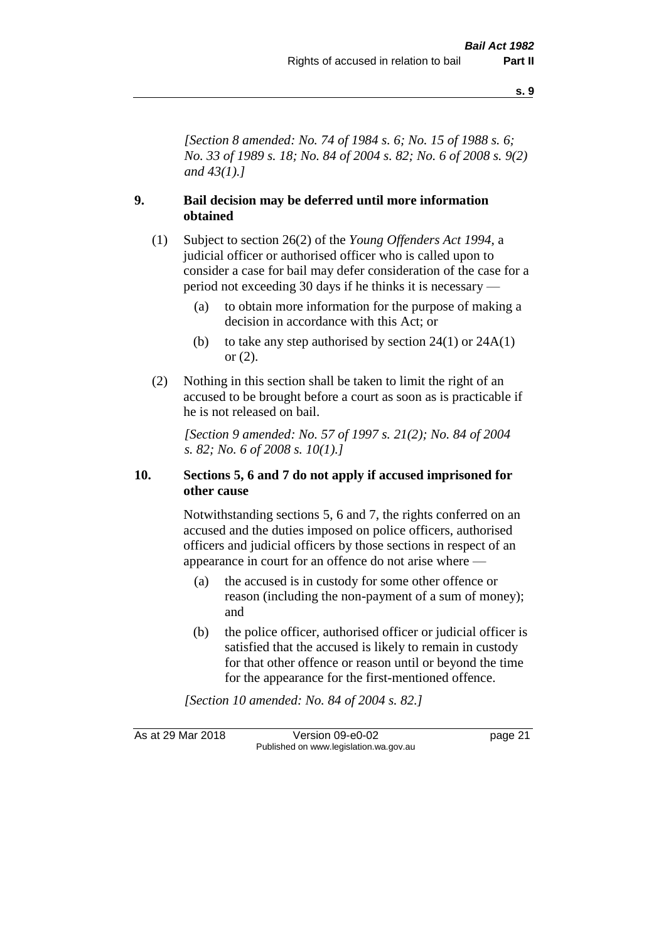**s. 9**

*[Section 8 amended: No. 74 of 1984 s. 6; No. 15 of 1988 s. 6; No. 33 of 1989 s. 18; No. 84 of 2004 s. 82; No. 6 of 2008 s. 9(2) and 43(1).]* 

### **9. Bail decision may be deferred until more information obtained**

- (1) Subject to section 26(2) of the *Young Offenders Act 1994*, a judicial officer or authorised officer who is called upon to consider a case for bail may defer consideration of the case for a period not exceeding 30 days if he thinks it is necessary —
	- (a) to obtain more information for the purpose of making a decision in accordance with this Act; or
	- (b) to take any step authorised by section  $24(1)$  or  $24A(1)$ or (2).
- (2) Nothing in this section shall be taken to limit the right of an accused to be brought before a court as soon as is practicable if he is not released on bail.

*[Section 9 amended: No. 57 of 1997 s. 21(2); No. 84 of 2004 s. 82; No. 6 of 2008 s. 10(1).]*

#### **10. Sections 5, 6 and 7 do not apply if accused imprisoned for other cause**

Notwithstanding sections 5, 6 and 7, the rights conferred on an accused and the duties imposed on police officers, authorised officers and judicial officers by those sections in respect of an appearance in court for an offence do not arise where —

- (a) the accused is in custody for some other offence or reason (including the non-payment of a sum of money); and
- (b) the police officer, authorised officer or judicial officer is satisfied that the accused is likely to remain in custody for that other offence or reason until or beyond the time for the appearance for the first-mentioned offence.

*[Section 10 amended: No. 84 of 2004 s. 82.]*

As at 29 Mar 2018 **Version 09-e0-02** page 21 Published on www.legislation.wa.gov.au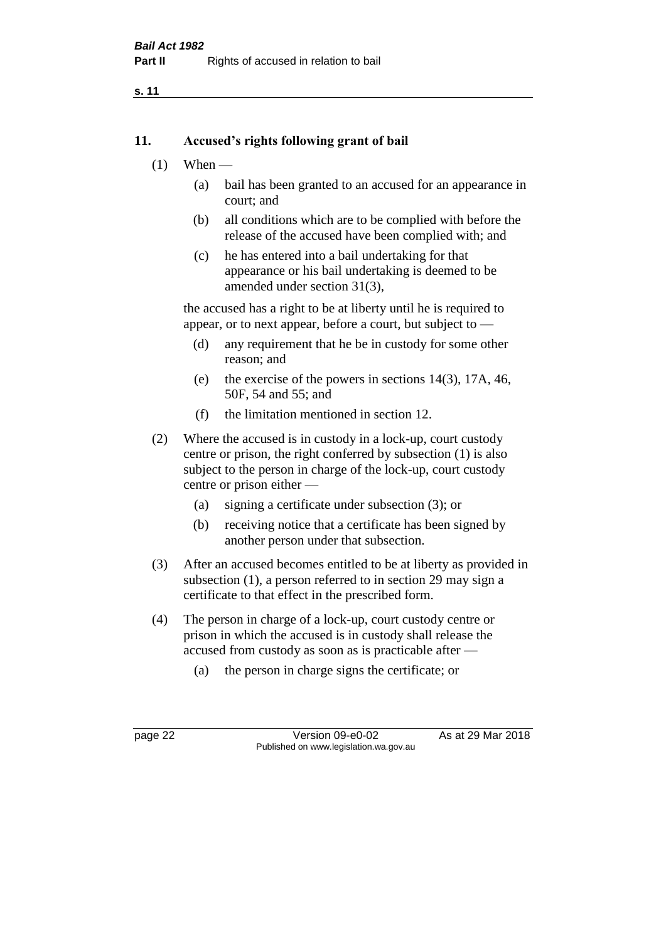**s. 11**

#### **11. Accused's rights following grant of bail**

- $(1)$  When
	- (a) bail has been granted to an accused for an appearance in court; and
	- (b) all conditions which are to be complied with before the release of the accused have been complied with; and
	- (c) he has entered into a bail undertaking for that appearance or his bail undertaking is deemed to be amended under section 31(3),

the accused has a right to be at liberty until he is required to appear, or to next appear, before a court, but subject to —

- (d) any requirement that he be in custody for some other reason; and
- (e) the exercise of the powers in sections 14(3), 17A, 46, 50F, 54 and 55; and
- (f) the limitation mentioned in section 12.
- (2) Where the accused is in custody in a lock-up, court custody centre or prison, the right conferred by subsection (1) is also subject to the person in charge of the lock-up, court custody centre or prison either —
	- (a) signing a certificate under subsection (3); or
	- (b) receiving notice that a certificate has been signed by another person under that subsection.
- (3) After an accused becomes entitled to be at liberty as provided in subsection (1), a person referred to in section 29 may sign a certificate to that effect in the prescribed form.
- (4) The person in charge of a lock-up, court custody centre or prison in which the accused is in custody shall release the accused from custody as soon as is practicable after —
	- (a) the person in charge signs the certificate; or

page 22 Version 09-e0-02 As at 29 Mar 2018 Published on www.legislation.wa.gov.au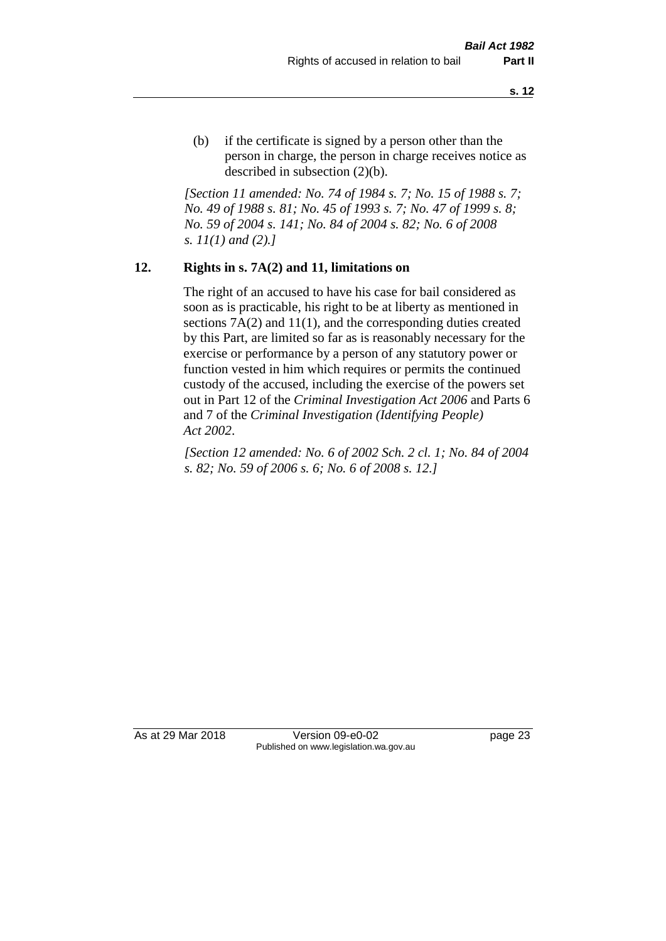(b) if the certificate is signed by a person other than the person in charge, the person in charge receives notice as described in subsection (2)(b).

*[Section 11 amended: No. 74 of 1984 s. 7; No. 15 of 1988 s. 7; No. 49 of 1988 s. 81; No. 45 of 1993 s. 7; No. 47 of 1999 s. 8; No. 59 of 2004 s. 141; No. 84 of 2004 s. 82; No. 6 of 2008 s. 11(1) and (2).]* 

#### **12. Rights in s. 7A(2) and 11, limitations on**

The right of an accused to have his case for bail considered as soon as is practicable, his right to be at liberty as mentioned in sections 7A(2) and 11(1), and the corresponding duties created by this Part, are limited so far as is reasonably necessary for the exercise or performance by a person of any statutory power or function vested in him which requires or permits the continued custody of the accused, including the exercise of the powers set out in Part 12 of the *Criminal Investigation Act 2006* and Parts 6 and 7 of the *Criminal Investigation (Identifying People) Act 2002*.

*[Section 12 amended: No. 6 of 2002 Sch. 2 cl. 1; No. 84 of 2004 s. 82; No. 59 of 2006 s. 6; No. 6 of 2008 s. 12.]*

As at 29 Mar 2018 Version 09-e0-02 Page 23 Published on www.legislation.wa.gov.au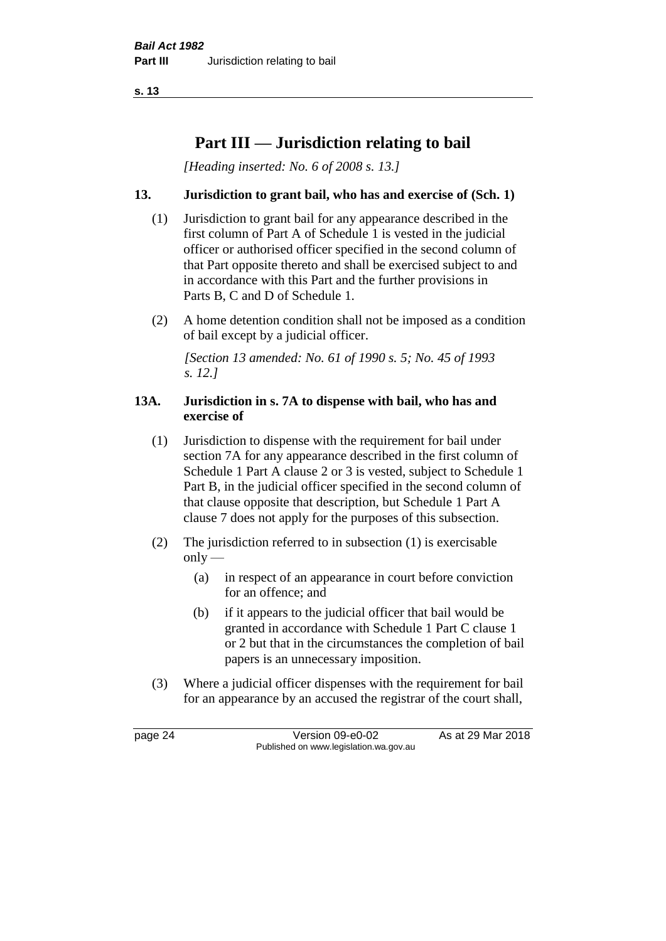**s. 13**

# **Part III — Jurisdiction relating to bail**

*[Heading inserted: No. 6 of 2008 s. 13.]*

### **13. Jurisdiction to grant bail, who has and exercise of (Sch. 1)**

- (1) Jurisdiction to grant bail for any appearance described in the first column of Part A of Schedule 1 is vested in the judicial officer or authorised officer specified in the second column of that Part opposite thereto and shall be exercised subject to and in accordance with this Part and the further provisions in Parts B, C and D of Schedule 1.
- (2) A home detention condition shall not be imposed as a condition of bail except by a judicial officer.

*[Section 13 amended: No. 61 of 1990 s. 5; No. 45 of 1993 s. 12.]* 

#### **13A. Jurisdiction in s. 7A to dispense with bail, who has and exercise of**

- (1) Jurisdiction to dispense with the requirement for bail under section 7A for any appearance described in the first column of Schedule 1 Part A clause 2 or 3 is vested, subject to Schedule 1 Part B, in the judicial officer specified in the second column of that clause opposite that description, but Schedule 1 Part A clause 7 does not apply for the purposes of this subsection.
- (2) The jurisdiction referred to in subsection (1) is exercisable  $only$ —
	- (a) in respect of an appearance in court before conviction for an offence; and
	- (b) if it appears to the judicial officer that bail would be granted in accordance with Schedule 1 Part C clause 1 or 2 but that in the circumstances the completion of bail papers is an unnecessary imposition.
- (3) Where a judicial officer dispenses with the requirement for bail for an appearance by an accused the registrar of the court shall,

page 24 Version 09-e0-02 As at 29 Mar 2018 Published on www.legislation.wa.gov.au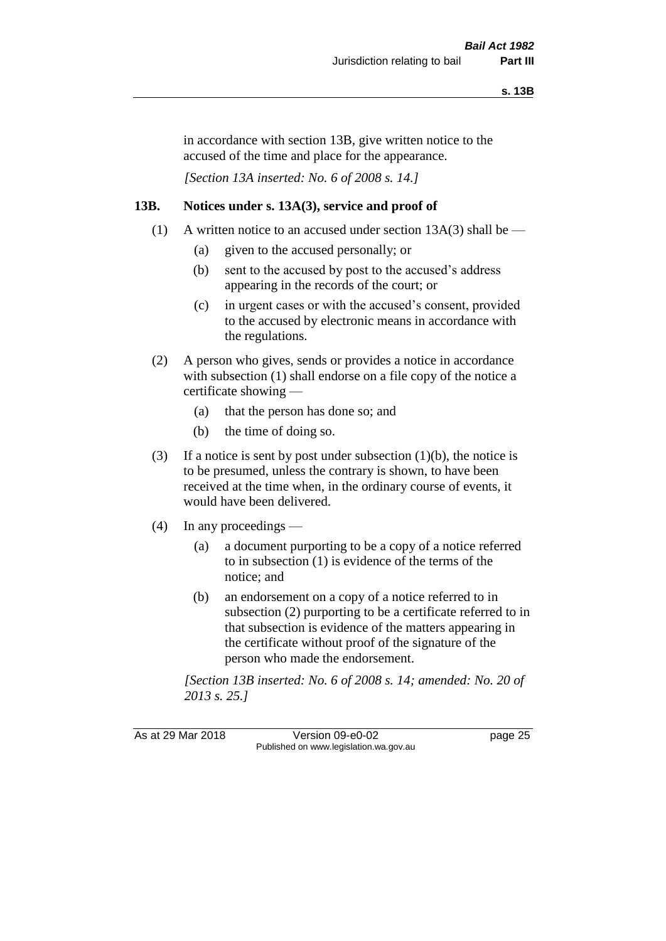in accordance with section 13B, give written notice to the accused of the time and place for the appearance.

*[Section 13A inserted: No. 6 of 2008 s. 14.]*

#### **13B. Notices under s. 13A(3), service and proof of**

- (1) A written notice to an accused under section  $13A(3)$  shall be
	- (a) given to the accused personally; or
	- (b) sent to the accused by post to the accused's address appearing in the records of the court; or
	- (c) in urgent cases or with the accused's consent, provided to the accused by electronic means in accordance with the regulations.
- (2) A person who gives, sends or provides a notice in accordance with subsection (1) shall endorse on a file copy of the notice a certificate showing —
	- (a) that the person has done so; and
	- (b) the time of doing so.
- (3) If a notice is sent by post under subsection  $(1)(b)$ , the notice is to be presumed, unless the contrary is shown, to have been received at the time when, in the ordinary course of events, it would have been delivered.
- (4) In any proceedings
	- (a) a document purporting to be a copy of a notice referred to in subsection (1) is evidence of the terms of the notice; and
	- (b) an endorsement on a copy of a notice referred to in subsection (2) purporting to be a certificate referred to in that subsection is evidence of the matters appearing in the certificate without proof of the signature of the person who made the endorsement.

*[Section 13B inserted: No. 6 of 2008 s. 14; amended: No. 20 of 2013 s. 25.]*

As at 29 Mar 2018 Version 09-e0-02 Page 25 Published on www.legislation.wa.gov.au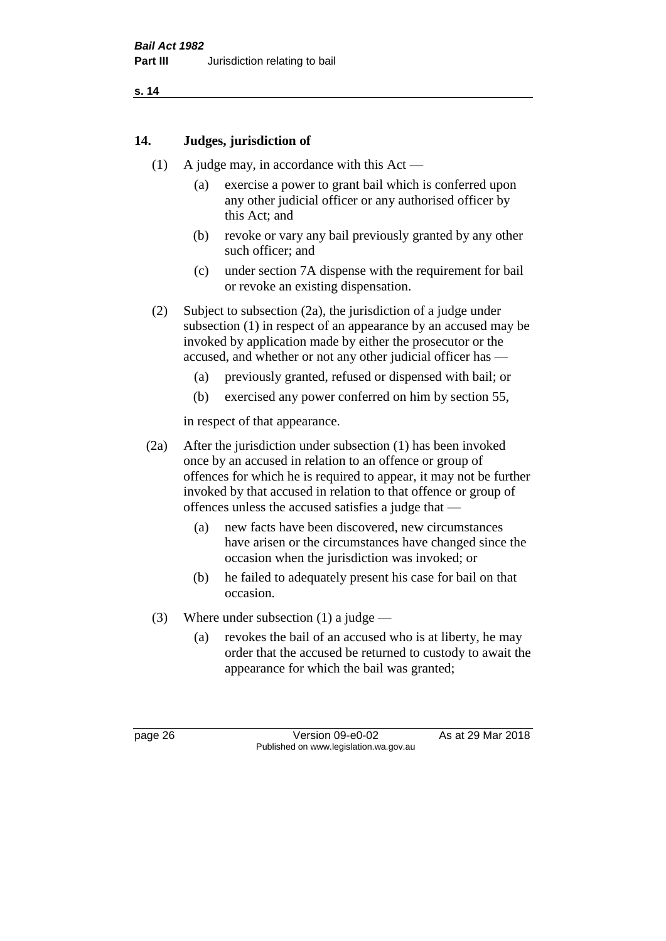**s. 14**

### **14. Judges, jurisdiction of**

- (1) A judge may, in accordance with this Act
	- (a) exercise a power to grant bail which is conferred upon any other judicial officer or any authorised officer by this Act; and
	- (b) revoke or vary any bail previously granted by any other such officer; and
	- (c) under section 7A dispense with the requirement for bail or revoke an existing dispensation.
- (2) Subject to subsection (2a), the jurisdiction of a judge under subsection (1) in respect of an appearance by an accused may be invoked by application made by either the prosecutor or the accused, and whether or not any other judicial officer has —
	- (a) previously granted, refused or dispensed with bail; or
	- (b) exercised any power conferred on him by section 55,

in respect of that appearance.

- (2a) After the jurisdiction under subsection (1) has been invoked once by an accused in relation to an offence or group of offences for which he is required to appear, it may not be further invoked by that accused in relation to that offence or group of offences unless the accused satisfies a judge that —
	- (a) new facts have been discovered, new circumstances have arisen or the circumstances have changed since the occasion when the jurisdiction was invoked; or
	- (b) he failed to adequately present his case for bail on that occasion.
- (3) Where under subsection (1) a judge
	- (a) revokes the bail of an accused who is at liberty, he may order that the accused be returned to custody to await the appearance for which the bail was granted;

page 26 Version 09-e0-02 As at 29 Mar 2018 Published on www.legislation.wa.gov.au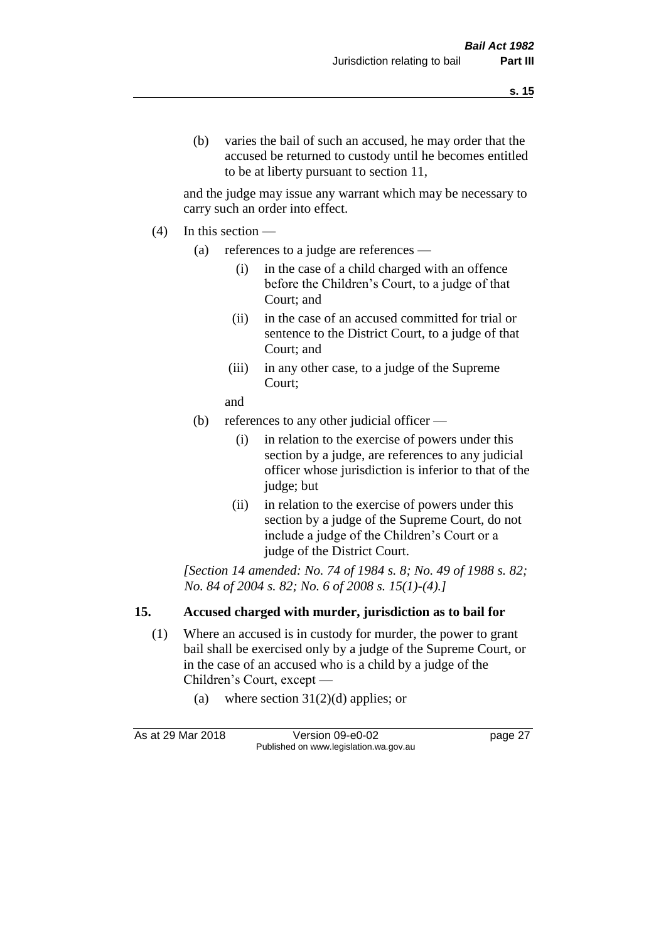and the judge may issue any warrant which may be necessary to carry such an order into effect.

- (4) In this section
	- (a) references to a judge are references
		- (i) in the case of a child charged with an offence before the Children's Court, to a judge of that Court; and
		- (ii) in the case of an accused committed for trial or sentence to the District Court, to a judge of that Court; and
		- (iii) in any other case, to a judge of the Supreme Court;
		- and
	- (b) references to any other judicial officer
		- (i) in relation to the exercise of powers under this section by a judge, are references to any judicial officer whose jurisdiction is inferior to that of the judge; but
		- (ii) in relation to the exercise of powers under this section by a judge of the Supreme Court, do not include a judge of the Children's Court or a judge of the District Court.

*[Section 14 amended: No. 74 of 1984 s. 8; No. 49 of 1988 s. 82; No. 84 of 2004 s. 82; No. 6 of 2008 s. 15(1)-(4).]* 

## **15. Accused charged with murder, jurisdiction as to bail for**

- (1) Where an accused is in custody for murder, the power to grant bail shall be exercised only by a judge of the Supreme Court, or in the case of an accused who is a child by a judge of the Children's Court, except —
	- (a) where section  $31(2)(d)$  applies; or

As at 29 Mar 2018 Version 09-e0-02 Page 27 Published on www.legislation.wa.gov.au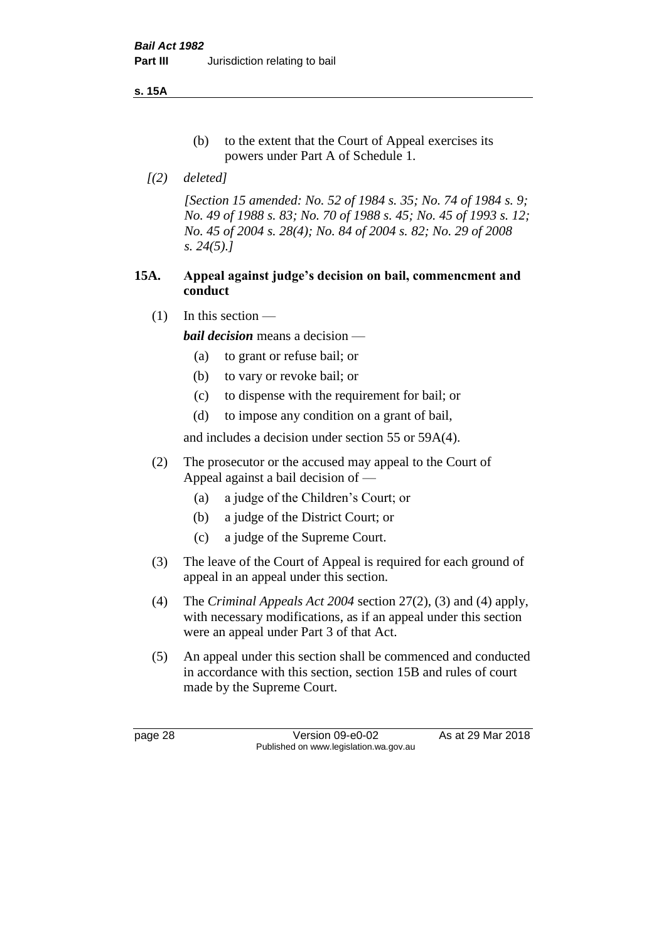**s. 15A**

- (b) to the extent that the Court of Appeal exercises its powers under Part A of Schedule 1.
- *[(2) deleted]*

*[Section 15 amended: No. 52 of 1984 s. 35; No. 74 of 1984 s. 9; No. 49 of 1988 s. 83; No. 70 of 1988 s. 45; No. 45 of 1993 s. 12; No. 45 of 2004 s. 28(4); No. 84 of 2004 s. 82; No. 29 of 2008 s. 24(5).]* 

#### **15A. Appeal against judge's decision on bail, commencment and conduct**

 $(1)$  In this section —

*bail decision* means a decision —

- (a) to grant or refuse bail; or
- (b) to vary or revoke bail; or
- (c) to dispense with the requirement for bail; or
- (d) to impose any condition on a grant of bail,

and includes a decision under section 55 or 59A(4).

- (2) The prosecutor or the accused may appeal to the Court of Appeal against a bail decision of —
	- (a) a judge of the Children's Court; or
	- (b) a judge of the District Court; or
	- (c) a judge of the Supreme Court.
- (3) The leave of the Court of Appeal is required for each ground of appeal in an appeal under this section.
- (4) The *Criminal Appeals Act 2004* section 27(2), (3) and (4) apply, with necessary modifications, as if an appeal under this section were an appeal under Part 3 of that Act.
- (5) An appeal under this section shall be commenced and conducted in accordance with this section, section 15B and rules of court made by the Supreme Court.

page 28 Version 09-e0-02 As at 29 Mar 2018 Published on www.legislation.wa.gov.au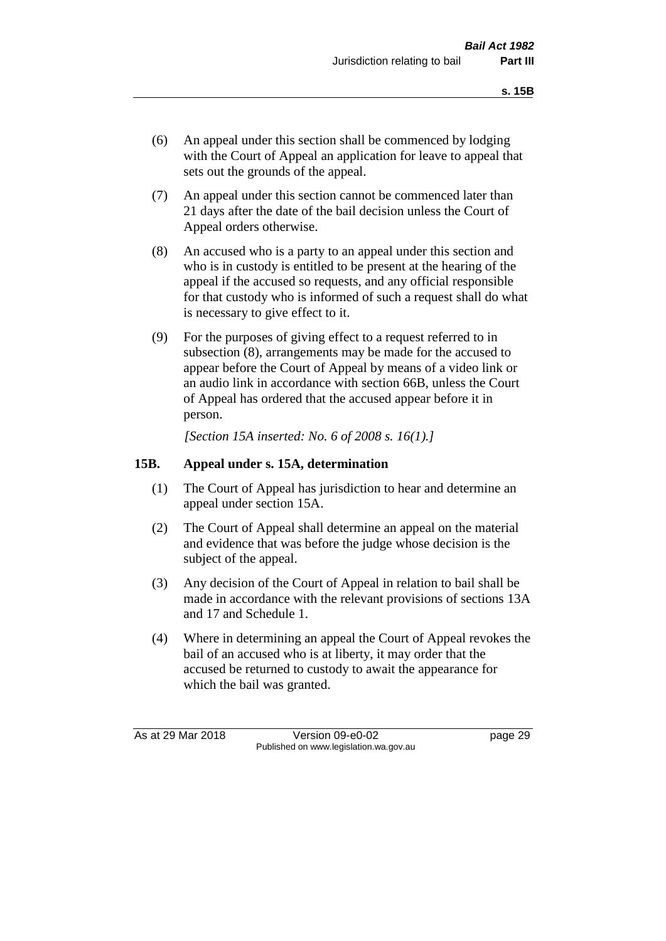- (6) An appeal under this section shall be commenced by lodging with the Court of Appeal an application for leave to appeal that sets out the grounds of the appeal.
- (7) An appeal under this section cannot be commenced later than 21 days after the date of the bail decision unless the Court of Appeal orders otherwise.
- (8) An accused who is a party to an appeal under this section and who is in custody is entitled to be present at the hearing of the appeal if the accused so requests, and any official responsible for that custody who is informed of such a request shall do what is necessary to give effect to it.
- (9) For the purposes of giving effect to a request referred to in subsection (8), arrangements may be made for the accused to appear before the Court of Appeal by means of a video link or an audio link in accordance with section 66B, unless the Court of Appeal has ordered that the accused appear before it in person.

*[Section 15A inserted: No. 6 of 2008 s. 16(1).]*

#### **15B. Appeal under s. 15A, determination**

- (1) The Court of Appeal has jurisdiction to hear and determine an appeal under section 15A.
- (2) The Court of Appeal shall determine an appeal on the material and evidence that was before the judge whose decision is the subject of the appeal.
- (3) Any decision of the Court of Appeal in relation to bail shall be made in accordance with the relevant provisions of sections 13A and 17 and Schedule 1.
- (4) Where in determining an appeal the Court of Appeal revokes the bail of an accused who is at liberty, it may order that the accused be returned to custody to await the appearance for which the bail was granted.

As at 29 Mar 2018 Version 09-e0-02 page 29 Published on www.legislation.wa.gov.au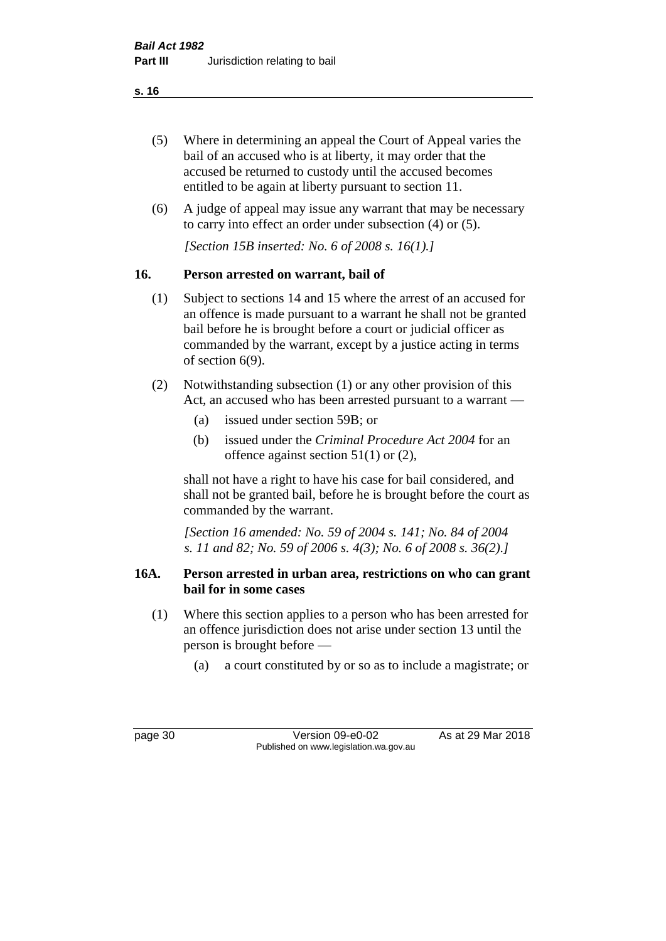- (5) Where in determining an appeal the Court of Appeal varies the bail of an accused who is at liberty, it may order that the accused be returned to custody until the accused becomes entitled to be again at liberty pursuant to section 11.
- (6) A judge of appeal may issue any warrant that may be necessary to carry into effect an order under subsection (4) or (5).

*[Section 15B inserted: No. 6 of 2008 s. 16(1).]*

## **16. Person arrested on warrant, bail of**

- (1) Subject to sections 14 and 15 where the arrest of an accused for an offence is made pursuant to a warrant he shall not be granted bail before he is brought before a court or judicial officer as commanded by the warrant, except by a justice acting in terms of section 6(9).
- (2) Notwithstanding subsection (1) or any other provision of this Act, an accused who has been arrested pursuant to a warrant —
	- (a) issued under section 59B; or
	- (b) issued under the *Criminal Procedure Act 2004* for an offence against section 51(1) or (2),

shall not have a right to have his case for bail considered, and shall not be granted bail, before he is brought before the court as commanded by the warrant.

*[Section 16 amended: No. 59 of 2004 s. 141; No. 84 of 2004 s. 11 and 82; No. 59 of 2006 s. 4(3); No. 6 of 2008 s. 36(2).]*

#### **16A. Person arrested in urban area, restrictions on who can grant bail for in some cases**

- (1) Where this section applies to a person who has been arrested for an offence jurisdiction does not arise under section 13 until the person is brought before —
	- (a) a court constituted by or so as to include a magistrate; or

page 30 Version 09-e0-02 As at 29 Mar 2018 Published on www.legislation.wa.gov.au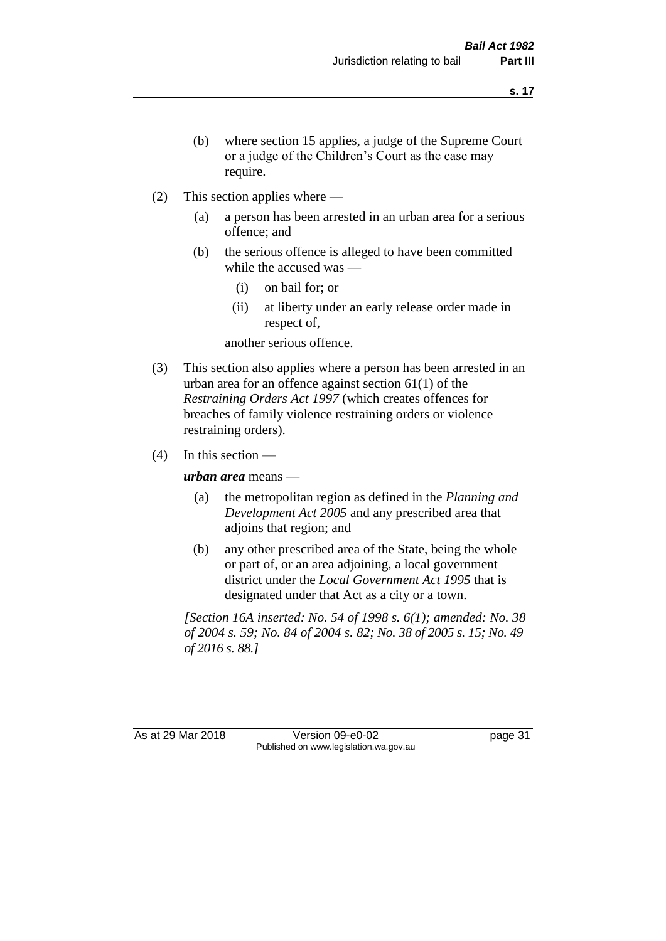- (b) where section 15 applies, a judge of the Supreme Court or a judge of the Children's Court as the case may require.
- (2) This section applies where
	- (a) a person has been arrested in an urban area for a serious offence; and
	- (b) the serious offence is alleged to have been committed while the accused was —
		- (i) on bail for; or
		- (ii) at liberty under an early release order made in respect of,

another serious offence.

- (3) This section also applies where a person has been arrested in an urban area for an offence against section 61(1) of the *Restraining Orders Act 1997* (which creates offences for breaches of family violence restraining orders or violence restraining orders).
- $(4)$  In this section —

*urban area* means —

- (a) the metropolitan region as defined in the *Planning and Development Act 2005* and any prescribed area that adjoins that region; and
- (b) any other prescribed area of the State, being the whole or part of, or an area adjoining, a local government district under the *Local Government Act 1995* that is designated under that Act as a city or a town.

*[Section 16A inserted: No. 54 of 1998 s. 6(1); amended: No. 38 of 2004 s. 59; No. 84 of 2004 s. 82; No. 38 of 2005 s. 15; No. 49 of 2016 s. 88.]*

As at 29 Mar 2018 Version 09-e0-02 Page 31 Published on www.legislation.wa.gov.au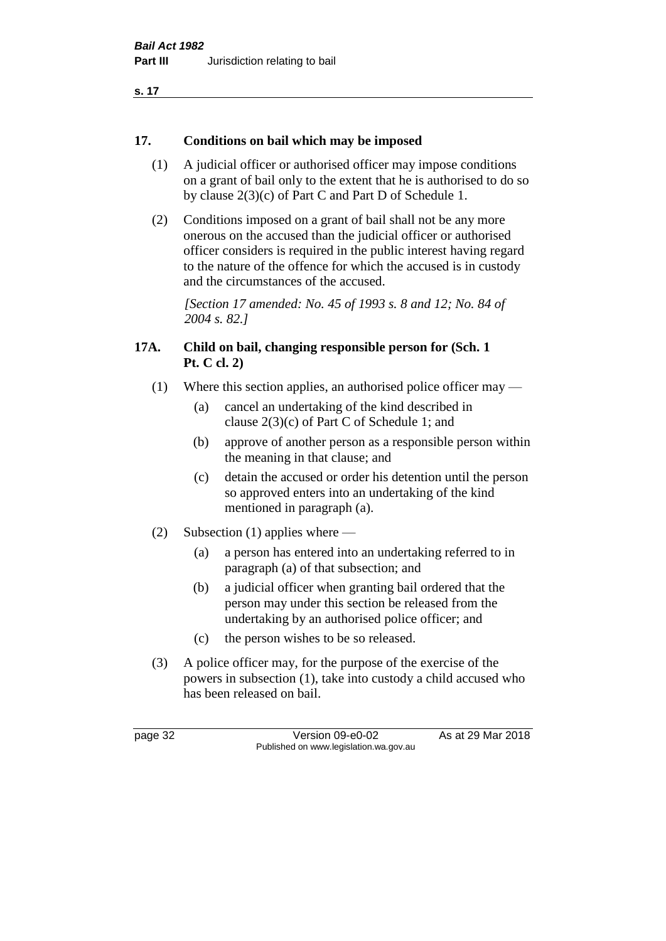#### **17. Conditions on bail which may be imposed**

- (1) A judicial officer or authorised officer may impose conditions on a grant of bail only to the extent that he is authorised to do so by clause 2(3)(c) of Part C and Part D of Schedule 1.
- (2) Conditions imposed on a grant of bail shall not be any more onerous on the accused than the judicial officer or authorised officer considers is required in the public interest having regard to the nature of the offence for which the accused is in custody and the circumstances of the accused.

*[Section 17 amended: No. 45 of 1993 s. 8 and 12; No. 84 of 2004 s. 82.]* 

#### **17A. Child on bail, changing responsible person for (Sch. 1 Pt. C cl. 2)**

- (1) Where this section applies, an authorised police officer may
	- (a) cancel an undertaking of the kind described in clause 2(3)(c) of Part C of Schedule 1; and
	- (b) approve of another person as a responsible person within the meaning in that clause; and
	- (c) detain the accused or order his detention until the person so approved enters into an undertaking of the kind mentioned in paragraph (a).
- (2) Subsection (1) applies where
	- (a) a person has entered into an undertaking referred to in paragraph (a) of that subsection; and
	- (b) a judicial officer when granting bail ordered that the person may under this section be released from the undertaking by an authorised police officer; and
	- (c) the person wishes to be so released.
- (3) A police officer may, for the purpose of the exercise of the powers in subsection (1), take into custody a child accused who has been released on bail.

page 32 Version 09-e0-02 As at 29 Mar 2018 Published on www.legislation.wa.gov.au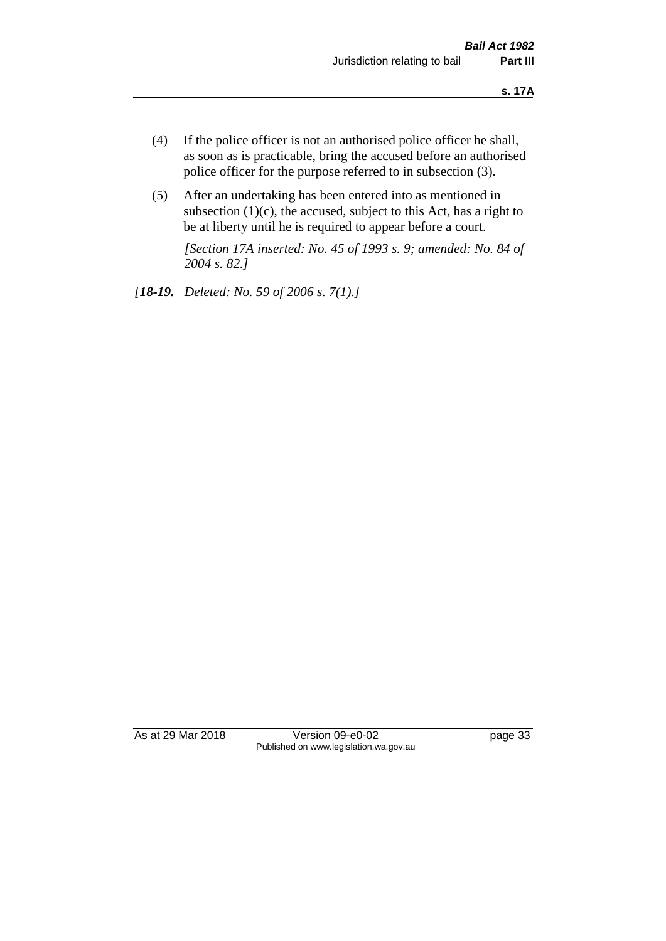- (4) If the police officer is not an authorised police officer he shall, as soon as is practicable, bring the accused before an authorised police officer for the purpose referred to in subsection (3).
- (5) After an undertaking has been entered into as mentioned in subsection  $(1)(c)$ , the accused, subject to this Act, has a right to be at liberty until he is required to appear before a court.

*[Section 17A inserted: No. 45 of 1993 s. 9; amended: No. 84 of 2004 s. 82.]* 

*[18-19. Deleted: No. 59 of 2006 s. 7(1).]*

As at 29 Mar 2018 Version 09-e0-02 Page 33 Published on www.legislation.wa.gov.au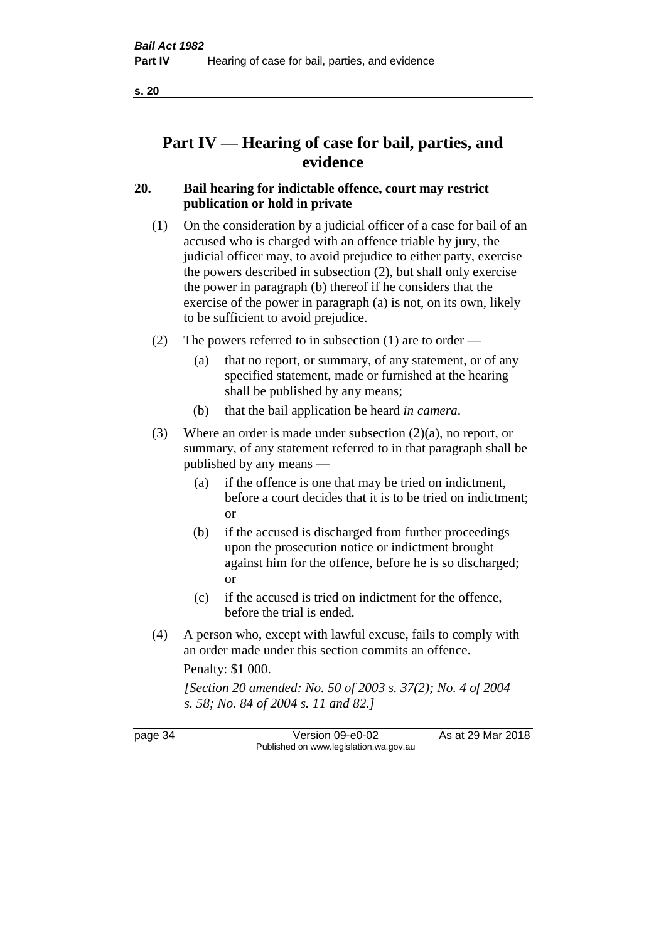# **Part IV — Hearing of case for bail, parties, and evidence**

## **20. Bail hearing for indictable offence, court may restrict publication or hold in private**

- (1) On the consideration by a judicial officer of a case for bail of an accused who is charged with an offence triable by jury, the judicial officer may, to avoid prejudice to either party, exercise the powers described in subsection (2), but shall only exercise the power in paragraph (b) thereof if he considers that the exercise of the power in paragraph (a) is not, on its own, likely to be sufficient to avoid prejudice.
- (2) The powers referred to in subsection (1) are to order
	- (a) that no report, or summary, of any statement, or of any specified statement, made or furnished at the hearing shall be published by any means;
	- (b) that the bail application be heard *in camera*.
- (3) Where an order is made under subsection (2)(a), no report, or summary, of any statement referred to in that paragraph shall be published by any means —
	- (a) if the offence is one that may be tried on indictment, before a court decides that it is to be tried on indictment; or
	- (b) if the accused is discharged from further proceedings upon the prosecution notice or indictment brought against him for the offence, before he is so discharged; or
	- (c) if the accused is tried on indictment for the offence, before the trial is ended.
- (4) A person who, except with lawful excuse, fails to comply with an order made under this section commits an offence.

Penalty: \$1 000.

*[Section 20 amended: No. 50 of 2003 s. 37(2); No. 4 of 2004 s. 58; No. 84 of 2004 s. 11 and 82.]*

page 34 Version 09-e0-02 As at 29 Mar 2018 Published on www.legislation.wa.gov.au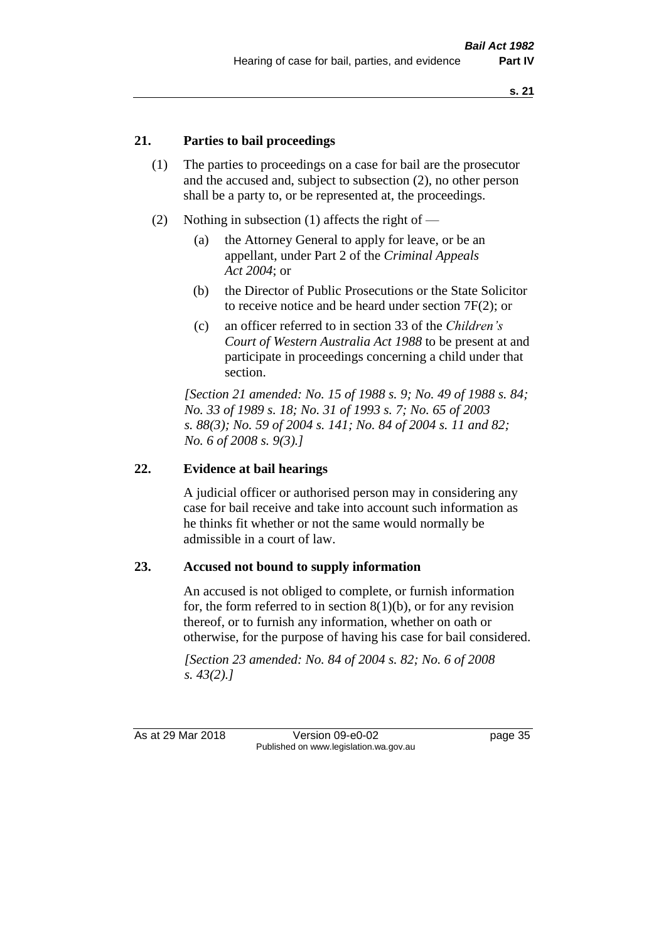#### **21. Parties to bail proceedings**

- (1) The parties to proceedings on a case for bail are the prosecutor and the accused and, subject to subsection (2), no other person shall be a party to, or be represented at, the proceedings.
- (2) Nothing in subsection (1) affects the right of
	- (a) the Attorney General to apply for leave, or be an appellant, under Part 2 of the *Criminal Appeals Act 2004*; or
	- (b) the Director of Public Prosecutions or the State Solicitor to receive notice and be heard under section 7F(2); or
	- (c) an officer referred to in section 33 of the *Children's Court of Western Australia Act 1988* to be present at and participate in proceedings concerning a child under that section.

*[Section 21 amended: No. 15 of 1988 s. 9; No. 49 of 1988 s. 84; No. 33 of 1989 s. 18; No. 31 of 1993 s. 7; No. 65 of 2003 s. 88(3); No. 59 of 2004 s. 141; No. 84 of 2004 s. 11 and 82; No. 6 of 2008 s. 9(3).]* 

#### **22. Evidence at bail hearings**

A judicial officer or authorised person may in considering any case for bail receive and take into account such information as he thinks fit whether or not the same would normally be admissible in a court of law.

#### **23. Accused not bound to supply information**

An accused is not obliged to complete, or furnish information for, the form referred to in section  $8(1)(b)$ , or for any revision thereof, or to furnish any information, whether on oath or otherwise, for the purpose of having his case for bail considered.

*[Section 23 amended: No. 84 of 2004 s. 82; No. 6 of 2008 s. 43(2).]* 

As at 29 Mar 2018 **Version 09-e0-02** page 35 Published on www.legislation.wa.gov.au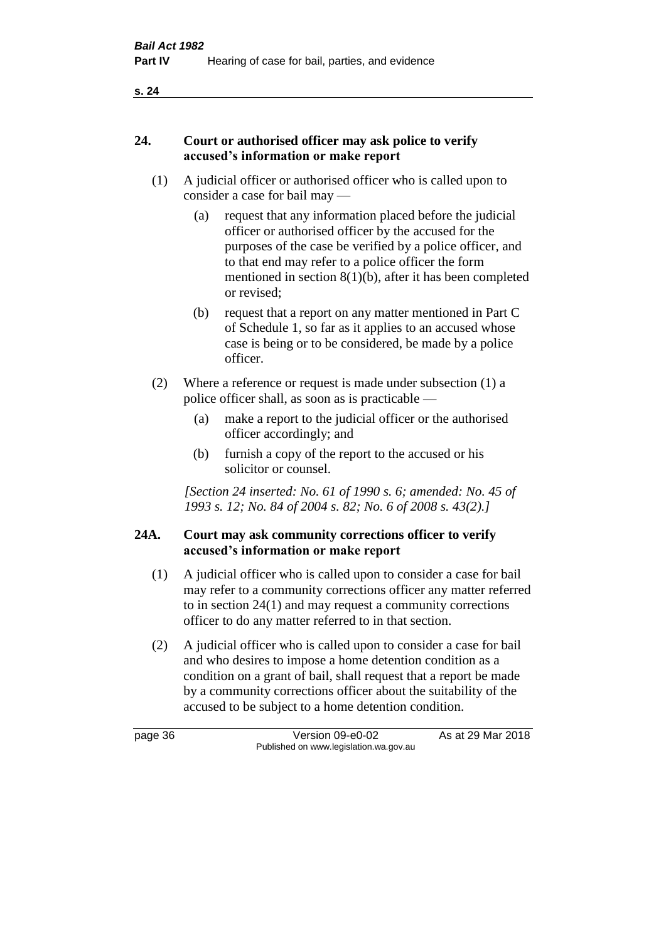#### **24. Court or authorised officer may ask police to verify accused's information or make report**

- (1) A judicial officer or authorised officer who is called upon to consider a case for bail may —
	- (a) request that any information placed before the judicial officer or authorised officer by the accused for the purposes of the case be verified by a police officer, and to that end may refer to a police officer the form mentioned in section 8(1)(b), after it has been completed or revised;
	- (b) request that a report on any matter mentioned in Part C of Schedule 1, so far as it applies to an accused whose case is being or to be considered, be made by a police officer.
- (2) Where a reference or request is made under subsection (1) a police officer shall, as soon as is practicable —
	- (a) make a report to the judicial officer or the authorised officer accordingly; and
	- (b) furnish a copy of the report to the accused or his solicitor or counsel.

*[Section 24 inserted: No. 61 of 1990 s. 6; amended: No. 45 of 1993 s. 12; No. 84 of 2004 s. 82; No. 6 of 2008 s. 43(2).]* 

## **24A. Court may ask community corrections officer to verify accused's information or make report**

- (1) A judicial officer who is called upon to consider a case for bail may refer to a community corrections officer any matter referred to in section 24(1) and may request a community corrections officer to do any matter referred to in that section.
- (2) A judicial officer who is called upon to consider a case for bail and who desires to impose a home detention condition as a condition on a grant of bail, shall request that a report be made by a community corrections officer about the suitability of the accused to be subject to a home detention condition.

page 36 Version 09-e0-02 As at 29 Mar 2018 Published on www.legislation.wa.gov.au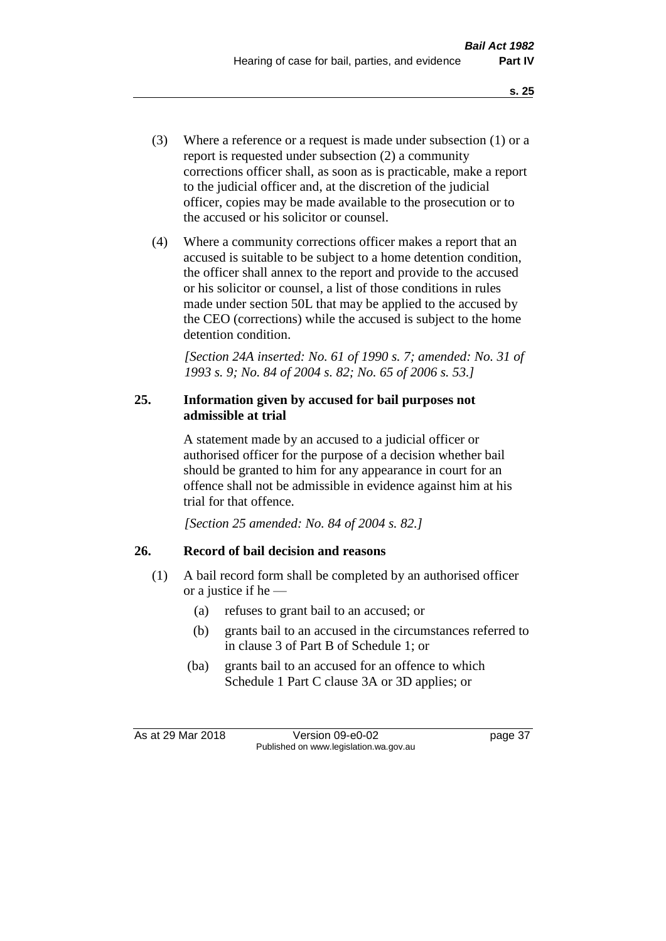- (3) Where a reference or a request is made under subsection (1) or a report is requested under subsection (2) a community corrections officer shall, as soon as is practicable, make a report to the judicial officer and, at the discretion of the judicial officer, copies may be made available to the prosecution or to the accused or his solicitor or counsel.
- (4) Where a community corrections officer makes a report that an accused is suitable to be subject to a home detention condition, the officer shall annex to the report and provide to the accused or his solicitor or counsel, a list of those conditions in rules made under section 50L that may be applied to the accused by the CEO (corrections) while the accused is subject to the home detention condition.

*[Section 24A inserted: No. 61 of 1990 s. 7; amended: No. 31 of 1993 s. 9; No. 84 of 2004 s. 82; No. 65 of 2006 s. 53.]* 

#### **25. Information given by accused for bail purposes not admissible at trial**

A statement made by an accused to a judicial officer or authorised officer for the purpose of a decision whether bail should be granted to him for any appearance in court for an offence shall not be admissible in evidence against him at his trial for that offence.

*[Section 25 amended: No. 84 of 2004 s. 82.]* 

# **26. Record of bail decision and reasons**

- (1) A bail record form shall be completed by an authorised officer or a justice if he —
	- (a) refuses to grant bail to an accused; or
	- (b) grants bail to an accused in the circumstances referred to in clause 3 of Part B of Schedule 1; or
	- (ba) grants bail to an accused for an offence to which Schedule 1 Part C clause 3A or 3D applies; or

As at 29 Mar 2018 Version 09-e0-02 Page 37 Published on www.legislation.wa.gov.au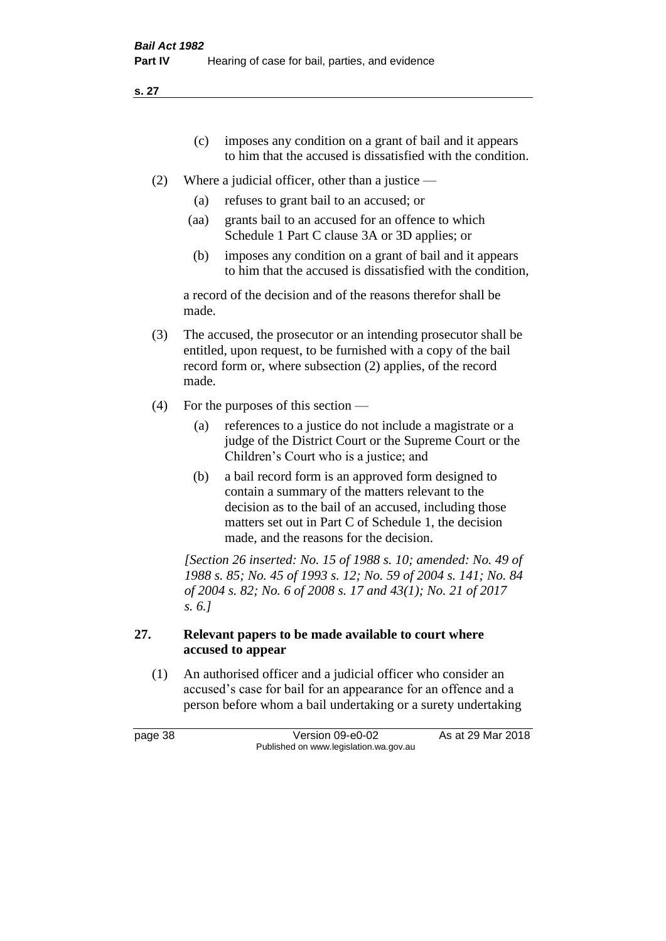- (c) imposes any condition on a grant of bail and it appears to him that the accused is dissatisfied with the condition.
- (2) Where a judicial officer, other than a justice
	- (a) refuses to grant bail to an accused; or
	- (aa) grants bail to an accused for an offence to which Schedule 1 Part C clause 3A or 3D applies; or
	- (b) imposes any condition on a grant of bail and it appears to him that the accused is dissatisfied with the condition,

a record of the decision and of the reasons therefor shall be made.

- (3) The accused, the prosecutor or an intending prosecutor shall be entitled, upon request, to be furnished with a copy of the bail record form or, where subsection (2) applies, of the record made.
- (4) For the purposes of this section
	- (a) references to a justice do not include a magistrate or a judge of the District Court or the Supreme Court or the Children's Court who is a justice; and
	- (b) a bail record form is an approved form designed to contain a summary of the matters relevant to the decision as to the bail of an accused, including those matters set out in Part C of Schedule 1, the decision made, and the reasons for the decision.

*[Section 26 inserted: No. 15 of 1988 s. 10; amended: No. 49 of 1988 s. 85; No. 45 of 1993 s. 12; No. 59 of 2004 s. 141; No. 84 of 2004 s. 82; No. 6 of 2008 s. 17 and 43(1); No. 21 of 2017 s. 6.]* 

## **27. Relevant papers to be made available to court where accused to appear**

(1) An authorised officer and a judicial officer who consider an accused's case for bail for an appearance for an offence and a person before whom a bail undertaking or a surety undertaking

page 38 Version 09-e0-02 As at 29 Mar 2018 Published on www.legislation.wa.gov.au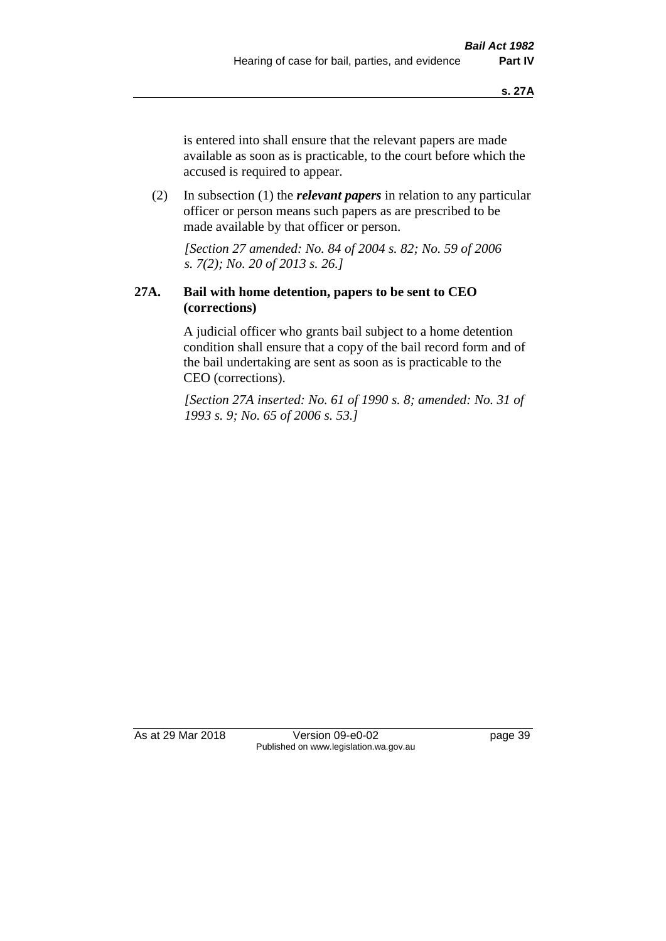is entered into shall ensure that the relevant papers are made available as soon as is practicable, to the court before which the accused is required to appear.

(2) In subsection (1) the *relevant papers* in relation to any particular officer or person means such papers as are prescribed to be made available by that officer or person.

*[Section 27 amended: No. 84 of 2004 s. 82; No. 59 of 2006 s. 7(2); No. 20 of 2013 s. 26.]* 

#### **27A. Bail with home detention, papers to be sent to CEO (corrections)**

A judicial officer who grants bail subject to a home detention condition shall ensure that a copy of the bail record form and of the bail undertaking are sent as soon as is practicable to the CEO (corrections).

*[Section 27A inserted: No. 61 of 1990 s. 8; amended: No. 31 of 1993 s. 9; No. 65 of 2006 s. 53.]* 

As at 29 Mar 2018 Version 09-e0-02 page 39 Published on www.legislation.wa.gov.au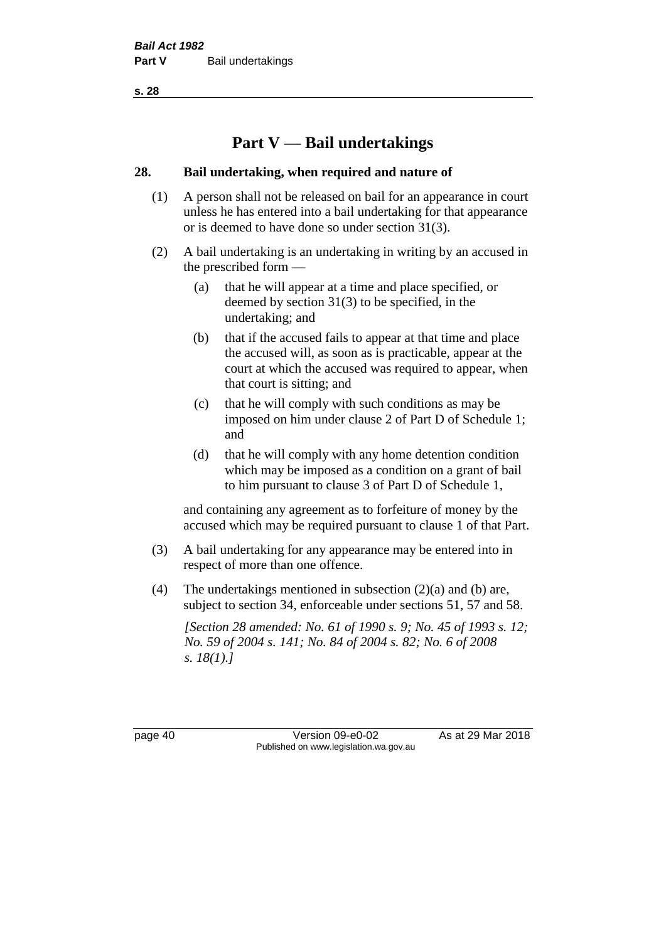# **Part V — Bail undertakings**

#### **28. Bail undertaking, when required and nature of**

- (1) A person shall not be released on bail for an appearance in court unless he has entered into a bail undertaking for that appearance or is deemed to have done so under section 31(3).
- (2) A bail undertaking is an undertaking in writing by an accused in the prescribed form —
	- (a) that he will appear at a time and place specified, or deemed by section 31(3) to be specified, in the undertaking; and
	- (b) that if the accused fails to appear at that time and place the accused will, as soon as is practicable, appear at the court at which the accused was required to appear, when that court is sitting; and
	- (c) that he will comply with such conditions as may be imposed on him under clause 2 of Part D of Schedule 1; and
	- (d) that he will comply with any home detention condition which may be imposed as a condition on a grant of bail to him pursuant to clause 3 of Part D of Schedule 1,

and containing any agreement as to forfeiture of money by the accused which may be required pursuant to clause 1 of that Part.

- (3) A bail undertaking for any appearance may be entered into in respect of more than one offence.
- (4) The undertakings mentioned in subsection (2)(a) and (b) are, subject to section 34, enforceable under sections 51, 57 and 58.

*[Section 28 amended: No. 61 of 1990 s. 9; No. 45 of 1993 s. 12; No. 59 of 2004 s. 141; No. 84 of 2004 s. 82; No. 6 of 2008 s. 18(1).]* 

page 40 Version 09-e0-02 As at 29 Mar 2018 Published on www.legislation.wa.gov.au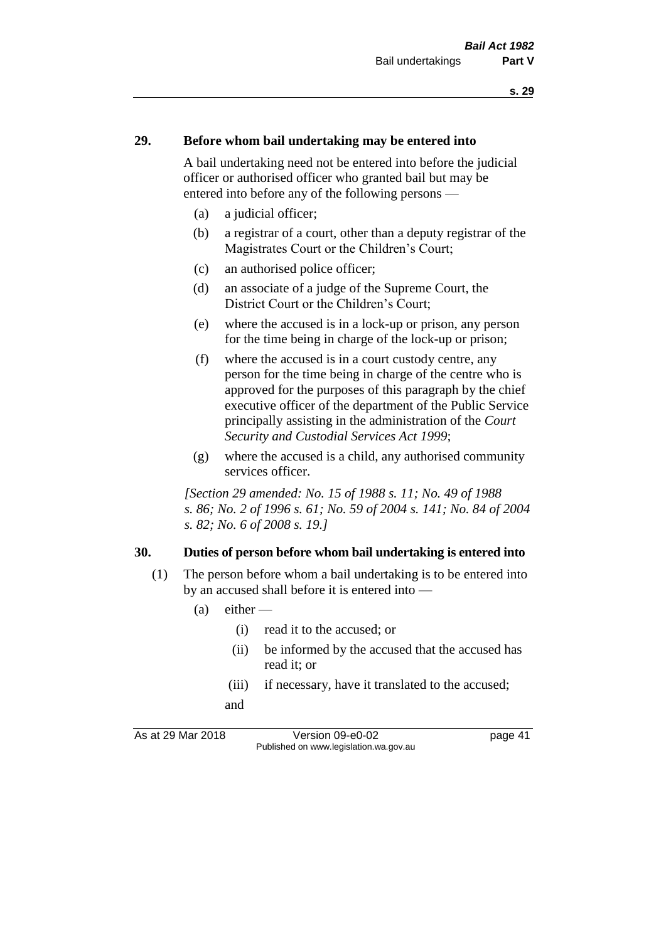#### **29. Before whom bail undertaking may be entered into**

A bail undertaking need not be entered into before the judicial officer or authorised officer who granted bail but may be entered into before any of the following persons —

- (a) a judicial officer;
- (b) a registrar of a court, other than a deputy registrar of the Magistrates Court or the Children's Court;
- (c) an authorised police officer;
- (d) an associate of a judge of the Supreme Court, the District Court or the Children's Court;
- (e) where the accused is in a lock-up or prison, any person for the time being in charge of the lock-up or prison;
- (f) where the accused is in a court custody centre, any person for the time being in charge of the centre who is approved for the purposes of this paragraph by the chief executive officer of the department of the Public Service principally assisting in the administration of the *Court Security and Custodial Services Act 1999*;
- (g) where the accused is a child, any authorised community services officer.

*[Section 29 amended: No. 15 of 1988 s. 11; No. 49 of 1988 s. 86; No. 2 of 1996 s. 61; No. 59 of 2004 s. 141; No. 84 of 2004 s. 82; No. 6 of 2008 s. 19.]* 

#### **30. Duties of person before whom bail undertaking is entered into**

- (1) The person before whom a bail undertaking is to be entered into by an accused shall before it is entered into —
	- $(a)$  either
		- (i) read it to the accused; or
		- (ii) be informed by the accused that the accused has read it; or
		- (iii) if necessary, have it translated to the accused; and

As at 29 Mar 2018 Version 09-e0-02 Page 41 Published on www.legislation.wa.gov.au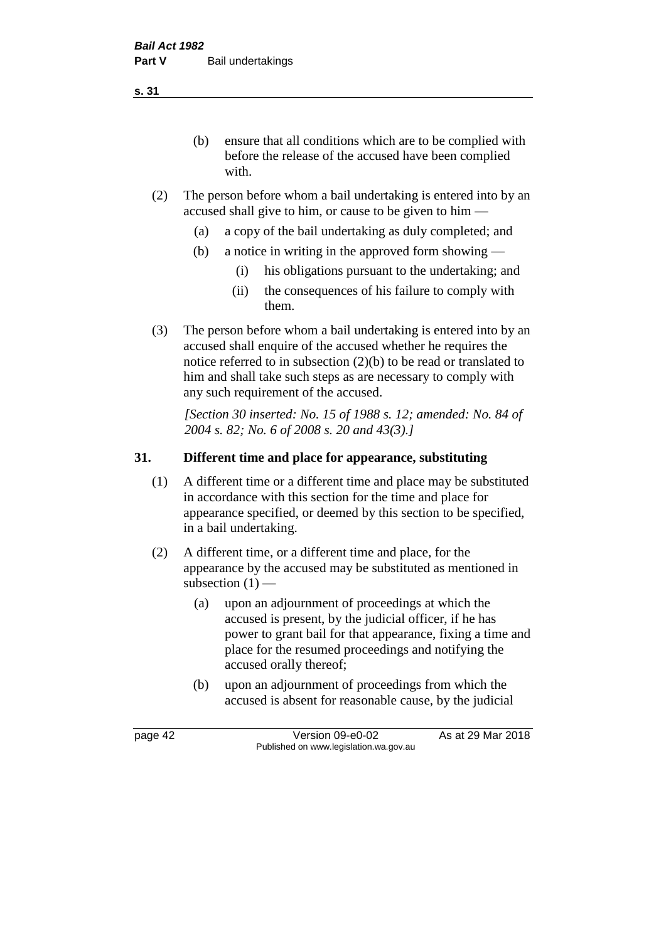(b) ensure that all conditions which are to be complied with before the release of the accused have been complied with.

- (2) The person before whom a bail undertaking is entered into by an accused shall give to him, or cause to be given to him —
	- (a) a copy of the bail undertaking as duly completed; and
	- (b) a notice in writing in the approved form showing
		- (i) his obligations pursuant to the undertaking; and
		- (ii) the consequences of his failure to comply with them.
- (3) The person before whom a bail undertaking is entered into by an accused shall enquire of the accused whether he requires the notice referred to in subsection (2)(b) to be read or translated to him and shall take such steps as are necessary to comply with any such requirement of the accused.

*[Section 30 inserted: No. 15 of 1988 s. 12; amended: No. 84 of 2004 s. 82; No. 6 of 2008 s. 20 and 43(3).]* 

## **31. Different time and place for appearance, substituting**

- (1) A different time or a different time and place may be substituted in accordance with this section for the time and place for appearance specified, or deemed by this section to be specified, in a bail undertaking.
- (2) A different time, or a different time and place, for the appearance by the accused may be substituted as mentioned in subsection  $(1)$  —
	- (a) upon an adjournment of proceedings at which the accused is present, by the judicial officer, if he has power to grant bail for that appearance, fixing a time and place for the resumed proceedings and notifying the accused orally thereof;
	- (b) upon an adjournment of proceedings from which the accused is absent for reasonable cause, by the judicial

page 42 Version 09-e0-02 As at 29 Mar 2018 Published on www.legislation.wa.gov.au

**s. 31**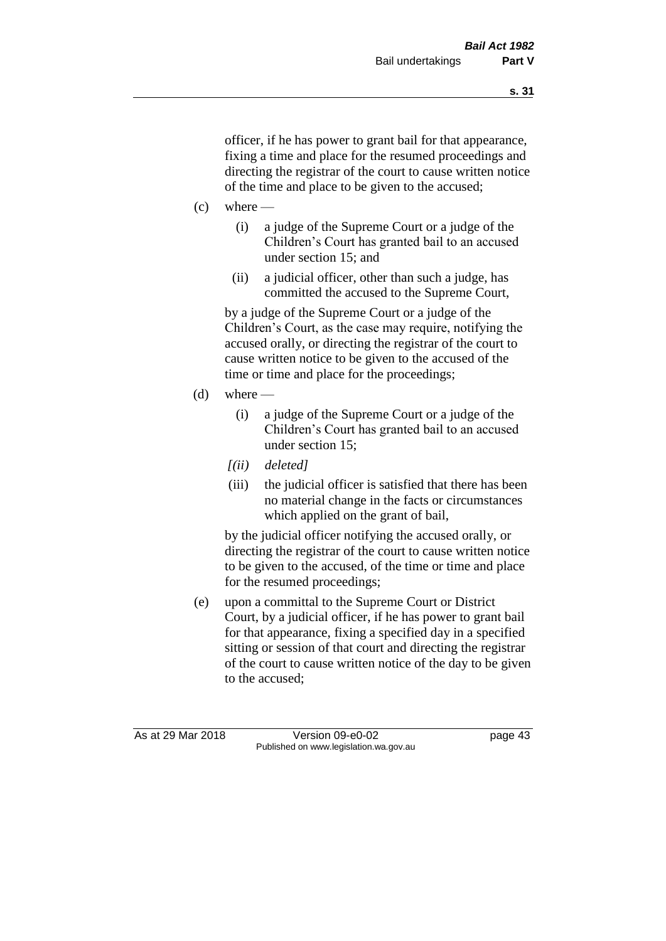officer, if he has power to grant bail for that appearance, fixing a time and place for the resumed proceedings and directing the registrar of the court to cause written notice of the time and place to be given to the accused;

- $(c)$  where
	- (i) a judge of the Supreme Court or a judge of the Children's Court has granted bail to an accused under section 15; and
	- (ii) a judicial officer, other than such a judge, has committed the accused to the Supreme Court,

by a judge of the Supreme Court or a judge of the Children's Court, as the case may require, notifying the accused orally, or directing the registrar of the court to cause written notice to be given to the accused of the time or time and place for the proceedings;

- (d) where  $-$ 
	- (i) a judge of the Supreme Court or a judge of the Children's Court has granted bail to an accused under section 15;
	- *[(ii) deleted]*
	- (iii) the judicial officer is satisfied that there has been no material change in the facts or circumstances which applied on the grant of bail,

by the judicial officer notifying the accused orally, or directing the registrar of the court to cause written notice to be given to the accused, of the time or time and place for the resumed proceedings;

(e) upon a committal to the Supreme Court or District Court, by a judicial officer, if he has power to grant bail for that appearance, fixing a specified day in a specified sitting or session of that court and directing the registrar of the court to cause written notice of the day to be given to the accused;

As at 29 Mar 2018 Version 09-e0-02 Page 43 Published on www.legislation.wa.gov.au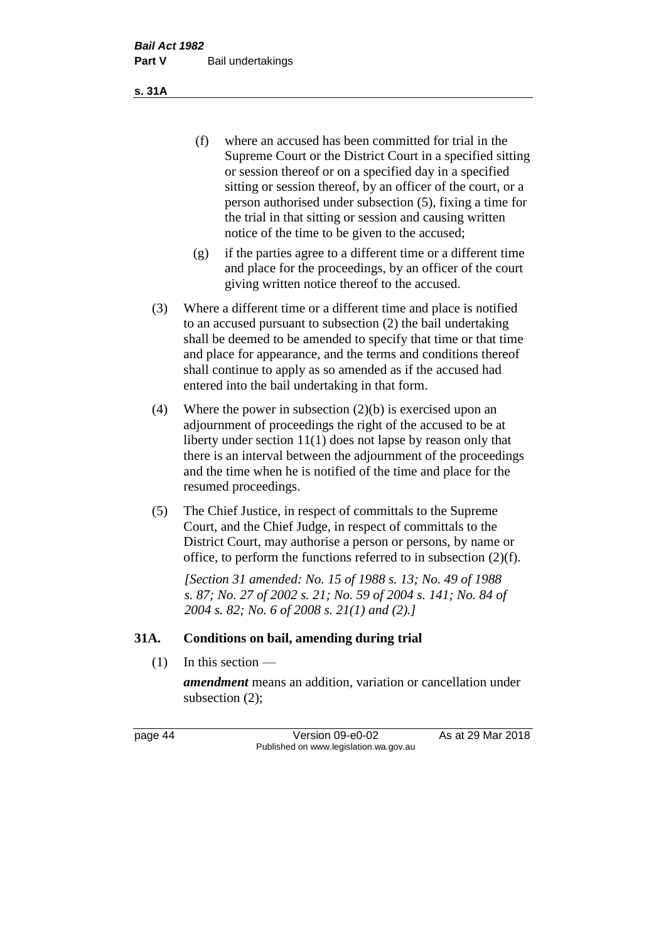(f) where an accused has been committed for trial in the Supreme Court or the District Court in a specified sitting or session thereof or on a specified day in a specified sitting or session thereof, by an officer of the court, or a person authorised under subsection (5), fixing a time for the trial in that sitting or session and causing written notice of the time to be given to the accused;

- (g) if the parties agree to a different time or a different time and place for the proceedings, by an officer of the court giving written notice thereof to the accused.
- (3) Where a different time or a different time and place is notified to an accused pursuant to subsection (2) the bail undertaking shall be deemed to be amended to specify that time or that time and place for appearance, and the terms and conditions thereof shall continue to apply as so amended as if the accused had entered into the bail undertaking in that form.
- (4) Where the power in subsection (2)(b) is exercised upon an adjournment of proceedings the right of the accused to be at liberty under section 11(1) does not lapse by reason only that there is an interval between the adjournment of the proceedings and the time when he is notified of the time and place for the resumed proceedings.
- (5) The Chief Justice, in respect of committals to the Supreme Court, and the Chief Judge, in respect of committals to the District Court, may authorise a person or persons, by name or office, to perform the functions referred to in subsection (2)(f).

*[Section 31 amended: No. 15 of 1988 s. 13; No. 49 of 1988 s. 87; No. 27 of 2002 s. 21; No. 59 of 2004 s. 141; No. 84 of 2004 s. 82; No. 6 of 2008 s. 21(1) and (2).]* 

#### **31A. Conditions on bail, amending during trial**

 $(1)$  In this section —

*amendment* means an addition, variation or cancellation under subsection (2);

page 44 Version 09-e0-02 As at 29 Mar 2018 Published on www.legislation.wa.gov.au

**s. 31A**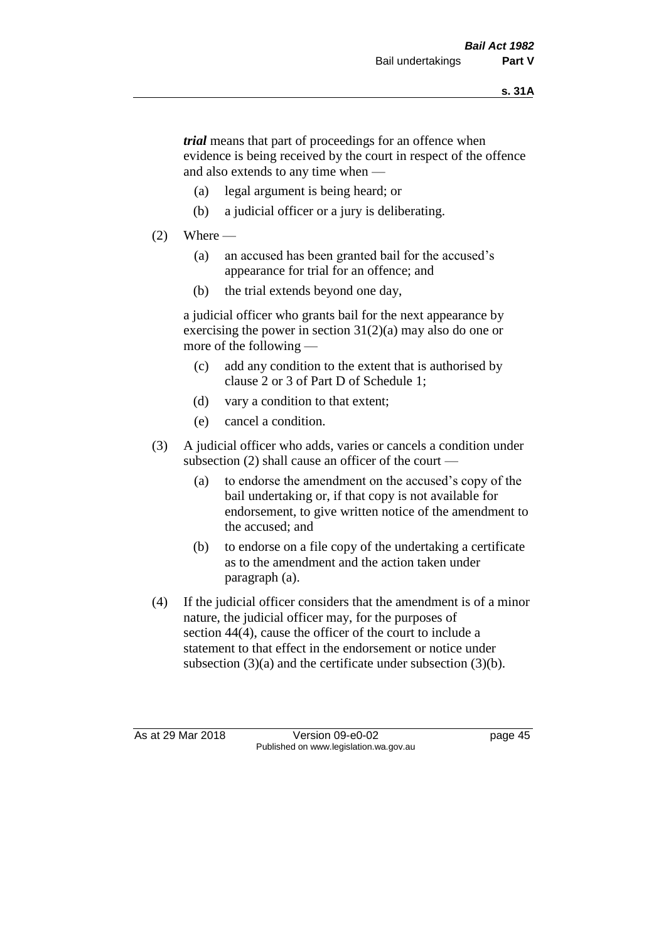*trial* means that part of proceedings for an offence when evidence is being received by the court in respect of the offence and also extends to any time when —

- (a) legal argument is being heard; or
- (b) a judicial officer or a jury is deliberating.

#### $(2)$  Where —

- (a) an accused has been granted bail for the accused's appearance for trial for an offence; and
- (b) the trial extends beyond one day,

a judicial officer who grants bail for the next appearance by exercising the power in section  $31(2)(a)$  may also do one or more of the following —

- (c) add any condition to the extent that is authorised by clause 2 or 3 of Part D of Schedule 1;
- (d) vary a condition to that extent;
- (e) cancel a condition.
- (3) A judicial officer who adds, varies or cancels a condition under subsection (2) shall cause an officer of the court —
	- (a) to endorse the amendment on the accused's copy of the bail undertaking or, if that copy is not available for endorsement, to give written notice of the amendment to the accused; and
	- (b) to endorse on a file copy of the undertaking a certificate as to the amendment and the action taken under paragraph (a).
- (4) If the judicial officer considers that the amendment is of a minor nature, the judicial officer may, for the purposes of section 44(4), cause the officer of the court to include a statement to that effect in the endorsement or notice under subsection (3)(a) and the certificate under subsection (3)(b).

As at 29 Mar 2018 Version 09-e0-02 Page 45 Published on www.legislation.wa.gov.au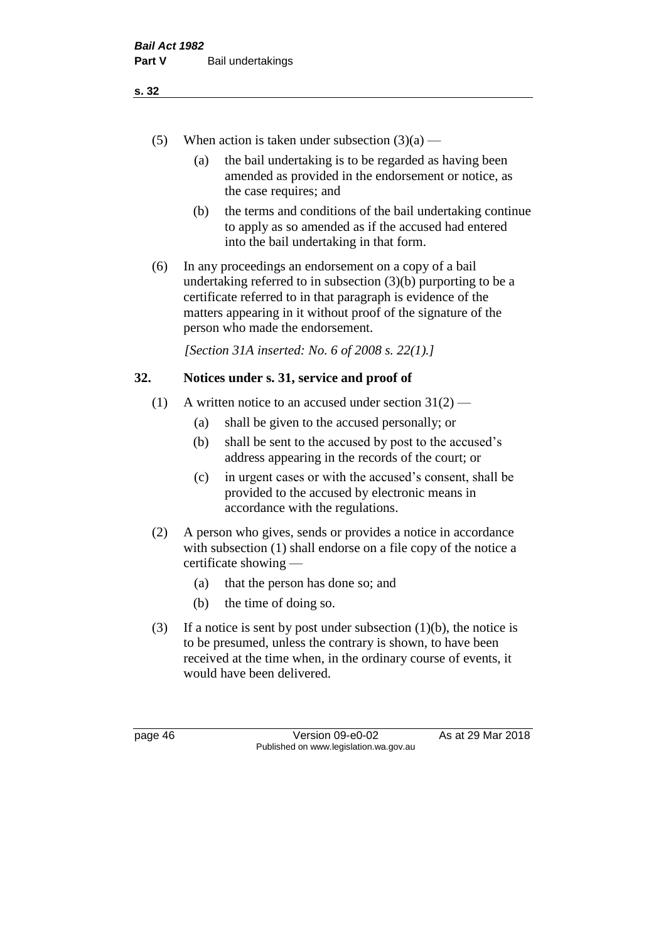- (5) When action is taken under subsection  $(3)(a)$ 
	- (a) the bail undertaking is to be regarded as having been amended as provided in the endorsement or notice, as the case requires; and
	- (b) the terms and conditions of the bail undertaking continue to apply as so amended as if the accused had entered into the bail undertaking in that form.
- (6) In any proceedings an endorsement on a copy of a bail undertaking referred to in subsection (3)(b) purporting to be a certificate referred to in that paragraph is evidence of the matters appearing in it without proof of the signature of the person who made the endorsement.

*[Section 31A inserted: No. 6 of 2008 s. 22(1).]*

#### **32. Notices under s. 31, service and proof of**

- (1) A written notice to an accused under section  $31(2)$ 
	- (a) shall be given to the accused personally; or
	- (b) shall be sent to the accused by post to the accused's address appearing in the records of the court; or
	- (c) in urgent cases or with the accused's consent, shall be provided to the accused by electronic means in accordance with the regulations.
- (2) A person who gives, sends or provides a notice in accordance with subsection (1) shall endorse on a file copy of the notice a certificate showing —
	- (a) that the person has done so; and
	- (b) the time of doing so.
- (3) If a notice is sent by post under subsection  $(1)(b)$ , the notice is to be presumed, unless the contrary is shown, to have been received at the time when, in the ordinary course of events, it would have been delivered.

page 46 Version 09-e0-02 As at 29 Mar 2018 Published on www.legislation.wa.gov.au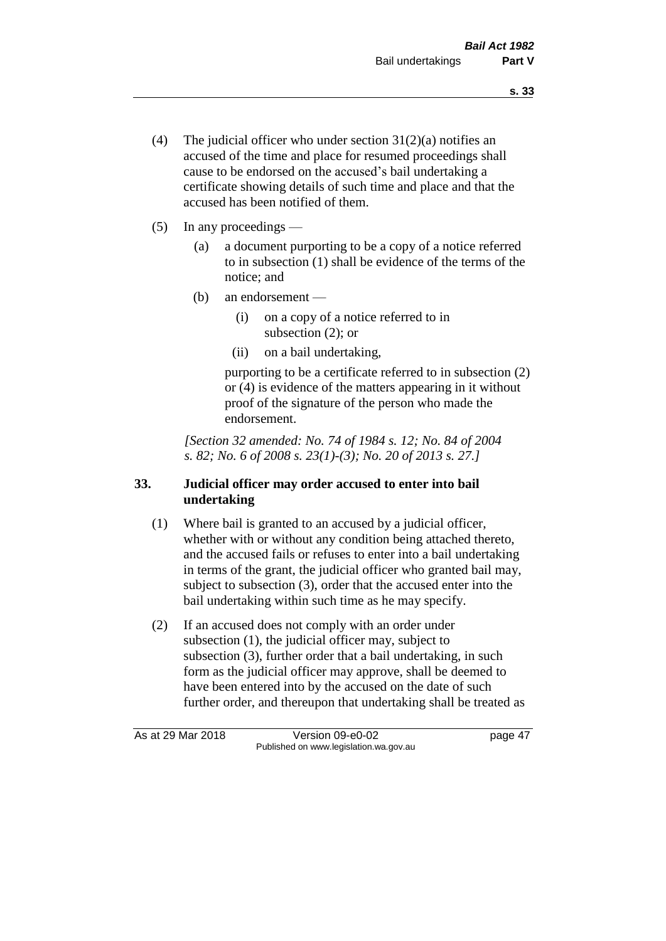- (4) The judicial officer who under section  $31(2)(a)$  notifies an accused of the time and place for resumed proceedings shall cause to be endorsed on the accused's bail undertaking a certificate showing details of such time and place and that the accused has been notified of them.
- (5) In any proceedings
	- (a) a document purporting to be a copy of a notice referred to in subsection (1) shall be evidence of the terms of the notice; and
	- (b) an endorsement
		- (i) on a copy of a notice referred to in subsection (2); or
		- (ii) on a bail undertaking,

purporting to be a certificate referred to in subsection (2) or (4) is evidence of the matters appearing in it without proof of the signature of the person who made the endorsement.

*[Section 32 amended: No. 74 of 1984 s. 12; No. 84 of 2004 s. 82; No. 6 of 2008 s. 23(1)-(3); No. 20 of 2013 s. 27.]* 

## **33. Judicial officer may order accused to enter into bail undertaking**

- (1) Where bail is granted to an accused by a judicial officer, whether with or without any condition being attached thereto, and the accused fails or refuses to enter into a bail undertaking in terms of the grant, the judicial officer who granted bail may, subject to subsection (3), order that the accused enter into the bail undertaking within such time as he may specify.
- (2) If an accused does not comply with an order under subsection (1), the judicial officer may, subject to subsection (3), further order that a bail undertaking, in such form as the judicial officer may approve, shall be deemed to have been entered into by the accused on the date of such further order, and thereupon that undertaking shall be treated as

As at 29 Mar 2018 Version 09-e0-02 Page 47 Published on www.legislation.wa.gov.au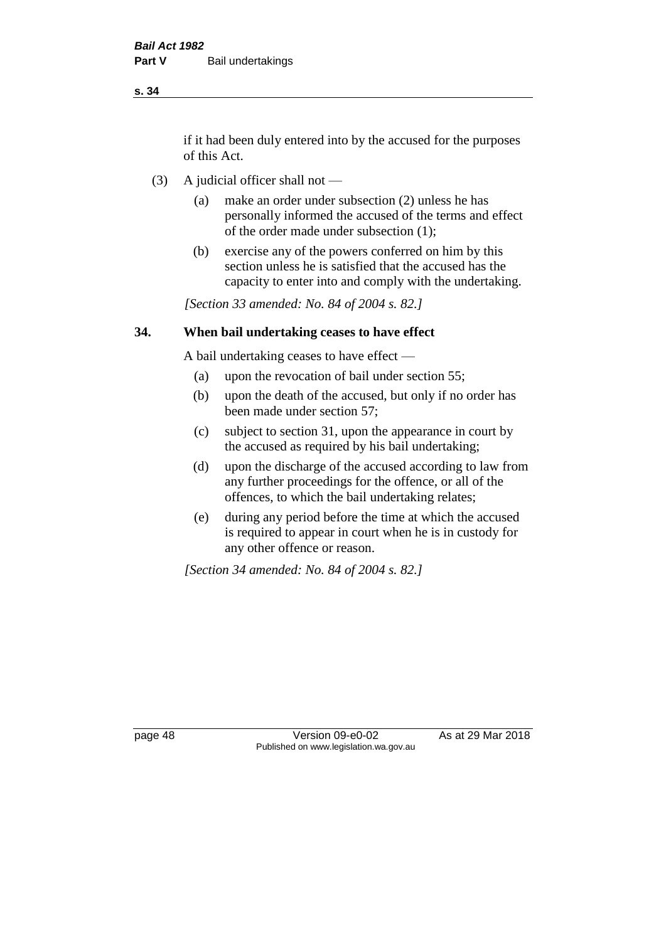if it had been duly entered into by the accused for the purposes of this Act.

- (3) A judicial officer shall not
	- (a) make an order under subsection (2) unless he has personally informed the accused of the terms and effect of the order made under subsection (1);
	- (b) exercise any of the powers conferred on him by this section unless he is satisfied that the accused has the capacity to enter into and comply with the undertaking.

*[Section 33 amended: No. 84 of 2004 s. 82.]* 

#### **34. When bail undertaking ceases to have effect**

A bail undertaking ceases to have effect —

- (a) upon the revocation of bail under section 55;
- (b) upon the death of the accused, but only if no order has been made under section 57;
- (c) subject to section 31, upon the appearance in court by the accused as required by his bail undertaking;
- (d) upon the discharge of the accused according to law from any further proceedings for the offence, or all of the offences, to which the bail undertaking relates;
- (e) during any period before the time at which the accused is required to appear in court when he is in custody for any other offence or reason.

*[Section 34 amended: No. 84 of 2004 s. 82.]* 

page 48 Version 09-e0-02 As at 29 Mar 2018 Published on www.legislation.wa.gov.au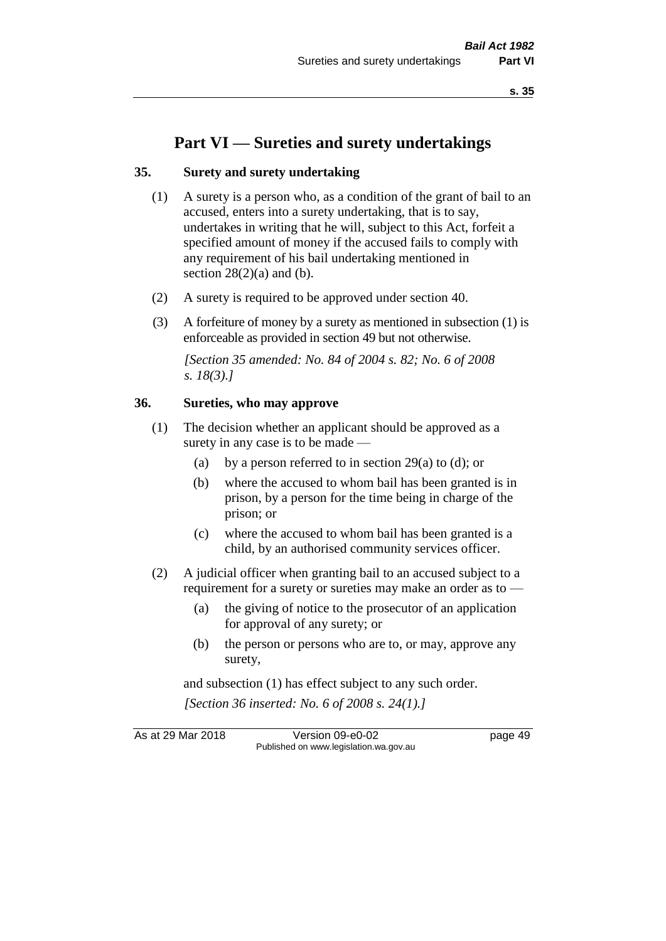# **Part VI — Sureties and surety undertakings**

#### **35. Surety and surety undertaking**

- (1) A surety is a person who, as a condition of the grant of bail to an accused, enters into a surety undertaking, that is to say, undertakes in writing that he will, subject to this Act, forfeit a specified amount of money if the accused fails to comply with any requirement of his bail undertaking mentioned in section  $28(2)(a)$  and (b).
- (2) A surety is required to be approved under section 40.
- (3) A forfeiture of money by a surety as mentioned in subsection (1) is enforceable as provided in section 49 but not otherwise.

*[Section 35 amended: No. 84 of 2004 s. 82; No. 6 of 2008 s. 18(3).]* 

#### **36. Sureties, who may approve**

- (1) The decision whether an applicant should be approved as a surety in any case is to be made —
	- (a) by a person referred to in section 29(a) to (d); or
	- (b) where the accused to whom bail has been granted is in prison, by a person for the time being in charge of the prison; or
	- (c) where the accused to whom bail has been granted is a child, by an authorised community services officer.
- (2) A judicial officer when granting bail to an accused subject to a requirement for a surety or sureties may make an order as to -
	- (a) the giving of notice to the prosecutor of an application for approval of any surety; or
	- (b) the person or persons who are to, or may, approve any surety,

and subsection (1) has effect subject to any such order. *[Section 36 inserted: No. 6 of 2008 s. 24(1).]*

As at 29 Mar 2018 **Version 09-e0-02** page 49 Published on www.legislation.wa.gov.au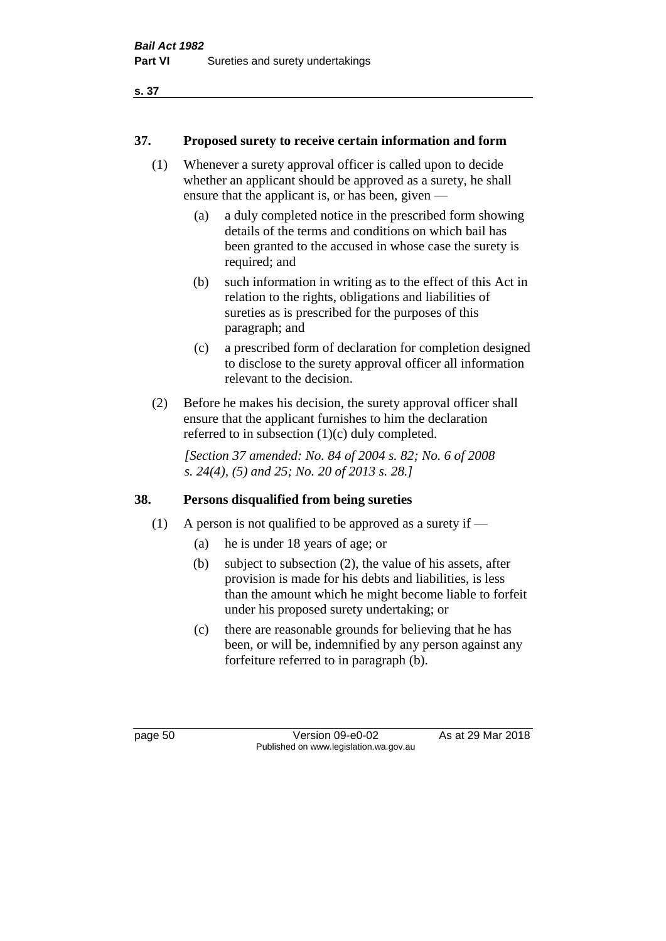#### **37. Proposed surety to receive certain information and form**

- (1) Whenever a surety approval officer is called upon to decide whether an applicant should be approved as a surety, he shall ensure that the applicant is, or has been, given —
	- (a) a duly completed notice in the prescribed form showing details of the terms and conditions on which bail has been granted to the accused in whose case the surety is required; and
	- (b) such information in writing as to the effect of this Act in relation to the rights, obligations and liabilities of sureties as is prescribed for the purposes of this paragraph; and
	- (c) a prescribed form of declaration for completion designed to disclose to the surety approval officer all information relevant to the decision.
- (2) Before he makes his decision, the surety approval officer shall ensure that the applicant furnishes to him the declaration referred to in subsection (1)(c) duly completed.

*[Section 37 amended: No. 84 of 2004 s. 82; No. 6 of 2008 s. 24(4), (5) and 25; No. 20 of 2013 s. 28.]* 

## **38. Persons disqualified from being sureties**

- (1) A person is not qualified to be approved as a surety if  $-$ 
	- (a) he is under 18 years of age; or
	- (b) subject to subsection (2), the value of his assets, after provision is made for his debts and liabilities, is less than the amount which he might become liable to forfeit under his proposed surety undertaking; or
	- (c) there are reasonable grounds for believing that he has been, or will be, indemnified by any person against any forfeiture referred to in paragraph (b).

page 50 Version 09-e0-02 As at 29 Mar 2018 Published on www.legislation.wa.gov.au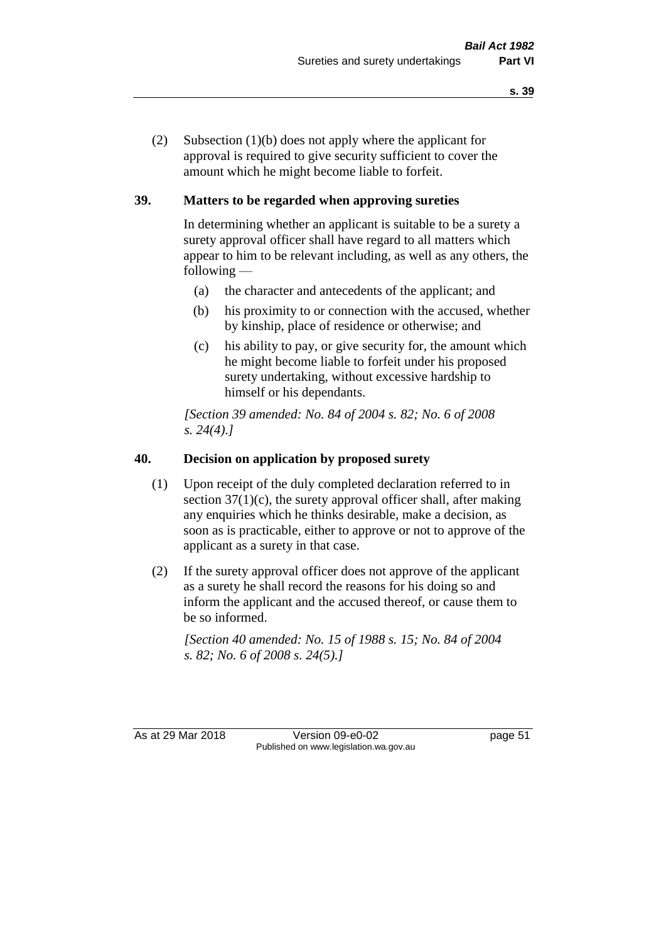(2) Subsection (1)(b) does not apply where the applicant for approval is required to give security sufficient to cover the amount which he might become liable to forfeit.

#### **39. Matters to be regarded when approving sureties**

In determining whether an applicant is suitable to be a surety a surety approval officer shall have regard to all matters which appear to him to be relevant including, as well as any others, the following —

- (a) the character and antecedents of the applicant; and
- (b) his proximity to or connection with the accused, whether by kinship, place of residence or otherwise; and
- (c) his ability to pay, or give security for, the amount which he might become liable to forfeit under his proposed surety undertaking, without excessive hardship to himself or his dependants.

*[Section 39 amended: No. 84 of 2004 s. 82; No. 6 of 2008 s. 24(4).]* 

#### **40. Decision on application by proposed surety**

- (1) Upon receipt of the duly completed declaration referred to in section  $37(1)(c)$ , the surety approval officer shall, after making any enquiries which he thinks desirable, make a decision, as soon as is practicable, either to approve or not to approve of the applicant as a surety in that case.
- (2) If the surety approval officer does not approve of the applicant as a surety he shall record the reasons for his doing so and inform the applicant and the accused thereof, or cause them to be so informed.

*[Section 40 amended: No. 15 of 1988 s. 15; No. 84 of 2004 s. 82; No. 6 of 2008 s. 24(5).]* 

As at 29 Mar 2018 Version 09-e0-02 Page 51 Published on www.legislation.wa.gov.au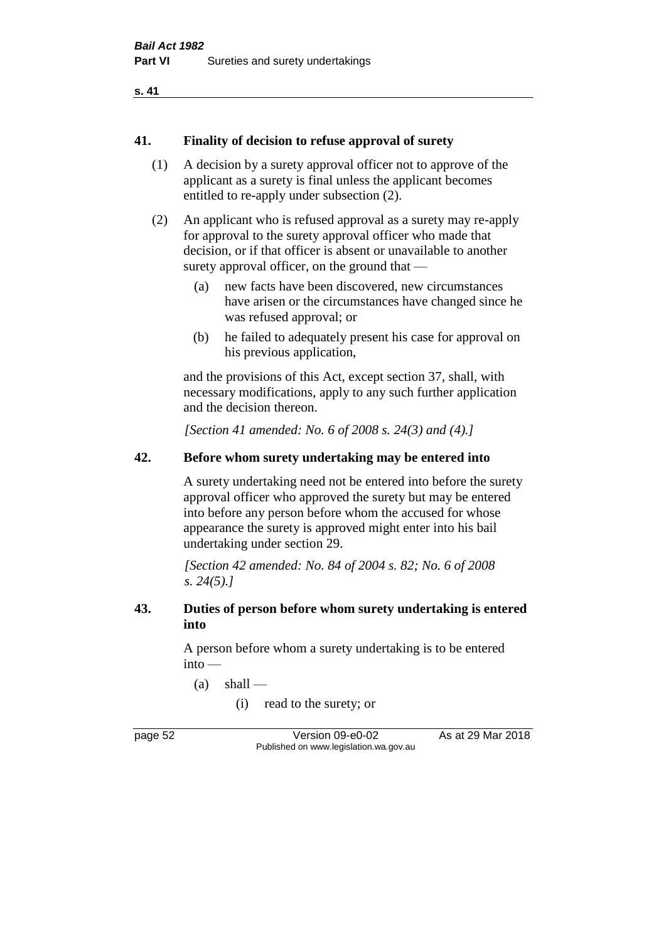#### **41. Finality of decision to refuse approval of surety**

- (1) A decision by a surety approval officer not to approve of the applicant as a surety is final unless the applicant becomes entitled to re-apply under subsection (2).
- (2) An applicant who is refused approval as a surety may re-apply for approval to the surety approval officer who made that decision, or if that officer is absent or unavailable to another surety approval officer, on the ground that —
	- (a) new facts have been discovered, new circumstances have arisen or the circumstances have changed since he was refused approval; or
	- (b) he failed to adequately present his case for approval on his previous application,

and the provisions of this Act, except section 37, shall, with necessary modifications, apply to any such further application and the decision thereon.

*[Section 41 amended: No. 6 of 2008 s. 24(3) and (4).]*

#### **42. Before whom surety undertaking may be entered into**

A surety undertaking need not be entered into before the surety approval officer who approved the surety but may be entered into before any person before whom the accused for whose appearance the surety is approved might enter into his bail undertaking under section 29.

*[Section 42 amended: No. 84 of 2004 s. 82; No. 6 of 2008 s. 24(5).]* 

#### **43. Duties of person before whom surety undertaking is entered into**

A person before whom a surety undertaking is to be entered into —

 $(a)$  shall —

(i) read to the surety; or

page 52 Version 09-e0-02 As at 29 Mar 2018 Published on www.legislation.wa.gov.au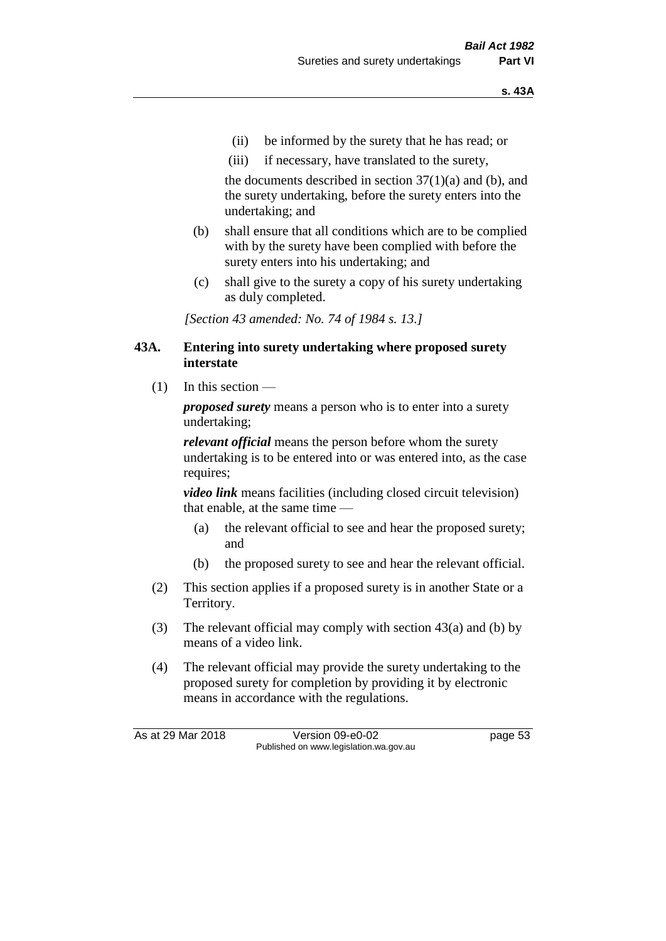- (ii) be informed by the surety that he has read; or
- (iii) if necessary, have translated to the surety,

the documents described in section  $37(1)(a)$  and (b), and the surety undertaking, before the surety enters into the undertaking; and

- (b) shall ensure that all conditions which are to be complied with by the surety have been complied with before the surety enters into his undertaking; and
- (c) shall give to the surety a copy of his surety undertaking as duly completed.

*[Section 43 amended: No. 74 of 1984 s. 13.]* 

#### **43A. Entering into surety undertaking where proposed surety interstate**

(1) In this section —

*proposed surety* means a person who is to enter into a surety undertaking;

*relevant official* means the person before whom the surety undertaking is to be entered into or was entered into, as the case requires;

*video link* means facilities (including closed circuit television) that enable, at the same time —

- (a) the relevant official to see and hear the proposed surety; and
- (b) the proposed surety to see and hear the relevant official.
- (2) This section applies if a proposed surety is in another State or a Territory.
- (3) The relevant official may comply with section 43(a) and (b) by means of a video link.
- (4) The relevant official may provide the surety undertaking to the proposed surety for completion by providing it by electronic means in accordance with the regulations.

As at 29 Mar 2018 **Version 09-e0-02** page 53 Published on www.legislation.wa.gov.au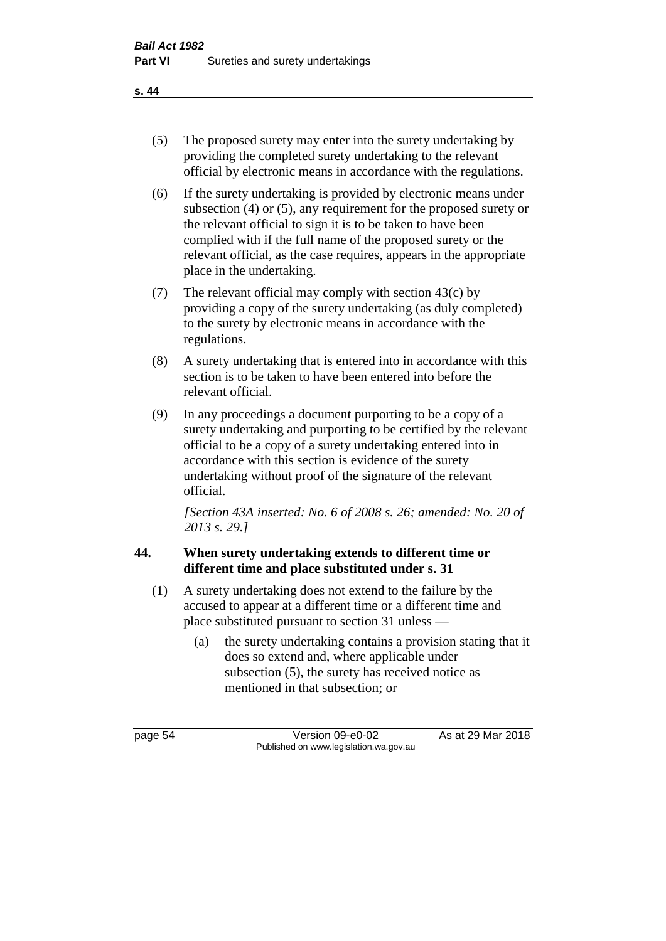- (5) The proposed surety may enter into the surety undertaking by providing the completed surety undertaking to the relevant official by electronic means in accordance with the regulations.
- (6) If the surety undertaking is provided by electronic means under subsection (4) or (5), any requirement for the proposed surety or the relevant official to sign it is to be taken to have been complied with if the full name of the proposed surety or the relevant official, as the case requires, appears in the appropriate place in the undertaking.
- (7) The relevant official may comply with section 43(c) by providing a copy of the surety undertaking (as duly completed) to the surety by electronic means in accordance with the regulations.
- (8) A surety undertaking that is entered into in accordance with this section is to be taken to have been entered into before the relevant official.
- (9) In any proceedings a document purporting to be a copy of a surety undertaking and purporting to be certified by the relevant official to be a copy of a surety undertaking entered into in accordance with this section is evidence of the surety undertaking without proof of the signature of the relevant official.

*[Section 43A inserted: No. 6 of 2008 s. 26; amended: No. 20 of 2013 s. 29.]*

## **44. When surety undertaking extends to different time or different time and place substituted under s. 31**

- (1) A surety undertaking does not extend to the failure by the accused to appear at a different time or a different time and place substituted pursuant to section 31 unless —
	- (a) the surety undertaking contains a provision stating that it does so extend and, where applicable under subsection (5), the surety has received notice as mentioned in that subsection; or

page 54 Version 09-e0-02 As at 29 Mar 2018 Published on www.legislation.wa.gov.au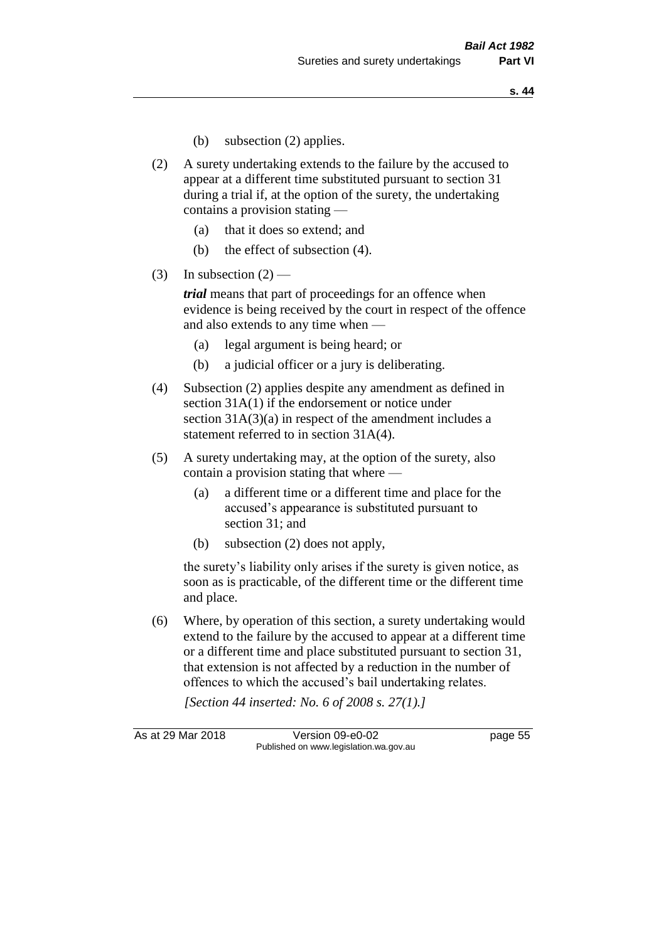- (b) subsection (2) applies.
- (2) A surety undertaking extends to the failure by the accused to appear at a different time substituted pursuant to section 31 during a trial if, at the option of the surety, the undertaking contains a provision stating —
	- (a) that it does so extend; and
	- (b) the effect of subsection (4).
- (3) In subsection  $(2)$  —

*trial* means that part of proceedings for an offence when evidence is being received by the court in respect of the offence and also extends to any time when —

- (a) legal argument is being heard; or
- (b) a judicial officer or a jury is deliberating.
- (4) Subsection (2) applies despite any amendment as defined in section 31A(1) if the endorsement or notice under section 31A(3)(a) in respect of the amendment includes a statement referred to in section 31A(4).
- (5) A surety undertaking may, at the option of the surety, also contain a provision stating that where —
	- (a) a different time or a different time and place for the accused's appearance is substituted pursuant to section 31; and
	- (b) subsection (2) does not apply,

the surety's liability only arises if the surety is given notice, as soon as is practicable, of the different time or the different time and place.

(6) Where, by operation of this section, a surety undertaking would extend to the failure by the accused to appear at a different time or a different time and place substituted pursuant to section 31, that extension is not affected by a reduction in the number of offences to which the accused's bail undertaking relates.

*[Section 44 inserted: No. 6 of 2008 s. 27(1).]*

As at 29 Mar 2018 **Version 09-e0-02 page 55** Published on www.legislation.wa.gov.au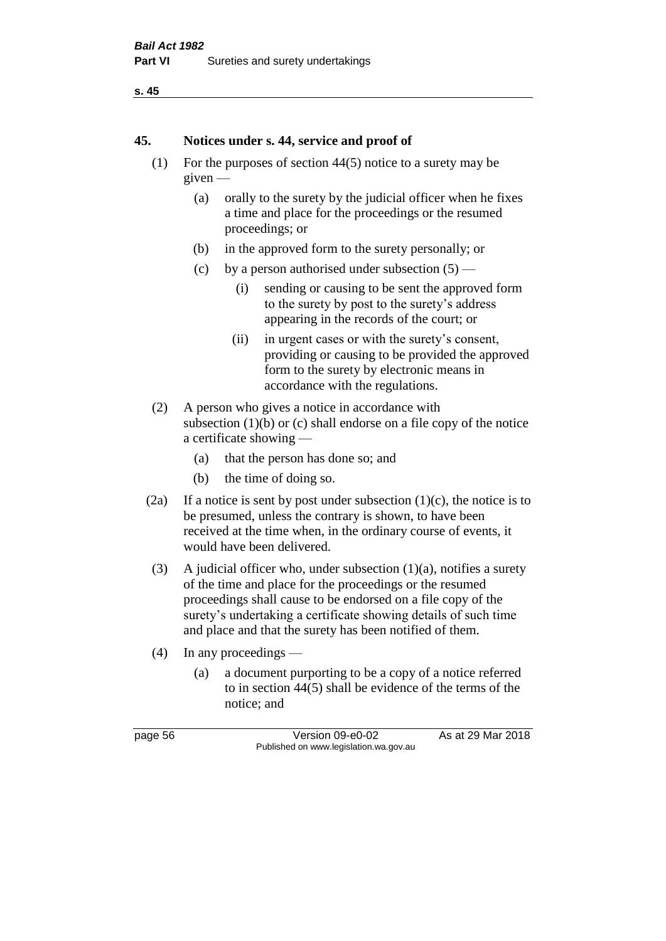```
s. 45
```
#### **45. Notices under s. 44, service and proof of**

- (1) For the purposes of section 44(5) notice to a surety may be given —
	- (a) orally to the surety by the judicial officer when he fixes a time and place for the proceedings or the resumed proceedings; or
	- (b) in the approved form to the surety personally; or
	- (c) by a person authorised under subsection  $(5)$ 
		- (i) sending or causing to be sent the approved form to the surety by post to the surety's address appearing in the records of the court; or
		- (ii) in urgent cases or with the surety's consent, providing or causing to be provided the approved form to the surety by electronic means in accordance with the regulations.
- (2) A person who gives a notice in accordance with subsection  $(1)(b)$  or  $(c)$  shall endorse on a file copy of the notice a certificate showing —
	- (a) that the person has done so; and
	- (b) the time of doing so.
- (2a) If a notice is sent by post under subsection  $(1)(c)$ , the notice is to be presumed, unless the contrary is shown, to have been received at the time when, in the ordinary course of events, it would have been delivered.
- (3) A judicial officer who, under subsection  $(1)(a)$ , notifies a surety of the time and place for the proceedings or the resumed proceedings shall cause to be endorsed on a file copy of the surety's undertaking a certificate showing details of such time and place and that the surety has been notified of them.
- (4) In any proceedings
	- (a) a document purporting to be a copy of a notice referred to in section 44(5) shall be evidence of the terms of the notice; and

page 56 Version 09-e0-02 As at 29 Mar 2018 Published on www.legislation.wa.gov.au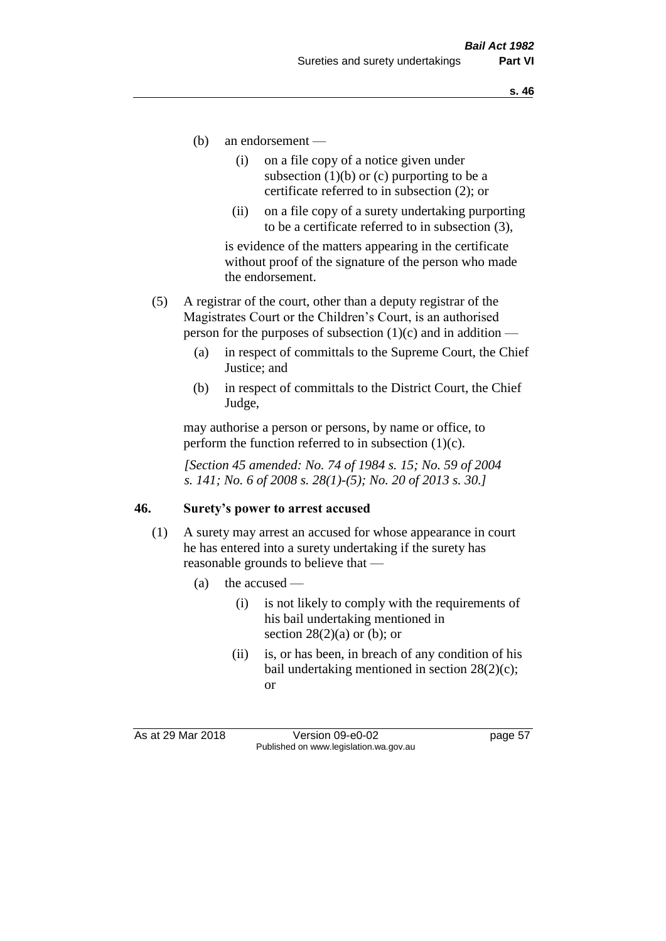- (b) an endorsement
	- (i) on a file copy of a notice given under subsection  $(1)(b)$  or  $(c)$  purporting to be a certificate referred to in subsection (2); or
	- (ii) on a file copy of a surety undertaking purporting to be a certificate referred to in subsection (3),

is evidence of the matters appearing in the certificate without proof of the signature of the person who made the endorsement.

- (5) A registrar of the court, other than a deputy registrar of the Magistrates Court or the Children's Court, is an authorised person for the purposes of subsection  $(1)(c)$  and in addition —
	- (a) in respect of committals to the Supreme Court, the Chief Justice; and
	- (b) in respect of committals to the District Court, the Chief Judge,

may authorise a person or persons, by name or office, to perform the function referred to in subsection  $(1)(c)$ .

*[Section 45 amended: No. 74 of 1984 s. 15; No. 59 of 2004 s. 141; No. 6 of 2008 s. 28(1)-(5); No. 20 of 2013 s. 30.]* 

#### **46. Surety's power to arrest accused**

- (1) A surety may arrest an accused for whose appearance in court he has entered into a surety undertaking if the surety has reasonable grounds to believe that —
	- (a) the accused
		- (i) is not likely to comply with the requirements of his bail undertaking mentioned in section  $28(2)(a)$  or (b); or
		- (ii) is, or has been, in breach of any condition of his bail undertaking mentioned in section 28(2)(c); or

As at 29 Mar 2018 Version 09-e0-02 Page 57 Published on www.legislation.wa.gov.au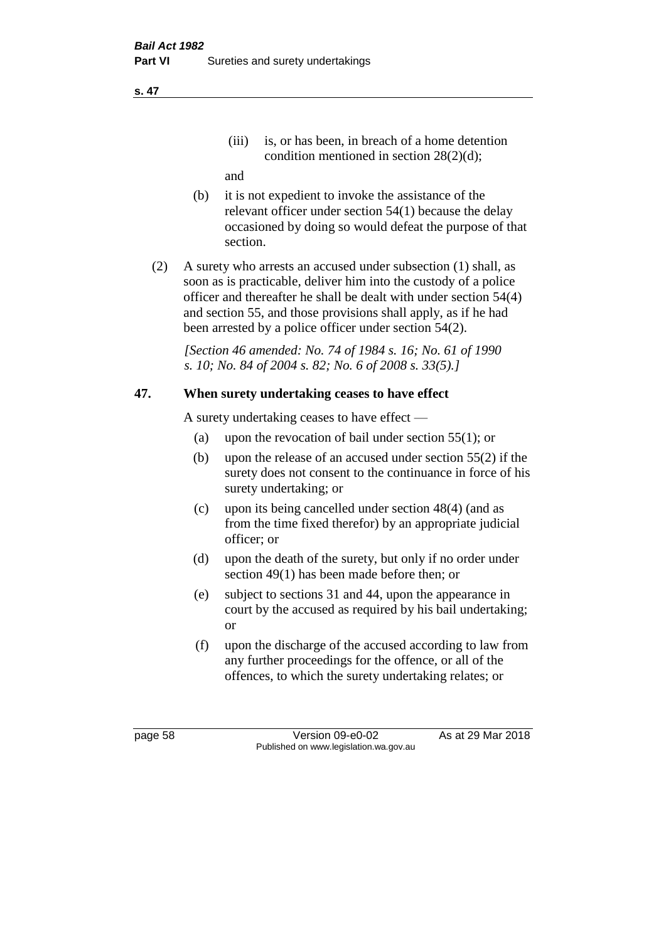(iii) is, or has been, in breach of a home detention condition mentioned in section 28(2)(d);

and

- (b) it is not expedient to invoke the assistance of the relevant officer under section 54(1) because the delay occasioned by doing so would defeat the purpose of that section.
- (2) A surety who arrests an accused under subsection (1) shall, as soon as is practicable, deliver him into the custody of a police officer and thereafter he shall be dealt with under section 54(4) and section 55, and those provisions shall apply, as if he had been arrested by a police officer under section 54(2).

*[Section 46 amended: No. 74 of 1984 s. 16; No. 61 of 1990 s. 10; No. 84 of 2004 s. 82; No. 6 of 2008 s. 33(5).]* 

## **47. When surety undertaking ceases to have effect**

A surety undertaking ceases to have effect —

- (a) upon the revocation of bail under section 55(1); or
- (b) upon the release of an accused under section 55(2) if the surety does not consent to the continuance in force of his surety undertaking; or
- (c) upon its being cancelled under section 48(4) (and as from the time fixed therefor) by an appropriate judicial officer; or
- (d) upon the death of the surety, but only if no order under section 49(1) has been made before then; or
- (e) subject to sections 31 and 44, upon the appearance in court by the accused as required by his bail undertaking; or
- (f) upon the discharge of the accused according to law from any further proceedings for the offence, or all of the offences, to which the surety undertaking relates; or

page 58 Version 09-e0-02 As at 29 Mar 2018 Published on www.legislation.wa.gov.au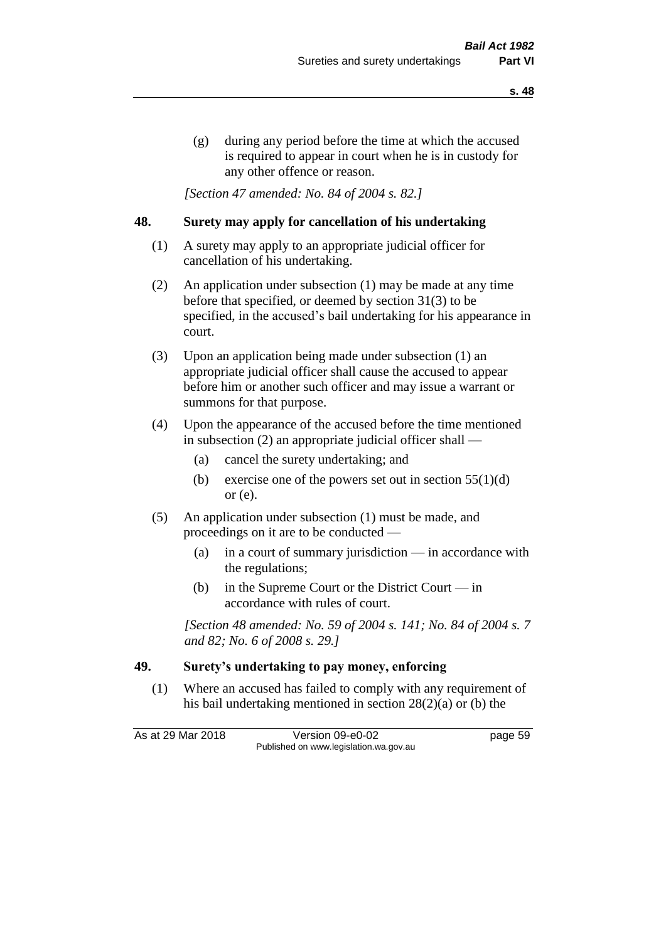(g) during any period before the time at which the accused is required to appear in court when he is in custody for any other offence or reason.

*[Section 47 amended: No. 84 of 2004 s. 82.]* 

#### **48. Surety may apply for cancellation of his undertaking**

- (1) A surety may apply to an appropriate judicial officer for cancellation of his undertaking.
- (2) An application under subsection (1) may be made at any time before that specified, or deemed by section 31(3) to be specified, in the accused's bail undertaking for his appearance in court.
- (3) Upon an application being made under subsection (1) an appropriate judicial officer shall cause the accused to appear before him or another such officer and may issue a warrant or summons for that purpose.
- (4) Upon the appearance of the accused before the time mentioned in subsection (2) an appropriate judicial officer shall —
	- (a) cancel the surety undertaking; and
	- (b) exercise one of the powers set out in section  $55(1)(d)$ or (e).
- (5) An application under subsection (1) must be made, and proceedings on it are to be conducted —
	- (a) in a court of summary jurisdiction in accordance with the regulations;
	- (b) in the Supreme Court or the District Court  $-\text{in}$ accordance with rules of court.

*[Section 48 amended: No. 59 of 2004 s. 141; No. 84 of 2004 s. 7 and 82; No. 6 of 2008 s. 29.]* 

#### **49. Surety's undertaking to pay money, enforcing**

(1) Where an accused has failed to comply with any requirement of his bail undertaking mentioned in section 28(2)(a) or (b) the

As at 29 Mar 2018 Version 09-e0-02 Page 59 Published on www.legislation.wa.gov.au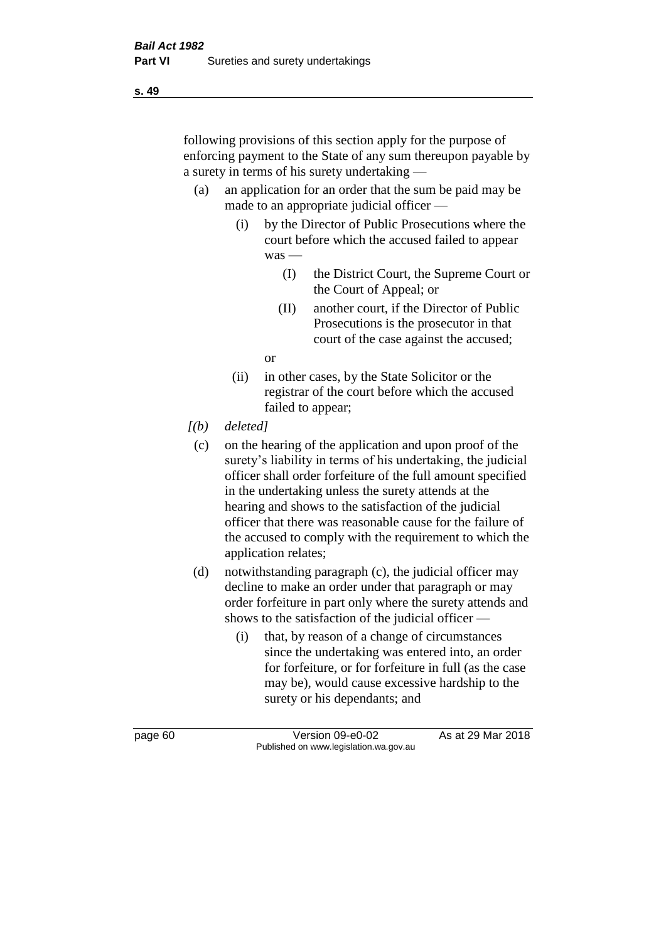following provisions of this section apply for the purpose of enforcing payment to the State of any sum thereupon payable by a surety in terms of his surety undertaking —

- (a) an application for an order that the sum be paid may be made to an appropriate judicial officer —
	- (i) by the Director of Public Prosecutions where the court before which the accused failed to appear was —
		- (I) the District Court, the Supreme Court or the Court of Appeal; or
		- (II) another court, if the Director of Public Prosecutions is the prosecutor in that court of the case against the accused;

or

- (ii) in other cases, by the State Solicitor or the registrar of the court before which the accused failed to appear;
- *[(b) deleted]*
	- (c) on the hearing of the application and upon proof of the surety's liability in terms of his undertaking, the judicial officer shall order forfeiture of the full amount specified in the undertaking unless the surety attends at the hearing and shows to the satisfaction of the judicial officer that there was reasonable cause for the failure of the accused to comply with the requirement to which the application relates;
- (d) notwithstanding paragraph (c), the judicial officer may decline to make an order under that paragraph or may order forfeiture in part only where the surety attends and shows to the satisfaction of the judicial officer —
	- (i) that, by reason of a change of circumstances since the undertaking was entered into, an order for forfeiture, or for forfeiture in full (as the case may be), would cause excessive hardship to the surety or his dependants; and

**s. 49**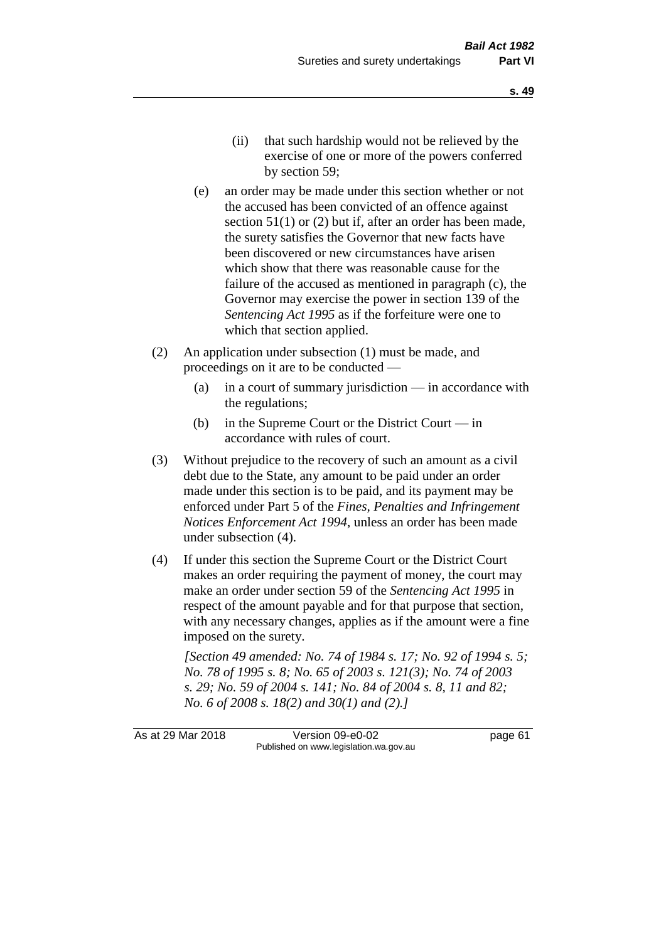- (ii) that such hardship would not be relieved by the exercise of one or more of the powers conferred by section 59;
- (e) an order may be made under this section whether or not the accused has been convicted of an offence against section 51(1) or (2) but if, after an order has been made, the surety satisfies the Governor that new facts have been discovered or new circumstances have arisen which show that there was reasonable cause for the failure of the accused as mentioned in paragraph (c), the Governor may exercise the power in section 139 of the *Sentencing Act 1995* as if the forfeiture were one to which that section applied.
- (2) An application under subsection (1) must be made, and proceedings on it are to be conducted —
	- (a) in a court of summary jurisdiction in accordance with the regulations;
	- (b) in the Supreme Court or the District Court  $-\text{in}$ accordance with rules of court.
- (3) Without prejudice to the recovery of such an amount as a civil debt due to the State, any amount to be paid under an order made under this section is to be paid, and its payment may be enforced under Part 5 of the *Fines, Penalties and Infringement Notices Enforcement Act 1994*, unless an order has been made under subsection (4).
- (4) If under this section the Supreme Court or the District Court makes an order requiring the payment of money, the court may make an order under section 59 of the *Sentencing Act 1995* in respect of the amount payable and for that purpose that section, with any necessary changes, applies as if the amount were a fine imposed on the surety.

*[Section 49 amended: No. 74 of 1984 s. 17; No. 92 of 1994 s. 5; No. 78 of 1995 s. 8; No. 65 of 2003 s. 121(3); No. 74 of 2003 s. 29; No. 59 of 2004 s. 141; No. 84 of 2004 s. 8, 11 and 82; No. 6 of 2008 s. 18(2) and 30(1) and (2).]* 

As at 29 Mar 2018 Version 09-e0-02 Page 61 Published on www.legislation.wa.gov.au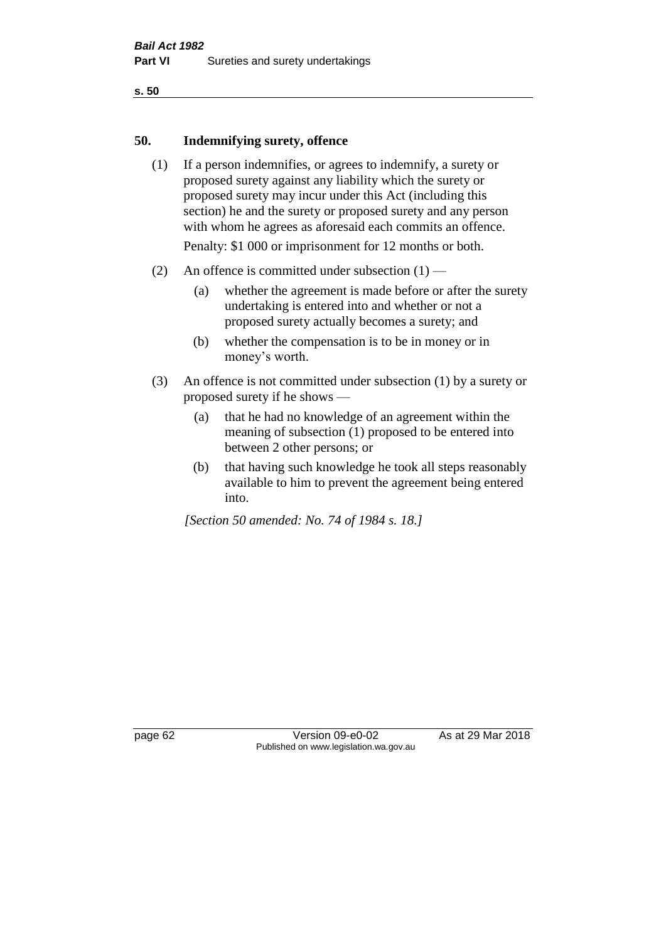#### **50. Indemnifying surety, offence**

- (1) If a person indemnifies, or agrees to indemnify, a surety or proposed surety against any liability which the surety or proposed surety may incur under this Act (including this section) he and the surety or proposed surety and any person with whom he agrees as aforesaid each commits an offence. Penalty: \$1 000 or imprisonment for 12 months or both.
- (2) An offence is committed under subsection  $(1)$ 
	- (a) whether the agreement is made before or after the surety undertaking is entered into and whether or not a proposed surety actually becomes a surety; and
	- (b) whether the compensation is to be in money or in money's worth.
- (3) An offence is not committed under subsection (1) by a surety or proposed surety if he shows —
	- (a) that he had no knowledge of an agreement within the meaning of subsection (1) proposed to be entered into between 2 other persons; or
	- (b) that having such knowledge he took all steps reasonably available to him to prevent the agreement being entered into.

*[Section 50 amended: No. 74 of 1984 s. 18.]* 

page 62 Version 09-e0-02 As at 29 Mar 2018 Published on www.legislation.wa.gov.au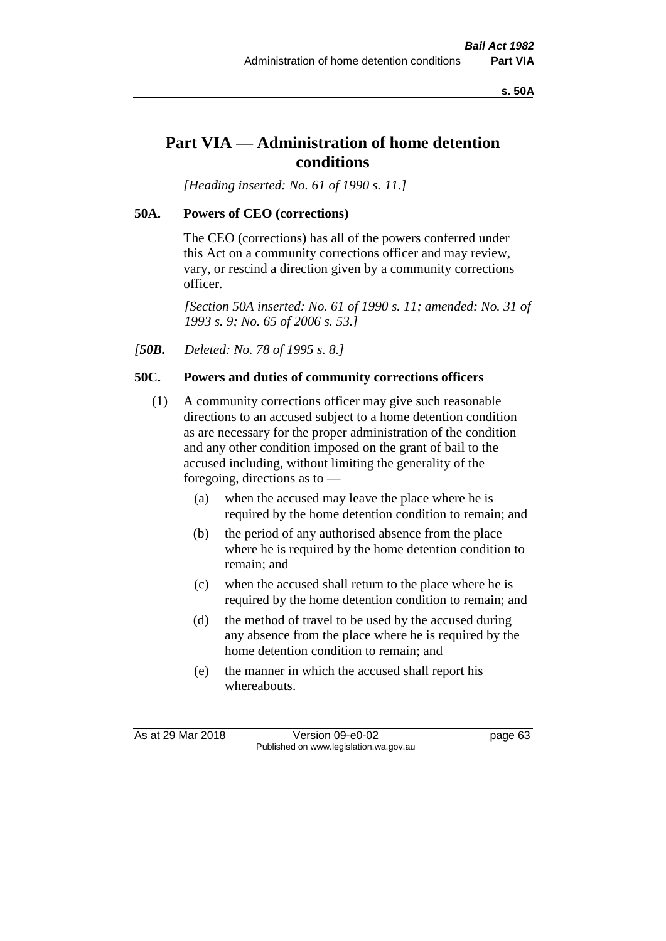**s. 50A**

# **Part VIA — Administration of home detention conditions**

*[Heading inserted: No. 61 of 1990 s. 11.]* 

# **50A. Powers of CEO (corrections)**

The CEO (corrections) has all of the powers conferred under this Act on a community corrections officer and may review, vary, or rescind a direction given by a community corrections officer.

*[Section 50A inserted: No. 61 of 1990 s. 11; amended: No. 31 of 1993 s. 9; No. 65 of 2006 s. 53.]* 

*[50B. Deleted: No. 78 of 1995 s. 8.]* 

# **50C. Powers and duties of community corrections officers**

- (1) A community corrections officer may give such reasonable directions to an accused subject to a home detention condition as are necessary for the proper administration of the condition and any other condition imposed on the grant of bail to the accused including, without limiting the generality of the foregoing, directions as to —
	- (a) when the accused may leave the place where he is required by the home detention condition to remain; and
	- (b) the period of any authorised absence from the place where he is required by the home detention condition to remain; and
	- (c) when the accused shall return to the place where he is required by the home detention condition to remain; and
	- (d) the method of travel to be used by the accused during any absence from the place where he is required by the home detention condition to remain; and
	- (e) the manner in which the accused shall report his whereabouts.

As at 29 Mar 2018 Version 09-e0-02 Page 63 Published on www.legislation.wa.gov.au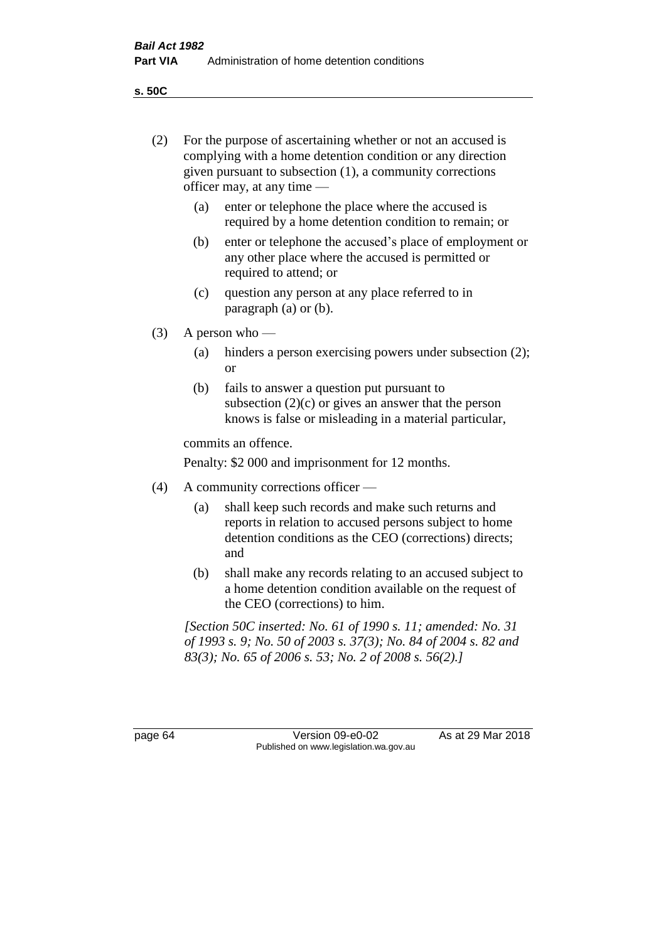**s. 50C**

| (2)     | For the purpose of ascertaining whether or not an accused is<br>complying with a home detention condition or any direction<br>given pursuant to subsection (1), a community corrections<br>officer may, at any time - |                                                                                                                                                                              |  |  |
|---------|-----------------------------------------------------------------------------------------------------------------------------------------------------------------------------------------------------------------------|------------------------------------------------------------------------------------------------------------------------------------------------------------------------------|--|--|
|         | (a)                                                                                                                                                                                                                   | enter or telephone the place where the accused is<br>required by a home detention condition to remain; or                                                                    |  |  |
|         | (b)                                                                                                                                                                                                                   | enter or telephone the accused's place of employment or<br>any other place where the accused is permitted or<br>required to attend; or                                       |  |  |
|         | (c)                                                                                                                                                                                                                   | question any person at any place referred to in<br>paragraph $(a)$ or $(b)$ .                                                                                                |  |  |
| (3)     | A person who $-$                                                                                                                                                                                                      |                                                                                                                                                                              |  |  |
|         | (a)                                                                                                                                                                                                                   | hinders a person exercising powers under subsection (2);<br><sub>or</sub>                                                                                                    |  |  |
|         | (b)                                                                                                                                                                                                                   | fails to answer a question put pursuant to<br>subsection $(2)(c)$ or gives an answer that the person<br>knows is false or misleading in a material particular,               |  |  |
|         | commits an offence.                                                                                                                                                                                                   |                                                                                                                                                                              |  |  |
|         | Penalty: \$2 000 and imprisonment for 12 months.                                                                                                                                                                      |                                                                                                                                                                              |  |  |
| (4)     | A community corrections officer —                                                                                                                                                                                     |                                                                                                                                                                              |  |  |
|         | (a)                                                                                                                                                                                                                   | shall keep such records and make such returns and<br>reports in relation to accused persons subject to home<br>detention conditions as the CEO (corrections) directs;<br>and |  |  |
|         | (b)                                                                                                                                                                                                                   | shall make any records relating to an accused subject to<br>a home detention condition available on the request of<br>the CEO (corrections) to him.                          |  |  |
|         | [Section 50C inserted: No. 61 of 1990 s. 11; amended: No. 31<br>of 1993 s. 9; No. 50 of 2003 s. 37(3); No. 84 of 2004 s. 82 and<br>83(3); No. 65 of 2006 s. 53; No. 2 of 2008 s. 56(2).]                              |                                                                                                                                                                              |  |  |
|         |                                                                                                                                                                                                                       |                                                                                                                                                                              |  |  |
| page 64 |                                                                                                                                                                                                                       | Version 09-e0-02<br>As at 29 Mar 2018<br>Published on www.legislation.wa.gov.au                                                                                              |  |  |
|         |                                                                                                                                                                                                                       |                                                                                                                                                                              |  |  |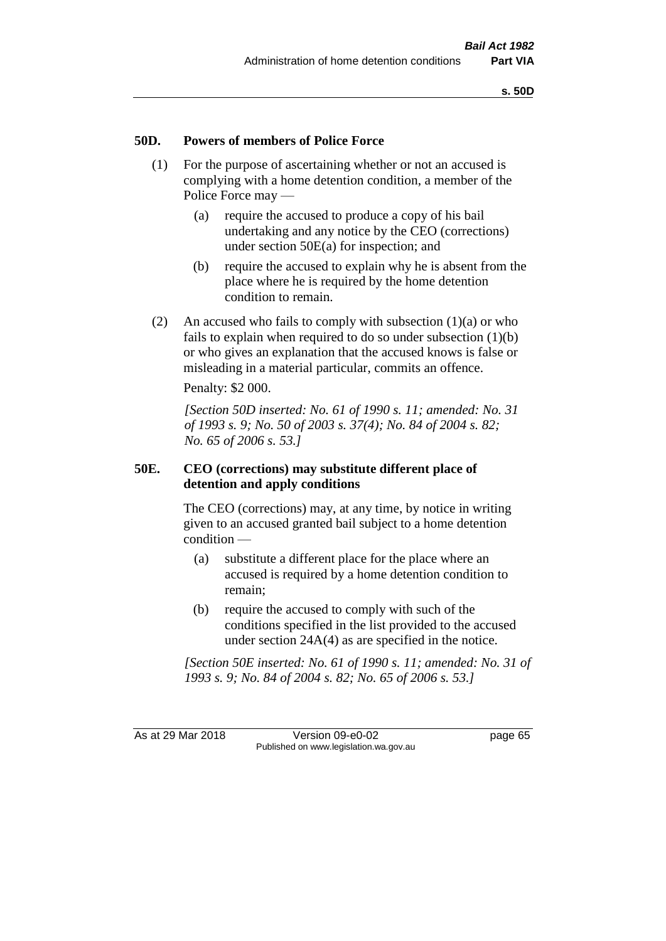#### **50D. Powers of members of Police Force**

- (1) For the purpose of ascertaining whether or not an accused is complying with a home detention condition, a member of the Police Force may —
	- (a) require the accused to produce a copy of his bail undertaking and any notice by the CEO (corrections) under section 50E(a) for inspection; and
	- (b) require the accused to explain why he is absent from the place where he is required by the home detention condition to remain.
- (2) An accused who fails to comply with subsection  $(1)(a)$  or who fails to explain when required to do so under subsection (1)(b) or who gives an explanation that the accused knows is false or misleading in a material particular, commits an offence.

Penalty: \$2 000.

*[Section 50D inserted: No. 61 of 1990 s. 11; amended: No. 31 of 1993 s. 9; No. 50 of 2003 s. 37(4); No. 84 of 2004 s. 82; No. 65 of 2006 s. 53.]* 

#### **50E. CEO (corrections) may substitute different place of detention and apply conditions**

The CEO (corrections) may, at any time, by notice in writing given to an accused granted bail subject to a home detention condition —

- (a) substitute a different place for the place where an accused is required by a home detention condition to remain;
- (b) require the accused to comply with such of the conditions specified in the list provided to the accused under section 24A(4) as are specified in the notice.

*[Section 50E inserted: No. 61 of 1990 s. 11; amended: No. 31 of 1993 s. 9; No. 84 of 2004 s. 82; No. 65 of 2006 s. 53.]* 

As at 29 Mar 2018 Version 09-e0-02 Page 65 Published on www.legislation.wa.gov.au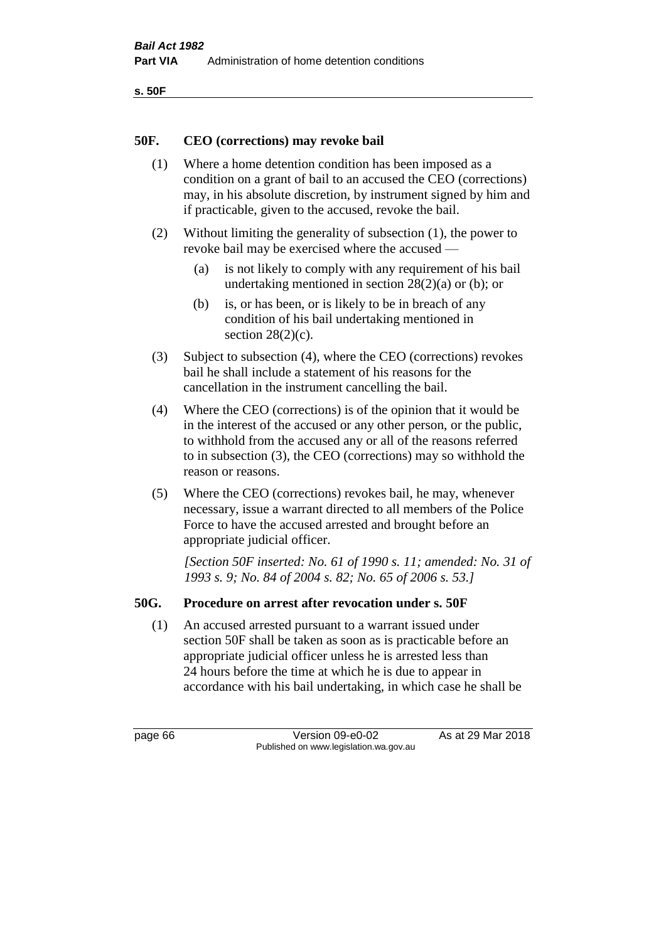```
s. 50F
```
### **50F. CEO (corrections) may revoke bail**

- (1) Where a home detention condition has been imposed as a condition on a grant of bail to an accused the CEO (corrections) may, in his absolute discretion, by instrument signed by him and if practicable, given to the accused, revoke the bail.
- (2) Without limiting the generality of subsection (1), the power to revoke bail may be exercised where the accused —
	- (a) is not likely to comply with any requirement of his bail undertaking mentioned in section 28(2)(a) or (b); or
	- (b) is, or has been, or is likely to be in breach of any condition of his bail undertaking mentioned in section  $28(2)(c)$ .
- (3) Subject to subsection (4), where the CEO (corrections) revokes bail he shall include a statement of his reasons for the cancellation in the instrument cancelling the bail.
- (4) Where the CEO (corrections) is of the opinion that it would be in the interest of the accused or any other person, or the public, to withhold from the accused any or all of the reasons referred to in subsection (3), the CEO (corrections) may so withhold the reason or reasons.
- (5) Where the CEO (corrections) revokes bail, he may, whenever necessary, issue a warrant directed to all members of the Police Force to have the accused arrested and brought before an appropriate judicial officer.

*[Section 50F inserted: No. 61 of 1990 s. 11; amended: No. 31 of 1993 s. 9; No. 84 of 2004 s. 82; No. 65 of 2006 s. 53.]* 

#### **50G. Procedure on arrest after revocation under s. 50F**

(1) An accused arrested pursuant to a warrant issued under section 50F shall be taken as soon as is practicable before an appropriate judicial officer unless he is arrested less than 24 hours before the time at which he is due to appear in accordance with his bail undertaking, in which case he shall be

page 66 Version 09-e0-02 As at 29 Mar 2018 Published on www.legislation.wa.gov.au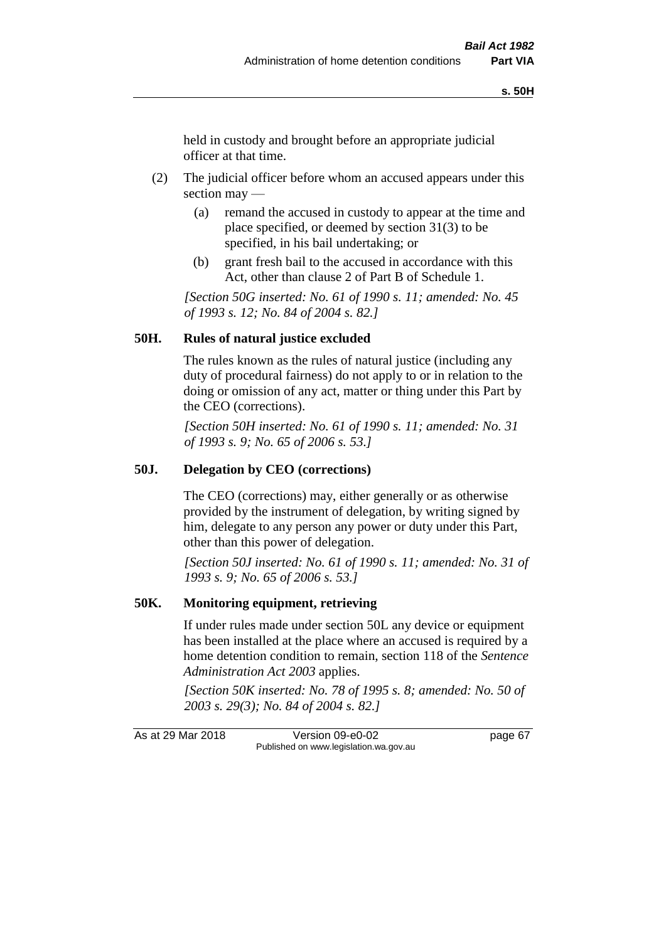held in custody and brought before an appropriate judicial officer at that time.

- (2) The judicial officer before whom an accused appears under this section may —
	- (a) remand the accused in custody to appear at the time and place specified, or deemed by section 31(3) to be specified, in his bail undertaking; or
	- (b) grant fresh bail to the accused in accordance with this Act, other than clause 2 of Part B of Schedule 1.

*[Section 50G inserted: No. 61 of 1990 s. 11; amended: No. 45 of 1993 s. 12; No. 84 of 2004 s. 82.]* 

#### **50H. Rules of natural justice excluded**

The rules known as the rules of natural justice (including any duty of procedural fairness) do not apply to or in relation to the doing or omission of any act, matter or thing under this Part by the CEO (corrections).

*[Section 50H inserted: No. 61 of 1990 s. 11; amended: No. 31 of 1993 s. 9; No. 65 of 2006 s. 53.]* 

#### **50J. Delegation by CEO (corrections)**

The CEO (corrections) may, either generally or as otherwise provided by the instrument of delegation, by writing signed by him, delegate to any person any power or duty under this Part, other than this power of delegation.

*[Section 50J inserted: No. 61 of 1990 s. 11; amended: No. 31 of 1993 s. 9; No. 65 of 2006 s. 53.]* 

#### **50K. Monitoring equipment, retrieving**

If under rules made under section 50L any device or equipment has been installed at the place where an accused is required by a home detention condition to remain, section 118 of the *Sentence Administration Act 2003* applies.

*[Section 50K inserted: No. 78 of 1995 s. 8; amended: No. 50 of 2003 s. 29(3); No. 84 of 2004 s. 82.]* 

As at 29 Mar 2018 Version 09-e0-02 page 67 Published on www.legislation.wa.gov.au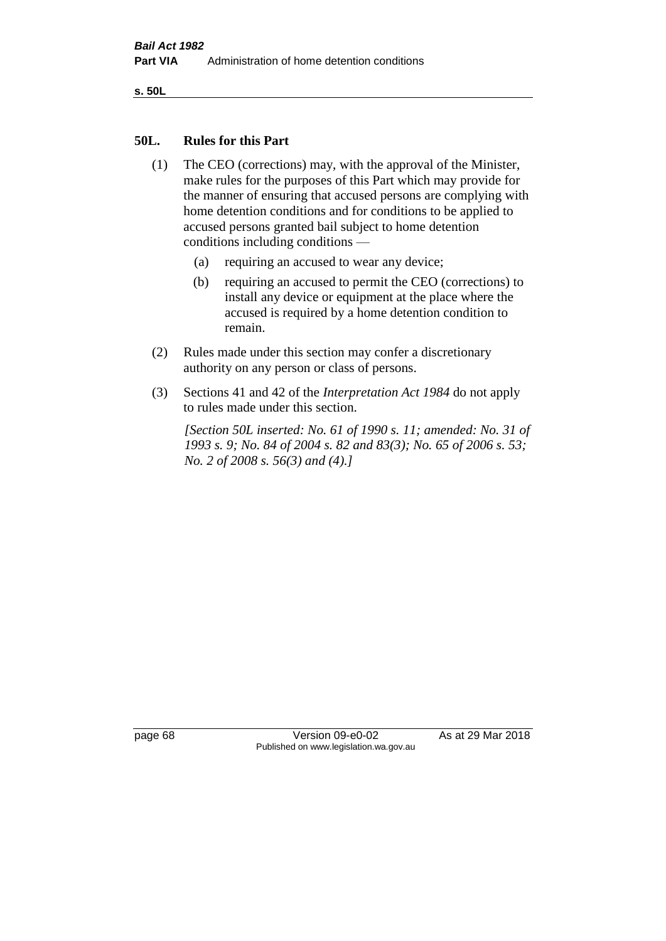**s. 50L**

#### **50L. Rules for this Part**

- (1) The CEO (corrections) may, with the approval of the Minister, make rules for the purposes of this Part which may provide for the manner of ensuring that accused persons are complying with home detention conditions and for conditions to be applied to accused persons granted bail subject to home detention conditions including conditions —
	- (a) requiring an accused to wear any device;
	- (b) requiring an accused to permit the CEO (corrections) to install any device or equipment at the place where the accused is required by a home detention condition to remain.
- (2) Rules made under this section may confer a discretionary authority on any person or class of persons.
- (3) Sections 41 and 42 of the *Interpretation Act 1984* do not apply to rules made under this section.

*[Section 50L inserted: No. 61 of 1990 s. 11; amended: No. 31 of 1993 s. 9; No. 84 of 2004 s. 82 and 83(3); No. 65 of 2006 s. 53; No. 2 of 2008 s. 56(3) and (4).]* 

page 68 Version 09-e0-02 As at 29 Mar 2018 Published on www.legislation.wa.gov.au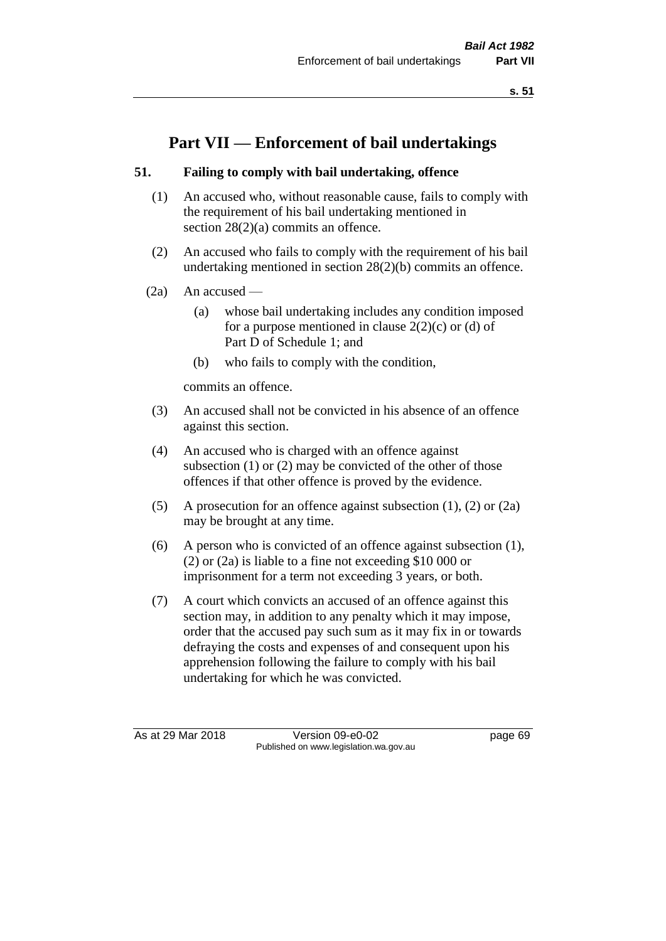**s. 51**

# **Part VII — Enforcement of bail undertakings**

# **51. Failing to comply with bail undertaking, offence**

- (1) An accused who, without reasonable cause, fails to comply with the requirement of his bail undertaking mentioned in section 28(2)(a) commits an offence.
- (2) An accused who fails to comply with the requirement of his bail undertaking mentioned in section 28(2)(b) commits an offence.
- $(2a)$  An accused
	- (a) whose bail undertaking includes any condition imposed for a purpose mentioned in clause  $2(2)(c)$  or (d) of Part D of Schedule 1; and
	- (b) who fails to comply with the condition,

commits an offence.

- (3) An accused shall not be convicted in his absence of an offence against this section.
- (4) An accused who is charged with an offence against subsection (1) or (2) may be convicted of the other of those offences if that other offence is proved by the evidence.
- (5) A prosecution for an offence against subsection (1), (2) or (2a) may be brought at any time.
- (6) A person who is convicted of an offence against subsection (1), (2) or (2a) is liable to a fine not exceeding \$10 000 or imprisonment for a term not exceeding 3 years, or both.
- (7) A court which convicts an accused of an offence against this section may, in addition to any penalty which it may impose, order that the accused pay such sum as it may fix in or towards defraying the costs and expenses of and consequent upon his apprehension following the failure to comply with his bail undertaking for which he was convicted.

As at 29 Mar 2018 Version 09-e0-02 Page 69 Published on www.legislation.wa.gov.au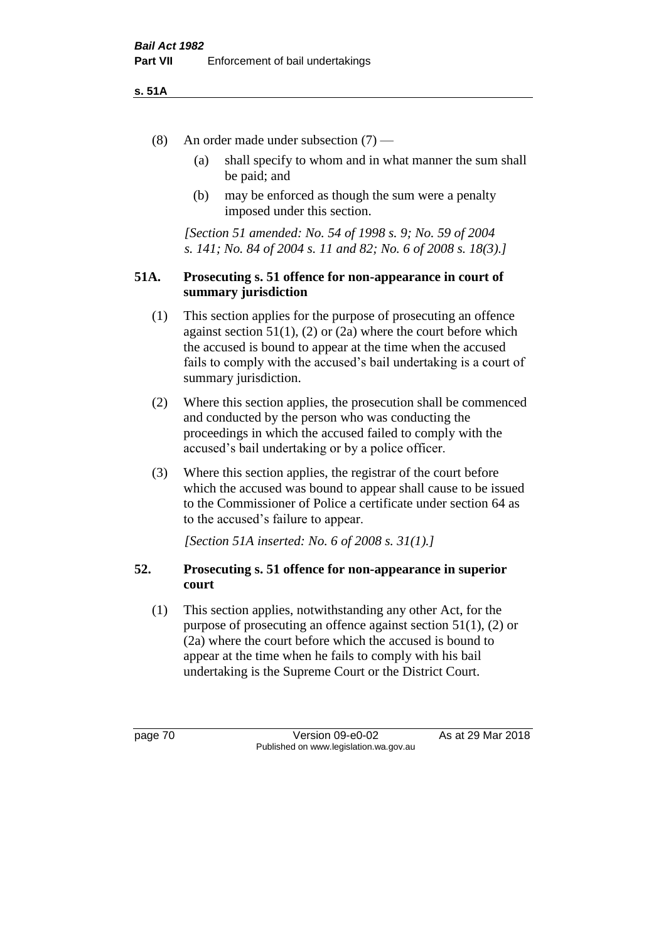#### **s. 51A**

- (8) An order made under subsection (7)
	- (a) shall specify to whom and in what manner the sum shall be paid; and
	- (b) may be enforced as though the sum were a penalty imposed under this section.

*[Section 51 amended: No. 54 of 1998 s. 9; No. 59 of 2004 s. 141; No. 84 of 2004 s. 11 and 82; No. 6 of 2008 s. 18(3).]*

#### **51A. Prosecuting s. 51 offence for non-appearance in court of summary jurisdiction**

- (1) This section applies for the purpose of prosecuting an offence against section  $51(1)$ ,  $(2)$  or  $(2a)$  where the court before which the accused is bound to appear at the time when the accused fails to comply with the accused's bail undertaking is a court of summary jurisdiction.
- (2) Where this section applies, the prosecution shall be commenced and conducted by the person who was conducting the proceedings in which the accused failed to comply with the accused's bail undertaking or by a police officer.
- (3) Where this section applies, the registrar of the court before which the accused was bound to appear shall cause to be issued to the Commissioner of Police a certificate under section 64 as to the accused's failure to appear.

*[Section 51A inserted: No. 6 of 2008 s. 31(1).]*

# **52. Prosecuting s. 51 offence for non-appearance in superior court**

(1) This section applies, notwithstanding any other Act, for the purpose of prosecuting an offence against section 51(1), (2) or (2a) where the court before which the accused is bound to appear at the time when he fails to comply with his bail undertaking is the Supreme Court or the District Court.

page 70 Version 09-e0-02 As at 29 Mar 2018 Published on www.legislation.wa.gov.au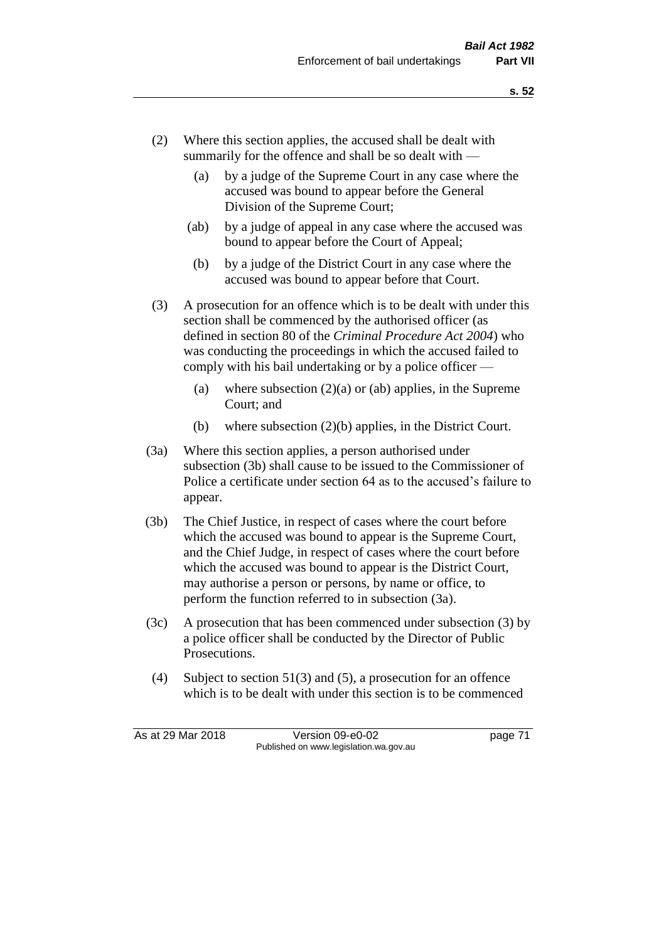- (2) Where this section applies, the accused shall be dealt with summarily for the offence and shall be so dealt with —
	- (a) by a judge of the Supreme Court in any case where the accused was bound to appear before the General Division of the Supreme Court;
	- (ab) by a judge of appeal in any case where the accused was bound to appear before the Court of Appeal;
	- (b) by a judge of the District Court in any case where the accused was bound to appear before that Court.
- (3) A prosecution for an offence which is to be dealt with under this section shall be commenced by the authorised officer (as defined in section 80 of the *Criminal Procedure Act 2004*) who was conducting the proceedings in which the accused failed to comply with his bail undertaking or by a police officer —
	- (a) where subsection  $(2)(a)$  or (ab) applies, in the Supreme Court; and
	- (b) where subsection (2)(b) applies, in the District Court.
- (3a) Where this section applies, a person authorised under subsection (3b) shall cause to be issued to the Commissioner of Police a certificate under section 64 as to the accused's failure to appear.
- (3b) The Chief Justice, in respect of cases where the court before which the accused was bound to appear is the Supreme Court, and the Chief Judge, in respect of cases where the court before which the accused was bound to appear is the District Court, may authorise a person or persons, by name or office, to perform the function referred to in subsection (3a).
- (3c) A prosecution that has been commenced under subsection (3) by a police officer shall be conducted by the Director of Public Prosecutions.
- (4) Subject to section 51(3) and (5), a prosecution for an offence which is to be dealt with under this section is to be commenced

As at 29 Mar 2018 Version 09-e0-02 Page 71 Published on www.legislation.wa.gov.au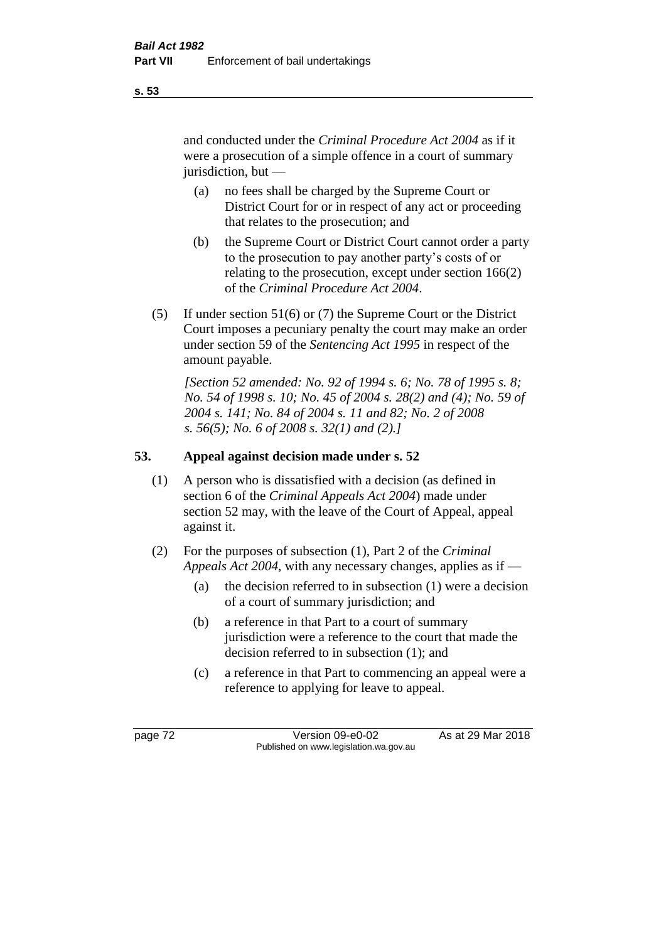and conducted under the *Criminal Procedure Act 2004* as if it were a prosecution of a simple offence in a court of summary jurisdiction, but —

- (a) no fees shall be charged by the Supreme Court or District Court for or in respect of any act or proceeding that relates to the prosecution; and
- (b) the Supreme Court or District Court cannot order a party to the prosecution to pay another party's costs of or relating to the prosecution, except under section 166(2) of the *Criminal Procedure Act 2004*.
- (5) If under section 51(6) or (7) the Supreme Court or the District Court imposes a pecuniary penalty the court may make an order under section 59 of the *Sentencing Act 1995* in respect of the amount payable.

*[Section 52 amended: No. 92 of 1994 s. 6; No. 78 of 1995 s. 8; No. 54 of 1998 s. 10; No. 45 of 2004 s. 28(2) and (4); No. 59 of 2004 s. 141; No. 84 of 2004 s. 11 and 82; No. 2 of 2008 s. 56(5); No. 6 of 2008 s. 32(1) and (2).]* 

# **53. Appeal against decision made under s. 52**

- (1) A person who is dissatisfied with a decision (as defined in section 6 of the *Criminal Appeals Act 2004*) made under section 52 may, with the leave of the Court of Appeal, appeal against it.
- (2) For the purposes of subsection (1), Part 2 of the *Criminal Appeals Act 2004*, with any necessary changes, applies as if —
	- (a) the decision referred to in subsection (1) were a decision of a court of summary jurisdiction; and
	- (b) a reference in that Part to a court of summary jurisdiction were a reference to the court that made the decision referred to in subsection (1); and
	- (c) a reference in that Part to commencing an appeal were a reference to applying for leave to appeal.

**s. 53**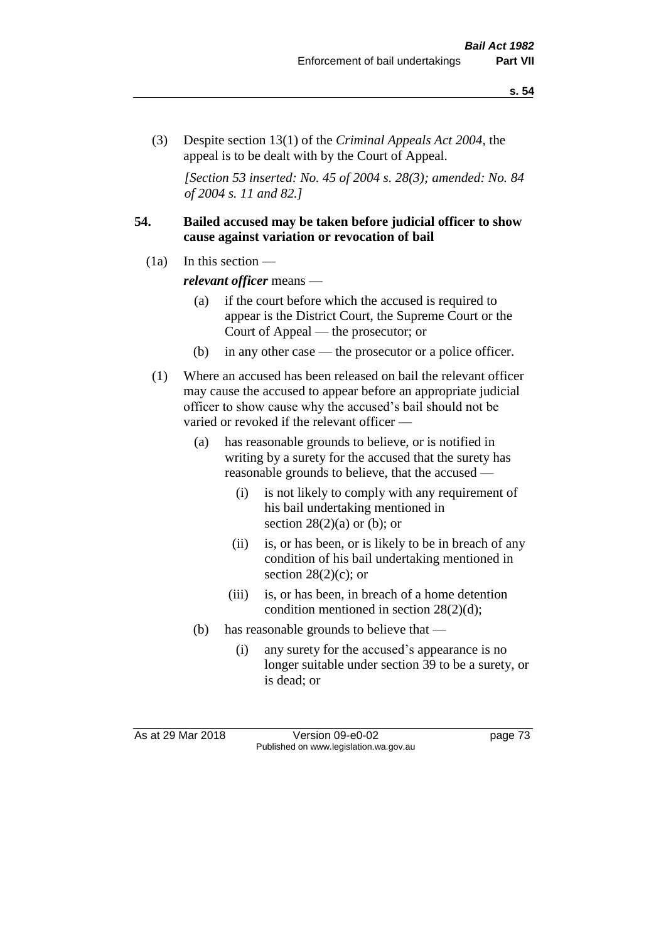(3) Despite section 13(1) of the *Criminal Appeals Act 2004*, the appeal is to be dealt with by the Court of Appeal.

*[Section 53 inserted: No. 45 of 2004 s. 28(3); amended: No. 84 of 2004 s. 11 and 82.]*

#### **54. Bailed accused may be taken before judicial officer to show cause against variation or revocation of bail**

 $(1a)$  In this section —

*relevant officer* means —

- (a) if the court before which the accused is required to appear is the District Court, the Supreme Court or the Court of Appeal — the prosecutor; or
- (b) in any other case the prosecutor or a police officer.
- (1) Where an accused has been released on bail the relevant officer may cause the accused to appear before an appropriate judicial officer to show cause why the accused's bail should not be varied or revoked if the relevant officer —
	- (a) has reasonable grounds to believe, or is notified in writing by a surety for the accused that the surety has reasonable grounds to believe, that the accused —
		- (i) is not likely to comply with any requirement of his bail undertaking mentioned in section  $28(2)(a)$  or (b); or
		- (ii) is, or has been, or is likely to be in breach of any condition of his bail undertaking mentioned in section  $28(2)(c)$ ; or
		- (iii) is, or has been, in breach of a home detention condition mentioned in section 28(2)(d);
	- (b) has reasonable grounds to believe that
		- (i) any surety for the accused's appearance is no longer suitable under section 39 to be a surety, or is dead; or

As at 29 Mar 2018 Version 09-e0-02 page 73 Published on www.legislation.wa.gov.au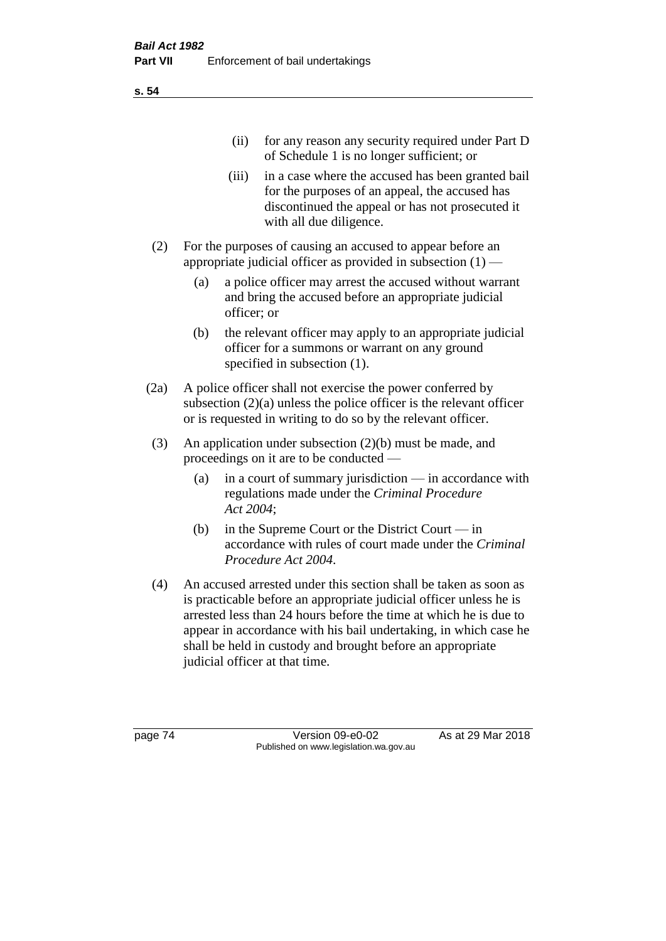(ii) for any reason any security required under Part D of Schedule 1 is no longer sufficient; or

- (iii) in a case where the accused has been granted bail for the purposes of an appeal, the accused has discontinued the appeal or has not prosecuted it with all due diligence.
- (2) For the purposes of causing an accused to appear before an appropriate judicial officer as provided in subsection  $(1)$  —
	- (a) a police officer may arrest the accused without warrant and bring the accused before an appropriate judicial officer; or
	- (b) the relevant officer may apply to an appropriate judicial officer for a summons or warrant on any ground specified in subsection (1).
- (2a) A police officer shall not exercise the power conferred by subsection  $(2)(a)$  unless the police officer is the relevant officer or is requested in writing to do so by the relevant officer.
- (3) An application under subsection (2)(b) must be made, and proceedings on it are to be conducted —
	- (a) in a court of summary jurisdiction in accordance with regulations made under the *Criminal Procedure Act 2004*;
	- (b) in the Supreme Court or the District Court  $-\text{in}$ accordance with rules of court made under the *Criminal Procedure Act 2004*.
- (4) An accused arrested under this section shall be taken as soon as is practicable before an appropriate judicial officer unless he is arrested less than 24 hours before the time at which he is due to appear in accordance with his bail undertaking, in which case he shall be held in custody and brought before an appropriate judicial officer at that time.

page 74 Version 09-e0-02 As at 29 Mar 2018 Published on www.legislation.wa.gov.au

**s. 54**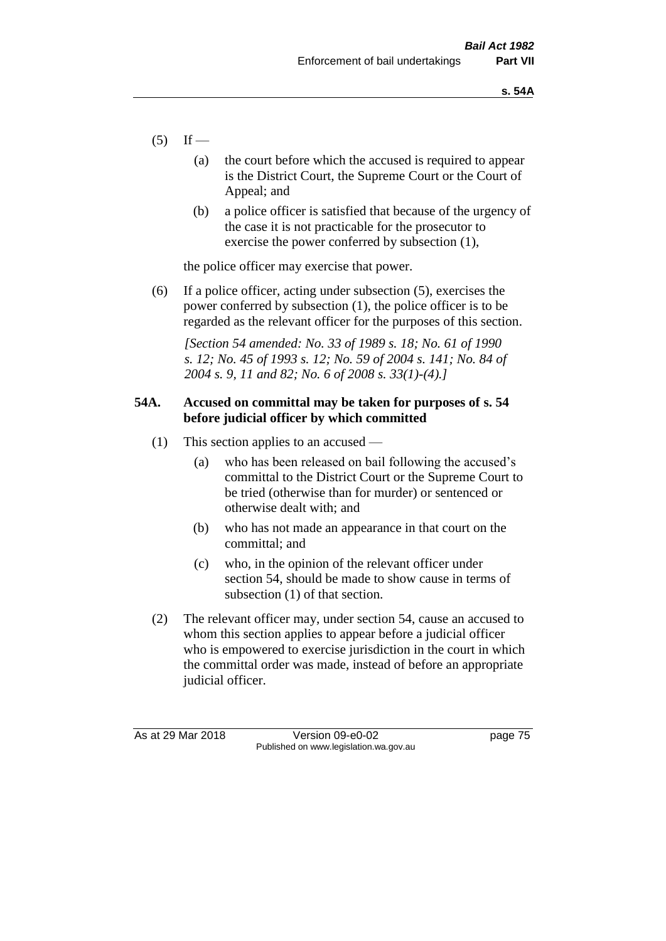- $(5)$  If
	- (a) the court before which the accused is required to appear is the District Court, the Supreme Court or the Court of Appeal; and
	- (b) a police officer is satisfied that because of the urgency of the case it is not practicable for the prosecutor to exercise the power conferred by subsection (1),

the police officer may exercise that power.

(6) If a police officer, acting under subsection (5), exercises the power conferred by subsection (1), the police officer is to be regarded as the relevant officer for the purposes of this section.

*[Section 54 amended: No. 33 of 1989 s. 18; No. 61 of 1990 s. 12; No. 45 of 1993 s. 12; No. 59 of 2004 s. 141; No. 84 of 2004 s. 9, 11 and 82; No. 6 of 2008 s. 33(1)-(4).]* 

# **54A. Accused on committal may be taken for purposes of s. 54 before judicial officer by which committed**

- (1) This section applies to an accused
	- (a) who has been released on bail following the accused's committal to the District Court or the Supreme Court to be tried (otherwise than for murder) or sentenced or otherwise dealt with; and
	- (b) who has not made an appearance in that court on the committal; and
	- (c) who, in the opinion of the relevant officer under section 54, should be made to show cause in terms of subsection (1) of that section.
- (2) The relevant officer may, under section 54, cause an accused to whom this section applies to appear before a judicial officer who is empowered to exercise jurisdiction in the court in which the committal order was made, instead of before an appropriate judicial officer.

As at 29 Mar 2018 Version 09-e0-02 Page 75 Published on www.legislation.wa.gov.au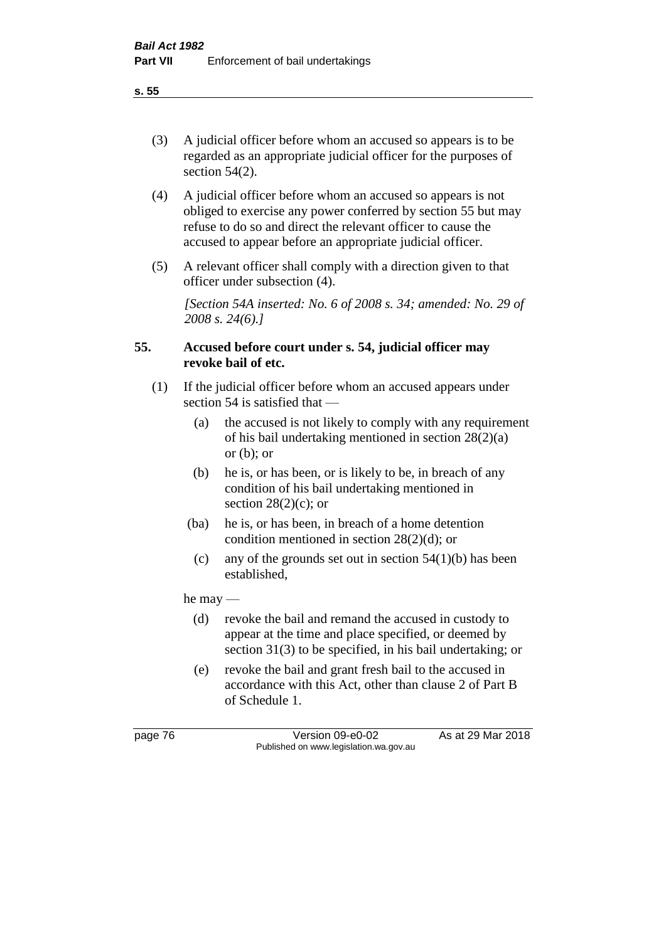(3) A judicial officer before whom an accused so appears is to be regarded as an appropriate judicial officer for the purposes of section 54(2).

- (4) A judicial officer before whom an accused so appears is not obliged to exercise any power conferred by section 55 but may refuse to do so and direct the relevant officer to cause the accused to appear before an appropriate judicial officer.
- (5) A relevant officer shall comply with a direction given to that officer under subsection (4).

*[Section 54A inserted: No. 6 of 2008 s. 34; amended: No. 29 of 2008 s. 24(6).]*

# **55. Accused before court under s. 54, judicial officer may revoke bail of etc.**

- (1) If the judicial officer before whom an accused appears under section 54 is satisfied that —
	- (a) the accused is not likely to comply with any requirement of his bail undertaking mentioned in section 28(2)(a) or  $(b)$ ; or
	- (b) he is, or has been, or is likely to be, in breach of any condition of his bail undertaking mentioned in section  $28(2)(c)$ ; or
	- (ba) he is, or has been, in breach of a home detention condition mentioned in section 28(2)(d); or
	- (c) any of the grounds set out in section  $54(1)(b)$  has been established,

he may —

- (d) revoke the bail and remand the accused in custody to appear at the time and place specified, or deemed by section 31(3) to be specified, in his bail undertaking; or
- (e) revoke the bail and grant fresh bail to the accused in accordance with this Act, other than clause 2 of Part B of Schedule 1.

page 76 Version 09-e0-02 As at 29 Mar 2018 Published on www.legislation.wa.gov.au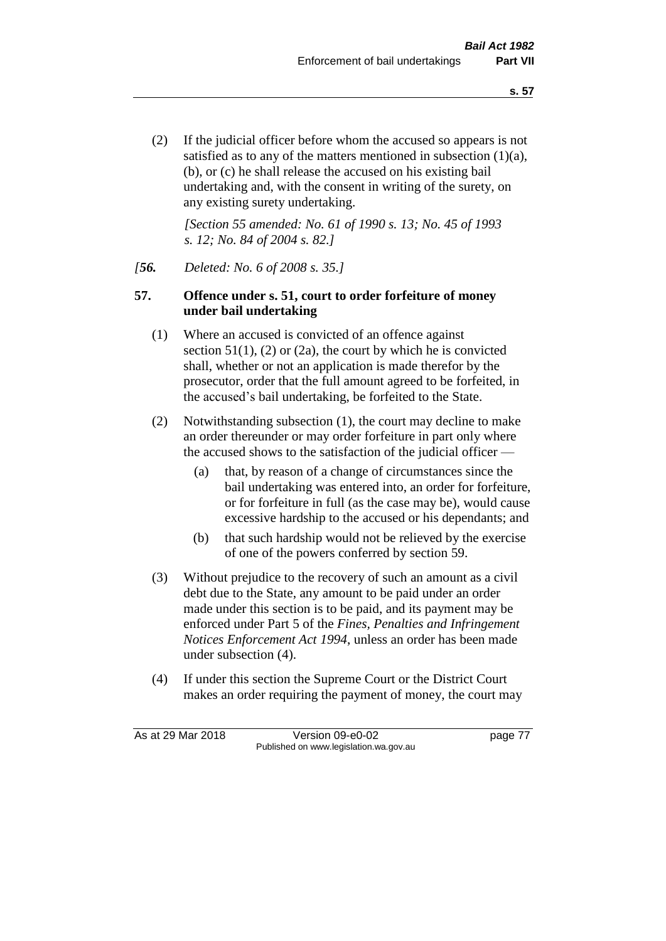(2) If the judicial officer before whom the accused so appears is not satisfied as to any of the matters mentioned in subsection (1)(a), (b), or (c) he shall release the accused on his existing bail undertaking and, with the consent in writing of the surety, on any existing surety undertaking.

*[Section 55 amended: No. 61 of 1990 s. 13; No. 45 of 1993 s. 12; No. 84 of 2004 s. 82.]* 

#### *[56. Deleted: No. 6 of 2008 s. 35.]*

### **57. Offence under s. 51, court to order forfeiture of money under bail undertaking**

- (1) Where an accused is convicted of an offence against section  $51(1)$ ,  $(2)$  or  $(2a)$ , the court by which he is convicted shall, whether or not an application is made therefor by the prosecutor, order that the full amount agreed to be forfeited, in the accused's bail undertaking, be forfeited to the State.
- (2) Notwithstanding subsection (1), the court may decline to make an order thereunder or may order forfeiture in part only where the accused shows to the satisfaction of the judicial officer —
	- (a) that, by reason of a change of circumstances since the bail undertaking was entered into, an order for forfeiture, or for forfeiture in full (as the case may be), would cause excessive hardship to the accused or his dependants; and
	- (b) that such hardship would not be relieved by the exercise of one of the powers conferred by section 59.
- (3) Without prejudice to the recovery of such an amount as a civil debt due to the State, any amount to be paid under an order made under this section is to be paid, and its payment may be enforced under Part 5 of the *Fines, Penalties and Infringement Notices Enforcement Act 1994*, unless an order has been made under subsection (4).
- (4) If under this section the Supreme Court or the District Court makes an order requiring the payment of money, the court may

As at 29 Mar 2018 Version 09-e0-02 Page 77 Published on www.legislation.wa.gov.au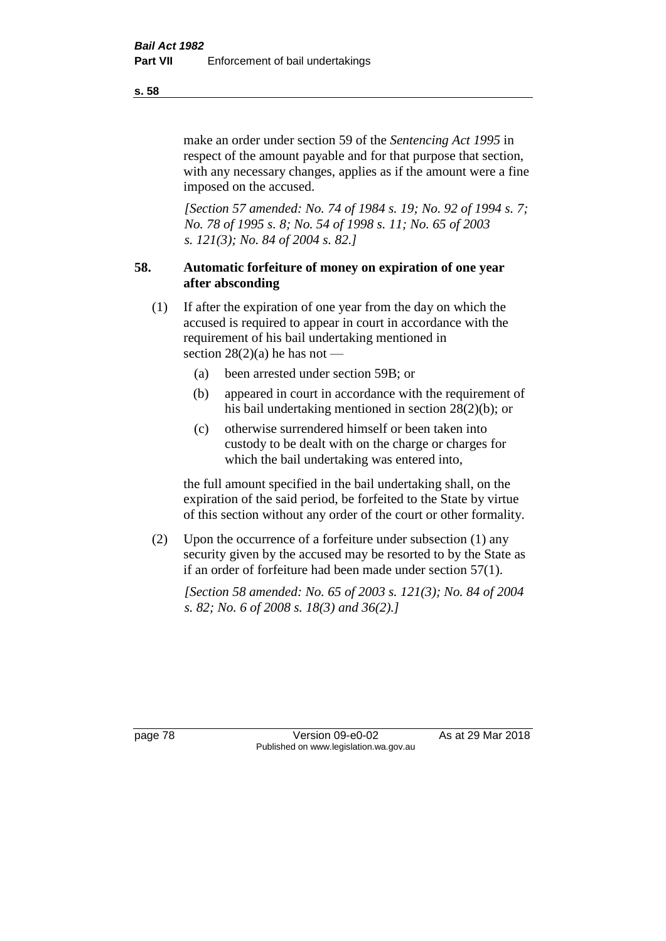make an order under section 59 of the *Sentencing Act 1995* in respect of the amount payable and for that purpose that section, with any necessary changes, applies as if the amount were a fine imposed on the accused.

*[Section 57 amended: No. 74 of 1984 s. 19; No. 92 of 1994 s. 7; No. 78 of 1995 s. 8; No. 54 of 1998 s. 11; No. 65 of 2003 s. 121(3); No. 84 of 2004 s. 82.]* 

# **58. Automatic forfeiture of money on expiration of one year after absconding**

- (1) If after the expiration of one year from the day on which the accused is required to appear in court in accordance with the requirement of his bail undertaking mentioned in section  $28(2)(a)$  he has not —
	- (a) been arrested under section 59B; or
	- (b) appeared in court in accordance with the requirement of his bail undertaking mentioned in section 28(2)(b); or
	- (c) otherwise surrendered himself or been taken into custody to be dealt with on the charge or charges for which the bail undertaking was entered into,

the full amount specified in the bail undertaking shall, on the expiration of the said period, be forfeited to the State by virtue of this section without any order of the court or other formality.

(2) Upon the occurrence of a forfeiture under subsection (1) any security given by the accused may be resorted to by the State as if an order of forfeiture had been made under section 57(1).

*[Section 58 amended: No. 65 of 2003 s. 121(3); No. 84 of 2004 s. 82; No. 6 of 2008 s. 18(3) and 36(2).]*

page 78 Version 09-e0-02 As at 29 Mar 2018 Published on www.legislation.wa.gov.au

**s. 58**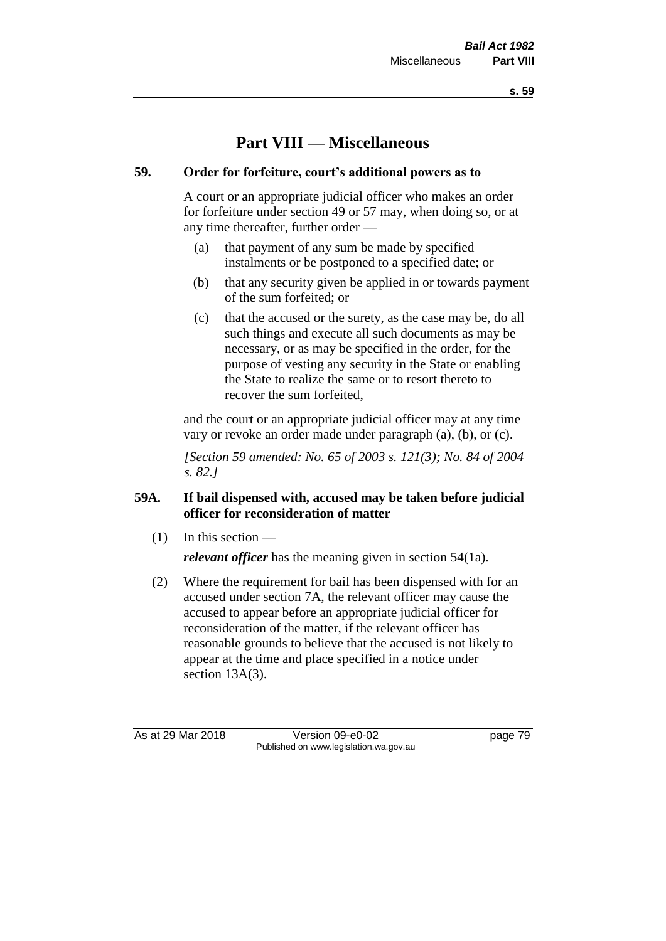**s. 59**

# **Part VIII — Miscellaneous**

# **59. Order for forfeiture, court's additional powers as to**

A court or an appropriate judicial officer who makes an order for forfeiture under section 49 or 57 may, when doing so, or at any time thereafter, further order —

- (a) that payment of any sum be made by specified instalments or be postponed to a specified date; or
- (b) that any security given be applied in or towards payment of the sum forfeited; or
- (c) that the accused or the surety, as the case may be, do all such things and execute all such documents as may be necessary, or as may be specified in the order, for the purpose of vesting any security in the State or enabling the State to realize the same or to resort thereto to recover the sum forfeited,

and the court or an appropriate judicial officer may at any time vary or revoke an order made under paragraph (a), (b), or (c).

*[Section 59 amended: No. 65 of 2003 s. 121(3); No. 84 of 2004 s. 82.]*

# **59A. If bail dispensed with, accused may be taken before judicial officer for reconsideration of matter**

 $(1)$  In this section —

*relevant officer* has the meaning given in section 54(1a).

(2) Where the requirement for bail has been dispensed with for an accused under section 7A, the relevant officer may cause the accused to appear before an appropriate judicial officer for reconsideration of the matter, if the relevant officer has reasonable grounds to believe that the accused is not likely to appear at the time and place specified in a notice under section 13A(3).

As at 29 Mar 2018 Version 09-e0-02 Page 79 Published on www.legislation.wa.gov.au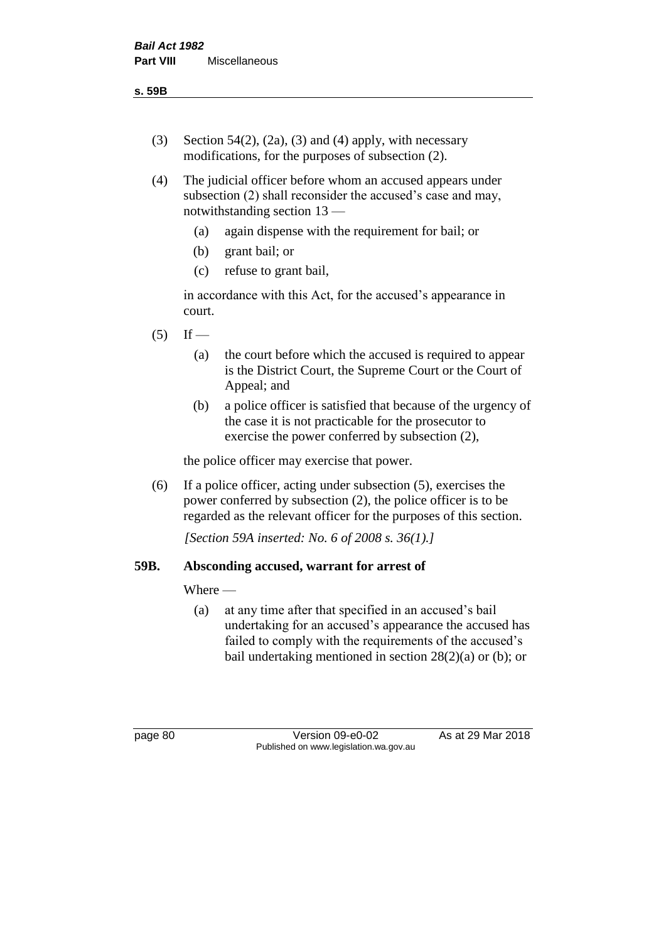- (3) Section 54(2), (2a), (3) and (4) apply, with necessary modifications, for the purposes of subsection (2).
- (4) The judicial officer before whom an accused appears under subsection (2) shall reconsider the accused's case and may, notwithstanding section 13 —
	- (a) again dispense with the requirement for bail; or
	- (b) grant bail; or
	- (c) refuse to grant bail,

in accordance with this Act, for the accused's appearance in court.

- $(5)$  If
	- (a) the court before which the accused is required to appear is the District Court, the Supreme Court or the Court of Appeal; and
	- (b) a police officer is satisfied that because of the urgency of the case it is not practicable for the prosecutor to exercise the power conferred by subsection (2),

the police officer may exercise that power.

(6) If a police officer, acting under subsection (5), exercises the power conferred by subsection (2), the police officer is to be regarded as the relevant officer for the purposes of this section.

*[Section 59A inserted: No. 6 of 2008 s. 36(1).]*

#### **59B. Absconding accused, warrant for arrest of**

#### Where —

(a) at any time after that specified in an accused's bail undertaking for an accused's appearance the accused has failed to comply with the requirements of the accused's bail undertaking mentioned in section  $28(2)(a)$  or (b); or

page 80 Version 09-e0-02 As at 29 Mar 2018 Published on www.legislation.wa.gov.au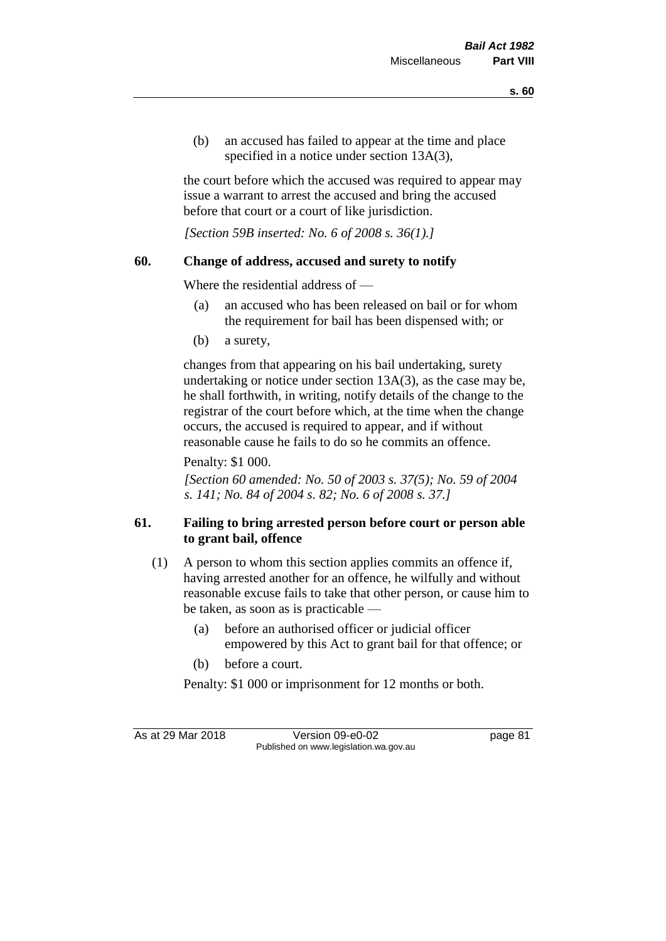(b) an accused has failed to appear at the time and place specified in a notice under section 13A(3),

the court before which the accused was required to appear may issue a warrant to arrest the accused and bring the accused before that court or a court of like jurisdiction.

*[Section 59B inserted: No. 6 of 2008 s. 36(1).]*

# **60. Change of address, accused and surety to notify**

Where the residential address of —

- (a) an accused who has been released on bail or for whom the requirement for bail has been dispensed with; or
- (b) a surety,

changes from that appearing on his bail undertaking, surety undertaking or notice under section 13A(3), as the case may be, he shall forthwith, in writing, notify details of the change to the registrar of the court before which, at the time when the change occurs, the accused is required to appear, and if without reasonable cause he fails to do so he commits an offence.

Penalty: \$1 000.

*[Section 60 amended: No. 50 of 2003 s. 37(5); No. 59 of 2004 s. 141; No. 84 of 2004 s. 82; No. 6 of 2008 s. 37.]*

# **61. Failing to bring arrested person before court or person able to grant bail, offence**

- (1) A person to whom this section applies commits an offence if, having arrested another for an offence, he wilfully and without reasonable excuse fails to take that other person, or cause him to be taken, as soon as is practicable —
	- (a) before an authorised officer or judicial officer empowered by this Act to grant bail for that offence; or
	- (b) before a court.

Penalty: \$1 000 or imprisonment for 12 months or both.

As at 29 Mar 2018 Version 09-e0-02 Page 81 Published on www.legislation.wa.gov.au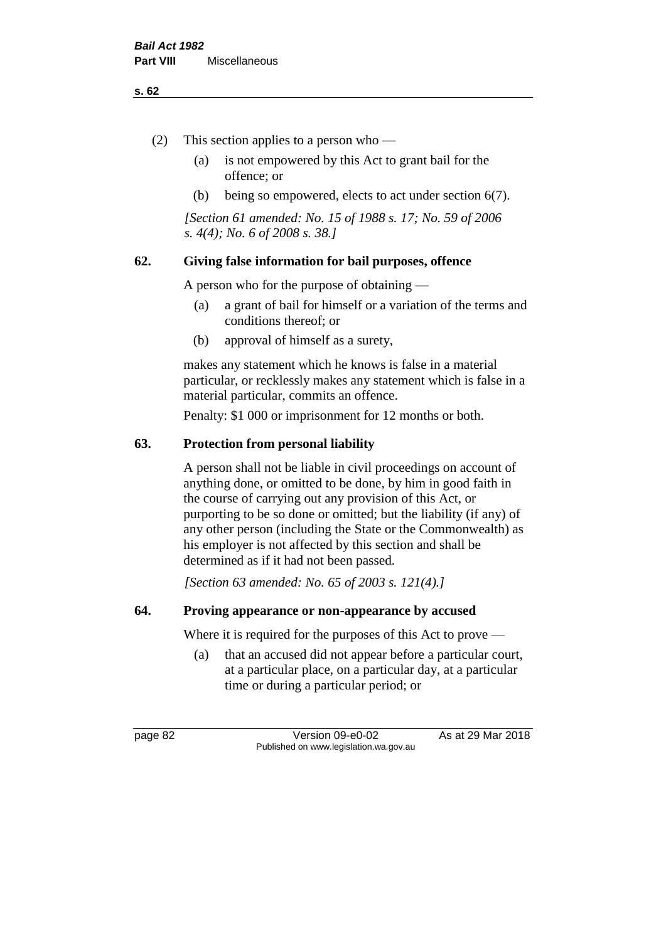#### **s. 62**

- (2) This section applies to a person who
	- (a) is not empowered by this Act to grant bail for the offence; or
	- (b) being so empowered, elects to act under section 6(7).

*[Section 61 amended: No. 15 of 1988 s. 17; No. 59 of 2006 s. 4(4); No. 6 of 2008 s. 38.]* 

#### **62. Giving false information for bail purposes, offence**

A person who for the purpose of obtaining —

- (a) a grant of bail for himself or a variation of the terms and conditions thereof; or
- (b) approval of himself as a surety,

makes any statement which he knows is false in a material particular, or recklessly makes any statement which is false in a material particular, commits an offence.

Penalty: \$1 000 or imprisonment for 12 months or both.

#### **63. Protection from personal liability**

A person shall not be liable in civil proceedings on account of anything done, or omitted to be done, by him in good faith in the course of carrying out any provision of this Act, or purporting to be so done or omitted; but the liability (if any) of any other person (including the State or the Commonwealth) as his employer is not affected by this section and shall be determined as if it had not been passed.

*[Section 63 amended: No. 65 of 2003 s. 121(4).]*

#### **64. Proving appearance or non-appearance by accused**

Where it is required for the purposes of this Act to prove —

(a) that an accused did not appear before a particular court, at a particular place, on a particular day, at a particular time or during a particular period; or

page 82 Version 09-e0-02 As at 29 Mar 2018 Published on www.legislation.wa.gov.au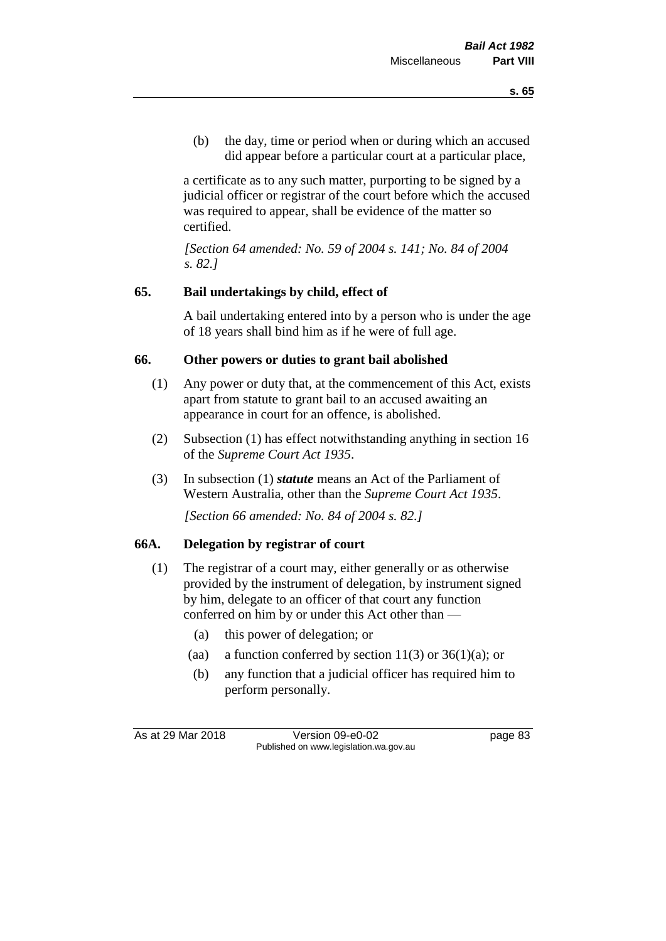(b) the day, time or period when or during which an accused did appear before a particular court at a particular place,

a certificate as to any such matter, purporting to be signed by a judicial officer or registrar of the court before which the accused was required to appear, shall be evidence of the matter so certified.

*[Section 64 amended: No. 59 of 2004 s. 141; No. 84 of 2004 s. 82.]* 

# **65. Bail undertakings by child, effect of**

A bail undertaking entered into by a person who is under the age of 18 years shall bind him as if he were of full age.

# **66. Other powers or duties to grant bail abolished**

- (1) Any power or duty that, at the commencement of this Act, exists apart from statute to grant bail to an accused awaiting an appearance in court for an offence, is abolished.
- (2) Subsection (1) has effect notwithstanding anything in section 16 of the *Supreme Court Act 1935*.
- (3) In subsection (1) *statute* means an Act of the Parliament of Western Australia, other than the *Supreme Court Act 1935*.

*[Section 66 amended: No. 84 of 2004 s. 82.]*

#### **66A. Delegation by registrar of court**

- (1) The registrar of a court may, either generally or as otherwise provided by the instrument of delegation, by instrument signed by him, delegate to an officer of that court any function conferred on him by or under this Act other than —
	- (a) this power of delegation; or
	- (aa) a function conferred by section  $11(3)$  or  $36(1)(a)$ ; or
	- (b) any function that a judicial officer has required him to perform personally.

As at 29 Mar 2018 Version 09-e0-02 page 83 Published on www.legislation.wa.gov.au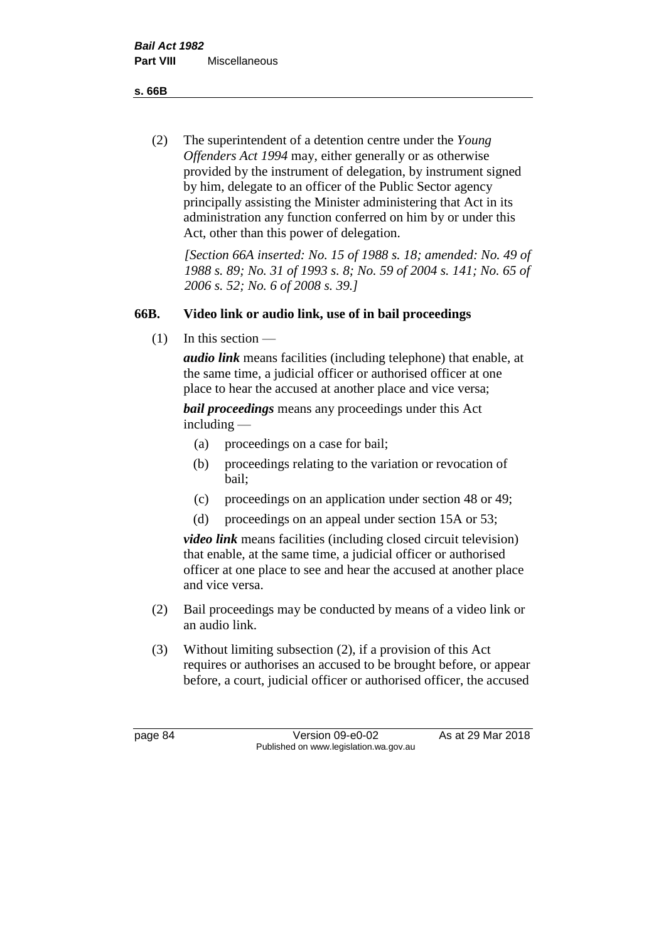**s. 66B**

(2) The superintendent of a detention centre under the *Young Offenders Act 1994* may, either generally or as otherwise provided by the instrument of delegation, by instrument signed by him, delegate to an officer of the Public Sector agency principally assisting the Minister administering that Act in its administration any function conferred on him by or under this Act, other than this power of delegation.

*[Section 66A inserted: No. 15 of 1988 s. 18; amended: No. 49 of 1988 s. 89; No. 31 of 1993 s. 8; No. 59 of 2004 s. 141; No. 65 of 2006 s. 52; No. 6 of 2008 s. 39.]* 

# **66B. Video link or audio link, use of in bail proceedings**

 $(1)$  In this section —

*audio link* means facilities (including telephone) that enable, at the same time, a judicial officer or authorised officer at one place to hear the accused at another place and vice versa;

*bail proceedings* means any proceedings under this Act including —

- (a) proceedings on a case for bail;
- (b) proceedings relating to the variation or revocation of bail;
- (c) proceedings on an application under section 48 or 49;
- (d) proceedings on an appeal under section 15A or 53;

*video link* means facilities (including closed circuit television) that enable, at the same time, a judicial officer or authorised officer at one place to see and hear the accused at another place and vice versa.

- (2) Bail proceedings may be conducted by means of a video link or an audio link.
- (3) Without limiting subsection (2), if a provision of this Act requires or authorises an accused to be brought before, or appear before, a court, judicial officer or authorised officer, the accused

page 84 Version 09-e0-02 As at 29 Mar 2018 Published on www.legislation.wa.gov.au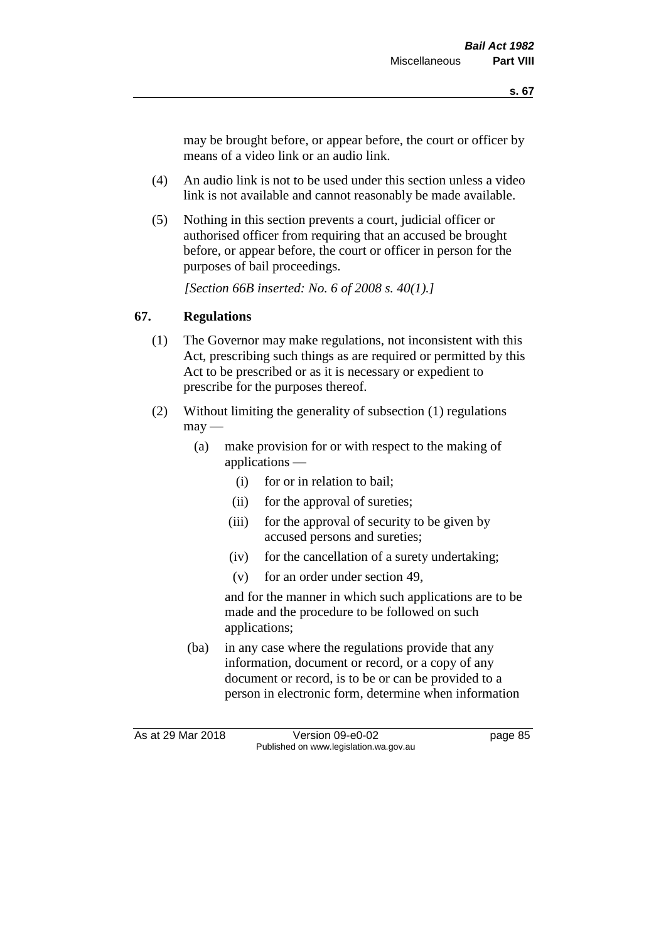may be brought before, or appear before, the court or officer by means of a video link or an audio link.

- (4) An audio link is not to be used under this section unless a video link is not available and cannot reasonably be made available.
- (5) Nothing in this section prevents a court, judicial officer or authorised officer from requiring that an accused be brought before, or appear before, the court or officer in person for the purposes of bail proceedings.

*[Section 66B inserted: No. 6 of 2008 s. 40(1).]*

# **67. Regulations**

- (1) The Governor may make regulations, not inconsistent with this Act, prescribing such things as are required or permitted by this Act to be prescribed or as it is necessary or expedient to prescribe for the purposes thereof.
- (2) Without limiting the generality of subsection (1) regulations  $\text{max}$  —
	- (a) make provision for or with respect to the making of applications —
		- (i) for or in relation to bail;
		- (ii) for the approval of sureties;
		- (iii) for the approval of security to be given by accused persons and sureties;
		- (iv) for the cancellation of a surety undertaking;
		- (v) for an order under section 49,

and for the manner in which such applications are to be made and the procedure to be followed on such applications;

(ba) in any case where the regulations provide that any information, document or record, or a copy of any document or record, is to be or can be provided to a person in electronic form, determine when information

As at 29 Mar 2018 Version 09-e0-02 page 85 Published on www.legislation.wa.gov.au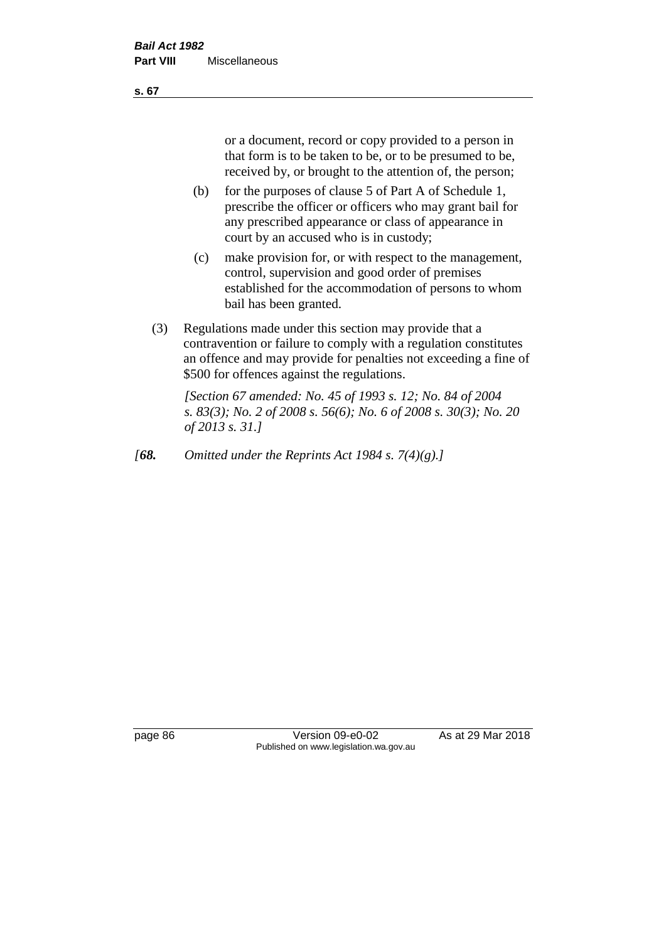or a document, record or copy provided to a person in that form is to be taken to be, or to be presumed to be, received by, or brought to the attention of, the person;

- (b) for the purposes of clause 5 of Part A of Schedule 1, prescribe the officer or officers who may grant bail for any prescribed appearance or class of appearance in court by an accused who is in custody;
- (c) make provision for, or with respect to the management, control, supervision and good order of premises established for the accommodation of persons to whom bail has been granted.
- (3) Regulations made under this section may provide that a contravention or failure to comply with a regulation constitutes an offence and may provide for penalties not exceeding a fine of \$500 for offences against the regulations.

*[Section 67 amended: No. 45 of 1993 s. 12; No. 84 of 2004 s. 83(3); No. 2 of 2008 s. 56(6); No. 6 of 2008 s. 30(3); No. 20 of 2013 s. 31.]* 

*[68. Omitted under the Reprints Act 1984 s. 7(4)(g).]*

page 86 Version 09-e0-02 As at 29 Mar 2018 Published on www.legislation.wa.gov.au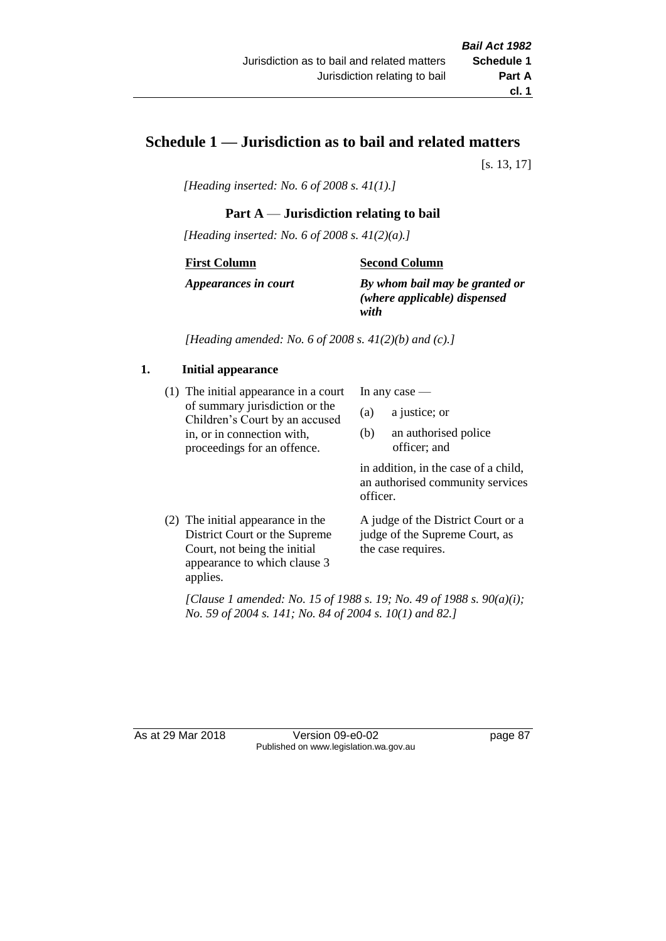# **Schedule 1 — Jurisdiction as to bail and related matters**

[s. 13, 17]

*[Heading inserted: No. 6 of 2008 s. 41(1).]*

### **Part A** — **Jurisdiction relating to bail**

*[Heading inserted: No. 6 of 2008 s. 41(2)(a).]*

#### **First Column**

**Second Column**

*Appearances in court*

*By whom bail may be granted or (where applicable) dispensed with*

*[Heading amended: No. 6 of 2008 s. 41(2)(b) and (c).]*

#### **1. Initial appearance**

(1) The initial appearance in a court of summary jurisdiction or the Children's Court by an accused in, or in connection with, proceedings for an offence.

In any case —

- (a) a justice; or
- (b) an authorised police officer; and

in addition, in the case of a child, an authorised community services officer.

(2) The initial appearance in the District Court or the Supreme Court, not being the initial appearance to which clause 3 applies. A judge of the District Court or a judge of the Supreme Court, as

the case requires.

*[Clause 1 amended: No. 15 of 1988 s. 19; No. 49 of 1988 s. 90(a)(i); No. 59 of 2004 s. 141; No. 84 of 2004 s. 10(1) and 82.]*

As at 29 Mar 2018 **Version 09-e0-02** page 87 Published on www.legislation.wa.gov.au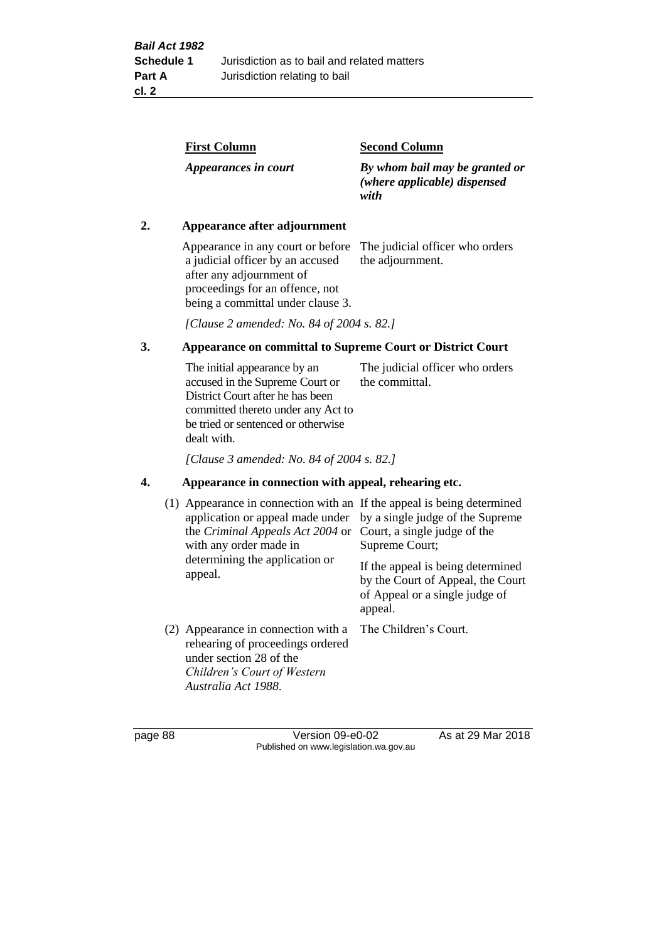| <b>First Column</b>  | <b>Second Column</b>                                                   |
|----------------------|------------------------------------------------------------------------|
| Appearances in court | By whom bail may be granted or<br>(where applicable) dispensed<br>with |

#### **2. Appearance after adjournment**

Appearance in any court or before The judicial officer who orders a judicial officer by an accused after any adjournment of proceedings for an offence, not being a committal under clause 3.

the adjournment.

*[Clause 2 amended: No. 84 of 2004 s. 82.]*

# **3. Appearance on committal to Supreme Court or District Court**

The initial appearance by an accused in the Supreme Court or District Court after he has been committed thereto under any Act to be tried or sentenced or otherwise dealt with. The judicial officer who orders the committal.

*[Clause 3 amended: No. 84 of 2004 s. 82.]*

#### **4. Appearance in connection with appeal, rehearing etc.**

| (1) Appearance in connection with an If the appeal is being determined<br>application or appeal made under<br>the <i>Criminal Appeals Act 2004</i> or<br>with any order made in<br>determining the application or<br>appeal. | by a single judge of the Supreme<br>Court, a single judge of the<br>Supreme Court;<br>If the appeal is being determined<br>by the Court of Appeal, the Court<br>of Appeal or a single judge of<br>appeal. |
|------------------------------------------------------------------------------------------------------------------------------------------------------------------------------------------------------------------------------|-----------------------------------------------------------------------------------------------------------------------------------------------------------------------------------------------------------|
| (2) Appearance in connection with a<br>rehearing of proceedings ordered<br>under section 28 of the<br>Children's Court of Western<br>Australia Act 1988.                                                                     | The Children's Court.                                                                                                                                                                                     |

page 88 Version 09-e0-02 As at 29 Mar 2018 Published on www.legislation.wa.gov.au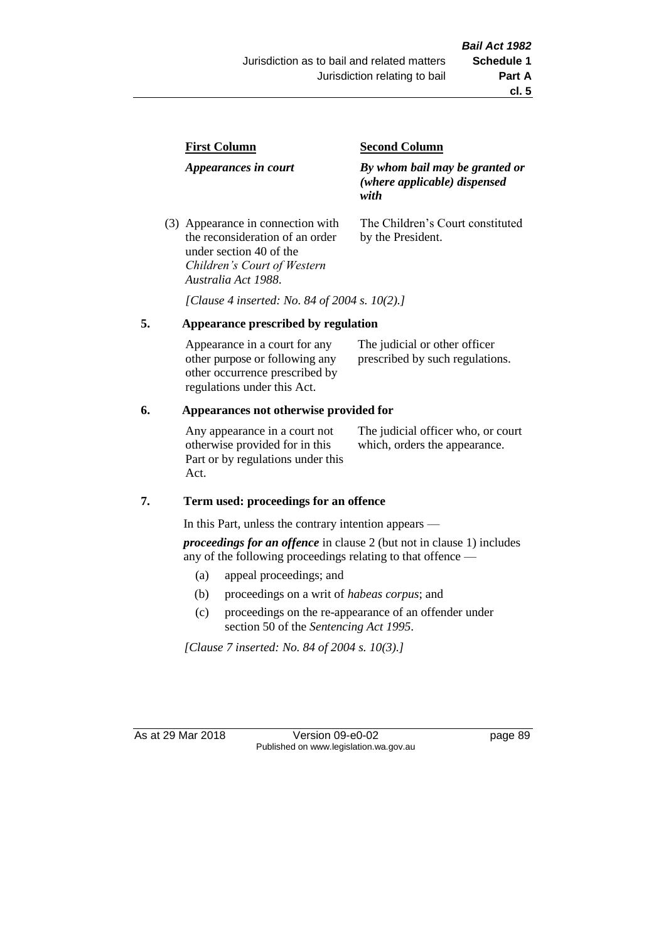| <b>First Column</b>                                                  | <b>Second Column</b>                                                   |  |
|----------------------------------------------------------------------|------------------------------------------------------------------------|--|
| Appearances in court                                                 | By whom bail may be granted or<br>(where applicable) dispensed<br>with |  |
| (3) Appearance in connection with<br>the reconsideration of an order | The Children's Court constituted<br>by the President.                  |  |

*[Clause 4 inserted: No. 84 of 2004 s. 10(2).]*

#### **5. Appearance prescribed by regulation**

under section 40 of the *Children's Court of Western* 

*Australia Act 1988*.

| Appearance in a court for any  | The judicial or other officer   |
|--------------------------------|---------------------------------|
| other purpose or following any | prescribed by such regulations. |
| other occurrence prescribed by |                                 |
| regulations under this Act.    |                                 |

#### **6. Appearances not otherwise provided for**

Any appearance in a court not otherwise provided for in this Part or by regulations under this Act.

The judicial officer who, or court which, orders the appearance.

#### **7. Term used: proceedings for an offence**

In this Part, unless the contrary intention appears —

*proceedings for an offence* in clause 2 (but not in clause 1) includes any of the following proceedings relating to that offence —

- (a) appeal proceedings; and
- (b) proceedings on a writ of *habeas corpus*; and
- (c) proceedings on the re-appearance of an offender under section 50 of the *Sentencing Act 1995*.

*[Clause 7 inserted: No. 84 of 2004 s. 10(3).]*

As at 29 Mar 2018 Version 09-e0-02 page 89 Published on www.legislation.wa.gov.au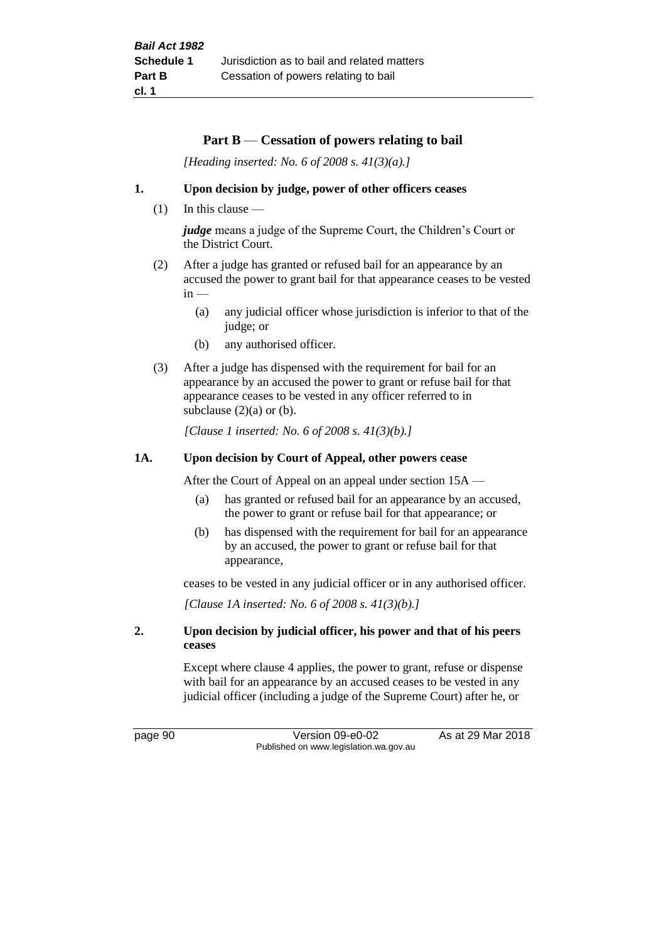#### **Part B** — **Cessation of powers relating to bail**

*[Heading inserted: No. 6 of 2008 s. 41(3)(a).]*

#### **1. Upon decision by judge, power of other officers ceases**

(1) In this clause —

*judge* means a judge of the Supreme Court, the Children's Court or the District Court.

- (2) After a judge has granted or refused bail for an appearance by an accused the power to grant bail for that appearance ceases to be vested  $in -$ 
	- (a) any judicial officer whose jurisdiction is inferior to that of the judge; or
	- (b) any authorised officer.
- (3) After a judge has dispensed with the requirement for bail for an appearance by an accused the power to grant or refuse bail for that appearance ceases to be vested in any officer referred to in subclause  $(2)(a)$  or  $(b)$ .

*[Clause 1 inserted: No. 6 of 2008 s. 41(3)(b).]*

#### **1A. Upon decision by Court of Appeal, other powers cease**

After the Court of Appeal on an appeal under section 15A —

- (a) has granted or refused bail for an appearance by an accused, the power to grant or refuse bail for that appearance; or
- (b) has dispensed with the requirement for bail for an appearance by an accused, the power to grant or refuse bail for that appearance,

ceases to be vested in any judicial officer or in any authorised officer.

*[Clause 1A inserted: No. 6 of 2008 s. 41(3)(b).]*

#### **2. Upon decision by judicial officer, his power and that of his peers ceases**

Except where clause 4 applies, the power to grant, refuse or dispense with bail for an appearance by an accused ceases to be vested in any judicial officer (including a judge of the Supreme Court) after he, or

page 90 Version 09-e0-02 As at 29 Mar 2018 Published on www.legislation.wa.gov.au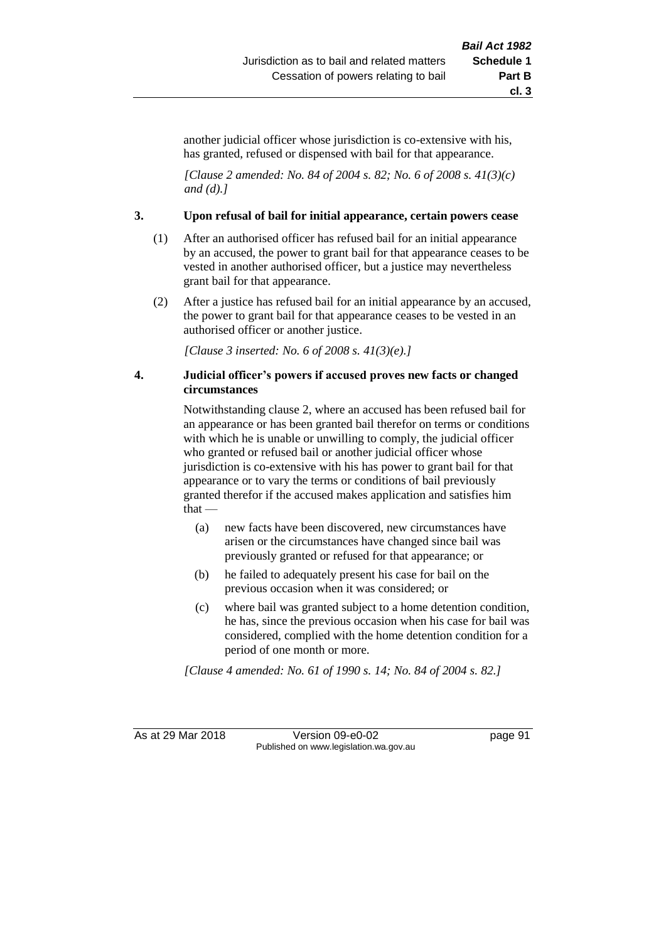another judicial officer whose jurisdiction is co-extensive with his, has granted, refused or dispensed with bail for that appearance.

*[Clause 2 amended: No. 84 of 2004 s. 82; No. 6 of 2008 s. 41(3)(c) and (d).]*

#### **3. Upon refusal of bail for initial appearance, certain powers cease**

- (1) After an authorised officer has refused bail for an initial appearance by an accused, the power to grant bail for that appearance ceases to be vested in another authorised officer, but a justice may nevertheless grant bail for that appearance.
- (2) After a justice has refused bail for an initial appearance by an accused, the power to grant bail for that appearance ceases to be vested in an authorised officer or another justice.

*[Clause 3 inserted: No. 6 of 2008 s. 41(3)(e).]*

#### **4. Judicial officer's powers if accused proves new facts or changed circumstances**

Notwithstanding clause 2, where an accused has been refused bail for an appearance or has been granted bail therefor on terms or conditions with which he is unable or unwilling to comply, the judicial officer who granted or refused bail or another judicial officer whose jurisdiction is co-extensive with his has power to grant bail for that appearance or to vary the terms or conditions of bail previously granted therefor if the accused makes application and satisfies him that —

- (a) new facts have been discovered, new circumstances have arisen or the circumstances have changed since bail was previously granted or refused for that appearance; or
- (b) he failed to adequately present his case for bail on the previous occasion when it was considered; or
- (c) where bail was granted subject to a home detention condition, he has, since the previous occasion when his case for bail was considered, complied with the home detention condition for a period of one month or more.

*[Clause 4 amended: No. 61 of 1990 s. 14; No. 84 of 2004 s. 82.]*

As at 29 Mar 2018 Version 09-e0-02 Page 91 Published on www.legislation.wa.gov.au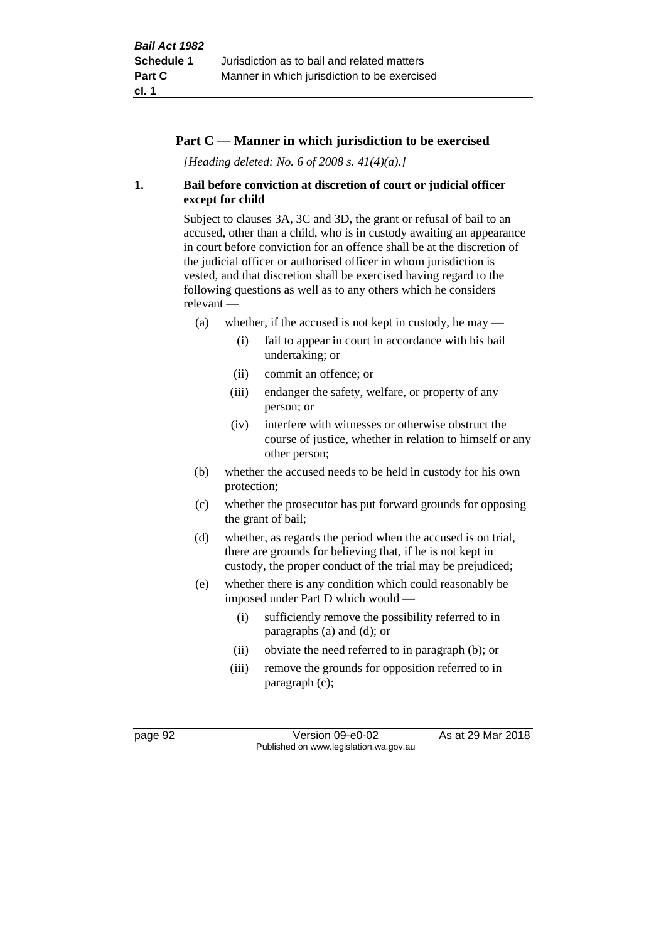#### **Part C — Manner in which jurisdiction to be exercised**

*[Heading deleted: No. 6 of 2008 s. 41(4)(a).]*

#### **1. Bail before conviction at discretion of court or judicial officer except for child**

Subject to clauses 3A, 3C and 3D, the grant or refusal of bail to an accused, other than a child, who is in custody awaiting an appearance in court before conviction for an offence shall be at the discretion of the judicial officer or authorised officer in whom jurisdiction is vested, and that discretion shall be exercised having regard to the following questions as well as to any others which he considers relevant —

- (a) whether, if the accused is not kept in custody, he may  $-$ 
	- (i) fail to appear in court in accordance with his bail undertaking; or
	- (ii) commit an offence; or
	- (iii) endanger the safety, welfare, or property of any person; or
	- (iv) interfere with witnesses or otherwise obstruct the course of justice, whether in relation to himself or any other person;
- (b) whether the accused needs to be held in custody for his own protection;
- (c) whether the prosecutor has put forward grounds for opposing the grant of bail;
- (d) whether, as regards the period when the accused is on trial, there are grounds for believing that, if he is not kept in custody, the proper conduct of the trial may be prejudiced;
- (e) whether there is any condition which could reasonably be imposed under Part D which would —
	- (i) sufficiently remove the possibility referred to in paragraphs (a) and (d); or
	- (ii) obviate the need referred to in paragraph (b); or
	- (iii) remove the grounds for opposition referred to in paragraph (c);

page 92 Version 09-e0-02 As at 29 Mar 2018 Published on www.legislation.wa.gov.au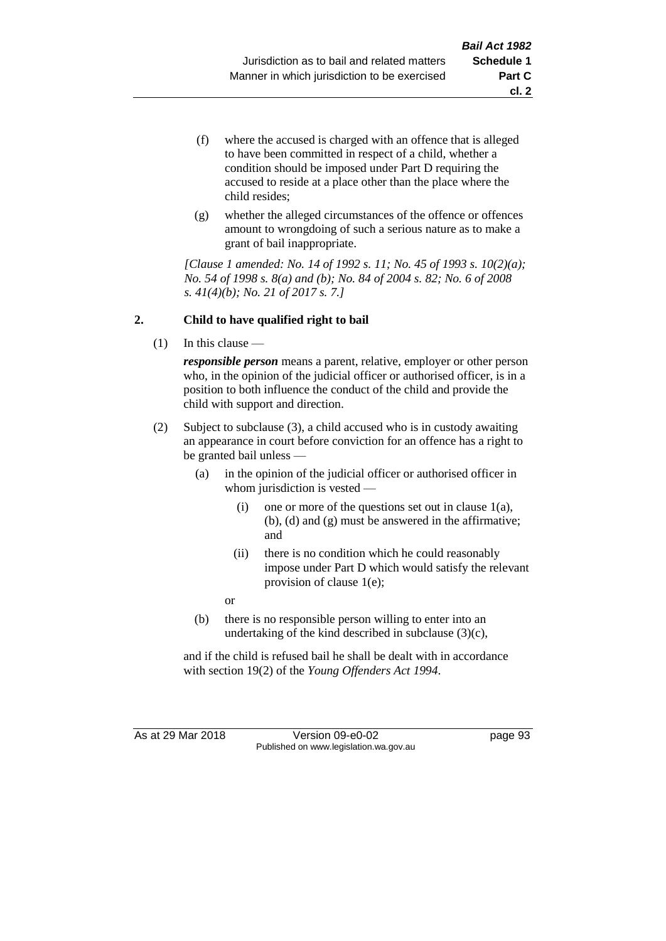- (f) where the accused is charged with an offence that is alleged to have been committed in respect of a child, whether a condition should be imposed under Part D requiring the accused to reside at a place other than the place where the child resides;
- (g) whether the alleged circumstances of the offence or offences amount to wrongdoing of such a serious nature as to make a grant of bail inappropriate.

*[Clause 1 amended: No. 14 of 1992 s. 11; No. 45 of 1993 s. 10(2)(a); No. 54 of 1998 s. 8(a) and (b); No. 84 of 2004 s. 82; No. 6 of 2008 s. 41(4)(b); No. 21 of 2017 s. 7.]*

#### **2. Child to have qualified right to bail**

(1) In this clause —

*responsible person* means a parent, relative, employer or other person who, in the opinion of the judicial officer or authorised officer, is in a position to both influence the conduct of the child and provide the child with support and direction.

- (2) Subject to subclause (3), a child accused who is in custody awaiting an appearance in court before conviction for an offence has a right to be granted bail unless —
	- (a) in the opinion of the judicial officer or authorised officer in whom jurisdiction is vested —
		- (i) one or more of the questions set out in clause  $1(a)$ , (b), (d) and (g) must be answered in the affirmative; and
		- (ii) there is no condition which he could reasonably impose under Part D which would satisfy the relevant provision of clause 1(e);

or

(b) there is no responsible person willing to enter into an undertaking of the kind described in subclause (3)(c),

and if the child is refused bail he shall be dealt with in accordance with section 19(2) of the *Young Offenders Act 1994*.

As at 29 Mar 2018 Version 09-e0-02 Page 93 Published on www.legislation.wa.gov.au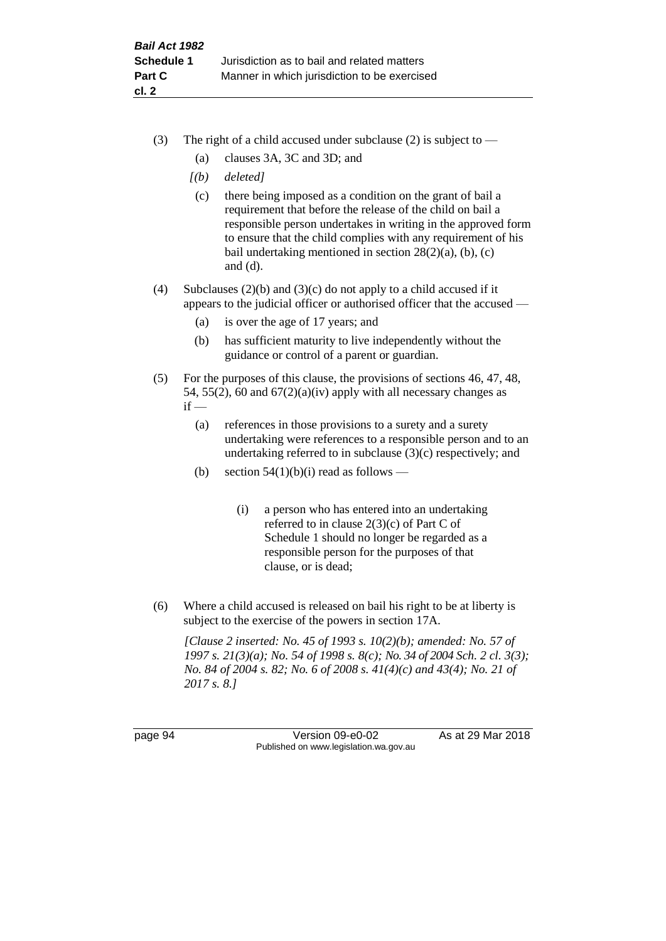- (3) The right of a child accused under subclause (2) is subject to  $-$ 
	- (a) clauses 3A, 3C and 3D; and
	- *[(b) deleted]*
	- (c) there being imposed as a condition on the grant of bail a requirement that before the release of the child on bail a responsible person undertakes in writing in the approved form to ensure that the child complies with any requirement of his bail undertaking mentioned in section  $28(2)(a)$ , (b), (c) and (d).
- (4) Subclauses (2)(b) and (3)(c) do not apply to a child accused if it appears to the judicial officer or authorised officer that the accused —
	- (a) is over the age of 17 years; and
	- (b) has sufficient maturity to live independently without the guidance or control of a parent or guardian.
- (5) For the purposes of this clause, the provisions of sections 46, 47, 48, 54, 55(2), 60 and  $67(2)(a)(iv)$  apply with all necessary changes as  $if -$ 
	- (a) references in those provisions to a surety and a surety undertaking were references to a responsible person and to an undertaking referred to in subclause (3)(c) respectively; and
	- (b) section  $54(1)(b)(i)$  read as follows
		- (i) a person who has entered into an undertaking referred to in clause 2(3)(c) of Part C of Schedule 1 should no longer be regarded as a responsible person for the purposes of that clause, or is dead;
- (6) Where a child accused is released on bail his right to be at liberty is subject to the exercise of the powers in section 17A.

*[Clause 2 inserted: No. 45 of 1993 s. 10(2)(b); amended: No. 57 of 1997 s. 21(3)(a); No. 54 of 1998 s. 8(c); No. 34 of 2004 Sch. 2 cl. 3(3); No. 84 of 2004 s. 82; No. 6 of 2008 s. 41(4)(c) and 43(4); No. 21 of 2017 s. 8.]*

page 94 Version 09-e0-02 As at 29 Mar 2018 Published on www.legislation.wa.gov.au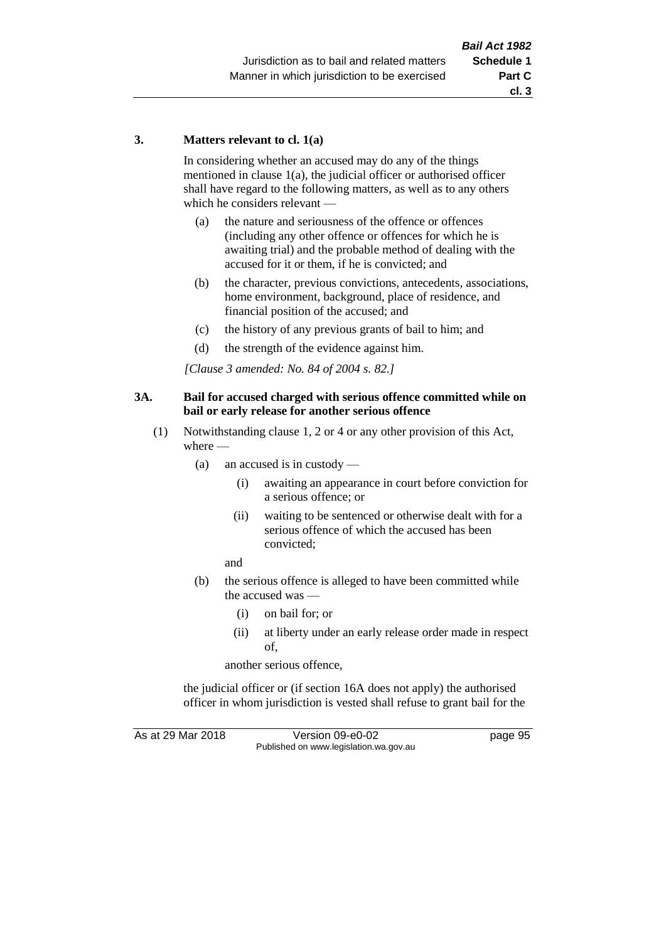#### **3. Matters relevant to cl. 1(a)**

In considering whether an accused may do any of the things mentioned in clause 1(a), the judicial officer or authorised officer shall have regard to the following matters, as well as to any others which he considers relevant —

- (a) the nature and seriousness of the offence or offences (including any other offence or offences for which he is awaiting trial) and the probable method of dealing with the accused for it or them, if he is convicted; and
- (b) the character, previous convictions, antecedents, associations, home environment, background, place of residence, and financial position of the accused; and
- (c) the history of any previous grants of bail to him; and
- (d) the strength of the evidence against him.

*[Clause 3 amended: No. 84 of 2004 s. 82.]*

#### **3A. Bail for accused charged with serious offence committed while on bail or early release for another serious offence**

- (1) Notwithstanding clause 1, 2 or 4 or any other provision of this Act, where —
	- (a) an accused is in custody
		- (i) awaiting an appearance in court before conviction for a serious offence; or
		- (ii) waiting to be sentenced or otherwise dealt with for a serious offence of which the accused has been convicted;

and

- (b) the serious offence is alleged to have been committed while the accused was —
	- (i) on bail for; or
	- (ii) at liberty under an early release order made in respect of,

another serious offence,

the judicial officer or (if section 16A does not apply) the authorised officer in whom jurisdiction is vested shall refuse to grant bail for the

As at 29 Mar 2018 Version 09-e0-02 Page 95 Published on www.legislation.wa.gov.au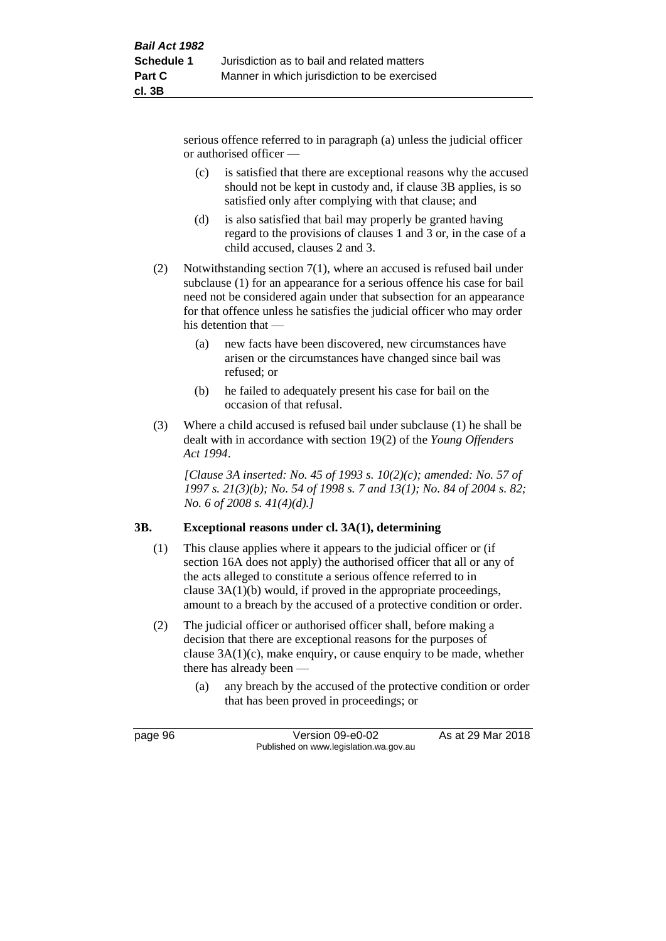serious offence referred to in paragraph (a) unless the judicial officer or authorised officer —

- (c) is satisfied that there are exceptional reasons why the accused should not be kept in custody and, if clause 3B applies, is so satisfied only after complying with that clause; and
- (d) is also satisfied that bail may properly be granted having regard to the provisions of clauses 1 and 3 or, in the case of a child accused, clauses 2 and 3.
- (2) Notwithstanding section 7(1), where an accused is refused bail under subclause (1) for an appearance for a serious offence his case for bail need not be considered again under that subsection for an appearance for that offence unless he satisfies the judicial officer who may order his detention that —
	- (a) new facts have been discovered, new circumstances have arisen or the circumstances have changed since bail was refused; or
	- (b) he failed to adequately present his case for bail on the occasion of that refusal.
- (3) Where a child accused is refused bail under subclause (1) he shall be dealt with in accordance with section 19(2) of the *Young Offenders Act 1994*.

*[Clause 3A inserted: No. 45 of 1993 s. 10(2)(c); amended: No. 57 of 1997 s. 21(3)(b); No. 54 of 1998 s. 7 and 13(1); No. 84 of 2004 s. 82; No. 6 of 2008 s. 41(4)(d).]*

#### **3B. Exceptional reasons under cl. 3A(1), determining**

- (1) This clause applies where it appears to the judicial officer or (if section 16A does not apply) the authorised officer that all or any of the acts alleged to constitute a serious offence referred to in clause 3A(1)(b) would, if proved in the appropriate proceedings, amount to a breach by the accused of a protective condition or order.
- (2) The judicial officer or authorised officer shall, before making a decision that there are exceptional reasons for the purposes of clause 3A(1)(c), make enquiry, or cause enquiry to be made, whether there has already been —
	- (a) any breach by the accused of the protective condition or order that has been proved in proceedings; or

page 96 Version 09-e0-02 As at 29 Mar 2018 Published on www.legislation.wa.gov.au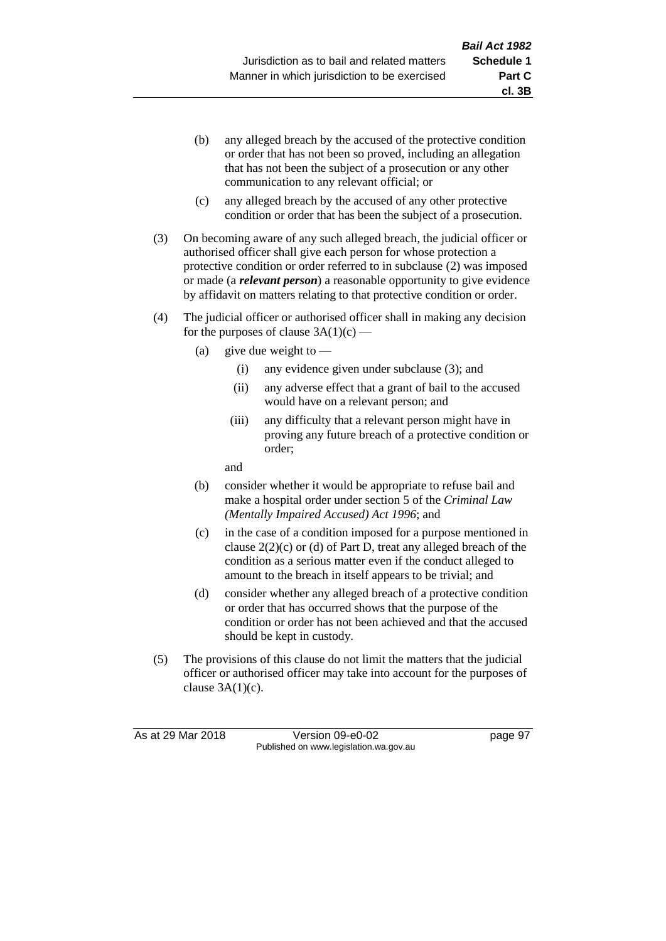- (b) any alleged breach by the accused of the protective condition or order that has not been so proved, including an allegation that has not been the subject of a prosecution or any other communication to any relevant official; or
- (c) any alleged breach by the accused of any other protective condition or order that has been the subject of a prosecution.
- (3) On becoming aware of any such alleged breach, the judicial officer or authorised officer shall give each person for whose protection a protective condition or order referred to in subclause (2) was imposed or made (a *relevant person*) a reasonable opportunity to give evidence by affidavit on matters relating to that protective condition or order.
- (4) The judicial officer or authorised officer shall in making any decision for the purposes of clause  $3A(1)(c)$  —
	- (a) give due weight to  $-$ 
		- (i) any evidence given under subclause (3); and
		- (ii) any adverse effect that a grant of bail to the accused would have on a relevant person; and
		- (iii) any difficulty that a relevant person might have in proving any future breach of a protective condition or order;

and

- (b) consider whether it would be appropriate to refuse bail and make a hospital order under section 5 of the *Criminal Law (Mentally Impaired Accused) Act 1996*; and
- (c) in the case of a condition imposed for a purpose mentioned in clause  $2(2)(c)$  or (d) of Part D, treat any alleged breach of the condition as a serious matter even if the conduct alleged to amount to the breach in itself appears to be trivial; and
- (d) consider whether any alleged breach of a protective condition or order that has occurred shows that the purpose of the condition or order has not been achieved and that the accused should be kept in custody.
- (5) The provisions of this clause do not limit the matters that the judicial officer or authorised officer may take into account for the purposes of clause  $3A(1)(c)$ .

As at 29 Mar 2018 Version 09-e0-02 Page 97 Published on www.legislation.wa.gov.au

**cl. 3B**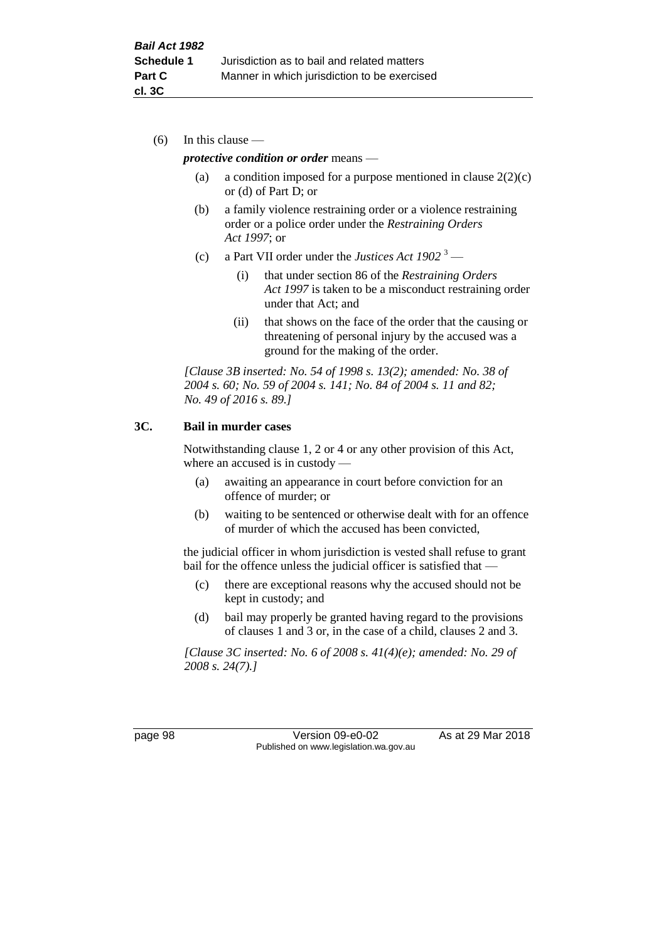(6) In this clause —

#### *protective condition or order* means —

- (a) a condition imposed for a purpose mentioned in clause  $2(2)(c)$ or (d) of Part D; or
- (b) a family violence restraining order or a violence restraining order or a police order under the *Restraining Orders Act 1997*; or
- (c) a Part VII order under the *Justices Act 1902* <sup>3</sup>
	- (i) that under section 86 of the *Restraining Orders Act 1997* is taken to be a misconduct restraining order under that Act; and
	- (ii) that shows on the face of the order that the causing or threatening of personal injury by the accused was a ground for the making of the order.

*[Clause 3B inserted: No. 54 of 1998 s. 13(2); amended: No. 38 of 2004 s. 60; No. 59 of 2004 s. 141; No. 84 of 2004 s. 11 and 82; No. 49 of 2016 s. 89.]*

#### **3C. Bail in murder cases**

Notwithstanding clause 1, 2 or 4 or any other provision of this Act, where an accused is in custody —

- (a) awaiting an appearance in court before conviction for an offence of murder; or
- (b) waiting to be sentenced or otherwise dealt with for an offence of murder of which the accused has been convicted,

the judicial officer in whom jurisdiction is vested shall refuse to grant bail for the offence unless the judicial officer is satisfied that —

- (c) there are exceptional reasons why the accused should not be kept in custody; and
- (d) bail may properly be granted having regard to the provisions of clauses 1 and 3 or, in the case of a child, clauses 2 and 3.

*[Clause 3C inserted: No. 6 of 2008 s. 41(4)(e); amended: No. 29 of 2008 s. 24(7).]*

page 98 Version 09-e0-02 As at 29 Mar 2018 Published on www.legislation.wa.gov.au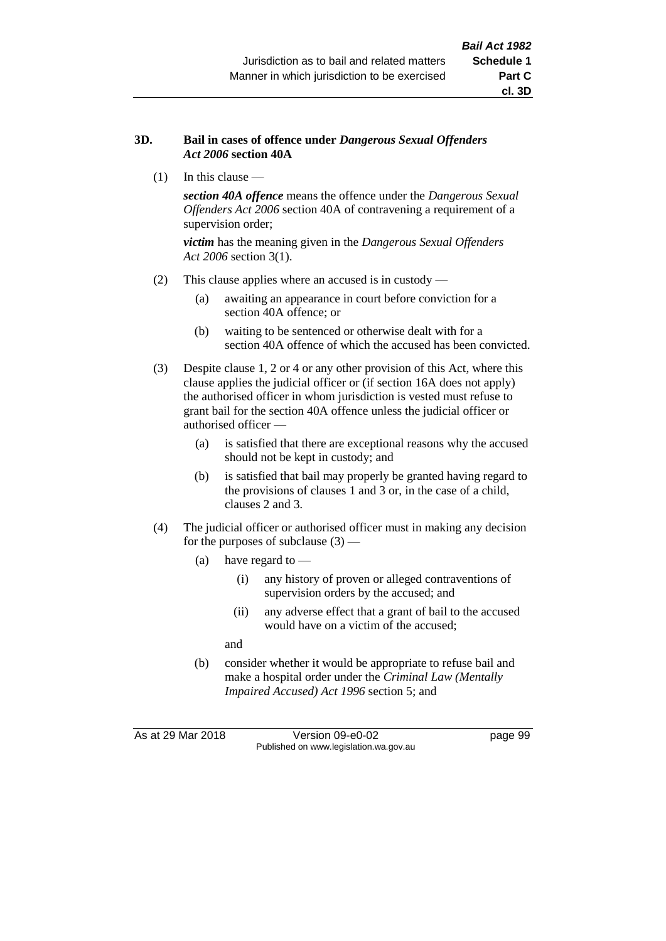#### **3D. Bail in cases of offence under** *Dangerous Sexual Offenders Act 2006* **section 40A**

(1) In this clause —

*section 40A offence* means the offence under the *Dangerous Sexual Offenders Act 2006* section 40A of contravening a requirement of a supervision order;

*victim* has the meaning given in the *Dangerous Sexual Offenders Act 2006* section 3(1).

- (2) This clause applies where an accused is in custody
	- (a) awaiting an appearance in court before conviction for a section 40A offence; or
	- (b) waiting to be sentenced or otherwise dealt with for a section 40A offence of which the accused has been convicted.
- (3) Despite clause 1, 2 or 4 or any other provision of this Act, where this clause applies the judicial officer or (if section 16A does not apply) the authorised officer in whom jurisdiction is vested must refuse to grant bail for the section 40A offence unless the judicial officer or authorised officer —
	- (a) is satisfied that there are exceptional reasons why the accused should not be kept in custody; and
	- (b) is satisfied that bail may properly be granted having regard to the provisions of clauses 1 and 3 or, in the case of a child, clauses 2 and 3.
- (4) The judicial officer or authorised officer must in making any decision for the purposes of subclause  $(3)$  —
	- (a) have regard to
		- (i) any history of proven or alleged contraventions of supervision orders by the accused; and
		- (ii) any adverse effect that a grant of bail to the accused would have on a victim of the accused;

and

(b) consider whether it would be appropriate to refuse bail and make a hospital order under the *Criminal Law (Mentally Impaired Accused) Act 1996* section 5; and

As at 29 Mar 2018 Version 09-e0-02 Page 99 Published on www.legislation.wa.gov.au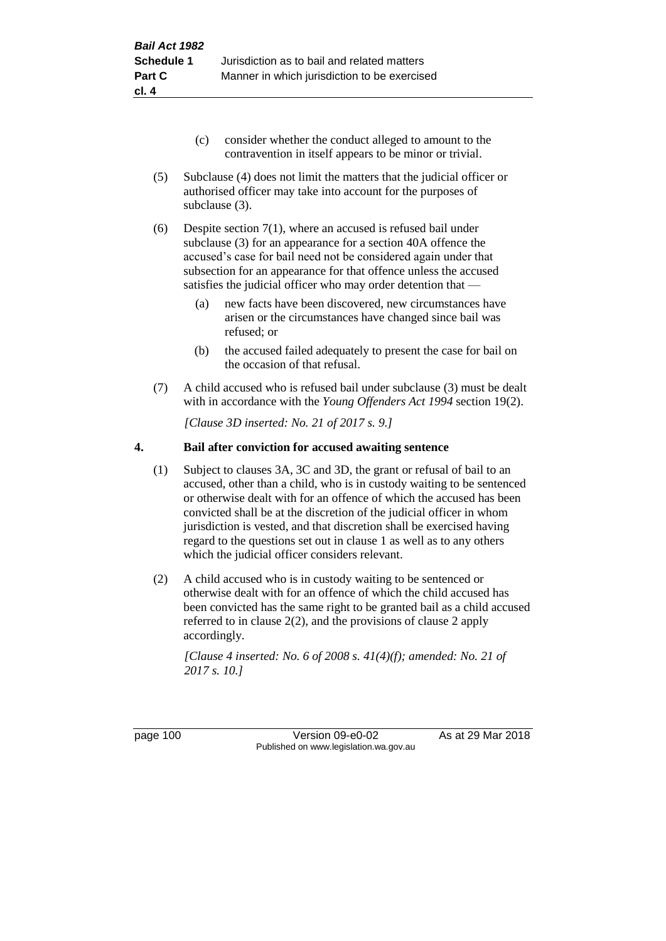- (c) consider whether the conduct alleged to amount to the contravention in itself appears to be minor or trivial.
- (5) Subclause (4) does not limit the matters that the judicial officer or authorised officer may take into account for the purposes of subclause (3).

(6) Despite section 7(1), where an accused is refused bail under subclause (3) for an appearance for a section 40A offence the accused's case for bail need not be considered again under that subsection for an appearance for that offence unless the accused satisfies the judicial officer who may order detention that —

- (a) new facts have been discovered, new circumstances have arisen or the circumstances have changed since bail was refused; or
- (b) the accused failed adequately to present the case for bail on the occasion of that refusal.
- (7) A child accused who is refused bail under subclause (3) must be dealt with in accordance with the *Young Offenders Act 1994* section 19(2).

*[Clause 3D inserted: No. 21 of 2017 s. 9.]*

#### **4. Bail after conviction for accused awaiting sentence**

- (1) Subject to clauses 3A, 3C and 3D, the grant or refusal of bail to an accused, other than a child, who is in custody waiting to be sentenced or otherwise dealt with for an offence of which the accused has been convicted shall be at the discretion of the judicial officer in whom jurisdiction is vested, and that discretion shall be exercised having regard to the questions set out in clause 1 as well as to any others which the judicial officer considers relevant.
- (2) A child accused who is in custody waiting to be sentenced or otherwise dealt with for an offence of which the child accused has been convicted has the same right to be granted bail as a child accused referred to in clause 2(2), and the provisions of clause 2 apply accordingly.

*[Clause 4 inserted: No. 6 of 2008 s. 41(4)(f); amended: No. 21 of 2017 s. 10.]*

page 100 Version 09-e0-02 As at 29 Mar 2018 Published on www.legislation.wa.gov.au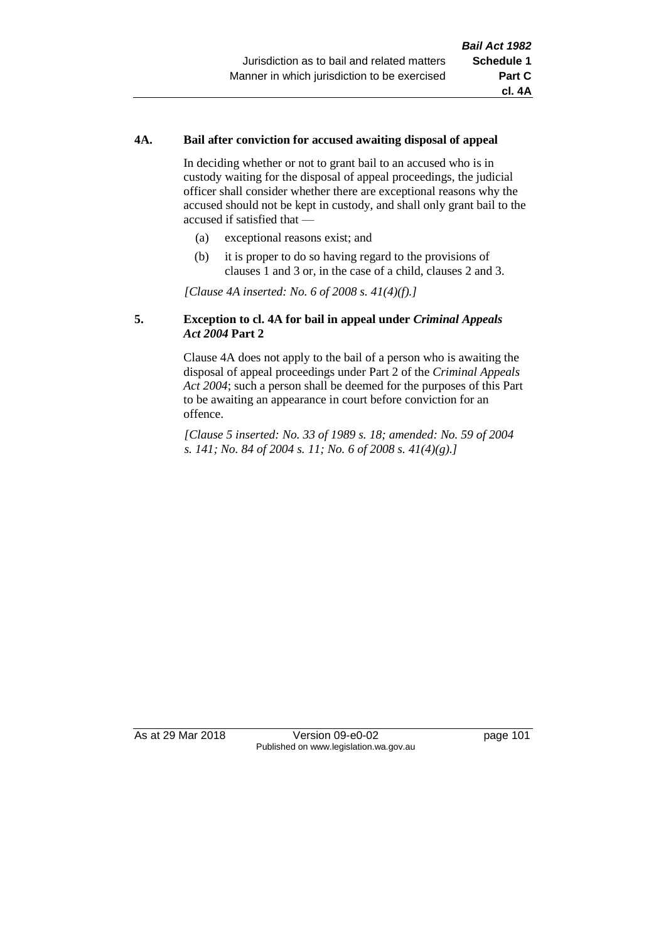#### **4A. Bail after conviction for accused awaiting disposal of appeal**

In deciding whether or not to grant bail to an accused who is in custody waiting for the disposal of appeal proceedings, the judicial officer shall consider whether there are exceptional reasons why the accused should not be kept in custody, and shall only grant bail to the accused if satisfied that —

- (a) exceptional reasons exist; and
- (b) it is proper to do so having regard to the provisions of clauses 1 and 3 or, in the case of a child, clauses 2 and 3.

*[Clause 4A inserted: No. 6 of 2008 s. 41(4)(f).]*

#### **5. Exception to cl. 4A for bail in appeal under** *Criminal Appeals Act 2004* **Part 2**

Clause 4A does not apply to the bail of a person who is awaiting the disposal of appeal proceedings under Part 2 of the *Criminal Appeals Act 2004*; such a person shall be deemed for the purposes of this Part to be awaiting an appearance in court before conviction for an offence.

*[Clause 5 inserted: No. 33 of 1989 s. 18; amended: No. 59 of 2004 s. 141; No. 84 of 2004 s. 11; No. 6 of 2008 s. 41(4)(g).]*

As at 29 Mar 2018 **Version 09-e0-02** page 101 Published on www.legislation.wa.gov.au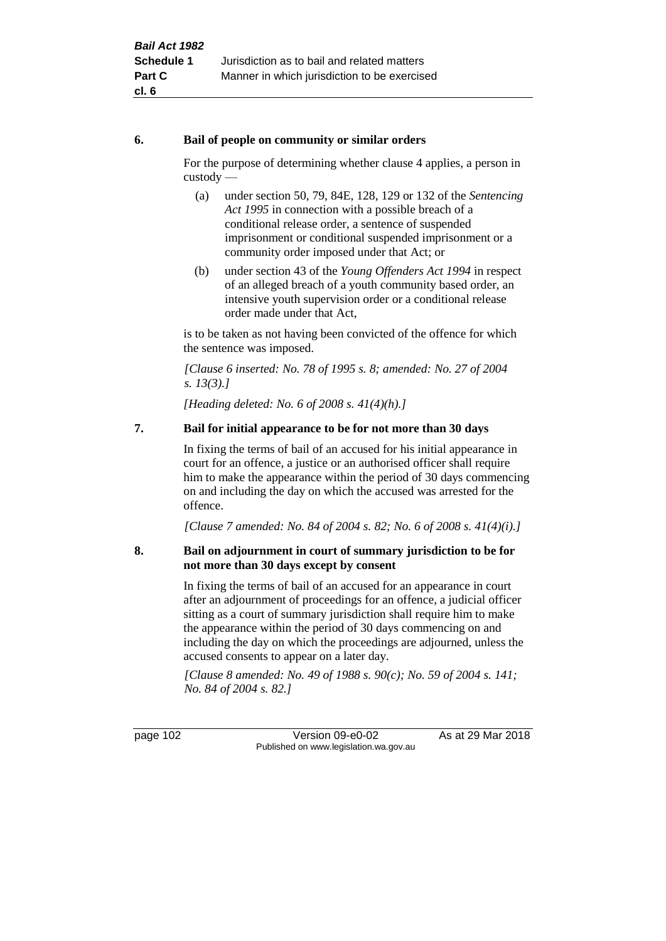#### **6. Bail of people on community or similar orders**

For the purpose of determining whether clause 4 applies, a person in custody —

- (a) under section 50, 79, 84E, 128, 129 or 132 of the *Sentencing Act 1995* in connection with a possible breach of a conditional release order, a sentence of suspended imprisonment or conditional suspended imprisonment or a community order imposed under that Act; or
- (b) under section 43 of the *Young Offenders Act 1994* in respect of an alleged breach of a youth community based order, an intensive youth supervision order or a conditional release order made under that Act,

is to be taken as not having been convicted of the offence for which the sentence was imposed.

*[Clause 6 inserted: No. 78 of 1995 s. 8; amended: No. 27 of 2004 s. 13(3).]*

*[Heading deleted: No. 6 of 2008 s. 41(4)(h).]*

#### **7. Bail for initial appearance to be for not more than 30 days**

In fixing the terms of bail of an accused for his initial appearance in court for an offence, a justice or an authorised officer shall require him to make the appearance within the period of 30 days commencing on and including the day on which the accused was arrested for the offence.

*[Clause 7 amended: No. 84 of 2004 s. 82; No. 6 of 2008 s. 41(4)(i).]*

#### **8. Bail on adjournment in court of summary jurisdiction to be for not more than 30 days except by consent**

In fixing the terms of bail of an accused for an appearance in court after an adjournment of proceedings for an offence, a judicial officer sitting as a court of summary jurisdiction shall require him to make the appearance within the period of 30 days commencing on and including the day on which the proceedings are adjourned, unless the accused consents to appear on a later day.

*[Clause 8 amended: No. 49 of 1988 s. 90(c); No. 59 of 2004 s. 141; No. 84 of 2004 s. 82.]*

page 102 Version 09-e0-02 As at 29 Mar 2018 Published on www.legislation.wa.gov.au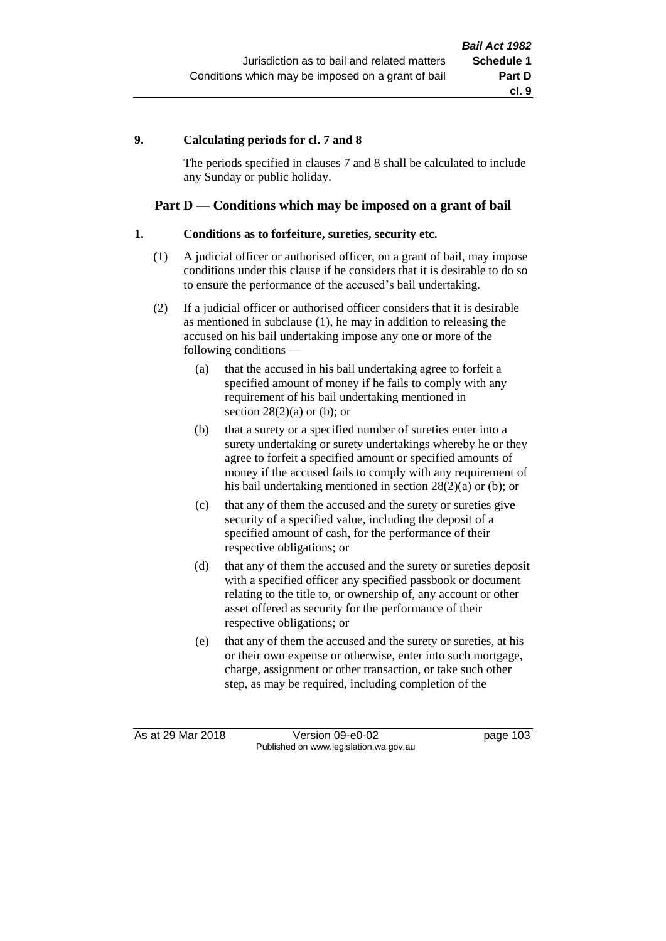#### **9. Calculating periods for cl. 7 and 8**

The periods specified in clauses 7 and 8 shall be calculated to include any Sunday or public holiday.

#### **Part D — Conditions which may be imposed on a grant of bail**

#### **1. Conditions as to forfeiture, sureties, security etc.**

- (1) A judicial officer or authorised officer, on a grant of bail, may impose conditions under this clause if he considers that it is desirable to do so to ensure the performance of the accused's bail undertaking.
- (2) If a judicial officer or authorised officer considers that it is desirable as mentioned in subclause (1), he may in addition to releasing the accused on his bail undertaking impose any one or more of the following conditions —
	- (a) that the accused in his bail undertaking agree to forfeit a specified amount of money if he fails to comply with any requirement of his bail undertaking mentioned in section  $28(2)(a)$  or (b); or
	- (b) that a surety or a specified number of sureties enter into a surety undertaking or surety undertakings whereby he or they agree to forfeit a specified amount or specified amounts of money if the accused fails to comply with any requirement of his bail undertaking mentioned in section 28(2)(a) or (b); or
	- (c) that any of them the accused and the surety or sureties give security of a specified value, including the deposit of a specified amount of cash, for the performance of their respective obligations; or
	- (d) that any of them the accused and the surety or sureties deposit with a specified officer any specified passbook or document relating to the title to, or ownership of, any account or other asset offered as security for the performance of their respective obligations; or
	- (e) that any of them the accused and the surety or sureties, at his or their own expense or otherwise, enter into such mortgage, charge, assignment or other transaction, or take such other step, as may be required, including completion of the

As at 29 Mar 2018 Version 09-e0-02 page 103 Published on www.legislation.wa.gov.au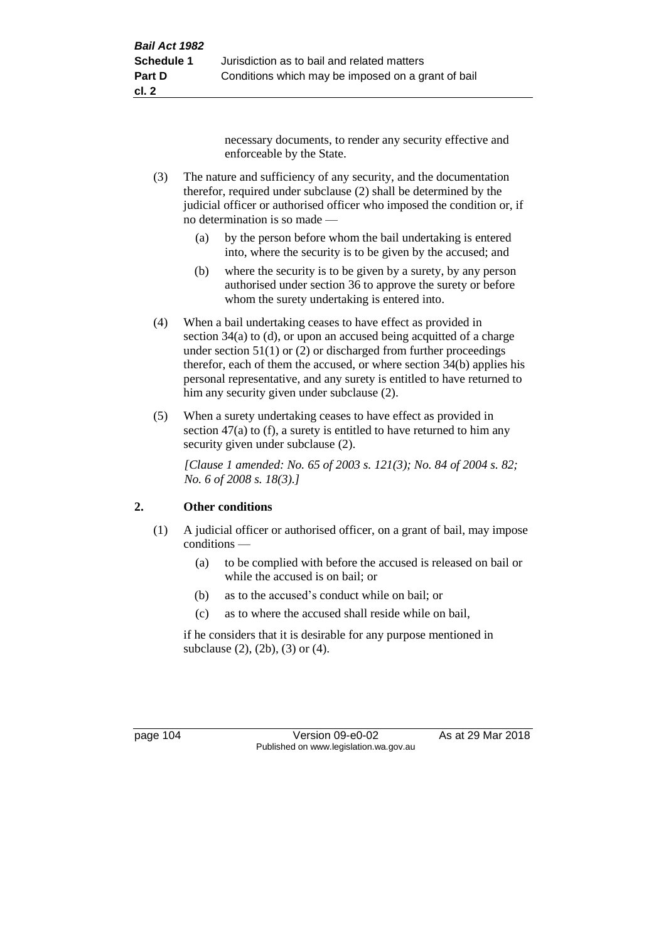necessary documents, to render any security effective and enforceable by the State.

- (3) The nature and sufficiency of any security, and the documentation therefor, required under subclause (2) shall be determined by the judicial officer or authorised officer who imposed the condition or, if no determination is so made —
	- (a) by the person before whom the bail undertaking is entered into, where the security is to be given by the accused; and
	- (b) where the security is to be given by a surety, by any person authorised under section 36 to approve the surety or before whom the surety undertaking is entered into.
- (4) When a bail undertaking ceases to have effect as provided in section 34(a) to (d), or upon an accused being acquitted of a charge under section  $51(1)$  or (2) or discharged from further proceedings therefor, each of them the accused, or where section 34(b) applies his personal representative, and any surety is entitled to have returned to him any security given under subclause (2).
- (5) When a surety undertaking ceases to have effect as provided in section 47(a) to (f), a surety is entitled to have returned to him any security given under subclause  $(2)$ .

*[Clause 1 amended: No. 65 of 2003 s. 121(3); No. 84 of 2004 s. 82; No. 6 of 2008 s. 18(3).]*

## **2. Other conditions**

- (1) A judicial officer or authorised officer, on a grant of bail, may impose conditions —
	- (a) to be complied with before the accused is released on bail or while the accused is on bail; or
	- (b) as to the accused's conduct while on bail; or
	- (c) as to where the accused shall reside while on bail,

if he considers that it is desirable for any purpose mentioned in subclause (2), (2b), (3) or (4).

page 104 Version 09-e0-02 As at 29 Mar 2018 Published on www.legislation.wa.gov.au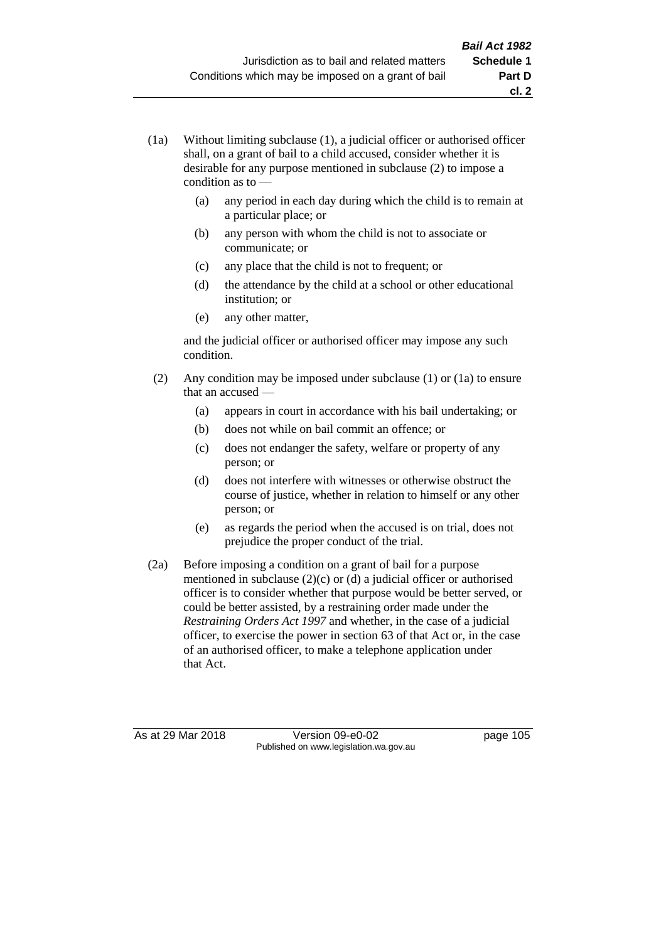- (1a) Without limiting subclause (1), a judicial officer or authorised officer shall, on a grant of bail to a child accused, consider whether it is desirable for any purpose mentioned in subclause (2) to impose a condition as to —
	- (a) any period in each day during which the child is to remain at a particular place; or
	- (b) any person with whom the child is not to associate or communicate; or
	- (c) any place that the child is not to frequent; or
	- (d) the attendance by the child at a school or other educational institution; or
	- (e) any other matter,

and the judicial officer or authorised officer may impose any such condition.

- (2) Any condition may be imposed under subclause (1) or (1a) to ensure that an accused —
	- (a) appears in court in accordance with his bail undertaking; or
	- (b) does not while on bail commit an offence; or
	- (c) does not endanger the safety, welfare or property of any person; or
	- (d) does not interfere with witnesses or otherwise obstruct the course of justice, whether in relation to himself or any other person; or
	- (e) as regards the period when the accused is on trial, does not prejudice the proper conduct of the trial.
- (2a) Before imposing a condition on a grant of bail for a purpose mentioned in subclause (2)(c) or (d) a judicial officer or authorised officer is to consider whether that purpose would be better served, or could be better assisted, by a restraining order made under the *Restraining Orders Act 1997* and whether, in the case of a judicial officer, to exercise the power in section 63 of that Act or, in the case of an authorised officer, to make a telephone application under that Act.

As at 29 Mar 2018 **Version 09-e0-02** page 105 Published on www.legislation.wa.gov.au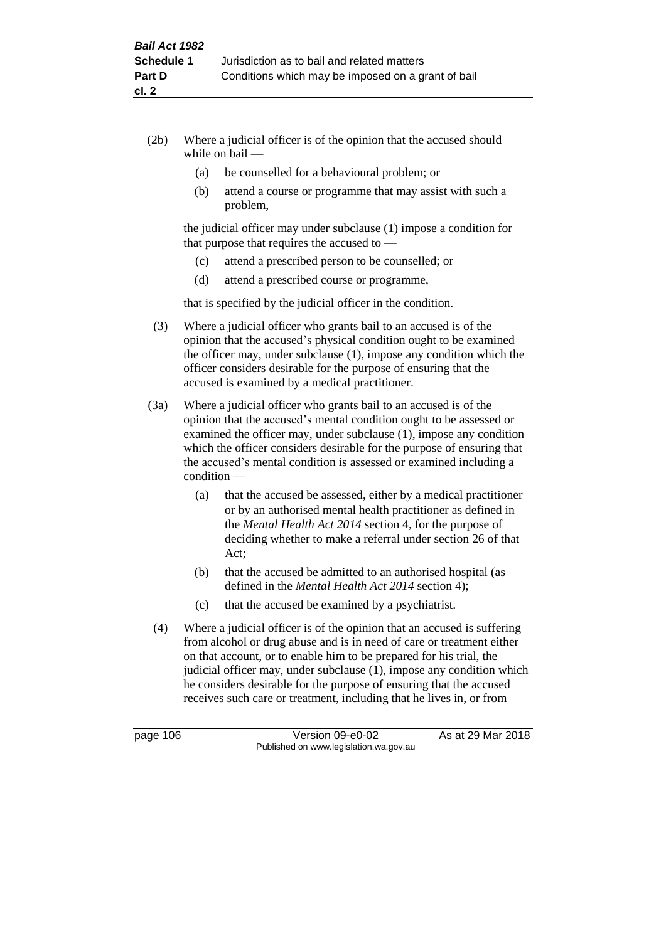- (2b) Where a judicial officer is of the opinion that the accused should while on bail —
	- (a) be counselled for a behavioural problem; or
	- (b) attend a course or programme that may assist with such a problem,

the judicial officer may under subclause (1) impose a condition for that purpose that requires the accused to —

- (c) attend a prescribed person to be counselled; or
- (d) attend a prescribed course or programme,

that is specified by the judicial officer in the condition.

- (3) Where a judicial officer who grants bail to an accused is of the opinion that the accused's physical condition ought to be examined the officer may, under subclause (1), impose any condition which the officer considers desirable for the purpose of ensuring that the accused is examined by a medical practitioner.
- (3a) Where a judicial officer who grants bail to an accused is of the opinion that the accused's mental condition ought to be assessed or examined the officer may, under subclause (1), impose any condition which the officer considers desirable for the purpose of ensuring that the accused's mental condition is assessed or examined including a condition —
	- (a) that the accused be assessed, either by a medical practitioner or by an authorised mental health practitioner as defined in the *Mental Health Act 2014* section 4, for the purpose of deciding whether to make a referral under section 26 of that Act;
	- (b) that the accused be admitted to an authorised hospital (as defined in the *Mental Health Act 2014* section 4);
	- (c) that the accused be examined by a psychiatrist.
- (4) Where a judicial officer is of the opinion that an accused is suffering from alcohol or drug abuse and is in need of care or treatment either on that account, or to enable him to be prepared for his trial, the judicial officer may, under subclause (1), impose any condition which he considers desirable for the purpose of ensuring that the accused receives such care or treatment, including that he lives in, or from

page 106 Version 09-e0-02 As at 29 Mar 2018 Published on www.legislation.wa.gov.au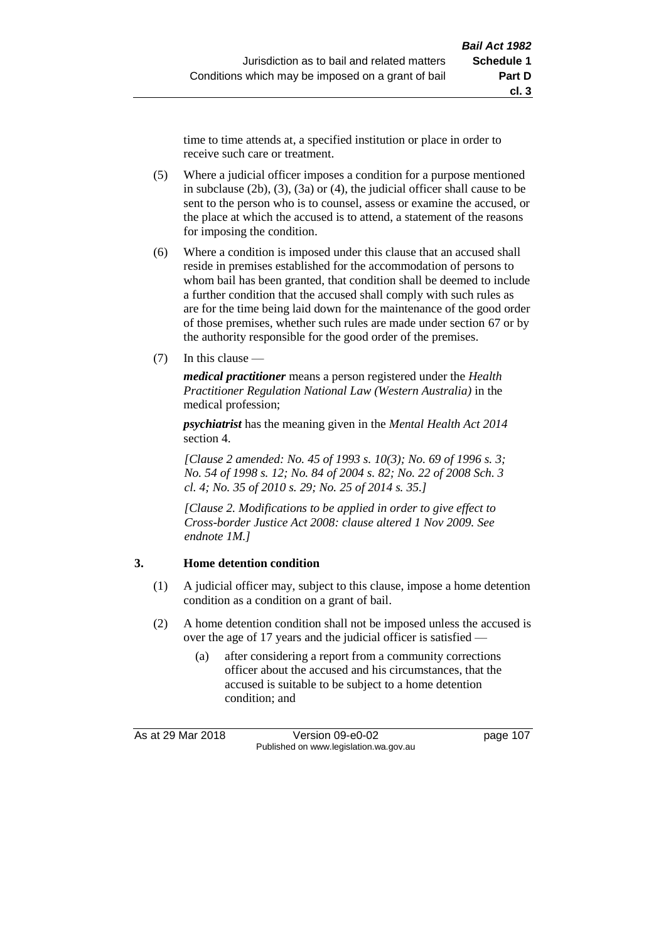time to time attends at, a specified institution or place in order to receive such care or treatment.

- (5) Where a judicial officer imposes a condition for a purpose mentioned in subclause (2b), (3), (3a) or (4), the judicial officer shall cause to be sent to the person who is to counsel, assess or examine the accused, or the place at which the accused is to attend, a statement of the reasons for imposing the condition.
- (6) Where a condition is imposed under this clause that an accused shall reside in premises established for the accommodation of persons to whom bail has been granted, that condition shall be deemed to include a further condition that the accused shall comply with such rules as are for the time being laid down for the maintenance of the good order of those premises, whether such rules are made under section 67 or by the authority responsible for the good order of the premises.
- (7) In this clause —

*medical practitioner* means a person registered under the *Health Practitioner Regulation National Law (Western Australia)* in the medical profession;

*psychiatrist* has the meaning given in the *Mental Health Act 2014* section 4.

*[Clause 2 amended: No. 45 of 1993 s. 10(3); No. 69 of 1996 s. 3; No. 54 of 1998 s. 12; No. 84 of 2004 s. 82; No. 22 of 2008 Sch. 3 cl. 4; No. 35 of 2010 s. 29; No. 25 of 2014 s. 35.]*

*[Clause 2. Modifications to be applied in order to give effect to Cross-border Justice Act 2008: clause altered 1 Nov 2009. See endnote 1M.]*

#### **3. Home detention condition**

- (1) A judicial officer may, subject to this clause, impose a home detention condition as a condition on a grant of bail.
- (2) A home detention condition shall not be imposed unless the accused is over the age of 17 years and the judicial officer is satisfied -
	- (a) after considering a report from a community corrections officer about the accused and his circumstances, that the accused is suitable to be subject to a home detention condition; and

As at 29 Mar 2018 Version 09-e0-02 page 107 Published on www.legislation.wa.gov.au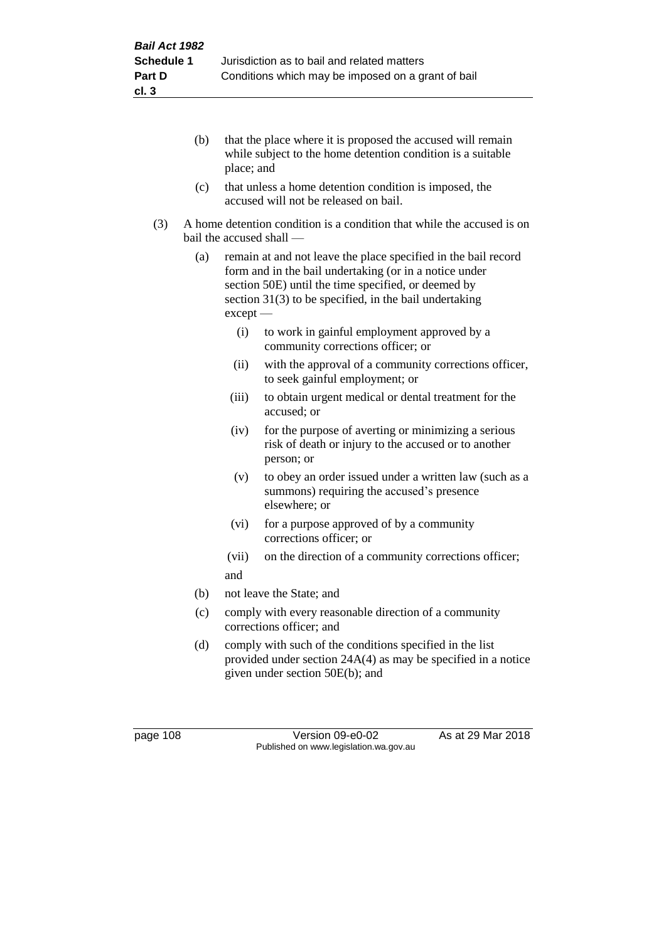- (b) that the place where it is proposed the accused will remain while subject to the home detention condition is a suitable place; and
- (c) that unless a home detention condition is imposed, the accused will not be released on bail.
- (3) A home detention condition is a condition that while the accused is on bail the accused shall —
	- (a) remain at and not leave the place specified in the bail record form and in the bail undertaking (or in a notice under section 50E) until the time specified, or deemed by section 31(3) to be specified, in the bail undertaking except —
		- (i) to work in gainful employment approved by a community corrections officer; or
		- (ii) with the approval of a community corrections officer, to seek gainful employment; or
		- (iii) to obtain urgent medical or dental treatment for the accused; or
		- (iv) for the purpose of averting or minimizing a serious risk of death or injury to the accused or to another person; or
		- (v) to obey an order issued under a written law (such as a summons) requiring the accused's presence elsewhere; or
		- (vi) for a purpose approved of by a community corrections officer; or
		- (vii) on the direction of a community corrections officer; and
	- (b) not leave the State; and
	- (c) comply with every reasonable direction of a community corrections officer; and
	- (d) comply with such of the conditions specified in the list provided under section 24A(4) as may be specified in a notice given under section 50E(b); and

page 108 Version 09-e0-02 As at 29 Mar 2018 Published on www.legislation.wa.gov.au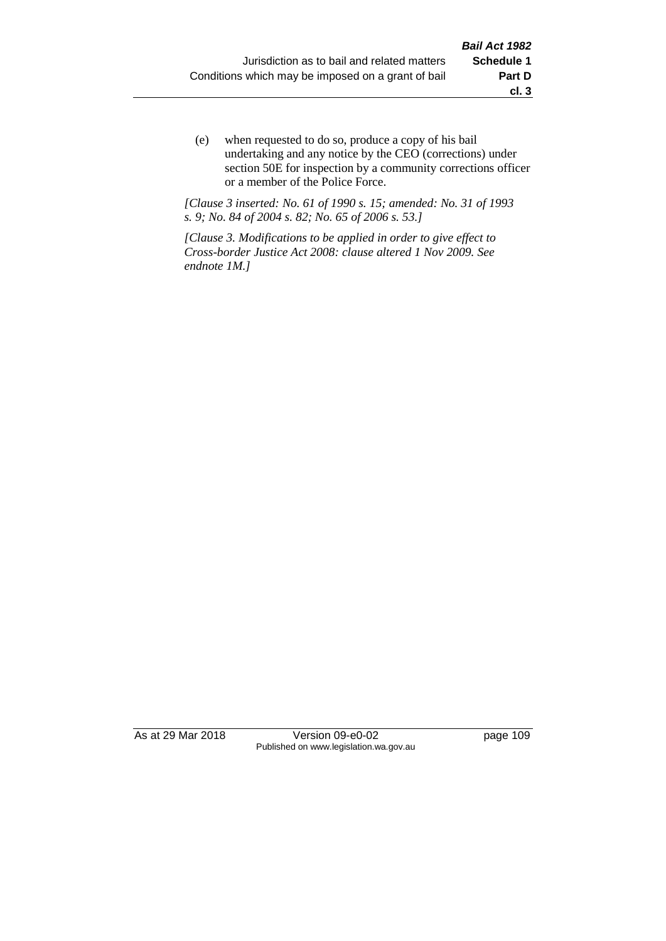(e) when requested to do so, produce a copy of his bail undertaking and any notice by the CEO (corrections) under section 50E for inspection by a community corrections officer or a member of the Police Force.

*[Clause 3 inserted: No. 61 of 1990 s. 15; amended: No. 31 of 1993 s. 9; No. 84 of 2004 s. 82; No. 65 of 2006 s. 53.]*

*[Clause 3. Modifications to be applied in order to give effect to Cross-border Justice Act 2008: clause altered 1 Nov 2009. See endnote 1M.]*

As at 29 Mar 2018 **Version 09-e0-02** page 109 Published on www.legislation.wa.gov.au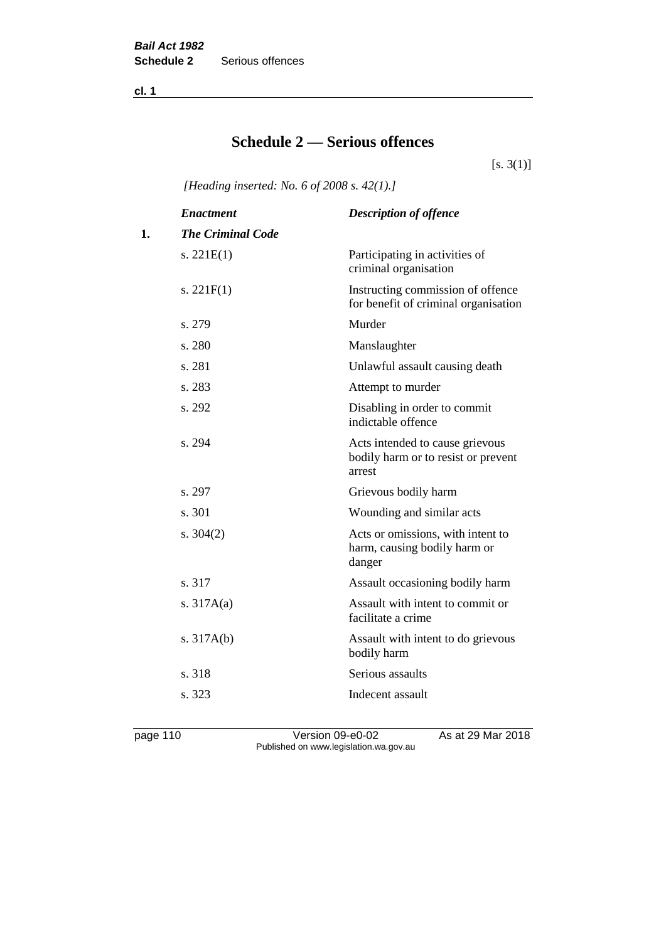**cl. 1**

# **Schedule 2 — Serious offences**

 $[s. 3(1)]$ 

*[Heading inserted: No. 6 of 2008 s. 42(1).]*

|    | <b>Enactment</b>         | <b>Description of offence</b>                                                    |
|----|--------------------------|----------------------------------------------------------------------------------|
| 1. | <b>The Criminal Code</b> |                                                                                  |
|    | s. $221E(1)$             | Participating in activities of<br>criminal organisation                          |
|    | s. $221F(1)$             | Instructing commission of offence<br>for benefit of criminal organisation        |
|    | s. 279                   | Murder                                                                           |
|    | s. 280                   | Manslaughter                                                                     |
|    | s. 281                   | Unlawful assault causing death                                                   |
|    | s. 283                   | Attempt to murder                                                                |
|    | s. 292                   | Disabling in order to commit<br>indictable offence                               |
|    | s. 294                   | Acts intended to cause grievous<br>bodily harm or to resist or prevent<br>arrest |
|    | s. 297                   | Grievous bodily harm                                                             |
|    | s. 301                   | Wounding and similar acts                                                        |
|    | s. $304(2)$              | Acts or omissions, with intent to<br>harm, causing bodily harm or<br>danger      |
|    | s. 317                   | Assault occasioning bodily harm                                                  |
|    | s. $317A(a)$             | Assault with intent to commit or<br>facilitate a crime                           |
|    | s. $317A(b)$             | Assault with intent to do grievous<br>bodily harm                                |
|    | s. 318                   | Serious assaults                                                                 |
|    | s. 323                   | Indecent assault                                                                 |
|    |                          |                                                                                  |

page 110 Version 09-e0-02 As at 29 Mar 2018 Published on www.legislation.wa.gov.au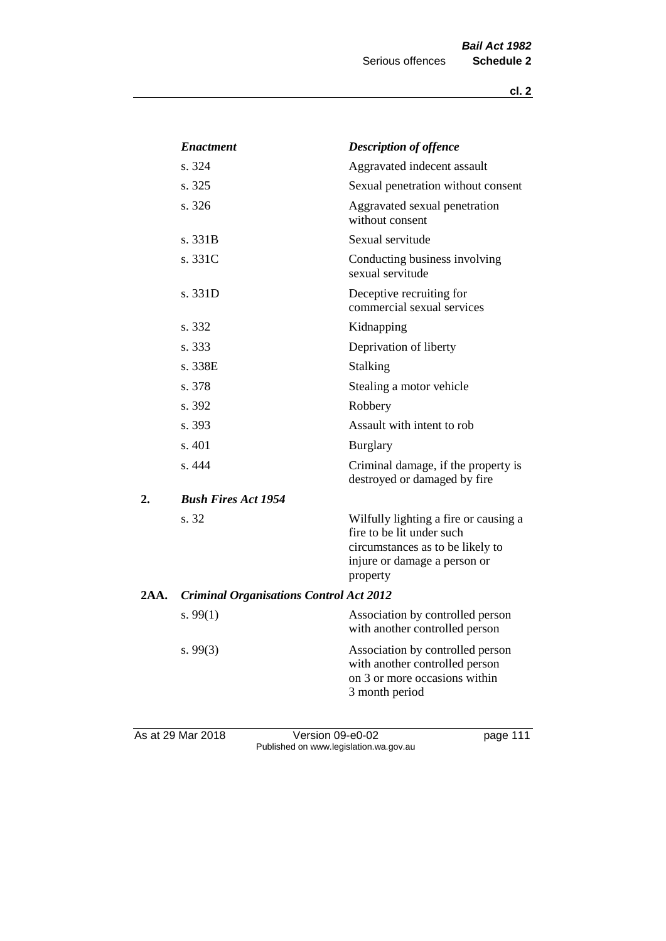|      | <b>Enactment</b>                               | <b>Description of offence</b>                                                                                                                      |
|------|------------------------------------------------|----------------------------------------------------------------------------------------------------------------------------------------------------|
|      | s. 324                                         | Aggravated indecent assault                                                                                                                        |
|      | s. 325                                         | Sexual penetration without consent                                                                                                                 |
|      | s. 326                                         | Aggravated sexual penetration<br>without consent                                                                                                   |
|      | s. 331B                                        | Sexual servitude                                                                                                                                   |
|      | s. 331C                                        | Conducting business involving<br>sexual servitude                                                                                                  |
|      | s. 331D                                        | Deceptive recruiting for<br>commercial sexual services                                                                                             |
|      | s. 332                                         | Kidnapping                                                                                                                                         |
|      | s. 333                                         | Deprivation of liberty                                                                                                                             |
|      | s. 338E                                        | Stalking                                                                                                                                           |
|      | s. 378                                         | Stealing a motor vehicle                                                                                                                           |
|      | s. 392                                         | Robbery                                                                                                                                            |
|      | s. 393                                         | Assault with intent to rob                                                                                                                         |
|      | s. 401                                         | <b>Burglary</b>                                                                                                                                    |
|      | s. 444                                         | Criminal damage, if the property is<br>destroyed or damaged by fire                                                                                |
| 2.   | <b>Bush Fires Act 1954</b>                     |                                                                                                                                                    |
|      | s. 32                                          | Wilfully lighting a fire or causing a<br>fire to be lit under such<br>circumstances as to be likely to<br>injure or damage a person or<br>property |
| 2AA. | <b>Criminal Organisations Control Act 2012</b> |                                                                                                                                                    |
|      | s. $99(1)$                                     | Association by controlled person<br>with another controlled person                                                                                 |
|      | s. $99(3)$                                     | Association by controlled person<br>with another controlled person<br>on 3 or more occasions within<br>3 month period                              |
|      |                                                |                                                                                                                                                    |

As at 29 Mar 2018 **Decision 09-e0-02** Page 111 Published on www.legislation.wa.gov.au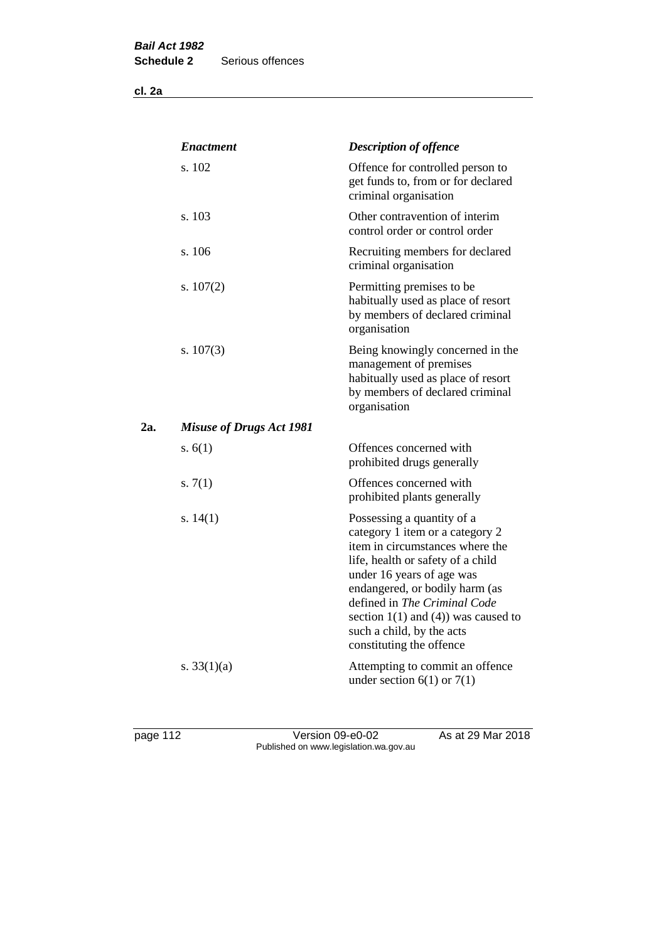**cl. 2a**

|     | <b>Enactment</b>                | <b>Description of offence</b>                                                                                                                                                                                                                                                                                                             |
|-----|---------------------------------|-------------------------------------------------------------------------------------------------------------------------------------------------------------------------------------------------------------------------------------------------------------------------------------------------------------------------------------------|
|     | s. 102                          | Offence for controlled person to<br>get funds to, from or for declared<br>criminal organisation                                                                                                                                                                                                                                           |
|     | s. 103                          | Other contravention of interim<br>control order or control order                                                                                                                                                                                                                                                                          |
|     | s. 106                          | Recruiting members for declared<br>criminal organisation                                                                                                                                                                                                                                                                                  |
|     | s. $107(2)$                     | Permitting premises to be<br>habitually used as place of resort<br>by members of declared criminal<br>organisation                                                                                                                                                                                                                        |
|     | s. $107(3)$                     | Being knowingly concerned in the<br>management of premises<br>habitually used as place of resort<br>by members of declared criminal<br>organisation                                                                                                                                                                                       |
| 2a. | <b>Misuse of Drugs Act 1981</b> |                                                                                                                                                                                                                                                                                                                                           |
|     | s. $6(1)$                       | Offences concerned with<br>prohibited drugs generally                                                                                                                                                                                                                                                                                     |
|     | s. $7(1)$                       | Offences concerned with<br>prohibited plants generally                                                                                                                                                                                                                                                                                    |
|     | s. $14(1)$                      | Possessing a quantity of a<br>category 1 item or a category 2<br>item in circumstances where the<br>life, health or safety of a child<br>under 16 years of age was<br>endangered, or bodily harm (as<br>defined in The Criminal Code<br>section $1(1)$ and $(4)$ ) was caused to<br>such a child, by the acts<br>constituting the offence |
|     | s. $33(1)(a)$                   | Attempting to commit an offence<br>under section $6(1)$ or $7(1)$                                                                                                                                                                                                                                                                         |

page 112 Version 09-e0-02 As at 29 Mar 2018 Published on www.legislation.wa.gov.au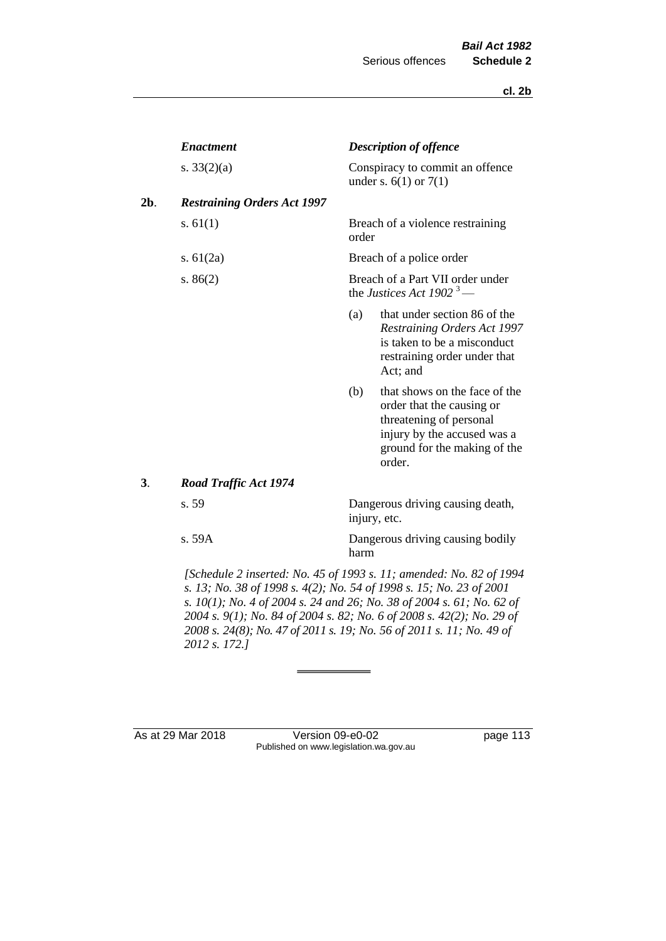|     | <b>Enactment</b>                   |       | <b>Description of offence</b>                                                                                                                                  |
|-----|------------------------------------|-------|----------------------------------------------------------------------------------------------------------------------------------------------------------------|
|     | s. $33(2)(a)$                      |       | Conspiracy to commit an offence<br>under s. $6(1)$ or $7(1)$                                                                                                   |
| 2b. | <b>Restraining Orders Act 1997</b> |       |                                                                                                                                                                |
|     | s. $61(1)$                         | order | Breach of a violence restraining                                                                                                                               |
|     | s. $61(2a)$                        |       | Breach of a police order                                                                                                                                       |
|     | s. $86(2)$                         |       | Breach of a Part VII order under<br>the Justices Act 1902 <sup>3</sup> —                                                                                       |
|     |                                    | (a)   | that under section 86 of the<br>Restraining Orders Act 1997<br>is taken to be a misconduct<br>restraining order under that<br>Act; and                         |
|     |                                    | (b)   | that shows on the face of the<br>order that the causing or<br>threatening of personal<br>injury by the accused was a<br>ground for the making of the<br>order. |
| 3.  | <b>Road Traffic Act 1974</b>       |       |                                                                                                                                                                |
|     | s. 59                              |       | Dangerous driving causing death,<br>injury, etc.                                                                                                               |
|     | s. 59A                             | harm  | Dangerous driving causing bodily                                                                                                                               |
|     |                                    |       |                                                                                                                                                                |

*[Schedule 2 inserted: No. 45 of 1993 s. 11; amended: No. 82 of 1994 s. 13; No. 38 of 1998 s. 4(2); No. 54 of 1998 s. 15; No. 23 of 2001 s. 10(1); No. 4 of 2004 s. 24 and 26; No. 38 of 2004 s. 61; No. 62 of 2004 s. 9(1); No. 84 of 2004 s. 82; No. 6 of 2008 s. 42(2); No. 29 of 2008 s. 24(8); No. 47 of 2011 s. 19; No. 56 of 2011 s. 11; No. 49 of 2012 s. 172.]* 

As at 29 Mar 2018 Version 09-e0-02 page 113 Published on www.legislation.wa.gov.au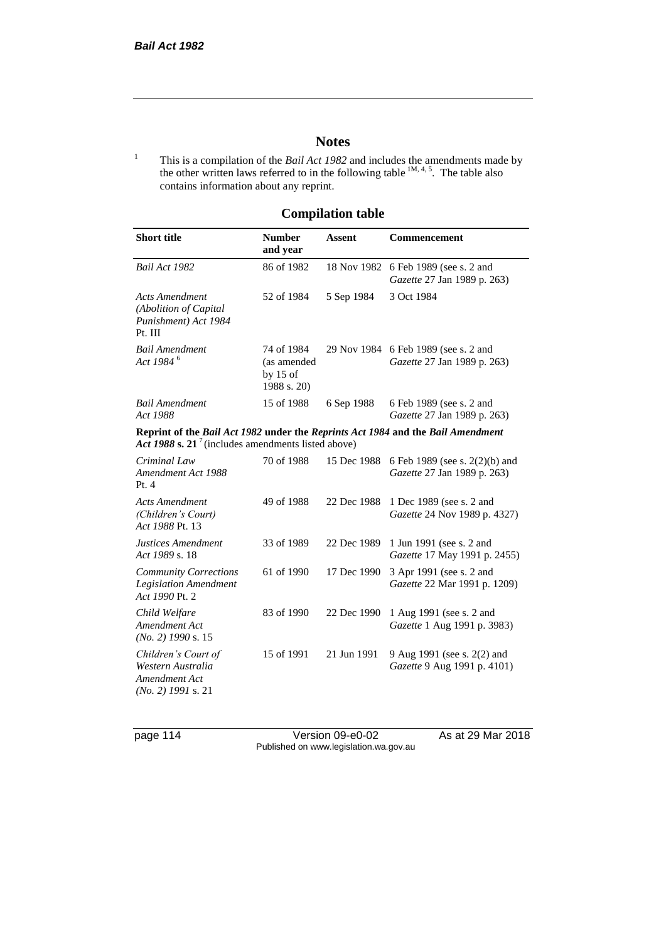### **Notes**

<sup>1</sup> This is a compilation of the *Bail Act 1982* and includes the amendments made by the other written laws referred to in the following table  $^{1M, 4, 5}$ . The table also contains information about any reprint.

## **Compilation table**

| <b>Short title</b>                                                                                                                                | <b>Number</b><br>and year                              | <b>Assent</b> | Commencement                                                        |
|---------------------------------------------------------------------------------------------------------------------------------------------------|--------------------------------------------------------|---------------|---------------------------------------------------------------------|
| Bail Act 1982                                                                                                                                     | 86 of 1982                                             | 18 Nov 1982   | 6 Feb 1989 (see s. 2 and<br>Gazette 27 Jan 1989 p. 263)             |
| <b>Acts Amendment</b><br>(Abolition of Capital<br>Punishment) Act 1984<br>Pt. III                                                                 | 52 of 1984                                             | 5 Sep 1984    | 3 Oct 1984                                                          |
| <b>Bail Amendment</b><br>Act 1984 <sup>6</sup>                                                                                                    | 74 of 1984<br>(as amended<br>by $15$ of<br>1988 s. 20) |               | 29 Nov 1984 6 Feb 1989 (see s. 2 and<br>Gazette 27 Jan 1989 p. 263) |
| <b>Bail Amendment</b><br>Act 1988                                                                                                                 | 15 of 1988                                             | 6 Sep 1988    | 6 Feb 1989 (see s. 2 and<br>Gazette 27 Jan 1989 p. 263)             |
| Reprint of the Bail Act 1982 under the Reprints Act 1984 and the Bail Amendment<br>Act 1988 s. 21 <sup>7</sup> (includes amendments listed above) |                                                        |               |                                                                     |
| Criminal Law<br>Amendment Act 1988<br>Pt.4                                                                                                        | 70 of 1988                                             | 15 Dec 1988   | 6 Feb 1989 (see s. 2(2)(b) and<br>Gazette 27 Jan 1989 p. 263)       |
| <b>Acts Amendment</b><br>(Children's Court)<br>Act 1988 Pt. 13                                                                                    | 49 of 1988                                             | 22 Dec 1988   | 1 Dec 1989 (see s. 2 and<br>Gazette 24 Nov 1989 p. 4327)            |
| Justices Amendment<br>Act 1989 s. 18                                                                                                              | 33 of 1989                                             | 22 Dec 1989   | 1 Jun 1991 (see s. 2 and<br>Gazette 17 May 1991 p. 2455)            |
| <b>Community Corrections</b><br><b>Legislation Amendment</b><br>Act 1990 Pt. 2                                                                    | 61 of 1990                                             | 17 Dec 1990   | 3 Apr 1991 (see s. 2 and<br>Gazette 22 Mar 1991 p. 1209)            |
| Child Welfare<br>Amendment Act<br>$(No. 2)$ 1990 s. 15                                                                                            | 83 of 1990                                             | 22 Dec 1990   | 1 Aug 1991 (see s. 2 and<br>Gazette 1 Aug 1991 p. 3983)             |
| Children's Court of<br>Western Australia<br>Amendment Act<br>$(No. 2)$ 1991 s. 21                                                                 | 15 of 1991                                             | 21 Jun 1991   | 9 Aug 1991 (see s. 2(2) and<br><i>Gazette</i> 9 Aug 1991 p. 4101)   |

page 114 Version 09-e0-02 As at 29 Mar 2018 Published on www.legislation.wa.gov.au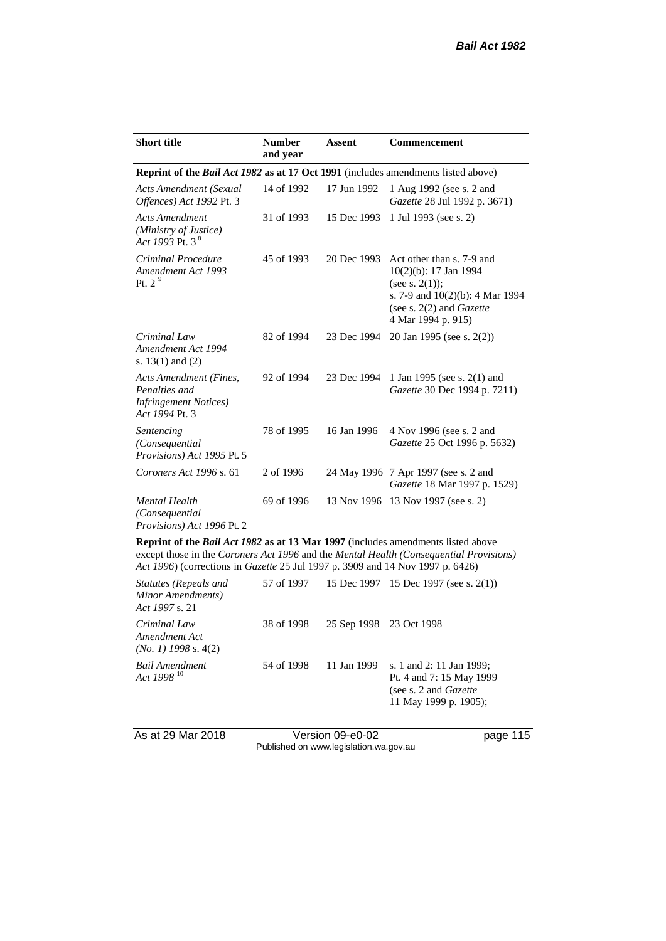| <b>Short title</b>                                                                                                                                                                                                                                                                                                                 | <b>Number</b><br>and year | <b>Assent</b>                                    | Commencement                                                                                                                                                      |
|------------------------------------------------------------------------------------------------------------------------------------------------------------------------------------------------------------------------------------------------------------------------------------------------------------------------------------|---------------------------|--------------------------------------------------|-------------------------------------------------------------------------------------------------------------------------------------------------------------------|
| Reprint of the <i>Bail Act 1982</i> as at 17 Oct 1991 (includes amendments listed above)                                                                                                                                                                                                                                           |                           |                                                  |                                                                                                                                                                   |
| Acts Amendment (Sexual<br>Offences) Act 1992 Pt. 3                                                                                                                                                                                                                                                                                 | 14 of 1992                | 17 Jun 1992                                      | 1 Aug 1992 (see s. 2 and<br>Gazette 28 Jul 1992 p. 3671)                                                                                                          |
| <b>Acts Amendment</b><br>(Ministry of Justice)<br>Act 1993 Pt. 3 <sup>8</sup>                                                                                                                                                                                                                                                      | 31 of 1993                | 15 Dec 1993                                      | 1 Jul 1993 (see s. 2)                                                                                                                                             |
| Criminal Procedure<br>Amendment Act 1993<br>Pt. $2^9$                                                                                                                                                                                                                                                                              | 45 of 1993                | 20 Dec 1993                                      | Act other than s. 7-9 and<br>10(2)(b): 17 Jan 1994<br>(see s. $2(1)$ );<br>s. 7-9 and $10(2)(b)$ : 4 Mar 1994<br>(see s. $2(2)$ and Gazette<br>4 Mar 1994 p. 915) |
| Criminal Law<br>Amendment Act 1994<br>s. $13(1)$ and $(2)$                                                                                                                                                                                                                                                                         | 82 of 1994                | 23 Dec 1994                                      | 20 Jan 1995 (see s. 2(2))                                                                                                                                         |
| Acts Amendment (Fines,<br>Penalties and<br><b>Infringement Notices</b> )<br>Act 1994 Pt. 3                                                                                                                                                                                                                                         | 92 of 1994                | 23 Dec 1994                                      | 1 Jan 1995 (see s. 2(1) and<br>Gazette 30 Dec 1994 p. 7211)                                                                                                       |
| Sentencing<br>(Consequential<br>Provisions) Act 1995 Pt. 5                                                                                                                                                                                                                                                                         | 78 of 1995                | 16 Jan 1996                                      | 4 Nov 1996 (see s. 2 and<br>Gazette 25 Oct 1996 p. 5632)                                                                                                          |
| Coroners Act 1996 s. 61                                                                                                                                                                                                                                                                                                            | 2 of 1996                 |                                                  | 24 May 1996 7 Apr 1997 (see s. 2 and<br>Gazette 18 Mar 1997 p. 1529)                                                                                              |
| <b>Mental Health</b><br>(Consequential)<br>Provisions) Act 1996 Pt. 2                                                                                                                                                                                                                                                              | 69 of 1996                |                                                  | 13 Nov 1996 13 Nov 1997 (see s. 2)                                                                                                                                |
| $\mathbf{r}$ $\mathbf{r}$ $\mathbf{r}$ $\mathbf{r}$ $\mathbf{r}$ $\mathbf{r}$ $\mathbf{r}$ $\mathbf{r}$ $\mathbf{r}$ $\mathbf{r}$ $\mathbf{r}$ $\mathbf{r}$ $\mathbf{r}$ $\mathbf{r}$ $\mathbf{r}$ $\mathbf{r}$ $\mathbf{r}$ $\mathbf{r}$ $\mathbf{r}$ $\mathbf{r}$ $\mathbf{r}$ $\mathbf{r}$ $\mathbf{r}$ $\mathbf{r}$ $\mathbf{$ |                           | $\sqrt{4.3}$ $\sqrt{4.00}$ $\sqrt{1}$ $\sqrt{1}$ | 1.1.1.1.1.1.1                                                                                                                                                     |

**Reprint of the** *Bail Act 1982* **as at 13 Mar 1997** (includes amendments listed above except those in the *Coroners Act 1996* and the *Mental Health (Consequential Provisions) Act 1996*) (corrections in *Gazette* 25 Jul 1997 p. 3909 and 14 Nov 1997 p. 6426)

| <b>Statutes (Repeals and</b><br>Minor Amendments)<br>Act 1997 s. 21 | 57 of 1997 |                         | 15 Dec 1997 15 Dec 1997 (see s. 2(1))                                                                           |
|---------------------------------------------------------------------|------------|-------------------------|-----------------------------------------------------------------------------------------------------------------|
| Criminal Law<br>Amendment Act<br>$(No. 1)$ 1998 s. 4(2)             | 38 of 1998 | 25 Sep 1998 23 Oct 1998 |                                                                                                                 |
| <b>Bail Amendment</b><br>Act 1998 <sup>10</sup>                     | 54 of 1998 | 11 Jan 1999             | s. 1 and 2: 11 Jan 1999;<br>Pt. 4 and 7: 15 May 1999<br>(see s. 2 and <i>Gazette</i> )<br>11 May 1999 p. 1905); |

As at 29 Mar 2018 Version 09-e0-02 page 115 Published on www.legislation.wa.gov.au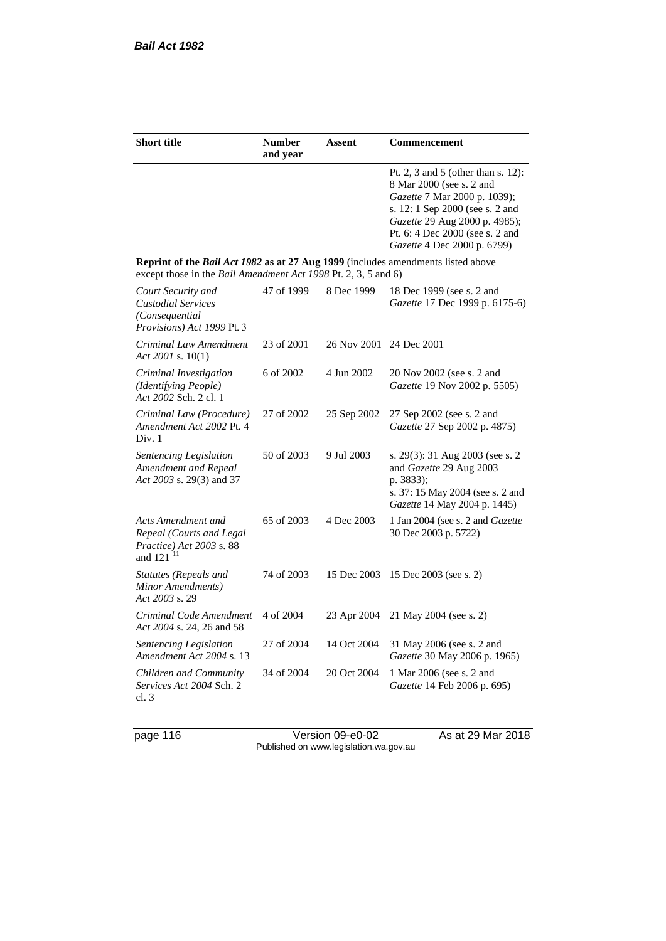| <b>Short title</b>                                                                                                                                 | <b>Number</b><br>and year | Assent                  | Commencement                                                                                                                                                                                                                         |
|----------------------------------------------------------------------------------------------------------------------------------------------------|---------------------------|-------------------------|--------------------------------------------------------------------------------------------------------------------------------------------------------------------------------------------------------------------------------------|
|                                                                                                                                                    |                           |                         | Pt. 2, 3 and 5 (other than s. 12):<br>8 Mar 2000 (see s. 2 and<br>Gazette 7 Mar 2000 p. 1039);<br>s. 12: 1 Sep 2000 (see s. 2 and<br>Gazette 29 Aug 2000 p. 4985);<br>Pt. 6: 4 Dec 2000 (see s. 2 and<br>Gazette 4 Dec 2000 p. 6799) |
| Reprint of the Bail Act 1982 as at 27 Aug 1999 (includes amendments listed above<br>except those in the Bail Amendment Act 1998 Pt. 2, 3, 5 and 6) |                           |                         |                                                                                                                                                                                                                                      |
| Court Security and<br><b>Custodial Services</b><br>(Consequential<br>Provisions) Act 1999 Pt. 3                                                    | 47 of 1999                | 8 Dec 1999              | 18 Dec 1999 (see s. 2 and<br>Gazette 17 Dec 1999 p. 6175-6)                                                                                                                                                                          |
| Criminal Law Amendment<br>Act 2001 s. $10(1)$                                                                                                      | 23 of 2001                | 26 Nov 2001 24 Dec 2001 |                                                                                                                                                                                                                                      |
| Criminal Investigation<br>(Identifying People)<br>Act 2002 Sch. 2 cl. 1                                                                            | 6 of 2002                 | 4 Jun 2002              | 20 Nov 2002 (see s. 2 and<br>Gazette 19 Nov 2002 p. 5505)                                                                                                                                                                            |
| Criminal Law (Procedure)<br>Amendment Act 2002 Pt. 4<br>Div. 1                                                                                     | 27 of 2002                | 25 Sep 2002             | 27 Sep 2002 (see s. 2 and<br>Gazette 27 Sep 2002 p. 4875)                                                                                                                                                                            |
| Sentencing Legislation<br>Amendment and Repeal<br>Act 2003 s. 29(3) and 37                                                                         | 50 of 2003                | 9 Jul 2003              | s. 29(3): 31 Aug 2003 (see s. 2)<br>and Gazette 29 Aug 2003<br>p. 3833);<br>s. 37: 15 May 2004 (see s. 2 and<br>Gazette 14 May 2004 p. 1445)                                                                                         |
| Acts Amendment and<br>Repeal (Courts and Legal<br>Practice) Act 2003 s. 88<br>and $121$ <sup>11</sup>                                              | 65 of 2003                | 4 Dec 2003              | 1 Jan 2004 (see s. 2 and <i>Gazette</i><br>30 Dec 2003 p. 5722)                                                                                                                                                                      |
| Statutes (Repeals and<br>Minor Amendments)<br>Act 2003 s. 29                                                                                       | 74 of 2003                | 15 Dec 2003             | 15 Dec 2003 (see s. 2)                                                                                                                                                                                                               |
| Criminal Code Amendment<br>Act 2004 s. 24, 26 and 58                                                                                               | 4 of 2004                 | 23 Apr 2004             | 21 May 2004 (see s. 2)                                                                                                                                                                                                               |
| Sentencing Legislation<br>Amendment Act 2004 s. 13                                                                                                 | 27 of 2004                | 14 Oct 2004             | 31 May 2006 (see s. 2 and<br>Gazette 30 May 2006 p. 1965)                                                                                                                                                                            |
| Children and Community<br>Services Act 2004 Sch. 2<br>cl.3                                                                                         | 34 of 2004                | 20 Oct 2004             | 1 Mar 2006 (see s. 2 and<br>Gazette 14 Feb 2006 p. 695)                                                                                                                                                                              |

page 116 Version 09-e0-02 As at 29 Mar 2018 Published on www.legislation.wa.gov.au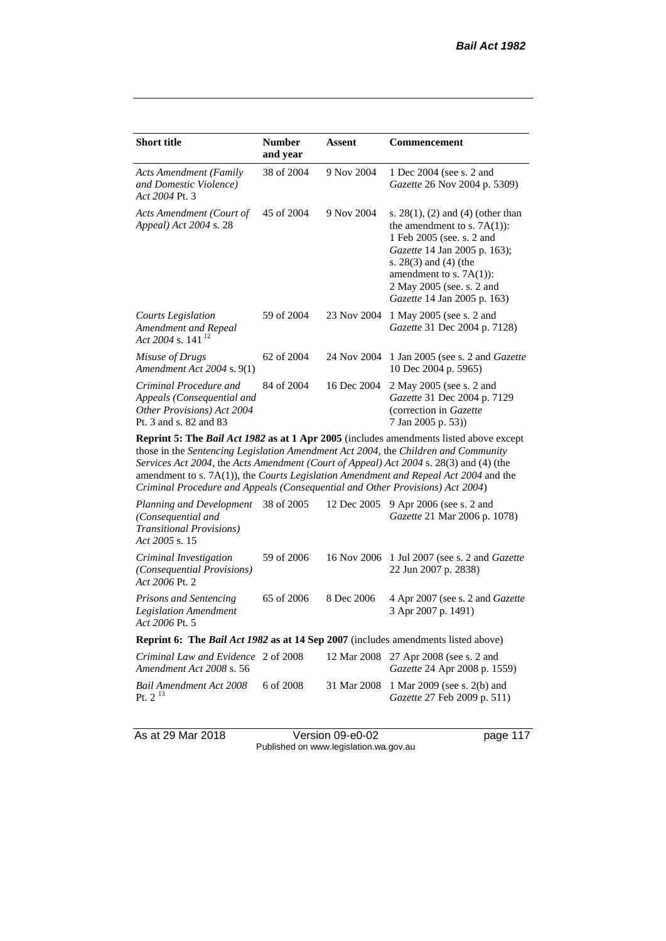| <b>Short title</b>                                                                                           | <b>Number</b><br>and year | Assent      | Commencement                                                                                                                                                                                                                                                           |  |  |
|--------------------------------------------------------------------------------------------------------------|---------------------------|-------------|------------------------------------------------------------------------------------------------------------------------------------------------------------------------------------------------------------------------------------------------------------------------|--|--|
| <b>Acts Amendment (Family</b><br>and Domestic Violence)<br>Act 2004 Pt. 3                                    | 38 of 2004                | 9 Nov 2004  | 1 Dec 2004 (see s. 2 and<br><i>Gazette</i> 26 Nov 2004 p. 5309)                                                                                                                                                                                                        |  |  |
| Acts Amendment (Court of<br>Appeal) Act 2004 s. 28                                                           | 45 of 2004                | 9 Nov 2004  | s. $28(1)$ , (2) and (4) (other than<br>the amendment to s. $7A(1)$ :<br>1 Feb 2005 (see. s. 2 and<br><i>Gazette</i> 14 Jan 2005 p. 163);<br>s. $28(3)$ and $(4)$ (the<br>amendment to s. $7A(1)$ :<br>2 May 2005 (see. s. 2 and<br><i>Gazette</i> 14 Jan 2005 p. 163) |  |  |
| Courts Legislation<br>Amendment and Repeal<br>Act 2004 s. 141 <sup>12</sup>                                  | 59 of 2004                | 23 Nov 2004 | 1 May 2005 (see s. 2 and<br>Gazette 31 Dec 2004 p. 7128)                                                                                                                                                                                                               |  |  |
| Misuse of Drugs<br>Amendment Act 2004 s. 9(1)                                                                | 62 of 2004                | 24 Nov 2004 | 1 Jan 2005 (see s. 2 and <i>Gazette</i><br>10 Dec 2004 p. 5965)                                                                                                                                                                                                        |  |  |
| Criminal Procedure and<br>Appeals (Consequential and<br>Other Provisions) Act 2004<br>Pt. 3 and s. 82 and 83 | 84 of 2004                | 16 Dec 2004 | 2 May 2005 (see s. 2 and<br>Gazette 31 Dec 2004 p. 7129<br>(correction in Gazette)<br>7 Jan 2005 p. 53))                                                                                                                                                               |  |  |
| <b>Reparint 5: The Rail Act 1082 as at 1 Apr 2005</b> (includes amondments listed above except               |                           |             |                                                                                                                                                                                                                                                                        |  |  |

**Reprint 5: The** *Bail Act 1982* **as at 1 Apr 2005** (includes amendments listed above except those in the *Sentencing Legislation Amendment Act 2004*, the *Children and Community Services Act 2004*, the *Acts Amendment (Court of Appeal) Act 2004* s. 28(3) and (4) (the amendment to s. 7A(1)), the *Courts Legislation Amendment and Repeal Act 2004* and the *Criminal Procedure and Appeals (Consequential and Other Provisions) Act 2004*)

| Planning and Development<br>(Consequential and<br><b>Transitional Provisions</b> )<br>Act 2005 s. 15 | 38 of 2005 | 12 Dec 2005 | 9 Apr 2006 (see s. 2 and<br>Gazette 21 Mar 2006 p. 1078)                      |
|------------------------------------------------------------------------------------------------------|------------|-------------|-------------------------------------------------------------------------------|
| Criminal Investigation<br>(Consequential Provisions)<br>Act 2006 Pt. 2                               | 59 of 2006 |             | 16 Nov 2006 1 Jul 2007 (see s. 2 and <i>Gazette</i><br>22 Jun 2007 p. 2838)   |
| <b>Prisons and Sentencing</b><br><b>Legislation Amendment</b><br>Act 2006 Pt. 5                      | 65 of 2006 | 8 Dec 2006  | 4 Apr 2007 (see s. 2 and Gazette<br>3 Apr 2007 p. 1491)                       |
| <b>Reprint 6: The Bail Act 1982 as at 14 Sep 2007</b> (includes amendments listed above)             |            |             |                                                                               |
| Criminal Law and Evidence 2 of 2008<br>Amendment Act 2008 s. 56                                      |            |             | 12 Mar 2008 27 Apr 2008 (see s. 2 and<br><i>Gazette</i> 24 Apr 2008 p. 1559)  |
| Bail Amendment Act 2008<br>Pt. $2^{13}$                                                              | 6 of 2008  |             | 31 Mar 2008 1 Mar 2009 (see s. 2(b) and<br><i>Gazette</i> 27 Feb 2009 p. 511) |

As at 29 Mar 2018 Version 09-e0-02 page 117 Published on www.legislation.wa.gov.au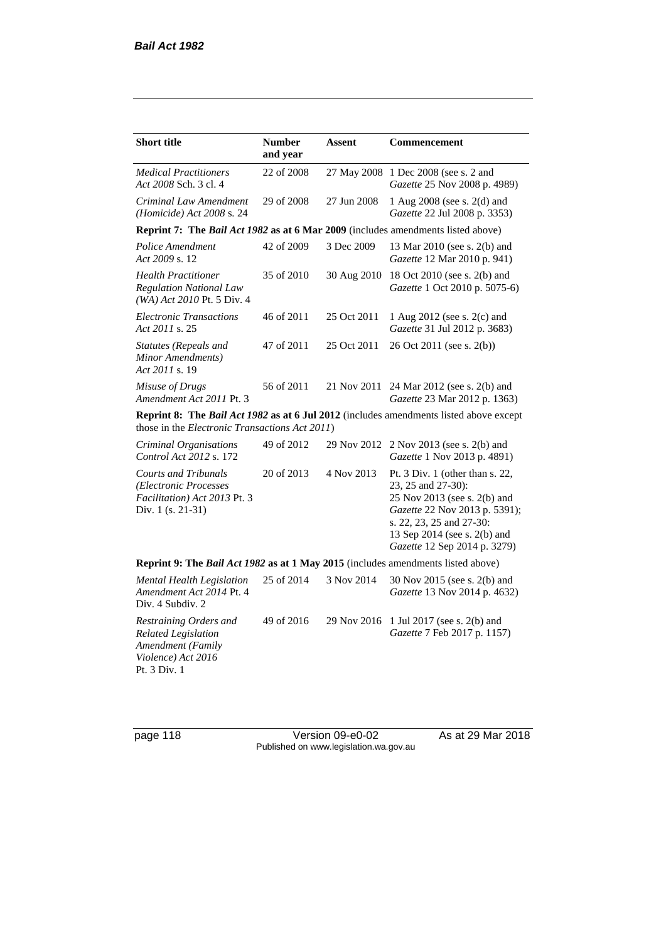| <b>Short title</b>                                                                                              | <b>Number</b><br>and year                                                        | Assent      | Commencement                                                                                                                                                                                                         |  |  |  |
|-----------------------------------------------------------------------------------------------------------------|----------------------------------------------------------------------------------|-------------|----------------------------------------------------------------------------------------------------------------------------------------------------------------------------------------------------------------------|--|--|--|
| <b>Medical Practitioners</b><br>Act 2008 Sch. 3 cl. 4                                                           | 22 of 2008                                                                       | 27 May 2008 | 1 Dec 2008 (see s. 2 and<br>Gazette 25 Nov 2008 p. 4989)                                                                                                                                                             |  |  |  |
| Criminal Law Amendment<br>(Homicide) Act 2008 s. 24                                                             | 29 of 2008                                                                       | 27 Jun 2008 | 1 Aug 2008 (see s. 2(d) and<br>Gazette 22 Jul 2008 p. 3353)                                                                                                                                                          |  |  |  |
| Reprint 7: The Bail Act 1982 as at 6 Mar 2009 (includes amendments listed above)                                |                                                                                  |             |                                                                                                                                                                                                                      |  |  |  |
| Police Amendment<br>Act 2009 s. 12                                                                              | 42 of 2009                                                                       | 3 Dec 2009  | 13 Mar 2010 (see s. 2(b) and<br>Gazette 12 Mar 2010 p. 941)                                                                                                                                                          |  |  |  |
| <b>Health Practitioner</b><br><b>Regulation National Law</b><br>(WA) Act 2010 Pt. 5 Div. 4                      | 35 of 2010                                                                       | 30 Aug 2010 | 18 Oct 2010 (see s. 2(b) and<br>Gazette 1 Oct 2010 p. 5075-6)                                                                                                                                                        |  |  |  |
| <b>Electronic Transactions</b><br>Act 2011 s. 25                                                                | 46 of 2011                                                                       | 25 Oct 2011 | 1 Aug 2012 (see s. 2(c) and<br>Gazette 31 Jul 2012 p. 3683)                                                                                                                                                          |  |  |  |
| <b>Statutes (Repeals and</b><br>Minor Amendments)<br>Act 2011 s. 19                                             | 47 of 2011                                                                       | 25 Oct 2011 | 26 Oct 2011 (see s. 2(b))                                                                                                                                                                                            |  |  |  |
| Misuse of Drugs<br>Amendment Act 2011 Pt. 3                                                                     | 56 of 2011                                                                       | 21 Nov 2011 | 24 Mar 2012 (see s. 2(b) and<br>Gazette 23 Mar 2012 p. 1363)                                                                                                                                                         |  |  |  |
| those in the <i>Electronic Transactions Act 2011</i> )                                                          |                                                                                  |             | <b>Reprint 8:</b> The <i>Bail Act 1982</i> as at 6 Jul 2012 (includes amendments listed above except                                                                                                                 |  |  |  |
| Criminal Organisations<br>Control Act 2012 s. 172                                                               | 49 of 2012                                                                       | 29 Nov 2012 | 2 Nov 2013 (see s. 2(b) and<br>Gazette 1 Nov 2013 p. 4891)                                                                                                                                                           |  |  |  |
| <b>Courts and Tribunals</b><br>(Electronic Processes<br>Facilitation) Act 2013 Pt. 3<br>Div. 1 (s. 21-31)       | 20 of 2013                                                                       | 4 Nov 2013  | Pt. $3$ Div. 1 (other than s. 22,<br>23, 25 and 27-30):<br>25 Nov 2013 (see s. 2(b) and<br>Gazette 22 Nov 2013 p. 5391);<br>s. 22, 23, 25 and 27-30:<br>13 Sep 2014 (see s. 2(b) and<br>Gazette 12 Sep 2014 p. 3279) |  |  |  |
|                                                                                                                 | Reprint 9: The Bail Act 1982 as at 1 May 2015 (includes amendments listed above) |             |                                                                                                                                                                                                                      |  |  |  |
| Mental Health Legislation<br>Amendment Act 2014 Pt. 4<br>Div. 4 Subdiv. 2                                       | 25 of 2014                                                                       | 3 Nov 2014  | 30 Nov 2015 (see s. 2(b) and<br>Gazette 13 Nov 2014 p. 4632)                                                                                                                                                         |  |  |  |
| Restraining Orders and<br><b>Related Legislation</b><br>Amendment (Family<br>Violence) Act 2016<br>Pt. 3 Div. 1 | 49 of 2016                                                                       | 29 Nov 2016 | 1 Jul 2017 (see s. 2(b) and<br>Gazette 7 Feb 2017 p. 1157)                                                                                                                                                           |  |  |  |

page 118 Version 09-e0-02 As at 29 Mar 2018 Published on www.legislation.wa.gov.au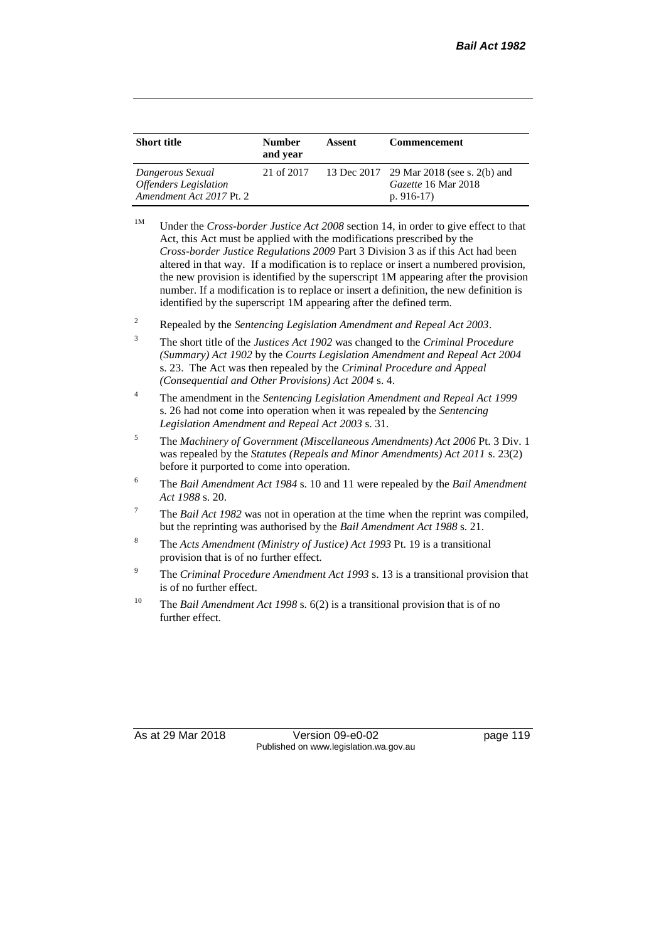| <b>Short title</b>                                                                  | <b>Number</b><br>and year | Assent | <b>Commencement</b>                                                            |
|-------------------------------------------------------------------------------------|---------------------------|--------|--------------------------------------------------------------------------------|
| Dangerous Sexual<br><i><b>Offenders Legislation</b></i><br>Amendment Act 2017 Pt. 2 | 21 of 2017                |        | 13 Dec 2017 29 Mar 2018 (see s. 2(b) and<br>Gazette 16 Mar 2018<br>p. $916-17$ |

- <sup>1M</sup> Under the *Cross-border Justice Act 2008* section 14, in order to give effect to that Act, this Act must be applied with the modifications prescribed by the *Cross-border Justice Regulations 2009* Part 3 Division 3 as if this Act had been altered in that way. If a modification is to replace or insert a numbered provision, the new provision is identified by the superscript 1M appearing after the provision number. If a modification is to replace or insert a definition, the new definition is identified by the superscript 1M appearing after the defined term.
- <sup>2</sup> Repealed by the *Sentencing Legislation Amendment and Repeal Act 2003*.
- <sup>3</sup> The short title of the *Justices Act 1902* was changed to the *Criminal Procedure (Summary) Act 1902* by the *Courts Legislation Amendment and Repeal Act 2004*  s. 23. The Act was then repealed by the *Criminal Procedure and Appeal (Consequential and Other Provisions) Act 2004* s. 4.
- <sup>4</sup> The amendment in the *Sentencing Legislation Amendment and Repeal Act 1999* s. 26 had not come into operation when it was repealed by the *Sentencing Legislation Amendment and Repeal Act 2003* s. 31.
- <sup>5</sup> The *Machinery of Government (Miscellaneous Amendments) Act 2006* Pt. 3 Div. 1 was repealed by the *Statutes (Repeals and Minor Amendments) Act 2011* s. 23(2) before it purported to come into operation.
- <sup>6</sup> The *Bail Amendment Act 1984* s. 10 and 11 were repealed by the *Bail Amendment Act 1988* s. 20.
- <sup>7</sup> The *Bail Act 1982* was not in operation at the time when the reprint was compiled, but the reprinting was authorised by the *Bail Amendment Act 1988* s. 21.
- <sup>8</sup> The *Acts Amendment (Ministry of Justice) Act 1993* Pt. 19 is a transitional provision that is of no further effect.
- <sup>9</sup> The *Criminal Procedure Amendment Act 1993* s. 13 is a transitional provision that is of no further effect.
- <sup>10</sup> The *Bail Amendment Act 1998* s. 6(2) is a transitional provision that is of no further effect.

As at 29 Mar 2018 Version 09-e0-02 page 119 Published on www.legislation.wa.gov.au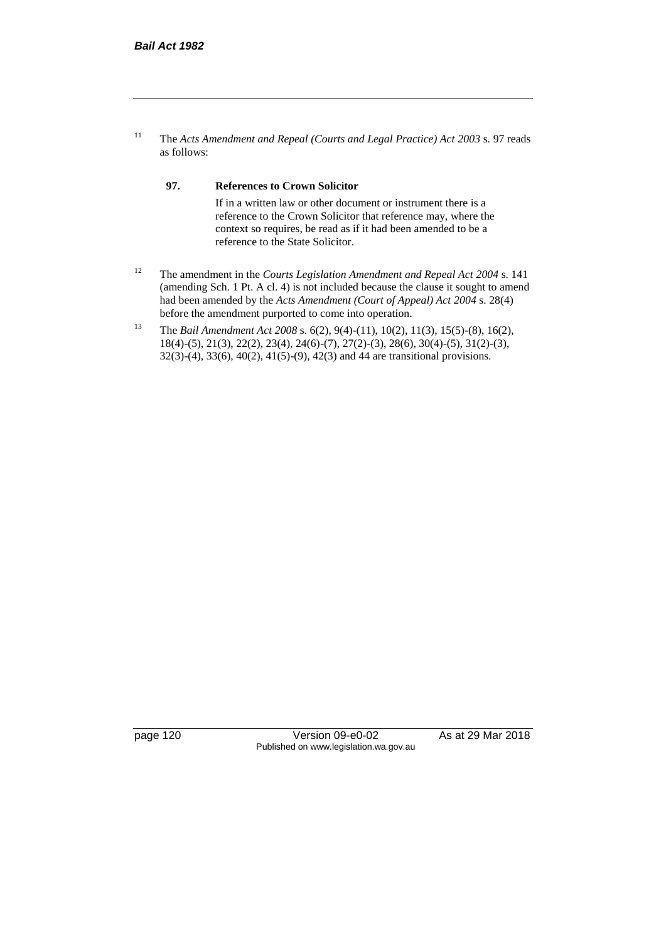<sup>11</sup> The *Acts Amendment and Repeal (Courts and Legal Practice) Act 2003* s. 97 reads as follows:

#### **97. References to Crown Solicitor**

If in a written law or other document or instrument there is a reference to the Crown Solicitor that reference may, where the context so requires, be read as if it had been amended to be a reference to the State Solicitor.

- <sup>12</sup> The amendment in the *Courts Legislation Amendment and Repeal Act 2004* s. 141 (amending Sch. 1 Pt. A cl. 4) is not included because the clause it sought to amend had been amended by the *Acts Amendment (Court of Appeal) Act 2004* s. 28(4) before the amendment purported to come into operation.
- <sup>13</sup> The *Bail Amendment Act 2008* s. 6(2), 9(4)-(11), 10(2), 11(3), 15(5)-(8), 16(2), 18(4)-(5), 21(3), 22(2), 23(4), 24(6)-(7), 27(2)-(3), 28(6), 30(4)-(5), 31(2)-(3), 32(3)-(4), 33(6), 40(2), 41(5)-(9), 42(3) and 44 are transitional provisions.

page 120 Version 09-e0-02 As at 29 Mar 2018 Published on www.legislation.wa.gov.au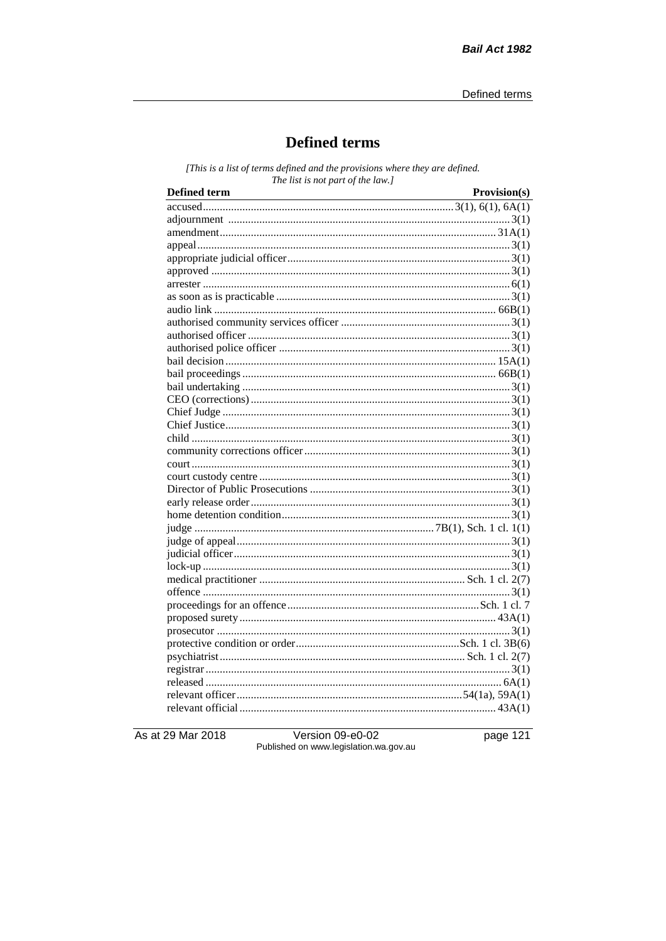# **Defined terms**

[This is a list of terms defined and the provisions where they are defined. The list is not part of the law.]

| <b>Defined term</b><br><u> 1989 - Johann Barn, mars ar breithinn ar breithinn ar breithinn ar breithinn ar breithinn ar breithinn ar br</u> | Provision(s) |
|---------------------------------------------------------------------------------------------------------------------------------------------|--------------|
|                                                                                                                                             |              |
|                                                                                                                                             |              |
|                                                                                                                                             |              |
|                                                                                                                                             |              |
|                                                                                                                                             |              |
|                                                                                                                                             |              |
|                                                                                                                                             |              |
|                                                                                                                                             |              |
|                                                                                                                                             |              |
|                                                                                                                                             |              |
|                                                                                                                                             |              |
|                                                                                                                                             |              |
|                                                                                                                                             |              |
|                                                                                                                                             |              |
|                                                                                                                                             |              |
|                                                                                                                                             |              |
|                                                                                                                                             |              |
|                                                                                                                                             |              |
|                                                                                                                                             |              |
|                                                                                                                                             |              |
|                                                                                                                                             |              |
|                                                                                                                                             |              |
|                                                                                                                                             |              |
|                                                                                                                                             |              |
|                                                                                                                                             |              |
|                                                                                                                                             |              |
|                                                                                                                                             |              |
|                                                                                                                                             |              |
|                                                                                                                                             |              |
|                                                                                                                                             |              |
|                                                                                                                                             |              |
|                                                                                                                                             |              |
|                                                                                                                                             |              |
|                                                                                                                                             |              |
|                                                                                                                                             |              |
|                                                                                                                                             |              |
|                                                                                                                                             |              |
|                                                                                                                                             |              |
|                                                                                                                                             |              |
|                                                                                                                                             |              |

As at 29 Mar 2018

Version 09-e0-02 Published on www.legislation.wa.gov.au page 121